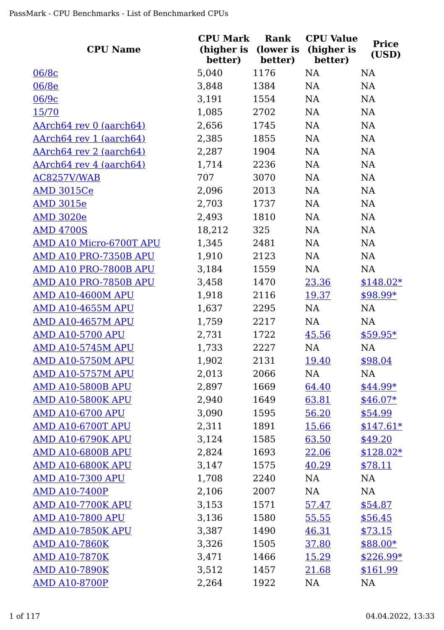| <b>CPU Name</b>                | <b>CPU Mark</b><br>better) | Rank<br>better) | <b>CPU Value</b><br>(higher is (lower is (higher is<br>better) | <b>Price</b><br>(USD) |
|--------------------------------|----------------------------|-----------------|----------------------------------------------------------------|-----------------------|
| 06/8c                          | 5,040                      | 1176            | <b>NA</b>                                                      | <b>NA</b>             |
| 06/8e                          | 3,848                      | 1384            | NA                                                             | NA                    |
| 06/9c                          | 3,191                      | 1554            | NA                                                             | NA                    |
| 15/70                          | 1,085                      | 2702            | NA                                                             | NA                    |
| AArch64 rev 0 (aarch64)        | 2,656                      | 1745            | NA                                                             | NA                    |
| AArch64 rev 1 (aarch64)        | 2,385                      | 1855            | NA                                                             | NA                    |
| AArch64 rev 2 (aarch64)        | 2,287                      | 1904            | NA                                                             | <b>NA</b>             |
| <u>AArch64 rev 4 (aarch64)</u> | 1,714                      | 2236            | NA                                                             | <b>NA</b>             |
| AC8257V/WAB                    | 707                        | 3070            | NA                                                             | <b>NA</b>             |
| <b>AMD 3015Ce</b>              | 2,096                      | 2013            | NA                                                             | <b>NA</b>             |
| <b>AMD 3015e</b>               | 2,703                      | 1737            | NA                                                             | NA                    |
| <b>AMD 3020e</b>               | 2,493                      | 1810            | NA                                                             | NA                    |
| <b>AMD 4700S</b>               | 18,212                     | 325             | NA                                                             | NA                    |
| AMD A10 Micro-6700T APU        | 1,345                      | 2481            | NA                                                             | <b>NA</b>             |
| AMD A10 PRO-7350B APU          | 1,910                      | 2123            | NA                                                             | NA                    |
| AMD A10 PRO-7800B APU          | 3,184                      | 1559            | NA                                                             | NA                    |
| AMD A10 PRO-7850B APU          | 3,458                      | 1470            | 23.36                                                          | $$148.02*$            |
| AMD A10-4600M APU              | 1,918                      | 2116            | 19.37                                                          | $$98.99*$             |
| <b>AMD A10-4655M APU</b>       | 1,637                      | 2295            | NA                                                             | NA                    |
| <b>AMD A10-4657M APU</b>       | 1,759                      | 2217            | NA                                                             | NA                    |
| <b>AMD A10-5700 APU</b>        | 2,731                      | 1722            | 45.56                                                          | $$59.95*$             |
| <b>AMD A10-5745M APU</b>       | 1,733                      | 2227            | NA                                                             | NA                    |
| <b>AMD A10-5750M APU</b>       | 1,902                      | 2131            | <u>19.40</u>                                                   | \$98.04               |
| <b>AMD A10-5757M APU</b>       | 2,013                      | 2066            | NA                                                             | NA                    |
| <b>AMD A10-5800B APU</b>       | 2,897                      | 1669            | 64.40                                                          | \$44.99*              |
| <b>AMD A10-5800K APU</b>       | 2,940                      | 1649            | 63.81                                                          | $$46.07*$             |
| <b>AMD A10-6700 APU</b>        | 3,090                      | 1595            | 56.20                                                          | \$54.99               |
| <b>AMD A10-6700T APU</b>       | 2,311                      | 1891            | <u>15.66</u>                                                   | $$147.61*$            |
| <b>AMD A10-6790K APU</b>       | 3,124                      | 1585            | 63.50                                                          | \$49.20               |
| <b>AMD A10-6800B APU</b>       | 2,824                      | 1693            | 22.06                                                          | $$128.02*$            |
| <b>AMD A10-6800K APU</b>       | 3,147                      | 1575            | 40.29                                                          | \$78.11               |
| <b>AMD A10-7300 APU</b>        | 1,708                      | 2240            | NA                                                             | NA                    |
| <b>AMD A10-7400P</b>           | 2,106                      | 2007            | NA                                                             | NA                    |
| <b>AMD A10-7700K APU</b>       | 3,153                      | 1571            | <u>57.47</u>                                                   | \$54.87               |
| <b>AMD A10-7800 APU</b>        | 3,136                      | 1580            | 55.55                                                          | \$56.45               |
| <b>AMD A10-7850K APU</b>       | 3,387                      | 1490            | 46.31                                                          | \$73.15               |
| <b>AMD A10-7860K</b>           | 3,326                      | 1505            | 37.80                                                          | $$88.00*$             |
| <b>AMD A10-7870K</b>           | 3,471                      | 1466            | 15.29                                                          | $$226.99*$            |
| <b>AMD A10-7890K</b>           | 3,512                      | 1457            | 21.68                                                          | \$161.99              |
| <b>AMD A10-8700P</b>           | 2,264                      | 1922            | <b>NA</b>                                                      | NA                    |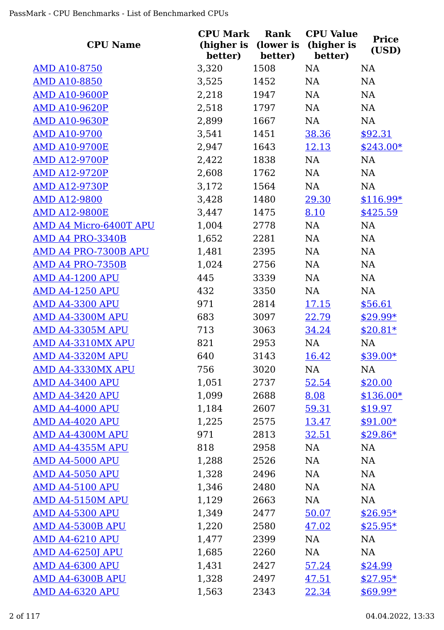|                             | <b>CPU Mark</b> | Rank    | <b>CPU Value</b>                           |                       |
|-----------------------------|-----------------|---------|--------------------------------------------|-----------------------|
| <b>CPU Name</b>             | better)         | better) | (higher is (lower is (higher is<br>better) | <b>Price</b><br>(USD) |
| <b>AMD A10-8750</b>         | 3,320           | 1508    | NA                                         | <b>NA</b>             |
| <b>AMD A10-8850</b>         | 3,525           | 1452    | NA                                         | NA                    |
| <b>AMD A10-9600P</b>        | 2,218           | 1947    | NA                                         | NA                    |
| <b>AMD A10-9620P</b>        | 2,518           | 1797    | NA                                         | NA                    |
| <b>AMD A10-9630P</b>        | 2,899           | 1667    | NA                                         | NA                    |
| <b>AMD A10-9700</b>         | 3,541           | 1451    | 38.36                                      | \$92.31               |
| <b>AMD A10-9700E</b>        | 2,947           | 1643    | <u>12.13</u>                               | $$243.00*$            |
| <b>AMD A12-9700P</b>        | 2,422           | 1838    | NA                                         | NA                    |
| <b>AMD A12-9720P</b>        | 2,608           | 1762    | NA                                         | NA                    |
| <b>AMD A12-9730P</b>        | 3,172           | 1564    | NA                                         | NA                    |
| <b>AMD A12-9800</b>         | 3,428           | 1480    | 29.30                                      | $$116.99*$            |
| <b>AMD A12-9800E</b>        | 3,447           | 1475    | 8.10                                       | \$425.59              |
| AMD A4 Micro-6400T APU      | 1,004           | 2778    | NA                                         | NA                    |
| AMD A4 PRO-3340B            | 1,652           | 2281    | NA                                         | NA                    |
| <b>AMD A4 PRO-7300B APU</b> | 1,481           | 2395    | NA                                         | NA                    |
| AMD A4 PRO-7350B            | 1,024           | 2756    | NA                                         | NA                    |
| <b>AMD A4-1200 APU</b>      | 445             | 3339    | NA                                         | NA                    |
| <b>AMD A4-1250 APU</b>      | 432             | 3350    | NA                                         | NA                    |
| <b>AMD A4-3300 APU</b>      | 971             | 2814    | <u>17.15</u>                               | \$56.61               |
| <b>AMD A4-3300M APU</b>     | 683             | 3097    | 22.79                                      | $$29.99*$             |
| <b>AMD A4-3305M APU</b>     | 713             | 3063    | 34.24                                      | $$20.81*$             |
| AMD A4-3310MX APU           | 821             | 2953    | NA                                         | NA                    |
| <b>AMD A4-3320M APU</b>     | 640             | 3143    | 16.42                                      | $$39.00*$             |
| AMD A4-3330MX APU           | 756             | 3020    | NA                                         | NA                    |
| <b>AMD A4-3400 APU</b>      | 1,051           | 2737    | 52.54                                      | \$20.00               |
| <b>AMD A4-3420 APU</b>      | 1,099           | 2688    | 8.08                                       | $$136.00*$            |
| <b>AMD A4-4000 APU</b>      | 1,184           | 2607    | 59.31                                      | \$19.97               |
| <b>AMD A4-4020 APU</b>      | 1,225           | 2575    | <u>13.47</u>                               | $$91.00*$             |
| AMD A4-4300M APU            | 971             | 2813    | <u>32.51</u>                               | $$29.86*$             |
| AMD A4-4355M APU            | 818             | 2958    | NA                                         | NA                    |
| <b>AMD A4-5000 APU</b>      | 1,288           | 2526    | NA                                         | NA                    |
| <b>AMD A4-5050 APU</b>      | 1,328           | 2496    | NA                                         | NA                    |
| <b>AMD A4-5100 APU</b>      | 1,346           | 2480    | NA                                         | NA                    |
| AMD A4-5150M APU            | 1,129           | 2663    | NA                                         | NA                    |
| <b>AMD A4-5300 APU</b>      | 1,349           | 2477    | 50.07                                      | $$26.95*$             |
| AMD A4-5300B APU            | 1,220           | 2580    | 47.02                                      | $$25.95*$             |
| <b>AMD A4-6210 APU</b>      | 1,477           | 2399    | NA                                         | NA                    |
| <b>AMD A4-6250J APU</b>     | 1,685           | 2260    | NA                                         | NA                    |
| <b>AMD A4-6300 APU</b>      | 1,431           | 2427    | 57.24                                      | \$24.99               |
| AMD A4-6300B APU            | 1,328           | 2497    | 47.51                                      | $$27.95*$             |
| <b>AMD A4-6320 APU</b>      | 1,563           | 2343    | 22.34                                      | $$69.99*$             |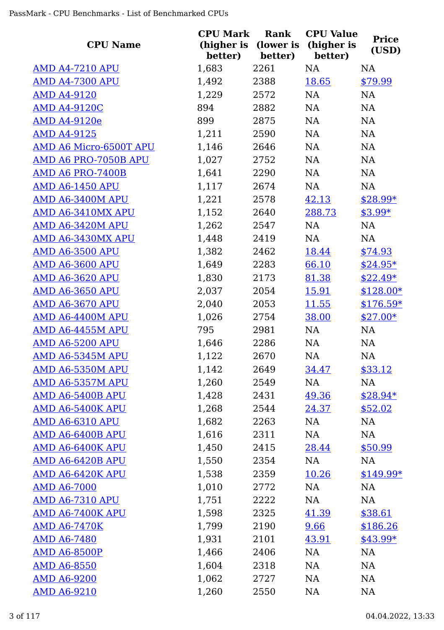| <b>CPU Name</b>               | <b>CPU Mark</b><br>(higher is | Rank<br>(lower is | <b>CPU Value</b><br>(higher is | <b>Price</b><br>(USD) |
|-------------------------------|-------------------------------|-------------------|--------------------------------|-----------------------|
| <b>AMD A4-7210 APU</b>        | better)                       | better)<br>2261   | better)<br>NA                  | <b>NA</b>             |
| <b>AMD A4-7300 APU</b>        | 1,683<br>1,492                | 2388              | 18.65                          |                       |
| <b>AMD A4-9120</b>            | 1,229                         | 2572              | NA                             | \$79.99<br>NA         |
| <b>AMD A4-9120C</b>           | 894                           | 2882              | NA                             | NA                    |
| <b>AMD A4-9120e</b>           | 899                           | 2875              | NA                             | NA                    |
| <b>AMD A4-9125</b>            | 1,211                         | 2590              | NA                             | NA                    |
| <b>AMD A6 Micro-6500T APU</b> | 1,146                         | 2646              | NA                             | NA                    |
| AMD A6 PRO-7050B APU          | 1,027                         | 2752              | NA                             | NA                    |
| AMD A6 PRO-7400B              | 1,641                         | 2290              | NA                             | NA                    |
| <b>AMD A6-1450 APU</b>        | 1,117                         | 2674              | NA                             | NA                    |
| AMD A6-3400M APU              | 1,221                         | 2578              | 42.13                          | $$28.99*$             |
| <b>AMD A6-3410MX APU</b>      | 1,152                         | 2640              | 288.73                         | $$3.99*$              |
| AMD A6-3420M APU              | 1,262                         | 2547              | NA                             | NA                    |
| AMD A6-3430MX APU             | 1,448                         | 2419              | NA                             | NA                    |
| <b>AMD A6-3500 APU</b>        | 1,382                         | 2462              | 18.44                          | \$74.93               |
| <b>AMD A6-3600 APU</b>        | 1,649                         | 2283              | 66.10                          | $$24.95*$             |
| <b>AMD A6-3620 APU</b>        | 1,830                         | 2173              | 81.38                          | $$22.49*$             |
| <b>AMD A6-3650 APU</b>        | 2,037                         | 2054              | 15.91                          | $$128.00*$            |
| <b>AMD A6-3670 APU</b>        | 2,040                         | 2053              | <u>11.55</u>                   | $$176.59*$            |
| AMD A6-4400M APU              | 1,026                         | 2754              | 38.00                          | $$27.00*$             |
| AMD A6-4455M APU              | 795                           | 2981              | NA                             | NA                    |
| <b>AMD A6-5200 APU</b>        | 1,646                         | 2286              | NA                             | NA                    |
| <b>AMD A6-5345M APU</b>       | 1,122                         | 2670              | NA                             | <b>NA</b>             |
| AMD A6-5350M APU              | 1,142                         | 2649              | 34.47                          | \$33.12               |
| AMD A6-5357M APU              | 1,260                         | 2549              | NA                             | NA                    |
| AMD A6-5400B APU              | 1,428                         | 2431              | 49.36                          | $$28.94*$             |
| AMD A6-5400K APU              | 1,268                         | 2544              | 24.37                          | \$52.02               |
| <b>AMD A6-6310 APU</b>        | 1,682                         | 2263              | NA                             | <b>NA</b>             |
| AMD A6-6400B APU              | 1,616                         | 2311              | NA                             | NA                    |
| AMD A6-6400K APU              | 1,450                         | 2415              | 28.44                          | \$50.99               |
| AMD A6-6420B APU              | 1,550                         | 2354              | NA                             | NA                    |
| AMD A6-6420K APU              | 1,538                         | 2359              | 10.26                          | $$149.99*$            |
| <b>AMD A6-7000</b>            | 1,010                         | 2772              | NA                             | NA                    |
| <b>AMD A6-7310 APU</b>        | 1,751                         | 2222              | NA                             | NA                    |
| AMD A6-7400K APU              | 1,598                         | 2325              | 41.39                          | \$38.61               |
| <b>AMD A6-7470K</b>           | 1,799                         | 2190              | 9.66                           | \$186.26              |
| <b>AMD A6-7480</b>            | 1,931                         | 2101              | 43.91                          | $$43.99*$             |
| <b>AMD A6-8500P</b>           | 1,466                         | 2406              | NA                             | NA                    |
| <b>AMD A6-8550</b>            | 1,604                         | 2318              | NA                             | <b>NA</b>             |
| <b>AMD A6-9200</b>            | 1,062                         | 2727              | NA                             | <b>NA</b>             |
| <b>AMD A6-9210</b>            | 1,260                         | 2550              | NA                             | <b>NA</b>             |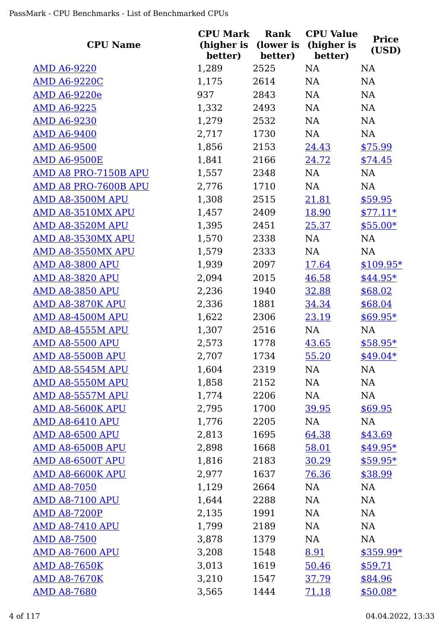| <b>CPU Name</b>         | <b>CPU Mark</b><br>(higher is<br>better) | Rank<br>(lower is<br>better) | <b>CPU Value</b><br>(higher is<br>better) | <b>Price</b><br>(USD) |
|-------------------------|------------------------------------------|------------------------------|-------------------------------------------|-----------------------|
| <u>AMD A6-9220</u>      | 1,289                                    | 2525                         | <b>NA</b>                                 | <b>NA</b>             |
| <b>AMD A6-9220C</b>     | 1,175                                    | 2614                         | NA                                        | NA                    |
| <b>AMD A6-9220e</b>     | 937                                      | 2843                         | NA                                        | <b>NA</b>             |
| <b>AMD A6-9225</b>      | 1,332                                    | 2493                         | NA                                        | <b>NA</b>             |
| <b>AMD A6-9230</b>      | 1,279                                    | 2532                         | NA                                        | NA                    |
| <b>AMD A6-9400</b>      | 2,717                                    | 1730                         | NA                                        | <b>NA</b>             |
| <b>AMD A6-9500</b>      | 1,856                                    | 2153                         | 24.43                                     | \$75.99               |
| <b>AMD A6-9500E</b>     | 1,841                                    | 2166                         | 24.72                                     | \$74.45               |
| AMD A8 PRO-7150B APU    | 1,557                                    | 2348                         | NA                                        | NA                    |
| AMD A8 PRO-7600B APU    | 2,776                                    | 1710                         | NA                                        | NA                    |
| AMD A8-3500M APU        | 1,308                                    | 2515                         | 21.81                                     | \$59.95               |
| AMD A8-3510MX APU       | 1,457                                    | 2409                         | 18.90                                     | $$77.11*$             |
| AMD A8-3520M APU        | 1,395                                    | 2451                         | 25.37                                     | $$55.00*$             |
| AMD A8-3530MX APU       | 1,570                                    | 2338                         | NA                                        | NA                    |
| AMD A8-3550MX APU       | 1,579                                    | 2333                         | NA                                        | NA                    |
| <b>AMD A8-3800 APU</b>  | 1,939                                    | 2097                         | <u>17.64</u>                              | $$109.95*$            |
| <b>AMD A8-3820 APU</b>  | 2,094                                    | 2015                         | 46.58                                     | $$44.95*$             |
| <b>AMD A8-3850 APU</b>  | 2,236                                    | 1940                         | 32.88                                     | \$68.02               |
| AMD A8-3870K APU        | 2,336                                    | 1881                         | 34.34                                     | \$68.04               |
| AMD A8-4500M APU        | 1,622                                    | 2306                         | 23.19                                     | $$69.95*$             |
| AMD A8-4555M APU        | 1,307                                    | 2516                         | NA                                        | NA                    |
| <b>AMD A8-5500 APU</b>  | 2,573                                    | 1778                         | 43.65                                     | $$58.95*$             |
| AMD A8-5500B APU        | 2,707                                    | 1734                         | 55.20                                     | $$49.04*$             |
| AMD A8-5545M APU        | 1,604                                    | 2319                         | NA                                        | NA                    |
| AMD A8-5550M APU        | 1,858                                    | 2152                         | NA                                        | NA                    |
| AMD A8-5557M APU        | 1,774                                    | 2206                         | NA                                        | NA                    |
| AMD A8-5600K APU        | 2,795                                    | 1700                         | 39.95                                     | \$69.95               |
| <b>AMD A8-6410 APU</b>  | 1,776                                    | 2205                         | NA                                        | NA                    |
| <b>AMD A8-6500 APU</b>  | 2,813                                    | 1695                         | 64.38                                     | \$43.69               |
| AMD A8-6500B APU        | 2,898                                    | 1668                         | 58.01                                     | $$49.95*$             |
| AMD A8-6500T APU        | 1,816                                    | 2183                         | <u>30.29</u>                              | $$59.95*$             |
| <b>AMD A8-6600K APU</b> | 2,977                                    | 1637                         | 76.36                                     | \$38.99               |
| <b>AMD A8-7050</b>      | 1,129                                    | 2664                         | NA                                        | NA                    |
| <b>AMD A8-7100 APU</b>  | 1,644                                    | 2288                         | NA                                        | NA                    |
| <b>AMD A8-7200P</b>     | 2,135                                    | 1991                         | NA                                        | NA                    |
| <b>AMD A8-7410 APU</b>  | 1,799                                    | 2189                         | NA                                        | <b>NA</b>             |
| <b>AMD A8-7500</b>      | 3,878                                    | 1379                         | NA                                        | <b>NA</b>             |
| <b>AMD A8-7600 APU</b>  | 3,208                                    | 1548                         | 8.91                                      | $$359.99*$            |
| <b>AMD A8-7650K</b>     | 3,013                                    | 1619                         | 50.46                                     | \$59.71               |
| <b>AMD A8-7670K</b>     | 3,210                                    | 1547                         | <u>37.79</u>                              | \$84.96               |
| <b>AMD A8-7680</b>      | 3,565                                    | 1444                         | <u>71.18</u>                              | $$50.08*$             |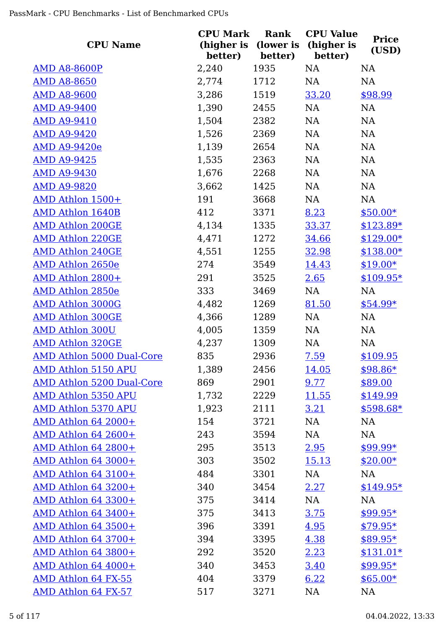| <b>CPU Name</b>                  | <b>CPU Mark</b><br>(higher is | Rank<br>(lower is | <b>CPU Value</b><br>(higher is | <b>Price</b> |
|----------------------------------|-------------------------------|-------------------|--------------------------------|--------------|
|                                  | better)                       | better)           | better)                        | (USD)        |
| <b>AMD A8-8600P</b>              | 2,240                         | 1935              | NA                             | NA           |
| <b>AMD A8-8650</b>               | 2,774                         | 1712              | NA                             | NA           |
| <b>AMD A8-9600</b>               | 3,286                         | 1519              | 33.20                          | \$98.99      |
| <b>AMD A9-9400</b>               | 1,390                         | 2455              | NA                             | <b>NA</b>    |
| <b>AMD A9-9410</b>               | 1,504                         | 2382              | NA                             | NA           |
| <b>AMD A9-9420</b>               | 1,526                         | 2369              | NA                             | NA           |
| <b>AMD A9-9420e</b>              | 1,139                         | 2654              | NA                             | NA           |
| <b>AMD A9-9425</b>               | 1,535                         | 2363              | NA                             | NA           |
| <b>AMD A9-9430</b>               | 1,676                         | 2268              | NA                             | NA           |
| <b>AMD A9-9820</b>               | 3,662                         | 1425              | NA                             | NA           |
| AMD Athlon 1500+                 | 191                           | 3668              | NA                             | NA           |
| <b>AMD Athlon 1640B</b>          | 412                           | 3371              | 8.23                           | $$50.00*$    |
| <b>AMD Athlon 200GE</b>          | 4,134                         | 1335              | 33.37                          | $$123.89*$   |
| <b>AMD Athlon 220GE</b>          | 4,471                         | 1272              | 34.66                          | $$129.00*$   |
| <b>AMD Athlon 240GE</b>          | 4,551                         | 1255              | 32.98                          | $$138.00*$   |
| <b>AMD Athlon 2650e</b>          | 274                           | 3549              | 14.43                          | $$19.00*$    |
| AMD Athlon 2800+                 | 291                           | 3525              | 2.65                           | $$109.95*$   |
| <b>AMD Athlon 2850e</b>          | 333                           | 3469              | NA                             | NA           |
| <b>AMD Athlon 3000G</b>          | 4,482                         | 1269              | 81.50                          | $$54.99*$    |
| <b>AMD Athlon 300GE</b>          | 4,366                         | 1289              | NA                             | NA           |
| <b>AMD Athlon 300U</b>           | 4,005                         | 1359              | NA                             | NA           |
| <b>AMD Athlon 320GE</b>          | 4,237                         | 1309              | NA                             | NA           |
| <b>AMD Athlon 5000 Dual-Core</b> | 835                           | 2936              | 7.59                           | \$109.95     |
| <b>AMD Athlon 5150 APU</b>       | 1,389                         | 2456              | <u>14.05</u>                   | \$98.86*     |
| <b>AMD Athlon 5200 Dual-Core</b> | 869                           | 2901              | 9.77                           | \$89.00      |
| <b>AMD Athlon 5350 APU</b>       | 1,732                         | 2229              | <u>11.55</u>                   | \$149.99     |
| <b>AMD Athlon 5370 APU</b>       | 1,923                         | 2111              | <u>3.21</u>                    | $$598.68*$   |
| <b>AMD Athlon 64 2000+</b>       | 154                           | 3721              | NA                             | NA           |
| <b>AMD Athlon 64 2600+</b>       | 243                           | 3594              | NA                             | NA           |
| AMD Athlon 64 2800+              | 295                           | 3513              | 2.95                           | $$99.99*$    |
| AMD Athlon 64 3000+              | 303                           | 3502              | <u>15.13</u>                   | $$20.00*$    |
| AMD Athlon 64 3100+              | 484                           | 3301              | NA                             | NA           |
| AMD Athlon 64 3200+              | 340                           | 3454              | <u>2.27</u>                    | $$149.95*$   |
| AMD Athlon 64 3300+              | 375                           | 3414              | NA                             | NA           |
| <b>AMD Athlon 64 3400+</b>       | 375                           | 3413              | 3.75                           | $$99.95*$    |
| <b>AMD Athlon 64 3500+</b>       | 396                           | 3391              | 4.95                           | $$79.95*$    |
| <b>AMD Athlon 64 3700+</b>       | 394                           | 3395              | 4.38                           | $$89.95*$    |
| <b>AMD Athlon 64 3800+</b>       | 292                           | 3520              | 2.23                           | $$131.01*$   |
| AMD Athlon 64 4000+              | 340                           | 3453              | <u>3.40</u>                    | $$99.95*$    |
| AMD Athlon 64 FX-55              | 404                           | 3379              | 6.22                           | $$65.00*$    |
| AMD Athlon 64 FX-57              | 517                           | 3271              | NA                             | <b>NA</b>    |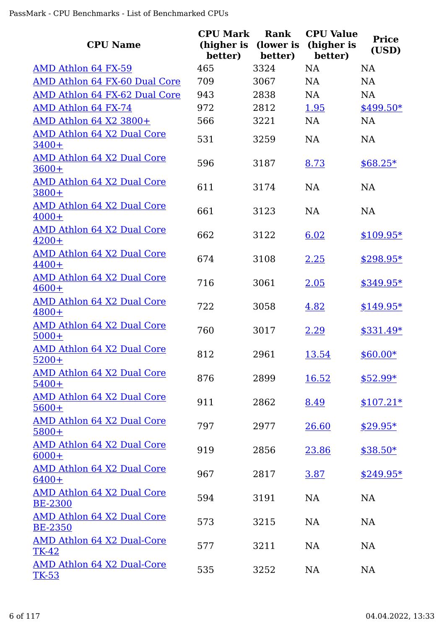| <b>CPU Name</b>                                     | <b>CPU Mark</b><br>(higher is<br>better) | <b>Rank</b><br>(lower is<br>better) | <b>CPU Value</b><br>(higher is<br>better) | <b>Price</b><br>(USD) |
|-----------------------------------------------------|------------------------------------------|-------------------------------------|-------------------------------------------|-----------------------|
| AMD Athlon 64 FX-59                                 | 465                                      | 3324                                | <b>NA</b>                                 | <b>NA</b>             |
| AMD Athlon 64 FX-60 Dual Core                       | 709                                      | 3067                                | <b>NA</b>                                 | <b>NA</b>             |
| AMD Athlon 64 FX-62 Dual Core                       | 943                                      | 2838                                | <b>NA</b>                                 | <b>NA</b>             |
| AMD Athlon 64 FX-74                                 | 972                                      | 2812                                | 1.95                                      | \$499.50*             |
| AMD Athlon 64 X2 3800+                              | 566                                      | 3221                                | <b>NA</b>                                 | <b>NA</b>             |
| <b>AMD Athlon 64 X2 Dual Core</b><br>$3400+$        | 531                                      | 3259                                | <b>NA</b>                                 | <b>NA</b>             |
| <b>AMD Athlon 64 X2 Dual Core</b><br>$3600+$        | 596                                      | 3187                                | 8.73                                      | $$68.25*$             |
| <b>AMD Athlon 64 X2 Dual Core</b><br>3800+          | 611                                      | 3174                                | NA                                        | <b>NA</b>             |
| <b>AMD Athlon 64 X2 Dual Core</b><br>$4000+$        | 661                                      | 3123                                | <b>NA</b>                                 | <b>NA</b>             |
| AMD Athlon 64 X2 Dual Core<br>$4200+$               | 662                                      | 3122                                | 6.02                                      | $$109.95*$            |
| <b>AMD Athlon 64 X2 Dual Core</b><br>$4400+$        | 674                                      | 3108                                | 2.25                                      | $$298.95*$            |
| <b>AMD Athlon 64 X2 Dual Core</b><br>$4600+$        | 716                                      | 3061                                | 2.05                                      | $$349.95*$            |
| AMD Athlon 64 X2 Dual Core<br>$4800+$               | 722                                      | 3058                                | 4.82                                      | $$149.95*$            |
| <b>AMD Athlon 64 X2 Dual Core</b><br>$5000+$        | 760                                      | 3017                                | 2.29                                      | $$331.49*$            |
| <b>AMD Athlon 64 X2 Dual Core</b><br>$5200+$        | 812                                      | 2961                                | 13.54                                     | $$60.00*$             |
| AMD Athlon 64 X2 Dual Core<br>$5400+$               | 876                                      | 2899                                | 16.52                                     | $$52.99*$             |
| AMD Athlon 64 X2 Dual Core<br>$5600+$               | 911                                      | 2862                                | 8.49                                      | $$107.21*$            |
| <b>AMD Athlon 64 X2 Dual Core</b><br>$5800+$        | 797                                      | 2977                                | 26.60                                     | $$29.95*$             |
| AMD Athlon 64 X2 Dual Core<br>$6000+$               | 919                                      | 2856                                | 23.86                                     | $$38.50*$             |
| <u>AMD Athlon 64 X2 Dual Core</u><br>$6400+$        | 967                                      | 2817                                | 3.87                                      | $$249.95*$            |
| <b>AMD Athlon 64 X2 Dual Core</b><br><b>BE-2300</b> | 594                                      | 3191                                | <b>NA</b>                                 | <b>NA</b>             |
| AMD Athlon 64 X2 Dual Core<br><b>BE-2350</b>        | 573                                      | 3215                                | <b>NA</b>                                 | <b>NA</b>             |
| <b>AMD Athlon 64 X2 Dual-Core</b><br><b>TK-42</b>   | 577                                      | 3211                                | <b>NA</b>                                 | <b>NA</b>             |
| AMD Athlon 64 X2 Dual-Core<br><u>TK-53</u>          | 535                                      | 3252                                | NA                                        | NA                    |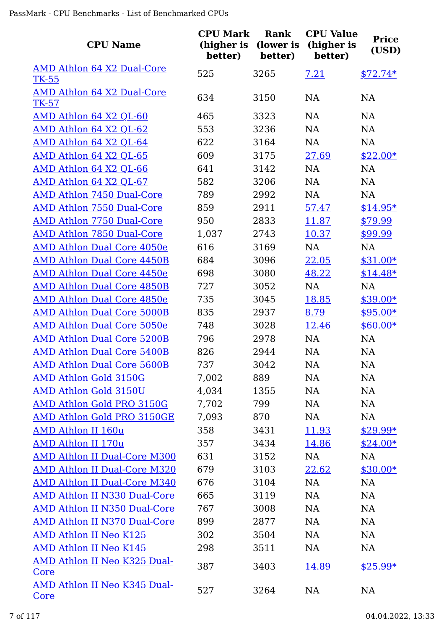| <b>CPU Name</b>                             | <b>CPU Mark</b><br>(higher is<br>better) | Rank<br>(lower is<br>better) | <b>CPU Value</b><br>(higher is<br>better) | <b>Price</b><br>(USD) |
|---------------------------------------------|------------------------------------------|------------------------------|-------------------------------------------|-----------------------|
| AMD Athlon 64 X2 Dual-Core<br><b>TK-55</b>  | 525                                      | 3265                         | 7.21                                      | $$72.74*$             |
| AMD Athlon 64 X2 Dual-Core<br>TK-57         | 634                                      | 3150                         | <b>NA</b>                                 | <b>NA</b>             |
| AMD Athlon 64 X2 QL-60                      | 465                                      | 3323                         | <b>NA</b>                                 | <b>NA</b>             |
| AMD Athlon 64 X2 QL-62                      | 553                                      | 3236                         | <b>NA</b>                                 | <b>NA</b>             |
| AMD Athlon 64 X2 QL-64                      | 622                                      | 3164                         | <b>NA</b>                                 | NA                    |
| AMD Athlon 64 X2 QL-65                      | 609                                      | 3175                         | 27.69                                     | $$22.00*$             |
| AMD Athlon 64 X2 QL-66                      | 641                                      | 3142                         | <b>NA</b>                                 | NA                    |
| AMD Athlon 64 X2 QL-67                      | 582                                      | 3206                         | NA                                        | NA                    |
| AMD Athlon 7450 Dual-Core                   | 789                                      | 2992                         | NA                                        | NA                    |
| <b>AMD Athlon 7550 Dual-Core</b>            | 859                                      | 2911                         | 57.47                                     | $$14.95*$             |
| <b>AMD Athlon 7750 Dual-Core</b>            | 950                                      | 2833                         | 11.87                                     | \$79.99               |
| AMD Athlon 7850 Dual-Core                   | 1,037                                    | 2743                         | 10.37                                     | \$99.99               |
| <b>AMD Athlon Dual Core 4050e</b>           | 616                                      | 3169                         | <b>NA</b>                                 | NA                    |
| <b>AMD Athlon Dual Core 4450B</b>           | 684                                      | 3096                         | 22.05                                     | $$31.00*$             |
| <b>AMD Athlon Dual Core 4450e</b>           | 698                                      | 3080                         | 48.22                                     | $$14.48*$             |
| <b>AMD Athlon Dual Core 4850B</b>           | 727                                      | 3052                         | <b>NA</b>                                 | NA                    |
| <b>AMD Athlon Dual Core 4850e</b>           | 735                                      | 3045                         | 18.85                                     | $$39.00*$             |
| <b>AMD Athlon Dual Core 5000B</b>           | 835                                      | 2937                         | 8.79                                      | $$95.00*$             |
| <b>AMD Athlon Dual Core 5050e</b>           | 748                                      | 3028                         | 12.46                                     | $$60.00*$             |
| <b>AMD Athlon Dual Core 5200B</b>           | 796                                      | 2978                         | <b>NA</b>                                 | <b>NA</b>             |
| <b>AMD Athlon Dual Core 5400B</b>           | 826                                      | 2944                         | <b>NA</b>                                 | <b>NA</b>             |
| <b>AMD Athlon Dual Core 5600B</b>           | 737                                      | 3042                         | NA                                        | NA                    |
| <b>AMD Athlon Gold 3150G</b>                | 7,002                                    | 889                          | NA                                        | NA                    |
| <b>AMD Athlon Gold 3150U</b>                | 4,034                                    | 1355                         | <b>NA</b>                                 | NA                    |
| AMD Athlon Gold PRO 3150G                   | 7,702                                    | 799                          | NA                                        | NA                    |
| AMD Athlon Gold PRO 3150GE                  | 7,093                                    | 870                          | NA                                        | NA                    |
| <b>AMD Athlon II 160u</b>                   | 358                                      | 3431                         | 11.93                                     | $$29.99*$             |
| <b>AMD Athlon II 170u</b>                   | 357                                      | 3434                         | 14.86                                     | $$24.00*$             |
| <b>AMD Athlon II Dual-Core M300</b>         | 631                                      | 3152                         | NA                                        | NA                    |
| <b>AMD Athlon II Dual-Core M320</b>         | 679                                      | 3103                         | 22.62                                     | $$30.00*$             |
| <b>AMD Athlon II Dual-Core M340</b>         | 676                                      | 3104                         | NA                                        | NA                    |
| <b>AMD Athlon II N330 Dual-Core</b>         | 665                                      | 3119                         | NA                                        | NA                    |
| <b>AMD Athlon II N350 Dual-Core</b>         | 767                                      | 3008                         | NA                                        | NA                    |
| AMD Athlon II N370 Dual-Core                | 899                                      | 2877                         | <b>NA</b>                                 | NA                    |
| <b>AMD Athlon II Neo K125</b>               | 302                                      | 3504                         | <b>NA</b>                                 | NA                    |
| <b>AMD Athlon II Neo K145</b>               | 298                                      | 3511                         | NA                                        | NA                    |
| AMD Athlon II Neo K325 Dual-<br><u>Core</u> | 387                                      | 3403                         | 14.89                                     | $$25.99*$             |
| AMD Athlon II Neo K345 Dual-<br><u>Core</u> | 527                                      | 3264                         | <b>NA</b>                                 | NA                    |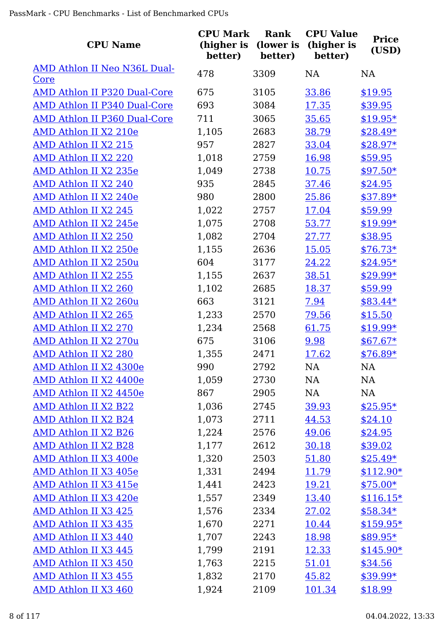| <b>CPU Name</b>                     | <b>CPU Mark</b><br>(higher is<br>better) | Rank<br>(lower is<br>better) | <b>CPU Value</b><br>(higher is<br>better) | <b>Price</b><br>(USD) |
|-------------------------------------|------------------------------------------|------------------------------|-------------------------------------------|-----------------------|
| AMD Athlon II Neo N36L Dual-        | 478                                      | 3309                         | NA                                        | <b>NA</b>             |
| Core                                |                                          |                              |                                           |                       |
| AMD Athlon II P320 Dual-Core        | 675                                      | 3105                         | 33.86                                     | \$19.95               |
| <b>AMD Athlon II P340 Dual-Core</b> | 693                                      | 3084                         | 17.35                                     | \$39.95               |
| AMD Athlon II P360 Dual-Core        | 711                                      | 3065                         | 35.65                                     | $$19.95*$             |
| AMD Athlon II X2 210e               | 1,105                                    | 2683                         | 38.79                                     | $$28.49*$             |
| AMD Athlon II X2 215                | 957                                      | 2827                         | 33.04                                     | $$28.97*$             |
| AMD Athlon II X2 220                | 1,018                                    | 2759                         | 16.98                                     | \$59.95               |
| AMD Athlon II X2 235e               | 1,049                                    | 2738                         | 10.75                                     | $$97.50*$             |
| AMD Athlon II X2 240                | 935                                      | 2845                         | 37.46                                     | \$24.95               |
| AMD Athlon II X2 240e               | 980                                      | 2800                         | 25.86                                     | $$37.89*$             |
| AMD Athlon II X2 245                | 1,022                                    | 2757                         | 17.04                                     | \$59.99               |
| AMD Athlon II X2 245e               | 1,075                                    | 2708                         | 53.77                                     | $$19.99*$             |
| AMD Athlon II X2 250                | 1,082                                    | 2704                         | 27.77                                     | \$38.95               |
| AMD Athlon II X2 250e               | 1,155                                    | 2636                         | <u>15.05</u>                              | $$76.73*$             |
| AMD Athlon II X2 250u               | 604                                      | 3177                         | 24.22                                     | $$24.95*$             |
| <b>AMD Athlon II X2 255</b>         | 1,155                                    | 2637                         | 38.51                                     | $$29.99*$             |
| AMD Athlon II X2 260                | 1,102                                    | 2685                         | 18.37                                     | \$59.99               |
| AMD Athlon II X2 260u               | 663                                      | 3121                         | 7.94                                      | $$83.44*$             |
| AMD Athlon II X2 265                | 1,233                                    | 2570                         | 79.56                                     | \$15.50               |
| AMD Athlon II X2 270                | 1,234                                    | 2568                         | 61.75                                     | $$19.99*$             |
| AMD Athlon II X2 270u               | 675                                      | 3106                         | 9.98                                      | $$67.67*$             |
| <b>AMD Athlon II X2 280</b>         | 1,355                                    | 2471                         | 17.62                                     | $$76.89*$             |
| AMD Athlon II X2 4300e              | 990                                      | 2792                         | <b>NA</b>                                 | NA                    |
| AMD Athlon II X2 4400e              | 1,059                                    | 2730                         | NA                                        | NA                    |
| AMD Athlon II X2 4450e              | 867                                      | 2905                         | NA                                        | NA                    |
| AMD Athlon II X2 B22                | 1,036                                    | 2745                         | 39.93                                     | $$25.95*$             |
| AMD Athlon II X2 B24                | 1,073                                    | 2711                         | 44.53                                     | \$24.10               |
| <b>AMD Athlon II X2 B26</b>         | 1,224                                    | 2576                         | 49.06                                     | \$24.95               |
| <b>AMD Athlon II X2 B28</b>         | 1,177                                    | 2612                         | 30.18                                     | \$39.02               |
| AMD Athlon II X3 400e               | 1,320                                    | 2503                         | 51.80                                     | $$25.49*$             |
| AMD Athlon II X3 405e               | 1,331                                    | 2494                         | <u>11.79</u>                              | $$112.90*$            |
| AMD Athlon II X3 415e               | 1,441                                    | 2423                         | <u>19.21</u>                              | $$75.00*$             |
| AMD Athlon II X3 420e               | 1,557                                    | 2349                         | 13.40                                     | $$116.15*$            |
| AMD Athlon II X3 425                | 1,576                                    | 2334                         | 27.02                                     | $$58.34*$             |
| AMD Athlon II X3 435                | 1,670                                    | 2271                         | <u>10.44</u>                              | $$159.95*$            |
| AMD Athlon II X3 440                | 1,707                                    | 2243                         | 18.98                                     | $$89.95*$             |
| AMD Athlon II X3 445                | 1,799                                    | 2191                         | <u>12.33</u>                              | $$145.90*$            |
| AMD Athlon II X3 450                | 1,763                                    | 2215                         | 51.01                                     | \$34.56               |
| AMD Athlon II X3 455                | 1,832                                    | 2170                         | 45.82                                     | $$39.99*$             |
| AMD Athlon II X3 460                | 1,924                                    | 2109                         | 101.34                                    | \$18.99               |
|                                     |                                          |                              |                                           |                       |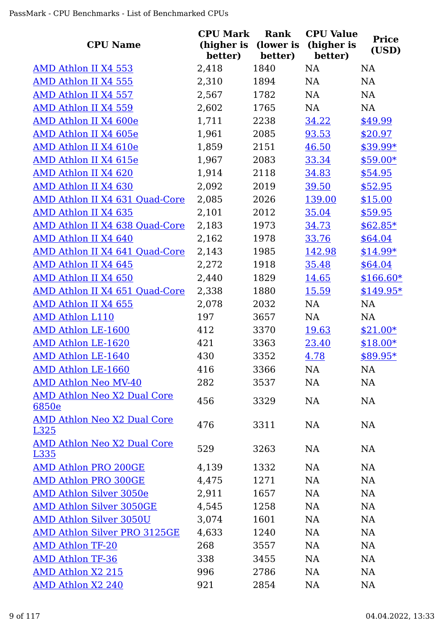| <b>CPU Name</b>                             | <b>CPU Mark</b><br>(higher is<br>better) | Rank<br>(lower is<br>better) | <b>CPU Value</b><br>(higher is<br>better) | <b>Price</b><br>(USD) |
|---------------------------------------------|------------------------------------------|------------------------------|-------------------------------------------|-----------------------|
| AMD Athlon II X4 553                        | 2,418                                    | 1840                         | <b>NA</b>                                 | NA                    |
| <b>AMD Athlon II X4 555</b>                 | 2,310                                    | 1894                         | NA                                        | <b>NA</b>             |
| AMD Athlon II X4 557                        | 2,567                                    | 1782                         | NA                                        | <b>NA</b>             |
| AMD Athlon II X4 559                        | 2,602                                    | 1765                         | NA                                        | <b>NA</b>             |
| AMD Athlon II X4 600e                       | 1,711                                    | 2238                         | 34.22                                     | \$49.99               |
| AMD Athlon II X4 605e                       | 1,961                                    | 2085                         | 93.53                                     | \$20.97               |
| AMD Athlon II X4 610e                       | 1,859                                    | 2151                         | 46.50                                     | $$39.99*$             |
| AMD Athlon II X4 615e                       | 1,967                                    | 2083                         | 33.34                                     | $$59.00*$             |
| AMD Athlon II X4 620                        | 1,914                                    | 2118                         | 34.83                                     | \$54.95               |
| AMD Athlon II X4 630                        | 2,092                                    | 2019                         | 39.50                                     | \$52.95               |
| AMD Athlon II X4 631 Quad-Core              | 2,085                                    | 2026                         | 139.00                                    | \$15.00               |
| AMD Athlon II X4 635                        | 2,101                                    | 2012                         | 35.04                                     | \$59.95               |
| AMD Athlon II X4 638 Quad-Core              | 2,183                                    | 1973                         | 34.73                                     | $$62.85*$             |
| AMD Athlon II X4 640                        | 2,162                                    | 1978                         | 33.76                                     | \$64.04               |
| <b>AMD Athlon II X4 641 Quad-Core</b>       | 2,143                                    | 1985                         | 142.98                                    | $$14.99*$             |
| AMD Athlon II X4 645                        | 2,272                                    | 1918                         | 35.48                                     | \$64.04               |
| AMD Athlon II X4 650                        | 2,440                                    | 1829                         | 14.65                                     | $$166.60*$            |
| AMD Athlon II X4 651 Quad-Core              | 2,338                                    | 1880                         | 15.59                                     | $$149.95*$            |
| AMD Athlon II X4 655                        | 2,078                                    | 2032                         | NA                                        | NA                    |
| <b>AMD Athlon L110</b>                      | 197                                      | 3657                         | NA                                        | <b>NA</b>             |
| <b>AMD Athlon LE-1600</b>                   | 412                                      | 3370                         | 19.63                                     | $$21.00*$             |
| <b>AMD Athlon LE-1620</b>                   | 421                                      | 3363                         | 23.40                                     | $$18.00*$             |
| <b>AMD Athlon LE-1640</b>                   | 430                                      | 3352                         | 4.78                                      | \$89.95*              |
| AMD Athlon LE-1660                          | 416                                      | 3366                         | NA                                        | <b>NA</b>             |
| <b>AMD Athlon Neo MV-40</b>                 | 282                                      | 3537                         | NA                                        | NA                    |
| <b>AMD Athlon Neo X2 Dual Core</b><br>6850e | 456                                      | 3329                         | NA                                        | <b>NA</b>             |
| <b>AMD Athlon Neo X2 Dual Core</b><br>L325  | 476                                      | 3311                         | <b>NA</b>                                 | <b>NA</b>             |
| AMD Athlon Neo X2 Dual Core<br><u>L335</u>  | 529                                      | 3263                         | NA                                        | <b>NA</b>             |
| <b>AMD Athlon PRO 200GE</b>                 | 4,139                                    | 1332                         | <b>NA</b>                                 | <b>NA</b>             |
| <b>AMD Athlon PRO 300GE</b>                 | 4,475                                    | 1271                         | NA                                        | <b>NA</b>             |
| <b>AMD Athlon Silver 3050e</b>              | 2,911                                    | 1657                         | <b>NA</b>                                 | <b>NA</b>             |
| <b>AMD Athlon Silver 3050GE</b>             | 4,545                                    | 1258                         | <b>NA</b>                                 | <b>NA</b>             |
| <b>AMD Athlon Silver 3050U</b>              | 3,074                                    | 1601                         | <b>NA</b>                                 | <b>NA</b>             |
| <b>AMD Athlon Silver PRO 3125GE</b>         | 4,633                                    | 1240                         | <b>NA</b>                                 | <b>NA</b>             |
| <b>AMD Athlon TF-20</b>                     | 268                                      | 3557                         | NA                                        | <b>NA</b>             |
| <b>AMD Athlon TF-36</b>                     | 338                                      | 3455                         | <b>NA</b>                                 | <b>NA</b>             |
| <b>AMD Athlon X2 215</b>                    | 996                                      | 2786                         | NA                                        | <b>NA</b>             |
| <b>AMD Athlon X2 240</b>                    | 921                                      | 2854                         | <b>NA</b>                                 | <b>NA</b>             |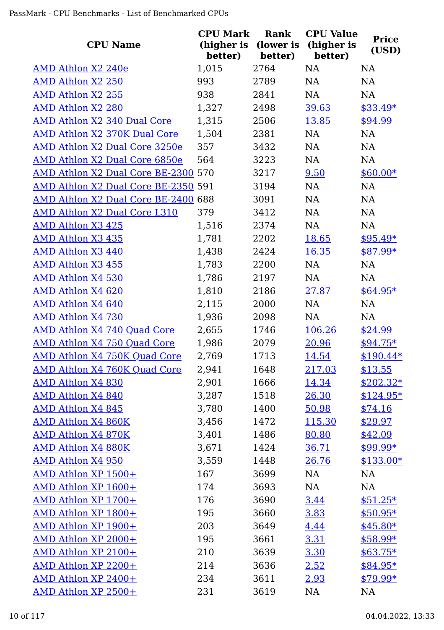| <b>CPU Name</b>                      | <b>CPU Mark</b><br>(higher is<br>better) | Rank<br>(lower is<br>better) | <b>CPU Value</b><br>(higher is<br>better) | <b>Price</b><br>(USD) |
|--------------------------------------|------------------------------------------|------------------------------|-------------------------------------------|-----------------------|
| AMD Athlon X2 240e                   | 1,015                                    | 2764                         | <b>NA</b>                                 | <b>NA</b>             |
| <b>AMD Athlon X2 250</b>             | 993                                      | 2789                         | NA                                        | NA                    |
| <b>AMD Athlon X2 255</b>             | 938                                      | 2841                         | NA                                        | <b>NA</b>             |
| <b>AMD Athlon X2 280</b>             | 1,327                                    | 2498                         | 39.63                                     | $$33.49*$             |
| AMD Athlon X2 340 Dual Core          | 1,315                                    | 2506                         | 13.85                                     | \$94.99               |
| AMD Athlon X2 370K Dual Core         | 1,504                                    | 2381                         | NA                                        | NA                    |
| <b>AMD Athlon X2 Dual Core 3250e</b> | 357                                      | 3432                         | NA                                        | NA                    |
| AMD Athlon X2 Dual Core 6850e        | 564                                      | 3223                         | NA                                        | <b>NA</b>             |
| AMD Athlon X2 Dual Core BE-2300 570  |                                          | 3217                         | 9.50                                      | $$60.00*$             |
| AMD Athlon X2 Dual Core BE-2350 591  |                                          | 3194                         | NA                                        | <b>NA</b>             |
| AMD Athlon X2 Dual Core BE-2400 688  |                                          | 3091                         | NA                                        | NA                    |
| AMD Athlon X2 Dual Core L310         | 379                                      | 3412                         | NA                                        | NA                    |
| <b>AMD Athlon X3 425</b>             | 1,516                                    | 2374                         | NA                                        | NA                    |
| <b>AMD Athlon X3 435</b>             | 1,781                                    | 2202                         | 18.65                                     | $$95.49*$             |
| AMD Athlon X3 440                    | 1,438                                    | 2424                         | 16.35                                     | $$87.99*$             |
| <b>AMD Athlon X3 455</b>             | 1,783                                    | 2200                         | NA                                        | NA                    |
| <b>AMD Athlon X4 530</b>             | 1,786                                    | 2197                         | NA                                        | NA                    |
| AMD Athlon X4 620                    | 1,810                                    | 2186                         | 27.87                                     | $$64.95*$             |
| AMD Athlon X4 640                    | 2,115                                    | 2000                         | NA                                        | NA                    |
| <b>AMD Athlon X4 730</b>             | 1,936                                    | 2098                         | <b>NA</b>                                 | <b>NA</b>             |
| <b>AMD Athlon X4 740 Quad Core</b>   | 2,655                                    | 1746                         | 106.26                                    | \$24.99               |
| <b>AMD Athlon X4 750 Quad Core</b>   | 1,986                                    | 2079                         | 20.96                                     | $$94.75*$             |
| AMD Athlon X4 750K Quad Core         | 2,769                                    | 1713                         | 14.54                                     | $$190.44*$            |
| AMD Athlon X4 760K Quad Core         | 2,941                                    | 1648                         | 217.03                                    | \$13.55               |
| <b>AMD Athlon X4 830</b>             | 2,901                                    | 1666                         | 14.34                                     | $$202.32*$            |
| <b>AMD Athlon X4 840</b>             | 3,287                                    | 1518                         | 26.30                                     | $$124.95*$            |
| <b>AMD Athlon X4 845</b>             | 3,780                                    | 1400                         | 50.98                                     | \$74.16               |
| AMD Athlon X4 860K                   | 3,456                                    | 1472                         | 115.30                                    | \$29.97               |
| <b>AMD Athlon X4 870K</b>            | 3,401                                    | 1486                         | 80.80                                     | \$42.09               |
| AMD Athlon X4 880K                   | 3,671                                    | 1424                         | 36.71                                     | $$99.99*$             |
| <b>AMD Athlon X4 950</b>             | 3,559                                    | 1448                         | 26.76                                     | $$133.00*$            |
| AMD Athlon XP 1500+                  | 167                                      | 3699                         | NA                                        | NA                    |
| AMD Athlon XP 1600+                  | 174                                      | 3693                         | NA                                        | NA                    |
| AMD Athlon XP 1700+                  | 176                                      | 3690                         | 3.44                                      | $$51.25*$             |
| AMD Athlon XP 1800+                  | 195                                      | 3660                         | 3.83                                      | $$50.95*$             |
| AMD Athlon XP 1900+                  | 203                                      | 3649                         | 4.44                                      | $$45.80*$             |
| AMD Athlon XP 2000+                  | 195                                      | 3661                         | 3.31                                      | $$58.99*$             |
| AMD Athlon XP 2100+                  | 210                                      | 3639                         | 3.30                                      | $$63.75*$             |
| AMD Athlon XP 2200+                  | 214                                      | 3636                         | 2.52                                      | $$84.95*$             |
| AMD Athlon XP 2400+                  | 234                                      | 3611                         | 2.93                                      | $$79.99*$             |
| AMD Athlon XP 2500+                  | 231                                      | 3619                         | NA                                        | <b>NA</b>             |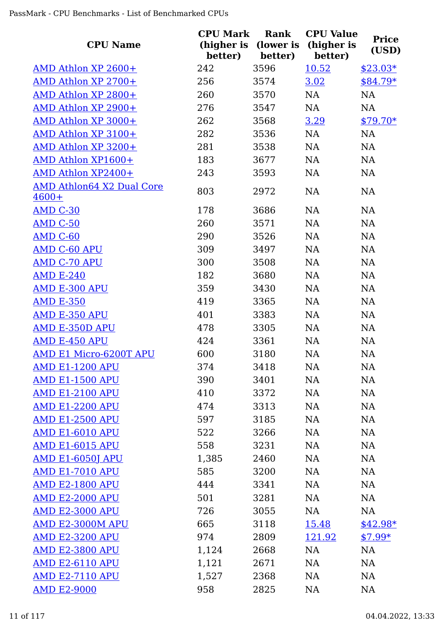| <b>CPU Name</b>                             | <b>CPU Mark</b><br>(higher is<br>better) | Rank<br>(lower is<br>better) | <b>CPU Value</b><br>(higher is<br>better) | <b>Price</b><br>(USD) |
|---------------------------------------------|------------------------------------------|------------------------------|-------------------------------------------|-----------------------|
| AMD Athlon XP 2600+                         | 242                                      | 3596                         | 10.52                                     | $$23.03*$             |
| AMD Athlon XP 2700+                         | 256                                      | 3574                         | 3.02                                      | $$84.79*$             |
| AMD Athlon XP 2800+                         | 260                                      | 3570                         | NA                                        | NA                    |
| AMD Athlon XP 2900+                         | 276                                      | 3547                         | NA                                        | NA                    |
| AMD Athlon XP 3000+                         | 262                                      | 3568                         | 3.29                                      | $$79.70*$             |
| AMD Athlon XP 3100+                         | 282                                      | 3536                         | NA                                        | NA                    |
| AMD Athlon XP 3200+                         | 281                                      | 3538                         | NA                                        | NA                    |
| AMD Athlon XP1600+                          | 183                                      | 3677                         | <b>NA</b>                                 | NA                    |
| AMD Athlon XP2400+                          | 243                                      | 3593                         | <b>NA</b>                                 | NA                    |
| <b>AMD Athlon64 X2 Dual Core</b><br>$4600+$ | 803                                      | 2972                         | NA                                        | NA                    |
| <b>AMD C-30</b>                             | 178                                      | 3686                         | NA                                        | NA                    |
| <b>AMD C-50</b>                             | 260                                      | 3571                         | <b>NA</b>                                 | <b>NA</b>             |
| AMD C-60                                    | 290                                      | 3526                         | <b>NA</b>                                 | <b>NA</b>             |
| <b>AMD C-60 APU</b>                         | 309                                      | 3497                         | <b>NA</b>                                 | NA                    |
| <b>AMD C-70 APU</b>                         | 300                                      | 3508                         | NA                                        | NA                    |
| <b>AMD E-240</b>                            | 182                                      | 3680                         | <b>NA</b>                                 | <b>NA</b>             |
| <b>AMD E-300 APU</b>                        | 359                                      | 3430                         | <b>NA</b>                                 | NA                    |
| <b>AMD E-350</b>                            | 419                                      | 3365                         | <b>NA</b>                                 | <b>NA</b>             |
| <b>AMD E-350 APU</b>                        | 401                                      | 3383                         | <b>NA</b>                                 | NA                    |
| AMD E-350D APU                              | 478                                      | 3305                         | NA                                        | <b>NA</b>             |
| <b>AMD E-450 APU</b>                        | 424                                      | 3361                         | <b>NA</b>                                 | NA                    |
| AMD E1 Micro-6200T APU                      | 600                                      | 3180                         | <b>NA</b>                                 | <b>NA</b>             |
| AMD E1-1200 APU                             | 374                                      | 3418                         | NA                                        | NA                    |
| <b>AMD E1-1500 APU</b>                      | 390                                      | 3401                         | <b>NA</b>                                 | <b>NA</b>             |
| <b>AMD E1-2100 APU</b>                      | 410                                      | 3372                         | <b>NA</b>                                 | <b>NA</b>             |
| <b>AMD E1-2200 APU</b>                      | 474                                      | 3313                         | NA                                        | <b>NA</b>             |
| <b>AMD E1-2500 APU</b>                      | 597                                      | 3185                         | <b>NA</b>                                 | <b>NA</b>             |
| <b>AMD E1-6010 APU</b>                      | 522                                      | 3266                         | <b>NA</b>                                 | <b>NA</b>             |
| <b>AMD E1-6015 APU</b>                      | 558                                      | 3231                         | NA                                        | <b>NA</b>             |
| <b>AMD E1-6050J APU</b>                     | 1,385                                    | 2460                         | NA                                        | <b>NA</b>             |
| <b>AMD E1-7010 APU</b>                      | 585                                      | 3200                         | NA                                        | <b>NA</b>             |
| <b>AMD E2-1800 APU</b>                      | 444                                      | 3341                         | NA                                        | NA                    |
| <b>AMD E2-2000 APU</b>                      | 501                                      | 3281                         | NA                                        | NA                    |
| <b>AMD E2-3000 APU</b>                      | 726                                      | 3055                         | NA                                        | <b>NA</b>             |
| AMD E2-3000M APU                            | 665                                      | 3118                         | <u>15.48</u>                              | $$42.98*$             |
| <b>AMD E2-3200 APU</b>                      | 974                                      | 2809                         | 121.92                                    | $$7.99*$              |
| <b>AMD E2-3800 APU</b>                      | 1,124                                    | 2668                         | NA                                        | NA                    |
| <b>AMD E2-6110 APU</b>                      | 1,121                                    | 2671                         | NA                                        | <b>NA</b>             |
| <b>AMD E2-7110 APU</b>                      | 1,527                                    | 2368                         | NA                                        | NA                    |
| <b>AMD E2-9000</b>                          | 958                                      | 2825                         | <b>NA</b>                                 | <b>NA</b>             |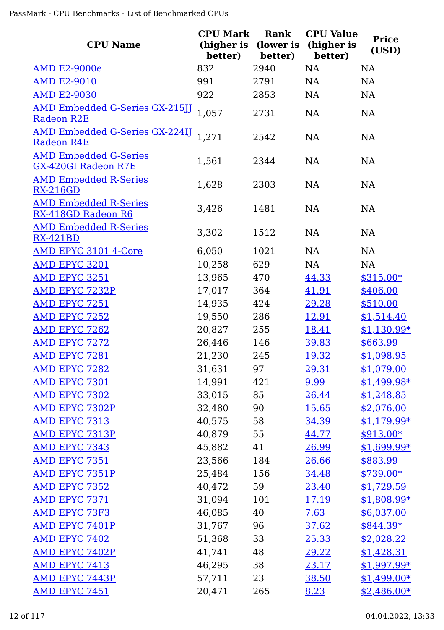| <b>CPU Name</b>                                            | <b>CPU Mark</b><br>(higher is<br>better) | Rank<br>(lower is<br>better) | <b>CPU Value</b><br>(higher is<br>better) | <b>Price</b><br>(USD) |
|------------------------------------------------------------|------------------------------------------|------------------------------|-------------------------------------------|-----------------------|
| <b>AMD E2-9000e</b>                                        | 832                                      | 2940                         | NA                                        | <b>NA</b>             |
| <b>AMD E2-9010</b>                                         | 991                                      | 2791                         | NA                                        | NA                    |
| <b>AMD E2-9030</b>                                         | 922                                      | 2853                         | NA                                        | NA                    |
| <b>AMD Embedded G-Series GX-215JJ</b><br><b>Radeon R2E</b> | 1,057                                    | 2731                         | NA                                        | <b>NA</b>             |
| <b>AMD Embedded G-Series GX-224IJ</b><br><b>Radeon R4E</b> | 1,271                                    | 2542                         | NA                                        | NA                    |
| <b>AMD Embedded G-Series</b><br><b>GX-420GI Radeon R7E</b> | 1,561                                    | 2344                         | <b>NA</b>                                 | NA                    |
| <b>AMD Embedded R-Series</b><br><b>RX-216GD</b>            | 1,628                                    | 2303                         | NA                                        | <b>NA</b>             |
| <b>AMD Embedded R-Series</b><br>RX-418GD Radeon R6         | 3,426                                    | 1481                         | NA                                        | <b>NA</b>             |
| <b>AMD Embedded R-Series</b><br><b>RX-421BD</b>            | 3,302                                    | 1512                         | NA                                        | <b>NA</b>             |
| <b>AMD EPYC 3101 4-Core</b>                                | 6,050                                    | 1021                         | NA                                        | <b>NA</b>             |
| AMD EPYC 3201                                              | 10,258                                   | 629                          | NA                                        | <b>NA</b>             |
| AMD EPYC 3251                                              | 13,965                                   | 470                          | 44.33                                     | $$315.00*$            |
| <b>AMD EPYC 7232P</b>                                      | 17,017                                   | 364                          | 41.91                                     | \$406.00              |
| AMD EPYC 7251                                              | 14,935                                   | 424                          | 29.28                                     | \$510.00              |
| AMD EPYC 7252                                              | 19,550                                   | 286                          | <u>12.91</u>                              | \$1,514.40            |
| <b>AMD EPYC 7262</b>                                       | 20,827                                   | 255                          | 18.41                                     | $$1,130.99*$          |
| <b>AMD EPYC 7272</b>                                       | 26,446                                   | 146                          | 39.83                                     | \$663.99              |
| <b>AMD EPYC 7281</b>                                       | 21,230                                   | 245                          | 19.32                                     | \$1,098.95            |
| <b>AMD EPYC 7282</b>                                       | 31,631                                   | 97                           | <u>29.31</u>                              | \$1,079.00            |
| AMD EPYC 7301                                              | 14,991                                   | 421                          | 9.99                                      | $$1,499.98*$          |
| <b>AMD EPYC 7302</b>                                       | 33,015                                   | 85                           | <u>26.44</u>                              | \$1,248.85            |
| <b>AMD EPYC 7302P</b>                                      | 32,480                                   | 90                           | <u>15.65</u>                              | \$2,076.00            |
| AMD EPYC 7313                                              | 40,575                                   | 58                           | 34.39                                     | $$1,179.99*$          |
| AMD EPYC 7313P                                             | 40,879                                   | 55                           | 44.77                                     | $$913.00*$            |
| <b>AMD EPYC 7343</b>                                       | 45,882                                   | 41                           | 26.99                                     | <u>\$1,699.99*</u>    |
| AMD EPYC 7351                                              | 23,566                                   | 184                          | 26.66                                     | \$883.99              |
| AMD EPYC 7351P                                             | 25,484                                   | 156                          | 34.48                                     | $$739.00*$            |
| <b>AMD EPYC 7352</b>                                       | 40,472                                   | 59                           | 23.40                                     | \$1,729.59            |
| <b>AMD EPYC 7371</b>                                       | 31,094                                   | 101                          | <u>17.19</u>                              | \$1,808.99*           |
| <b>AMD EPYC 73F3</b>                                       | 46,085                                   | 40                           | 7.63                                      | \$6,037.00            |
| AMD EPYC 7401P                                             | 31,767                                   | 96                           | 37.62                                     | $$844.39*$            |
| <b>AMD EPYC 7402</b>                                       | 51,368                                   | 33                           | 25.33                                     | \$2,028.22            |
| <b>AMD EPYC 7402P</b>                                      | 41,741                                   | 48                           | 29.22                                     | \$1,428.31            |
| AMD EPYC 7413                                              | 46,295                                   | 38                           | 23.17                                     | $$1,997.99*$          |
| <b>AMD EPYC 7443P</b>                                      | 57,711                                   | 23                           | 38.50                                     | $$1,499.00*$          |
| <b>AMD EPYC 7451</b>                                       | 20,471                                   | 265                          | 8.23                                      | $$2,486.00*$          |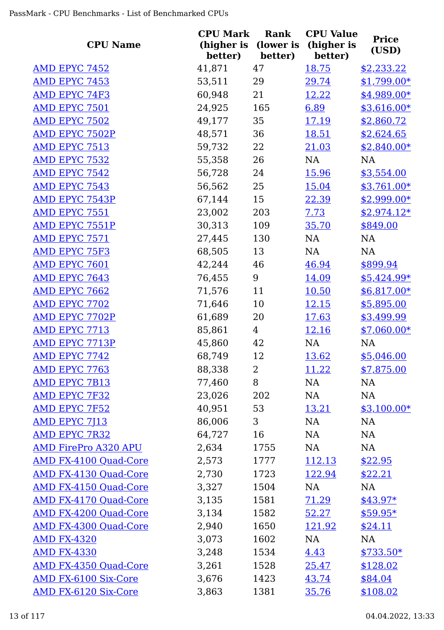| <b>CPU Name</b>              | <b>CPU Mark</b><br>(higher is<br>better) | Rank<br>(lower is | <b>CPU Value</b><br>(higher is<br>better) | <b>Price</b><br>(USD) |
|------------------------------|------------------------------------------|-------------------|-------------------------------------------|-----------------------|
| <b>AMD EPYC 7452</b>         | 41,871                                   | better)<br>47     | 18.75                                     | \$2,233.22            |
| AMD EPYC 7453                | 53,511                                   | 29                | 29.74                                     | $$1,799.00*$          |
| <b>AMD EPYC 74F3</b>         | 60,948                                   | 21                | 12.22                                     | $$4,989.00*$          |
| AMD EPYC 7501                | 24,925                                   | 165               | 6.89                                      | $$3,616.00*$          |
| AMD EPYC 7502                | 49,177                                   | 35                | 17.19                                     | \$2,860.72            |
| <b>AMD EPYC 7502P</b>        | 48,571                                   | 36                | 18.51                                     | \$2,624.65            |
| <b>AMD EPYC 7513</b>         | 59,732                                   | 22                | 21.03                                     | $$2,840.00*$          |
| <b>AMD EPYC 7532</b>         | 55,358                                   | 26                | NA                                        | <b>NA</b>             |
| <b>AMD EPYC 7542</b>         | 56,728                                   | 24                | 15.96                                     | \$3,554.00            |
| <b>AMD EPYC 7543</b>         | 56,562                                   | 25                | 15.04                                     | $$3,761.00*$          |
| <b>AMD EPYC 7543P</b>        | 67,144                                   | 15                | 22.39                                     | $$2,999.00*$          |
| AMD EPYC 7551                | 23,002                                   | 203               | 7.73                                      | $$2,974.12*$          |
| <b>AMD EPYC 7551P</b>        | 30,313                                   | 109               | 35.70                                     | \$849.00              |
| AMD EPYC 7571                | 27,445                                   | 130               | NA                                        | NA                    |
| <b>AMD EPYC 75F3</b>         | 68,505                                   | 13                | NA                                        | NA                    |
| AMD EPYC 7601                | 42,244                                   | 46                | 46.94                                     | \$899.94              |
| <b>AMD EPYC 7643</b>         | 76,455                                   | 9                 | 14.09                                     | $$5,424.99*$          |
| <b>AMD EPYC 7662</b>         | 71,576                                   | 11                | 10.50                                     | $$6,817.00*$          |
| <b>AMD EPYC 7702</b>         | 71,646                                   | 10                | <u>12.15</u>                              | \$5,895.00            |
| <b>AMD EPYC 7702P</b>        | 61,689                                   | 20                | 17.63                                     | \$3,499.99            |
| AMD EPYC 7713                | 85,861                                   | 4                 | <u>12.16</u>                              | $$7,060.00*$          |
| AMD EPYC 7713P               | 45,860                                   | 42                | NA                                        | <b>NA</b>             |
| <b>AMD EPYC 7742</b>         | 68,749                                   | 12                | 13.62                                     | \$5,046.00            |
| <b>AMD EPYC 7763</b>         | 88,338                                   | $\overline{2}$    | 11.22                                     | \$7,875.00            |
| <b>AMD EPYC 7B13</b>         | 77,460                                   | 8                 | NA                                        | NA                    |
| <b>AMD EPYC 7F32</b>         | 23,026                                   | 202               | NA                                        | NA                    |
| AMD EPYC 7F52                | 40,951                                   | 53                | <u>13.21</u>                              | $$3,100.00*$          |
| <b>AMD EPYC 7J13</b>         | 86,006                                   | 3                 | NA                                        | <b>NA</b>             |
| <b>AMD EPYC 7R32</b>         | 64,727                                   | 16                | NA                                        | NA                    |
| <b>AMD FirePro A320 APU</b>  | 2,634                                    | 1755              | NA                                        | NA                    |
| <b>AMD FX-4100 Quad-Core</b> | 2,573                                    | 1777              | 112.13                                    | \$22.95               |
| <b>AMD FX-4130 Quad-Core</b> | 2,730                                    | 1723              | 122.94                                    | \$22.21               |
| <b>AMD FX-4150 Quad-Core</b> | 3,327                                    | 1504              | NA                                        | NA                    |
| <b>AMD FX-4170 Quad-Core</b> | 3,135                                    | 1581              | 71.29                                     | $$43.97*$             |
| <b>AMD FX-4200 Quad-Core</b> | 3,134                                    | 1582              | 52.27                                     | $$59.95*$             |
| <b>AMD FX-4300 Quad-Core</b> | 2,940                                    | 1650              | 121.92                                    | \$24.11               |
| <b>AMD FX-4320</b>           | 3,073                                    | 1602              | NA                                        | <b>NA</b>             |
| <b>AMD FX-4330</b>           | 3,248                                    | 1534              | 4.43                                      | $$733.50*$            |
| <b>AMD FX-4350 Quad-Core</b> | 3,261                                    | 1528              | 25.47                                     | \$128.02              |
| <b>AMD FX-6100 Six-Core</b>  | 3,676                                    | 1423              | 43.74                                     | \$84.04               |
| <b>AMD FX-6120 Six-Core</b>  | 3,863                                    | 1381              | 35.76                                     | \$108.02              |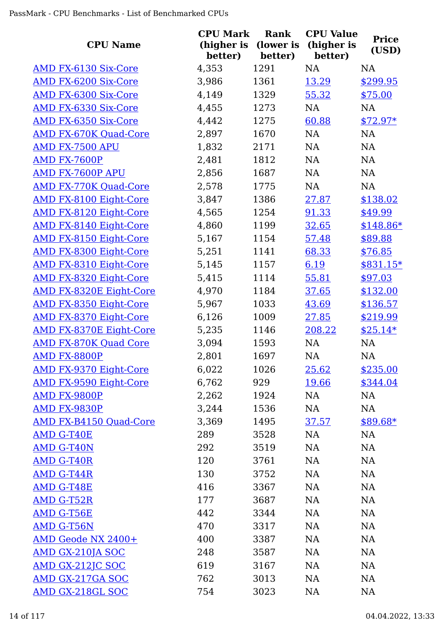| <b>CPU Name</b>                | <b>CPU Mark</b><br>(higher is<br>better) | Rank<br>(lower is<br>better) | <b>CPU Value</b><br>(higher is<br>better) | <b>Price</b><br>(USD) |
|--------------------------------|------------------------------------------|------------------------------|-------------------------------------------|-----------------------|
| <b>AMD FX-6130 Six-Core</b>    | 4,353                                    | 1291                         | NA                                        | <b>NA</b>             |
| <b>AMD FX-6200 Six-Core</b>    | 3,986                                    | 1361                         | 13.29                                     | \$299.95              |
| AMD FX-6300 Six-Core           | 4,149                                    | 1329                         | 55.32                                     | \$75.00               |
| <b>AMD FX-6330 Six-Core</b>    | 4,455                                    | 1273                         | NA                                        | NA                    |
| <b>AMD FX-6350 Six-Core</b>    | 4,442                                    | 1275                         | 60.88                                     | $$72.97*$             |
| <b>AMD FX-670K Quad-Core</b>   | 2,897                                    | 1670                         | NA                                        | NA                    |
| AMD FX-7500 APU                | 1,832                                    | 2171                         | NA                                        | NA                    |
| <b>AMD FX-7600P</b>            | 2,481                                    | 1812                         | NA                                        | NA                    |
| AMD FX-7600P APU               | 2,856                                    | 1687                         | NA                                        | NA                    |
| <b>AMD FX-770K Quad-Core</b>   | 2,578                                    | 1775                         | NA                                        | <b>NA</b>             |
| <b>AMD FX-8100 Eight-Core</b>  | 3,847                                    | 1386                         | 27.87                                     | \$138.02              |
| AMD FX-8120 Eight-Core         | 4,565                                    | 1254                         | 91.33                                     | \$49.99               |
| <b>AMD FX-8140 Eight-Core</b>  | 4,860                                    | 1199                         | 32.65                                     | $$148.86*$            |
| <b>AMD FX-8150 Eight-Core</b>  | 5,167                                    | 1154                         | 57.48                                     | \$89.88               |
| <b>AMD FX-8300 Eight-Core</b>  | 5,251                                    | 1141                         | 68.33                                     | \$76.85               |
| <b>AMD FX-8310 Eight-Core</b>  | 5,145                                    | 1157                         | 6.19                                      | \$831.15*             |
| <b>AMD FX-8320 Eight-Core</b>  | 5,415                                    | 1114                         | 55.81                                     | \$97.03               |
| <b>AMD FX-8320E Eight-Core</b> | 4,970                                    | 1184                         | 37.65                                     | \$132.00              |
| <b>AMD FX-8350 Eight-Core</b>  | 5,967                                    | 1033                         | 43.69                                     | \$136.57              |
| <b>AMD FX-8370 Eight-Core</b>  | 6,126                                    | 1009                         | 27.85                                     | \$219.99              |
| <b>AMD FX-8370E Eight-Core</b> | 5,235                                    | 1146                         | 208.22                                    | $$25.14*$             |
| <b>AMD FX-870K Quad Core</b>   | 3,094                                    | 1593                         | NA                                        | <b>NA</b>             |
| AMD FX-8800P                   | 2,801                                    | 1697                         | NA                                        | <b>NA</b>             |
| <b>AMD FX-9370 Eight-Core</b>  | 6,022                                    | 1026                         | 25.62                                     | \$235.00              |
| <b>AMD FX-9590 Eight-Core</b>  | 6,762                                    | 929                          | 19.66                                     | \$344.04              |
| AMD FX-9800P                   | 2,262                                    | 1924                         | NA                                        | NA                    |
| AMD FX-9830P                   | 3,244                                    | 1536                         | NA                                        | NA                    |
| <b>AMD FX-B4150 Quad-Core</b>  | 3,369                                    | 1495                         | 37.57                                     | \$89.68*              |
| <b>AMD G-T40E</b>              | 289                                      | 3528                         | NA                                        | NA                    |
| <b>AMD G-T40N</b>              | 292                                      | 3519                         | NA                                        | NA                    |
| <b>AMD G-T40R</b>              | 120                                      | 3761                         | NA                                        | NA                    |
| <b>AMD G-T44R</b>              | 130                                      | 3752                         | NA                                        | <b>NA</b>             |
| <b>AMD G-T48E</b>              | 416                                      | 3367                         | NA                                        | <b>NA</b>             |
| <b>AMD G-T52R</b>              | 177                                      | 3687                         | NA                                        | <b>NA</b>             |
| <b>AMD G-T56E</b>              | 442                                      | 3344                         | NA                                        | <b>NA</b>             |
| AMD G-T56N                     | 470                                      | 3317                         | NA                                        | <b>NA</b>             |
| <b>AMD Geode NX 2400+</b>      | 400                                      | 3387                         | NA                                        | <b>NA</b>             |
| <b>AMD GX-210JA SOC</b>        | 248                                      | 3587                         | NA                                        | <b>NA</b>             |
| <u>AMD GX-212JC SOC</u>        | 619                                      | 3167                         | <b>NA</b>                                 | <b>NA</b>             |
| <b>AMD GX-217GA SOC</b>        | 762                                      | 3013                         | <b>NA</b>                                 | <b>NA</b>             |
| <b>AMD GX-218GL SOC</b>        | 754                                      | 3023                         | <b>NA</b>                                 | <b>NA</b>             |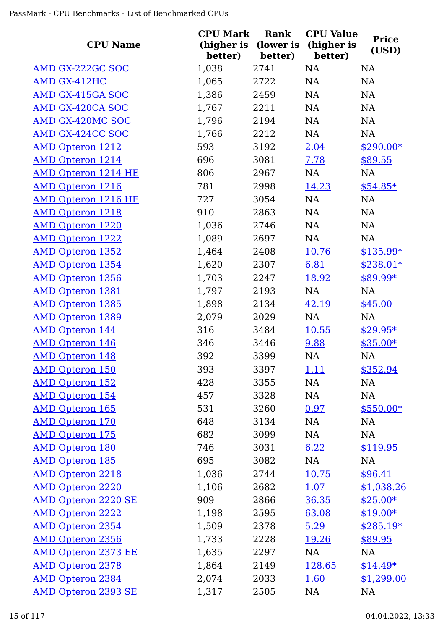| <b>CPU Name</b>            | <b>CPU Mark</b><br>(higher is<br>better) | Rank<br>(lower is<br>better) | <b>CPU Value</b><br>(higher is<br>better) | <b>Price</b><br>(USD) |
|----------------------------|------------------------------------------|------------------------------|-------------------------------------------|-----------------------|
| <b>AMD GX-222GC SOC</b>    | 1,038                                    | 2741                         | NA                                        | <b>NA</b>             |
| AMD GX-412HC               | 1,065                                    | 2722                         | NA                                        | <b>NA</b>             |
| <b>AMD GX-415GA SOC</b>    | 1,386                                    | 2459                         | NA                                        | NA                    |
| AMD GX-420CA SOC           | 1,767                                    | 2211                         | <b>NA</b>                                 | <b>NA</b>             |
| <b>AMD GX-420MC SOC</b>    | 1,796                                    | 2194                         | NA                                        | NA                    |
| <b>AMD GX-424CC SOC</b>    | 1,766                                    | 2212                         | NA                                        | <b>NA</b>             |
| <b>AMD Opteron 1212</b>    | 593                                      | 3192                         | 2.04                                      | $$290.00*$            |
| <b>AMD Opteron 1214</b>    | 696                                      | 3081                         | 7.78                                      | \$89.55               |
| <b>AMD Opteron 1214 HE</b> | 806                                      | 2967                         | NA                                        | NA                    |
| <b>AMD Opteron 1216</b>    | 781                                      | 2998                         | 14.23                                     | $$54.85*$             |
| <b>AMD Opteron 1216 HE</b> | 727                                      | 3054                         | NA                                        | NA                    |
| <b>AMD Opteron 1218</b>    | 910                                      | 2863                         | NA                                        | NA                    |
| <b>AMD Opteron 1220</b>    | 1,036                                    | 2746                         | <b>NA</b>                                 | <b>NA</b>             |
| <b>AMD Opteron 1222</b>    | 1,089                                    | 2697                         | NA                                        | NA                    |
| <b>AMD Opteron 1352</b>    | 1,464                                    | 2408                         | <u>10.76</u>                              | $$135.99*$            |
| <b>AMD Opteron 1354</b>    | 1,620                                    | 2307                         | 6.81                                      | $$238.01*$            |
| <b>AMD Opteron 1356</b>    | 1,703                                    | 2247                         | 18.92                                     | $$89.99*$             |
| <b>AMD Opteron 1381</b>    | 1,797                                    | 2193                         | NA                                        | <b>NA</b>             |
| <b>AMD Opteron 1385</b>    | 1,898                                    | 2134                         | 42.19                                     | \$45.00               |
| <b>AMD Opteron 1389</b>    | 2,079                                    | 2029                         | NA                                        | NA                    |
| <b>AMD Opteron 144</b>     | 316                                      | 3484                         | <u>10.55</u>                              | $$29.95*$             |
| <b>AMD Opteron 146</b>     | 346                                      | 3446                         | 9.88                                      | $$35.00*$             |
| <b>AMD Opteron 148</b>     | 392                                      | 3399                         | <b>NA</b>                                 | NA                    |
| <b>AMD Opteron 150</b>     | 393                                      | 3397                         | 1.11                                      | \$352.94              |
| <b>AMD Opteron 152</b>     | 428                                      | 3355                         | NA                                        | NA                    |
| <b>AMD Opteron 154</b>     | 457                                      | 3328                         | NA                                        | NA                    |
| <b>AMD Opteron 165</b>     | 531                                      | 3260                         | 0.97                                      | $$550.00*$            |
| <b>AMD Opteron 170</b>     | 648                                      | 3134                         | NA                                        | <b>NA</b>             |
| <b>AMD Opteron 175</b>     | 682                                      | 3099                         | NA                                        | <b>NA</b>             |
| <b>AMD Opteron 180</b>     | 746                                      | 3031                         | 6.22                                      | \$119.95              |
| <b>AMD Opteron 185</b>     | 695                                      | 3082                         | NA                                        | NA                    |
| <b>AMD Opteron 2218</b>    | 1,036                                    | 2744                         | 10.75                                     | \$96.41               |
| <b>AMD Opteron 2220</b>    | 1,106                                    | 2682                         | 1.07                                      | \$1,038.26            |
| <b>AMD Opteron 2220 SE</b> | 909                                      | 2866                         | 36.35                                     | $$25.00*$             |
| <b>AMD Opteron 2222</b>    | 1,198                                    | 2595                         | 63.08                                     | $$19.00*$             |
| <b>AMD Opteron 2354</b>    | 1,509                                    | 2378                         | 5.29                                      | $$285.19*$            |
| <b>AMD Opteron 2356</b>    | 1,733                                    | 2228                         | 19.26                                     | \$89.95               |
| <b>AMD Opteron 2373 EE</b> | 1,635                                    | 2297                         | NA                                        | NA                    |
| <b>AMD Opteron 2378</b>    | 1,864                                    | 2149                         | 128.65                                    | $$14.49*$             |
| <b>AMD Opteron 2384</b>    | 2,074                                    | 2033                         | 1.60                                      | \$1,299.00            |
| <b>AMD Opteron 2393 SE</b> | 1,317                                    | 2505                         | <b>NA</b>                                 | <b>NA</b>             |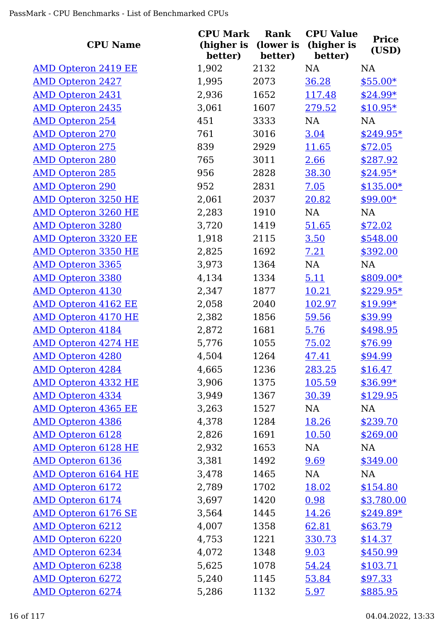| <b>CPU Name</b>            | <b>CPU Mark</b><br>(higher is<br>better) | Rank<br>(lower is<br>better) | <b>CPU Value</b><br>(higher is<br>better) | <b>Price</b><br>(USD) |
|----------------------------|------------------------------------------|------------------------------|-------------------------------------------|-----------------------|
| <b>AMD Opteron 2419 EE</b> | 1,902                                    | 2132                         | NA                                        | NA                    |
| <b>AMD Opteron 2427</b>    | 1,995                                    | 2073                         | 36.28                                     | $$55.00*$             |
| <b>AMD Opteron 2431</b>    | 2,936                                    | 1652                         | 117.48                                    | $$24.99*$             |
| <b>AMD Opteron 2435</b>    | 3,061                                    | 1607                         | 279.52                                    | $$10.95*$             |
| <b>AMD Opteron 254</b>     | 451                                      | 3333                         | NA                                        | <b>NA</b>             |
| <b>AMD Opteron 270</b>     | 761                                      | 3016                         | 3.04                                      | $$249.95*$            |
| <b>AMD Opteron 275</b>     | 839                                      | 2929                         | <u>11.65</u>                              | \$72.05               |
| <b>AMD Opteron 280</b>     | 765                                      | 3011                         | 2.66                                      | \$287.92              |
| <b>AMD Opteron 285</b>     | 956                                      | 2828                         | 38.30                                     | $$24.95*$             |
| <b>AMD Opteron 290</b>     | 952                                      | 2831                         | 7.05                                      | $$135.00*$            |
| <b>AMD Opteron 3250 HE</b> | 2,061                                    | 2037                         | 20.82                                     | $$99.00*$             |
| <b>AMD Opteron 3260 HE</b> | 2,283                                    | 1910                         | NA                                        | NA                    |
| <b>AMD Opteron 3280</b>    | 3,720                                    | 1419                         | 51.65                                     | \$72.02               |
| <b>AMD Opteron 3320 EE</b> | 1,918                                    | 2115                         | 3.50                                      | \$548.00              |
| <b>AMD Opteron 3350 HE</b> | 2,825                                    | 1692                         | 7.21                                      | \$392.00              |
| <b>AMD Opteron 3365</b>    | 3,973                                    | 1364                         | NA                                        | NA                    |
| <b>AMD Opteron 3380</b>    | 4,134                                    | 1334                         | 5.11                                      | $$809.00*$            |
| <b>AMD Opteron 4130</b>    | 2,347                                    | 1877                         | 10.21                                     | $$229.95*$            |
| <b>AMD Opteron 4162 EE</b> | 2,058                                    | 2040                         | 102.97                                    | $$19.99*$             |
| <b>AMD Opteron 4170 HE</b> | 2,382                                    | 1856                         | 59.56                                     | \$39.99               |
| <b>AMD Opteron 4184</b>    | 2,872                                    | 1681                         | 5.76                                      | \$498.95              |
| <b>AMD Opteron 4274 HE</b> | 5,776                                    | 1055                         | 75.02                                     | \$76.99               |
| <b>AMD Opteron 4280</b>    | 4,504                                    | 1264                         | 47.41                                     | \$94.99               |
| <b>AMD Opteron 4284</b>    | 4,665                                    | 1236                         | 283.25                                    | \$16.47               |
| <b>AMD Opteron 4332 HE</b> | 3,906                                    | 1375                         | 105.59                                    | \$36.99*              |
| <b>AMD Opteron 4334</b>    | 3,949                                    | 1367                         | 30.39                                     | \$129.95              |
| <b>AMD Opteron 4365 EE</b> | 3,263                                    | 1527                         | NA                                        | NA                    |
| <b>AMD Opteron 4386</b>    | 4,378                                    | 1284                         | 18.26                                     | \$239.70              |
| <b>AMD Opteron 6128</b>    | 2,826                                    | 1691                         | <u>10.50</u>                              | \$269.00              |
| <b>AMD Opteron 6128 HE</b> | 2,932                                    | 1653                         | NA                                        | <b>NA</b>             |
| <b>AMD Opteron 6136</b>    | 3,381                                    | 1492                         | 9.69                                      | \$349.00              |
| <b>AMD Opteron 6164 HE</b> | 3,478                                    | 1465                         | NA                                        | <b>NA</b>             |
| <b>AMD Opteron 6172</b>    | 2,789                                    | 1702                         | 18.02                                     | \$154.80              |
| <b>AMD Opteron 6174</b>    | 3,697                                    | 1420                         | 0.98                                      | \$3,780.00            |
| <b>AMD Opteron 6176 SE</b> | 3,564                                    | 1445                         | 14.26                                     | $$249.89*$            |
| <b>AMD Opteron 6212</b>    | 4,007                                    | 1358                         | 62.81                                     | \$63.79               |
| <b>AMD Opteron 6220</b>    | 4,753                                    | 1221                         | 330.73                                    | \$14.37               |
| <b>AMD Opteron 6234</b>    | 4,072                                    | 1348                         | 9.03                                      | \$450.99              |
| <b>AMD Opteron 6238</b>    | 5,625                                    | 1078                         | 54.24                                     | \$103.71              |
| <b>AMD Opteron 6272</b>    | 5,240                                    | 1145                         | 53.84                                     | \$97.33               |
| <b>AMD Opteron 6274</b>    | 5,286                                    | 1132                         | 5.97                                      | \$885.95              |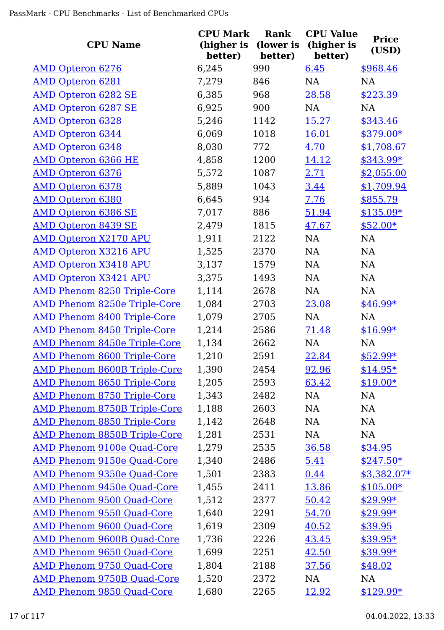| <b>CPU Name</b>                     | <b>CPU Mark</b><br>(higher is<br>better) | <b>Rank</b><br>(lower is<br>better) | <b>CPU Value</b><br>(higher is<br>better) | <b>Price</b><br>(USD) |
|-------------------------------------|------------------------------------------|-------------------------------------|-------------------------------------------|-----------------------|
| <b>AMD Opteron 6276</b>             | 6,245                                    | 990                                 | 6.45                                      | \$968.46              |
| <b>AMD Opteron 6281</b>             | 7,279                                    | 846                                 | NA                                        | NA                    |
| <b>AMD Opteron 6282 SE</b>          | 6,385                                    | 968                                 | 28.58                                     | \$223.39              |
| <b>AMD Opteron 6287 SE</b>          | 6,925                                    | 900                                 | NA                                        | NA                    |
| <b>AMD Opteron 6328</b>             | 5,246                                    | 1142                                | 15.27                                     | \$343.46              |
| AMD Opteron 6344                    | 6,069                                    | 1018                                | <u>16.01</u>                              | $$379.00*$            |
| <b>AMD Opteron 6348</b>             | 8,030                                    | 772                                 | 4.70                                      | \$1,708.67            |
| <b>AMD Opteron 6366 HE</b>          | 4,858                                    | 1200                                | 14.12                                     | $$343.99*$            |
| <b>AMD Opteron 6376</b>             | 5,572                                    | 1087                                | 2.71                                      | \$2,055.00            |
| <b>AMD Opteron 6378</b>             | 5,889                                    | 1043                                | 3.44                                      | \$1,709.94            |
| <b>AMD Opteron 6380</b>             | 6,645                                    | 934                                 | 7.76                                      | \$855.79              |
| <b>AMD Opteron 6386 SE</b>          | 7,017                                    | 886                                 | 51.94                                     | $$135.09*$            |
| <b>AMD Opteron 8439 SE</b>          | 2,479                                    | 1815                                | 47.67                                     | $$52.00*$             |
| <b>AMD Opteron X2170 APU</b>        | 1,911                                    | 2122                                | NA                                        | <b>NA</b>             |
| <b>AMD Opteron X3216 APU</b>        | 1,525                                    | 2370                                | NA                                        | <b>NA</b>             |
| <b>AMD Opteron X3418 APU</b>        | 3,137                                    | 1579                                | NA                                        | <b>NA</b>             |
| <b>AMD Opteron X3421 APU</b>        | 3,375                                    | 1493                                | NA                                        | <b>NA</b>             |
| <b>AMD Phenom 8250 Triple-Core</b>  | 1,114                                    | 2678                                | NA                                        | NA                    |
| <b>AMD Phenom 8250e Triple-Core</b> | 1,084                                    | 2703                                | 23.08                                     | $$46.99*$             |
| <b>AMD Phenom 8400 Triple-Core</b>  | 1,079                                    | 2705                                | NA                                        | <b>NA</b>             |
| <b>AMD Phenom 8450 Triple-Core</b>  | 1,214                                    | 2586                                | 71.48                                     | $$16.99*$             |
| <b>AMD Phenom 8450e Triple-Core</b> | 1,134                                    | 2662                                | NA                                        | <b>NA</b>             |
| <b>AMD Phenom 8600 Triple-Core</b>  | 1,210                                    | 2591                                | 22.84                                     | $$52.99*$             |
| <b>AMD Phenom 8600B Triple-Core</b> | 1,390                                    | 2454                                | 92.96                                     | $$14.95*$             |
| <b>AMD Phenom 8650 Triple-Core</b>  | 1,205                                    | 2593                                | 63.42                                     | $$19.00*$             |
| <b>AMD Phenom 8750 Triple-Core</b>  | 1,343                                    | 2482                                | NA                                        | NA                    |
| <b>AMD Phenom 8750B Triple-Core</b> | 1,188                                    | 2603                                | NA                                        | NA                    |
| <b>AMD Phenom 8850 Triple-Core</b>  | 1,142                                    | 2648                                | NA                                        | NA                    |
| <b>AMD Phenom 8850B Triple-Core</b> | 1,281                                    | 2531                                | NA                                        | NA                    |
| AMD Phenom 9100e Quad-Core          | 1,279                                    | 2535                                | 36.58                                     | \$34.95               |
| <b>AMD Phenom 9150e Quad-Core</b>   | 1,340                                    | 2486                                | 5.41                                      | $$247.50*$            |
| <b>AMD Phenom 9350e Quad-Core</b>   | 1,501                                    | 2383                                | 0.44                                      | $$3,382.07*$          |
| AMD Phenom 9450e Quad-Core          | 1,455                                    | 2411                                | 13.86                                     | $$105.00*$            |
| <b>AMD Phenom 9500 Quad-Core</b>    | 1,512                                    | 2377                                | 50.42                                     | $$29.99*$             |
| <b>AMD Phenom 9550 Quad-Core</b>    | 1,640                                    | 2291                                | 54.70                                     | $$29.99*$             |
| AMD Phenom 9600 Quad-Core           | 1,619                                    | 2309                                | 40.52                                     | \$39.95               |
| AMD Phenom 9600B Quad-Core          | 1,736                                    | 2226                                | 43.45                                     | $$39.95*$             |
| <b>AMD Phenom 9650 Quad-Core</b>    | 1,699                                    | 2251                                | 42.50                                     | $$39.99*$             |
| AMD Phenom 9750 Quad-Core           | 1,804                                    | 2188                                | 37.56                                     | \$48.02               |
| <b>AMD Phenom 9750B Quad-Core</b>   | 1,520                                    | 2372                                | NA                                        | NA                    |
| <b>AMD Phenom 9850 Quad-Core</b>    | 1,680                                    | 2265                                | 12.92                                     | $$129.99*$            |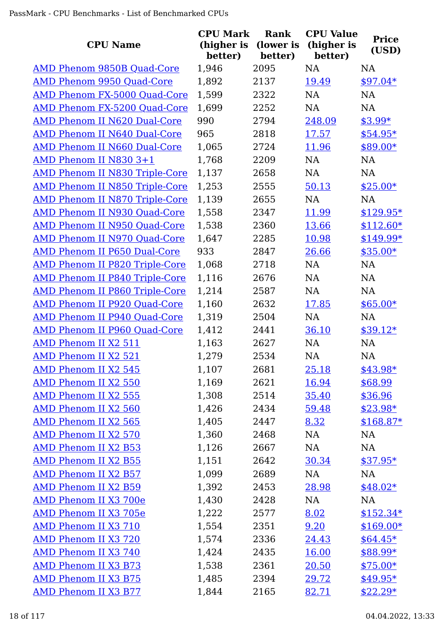| <b>CPU Name</b>                       | <b>CPU Mark</b><br>(higher is<br>better) | <b>Rank</b><br>(lower is<br>better) | <b>CPU Value</b><br>(higher is<br>better) | <b>Price</b><br>(USD) |
|---------------------------------------|------------------------------------------|-------------------------------------|-------------------------------------------|-----------------------|
| AMD Phenom 9850B Quad-Core            | 1,946                                    | 2095                                | <b>NA</b>                                 | <b>NA</b>             |
| <b>AMD Phenom 9950 Quad-Core</b>      | 1,892                                    | 2137                                | 19.49                                     | $$97.04*$             |
| <b>AMD Phenom FX-5000 Quad-Core</b>   | 1,599                                    | 2322                                | <b>NA</b>                                 | <b>NA</b>             |
| AMD Phenom FX-5200 Quad-Core          | 1,699                                    | 2252                                | NA                                        | <b>NA</b>             |
| <b>AMD Phenom II N620 Dual-Core</b>   | 990                                      | 2794                                | 248.09                                    | $$3.99*$              |
| AMD Phenom II N640 Dual-Core          | 965                                      | 2818                                | 17.57                                     | $$54.95*$             |
| AMD Phenom II N660 Dual-Core          | 1,065                                    | 2724                                | 11.96                                     | \$89.00*              |
| AMD Phenom II N830 3+1                | 1,768                                    | 2209                                | NA                                        | <b>NA</b>             |
| <b>AMD Phenom II N830 Triple-Core</b> | 1,137                                    | 2658                                | <b>NA</b>                                 | <b>NA</b>             |
| <b>AMD Phenom II N850 Triple-Core</b> | 1,253                                    | 2555                                | 50.13                                     | $$25.00*$             |
| <b>AMD Phenom II N870 Triple-Core</b> | 1,139                                    | 2655                                | <b>NA</b>                                 | <b>NA</b>             |
| AMD Phenom II N930 Quad-Core          | 1,558                                    | 2347                                | 11.99                                     | $$129.95*$            |
| <b>AMD Phenom II N950 Quad-Core</b>   | 1,538                                    | 2360                                | 13.66                                     | $$112.60*$            |
| AMD Phenom II N970 Quad-Core          | 1,647                                    | 2285                                | 10.98                                     | \$149.99*             |
| AMD Phenom II P650 Dual-Core          | 933                                      | 2847                                | 26.66                                     | $$35.00*$             |
| <b>AMD Phenom II P820 Triple-Core</b> | 1,068                                    | 2718                                | NA                                        | <b>NA</b>             |
| <b>AMD Phenom II P840 Triple-Core</b> | 1,116                                    | 2676                                | <b>NA</b>                                 | <b>NA</b>             |
| <b>AMD Phenom II P860 Triple-Core</b> | 1,214                                    | 2587                                | <b>NA</b>                                 | <b>NA</b>             |
| AMD Phenom II P920 Quad-Core          | 1,160                                    | 2632                                | 17.85                                     | $$65.00*$             |
| AMD Phenom II P940 Quad-Core          | 1,319                                    | 2504                                | NA                                        | <b>NA</b>             |
| AMD Phenom II P960 Quad-Core          | 1,412                                    | 2441                                | 36.10                                     | $$39.12*$             |
| AMD Phenom II X2 511                  | 1,163                                    | 2627                                | <b>NA</b>                                 | NA                    |
| <b>AMD Phenom II X2 521</b>           | 1,279                                    | 2534                                | <b>NA</b>                                 | <b>NA</b>             |
| <b>AMD Phenom II X2 545</b>           | 1,107                                    | 2681                                | 25.18                                     | $$43.98*$             |
| AMD Phenom II X2 550                  | 1,169                                    | 2621                                | 16.94                                     | \$68.99               |
| AMD Phenom II X2 555                  | 1,308                                    | 2514                                | 35.40                                     | \$36.96               |
| AMD Phenom II X2 560                  | 1,426                                    | 2434                                | 59.48                                     | $$23.98*$             |
| AMD Phenom II X2 565                  | 1,405                                    | 2447                                | 8.32                                      | $$168.87*$            |
| AMD Phenom II X2 570                  | 1,360                                    | 2468                                | NA                                        | NA                    |
| <b>AMD Phenom II X2 B53</b>           | 1,126                                    | 2667                                | NA                                        | NA                    |
| <b>AMD Phenom II X2 B55</b>           | 1,151                                    | 2642                                | 30.34                                     | $$37.95*$             |
| <b>AMD Phenom II X2 B57</b>           | 1,099                                    | 2689                                | NA                                        | <b>NA</b>             |
| <b>AMD Phenom II X2 B59</b>           | 1,392                                    | 2453                                | 28.98                                     | $$48.02*$             |
| AMD Phenom II X3 700e                 | 1,430                                    | 2428                                | NA                                        | <b>NA</b>             |
| AMD Phenom II X3 705e                 | 1,222                                    | 2577                                | 8.02                                      | $$152.34*$            |
| AMD Phenom II X3 710                  | 1,554                                    | 2351                                | 9.20                                      | $$169.00*$            |
| <b>AMD Phenom II X3 720</b>           | 1,574                                    | 2336                                | 24.43                                     | $$64.45*$             |
| AMD Phenom II X3 740                  | 1,424                                    | 2435                                | 16.00                                     | $$88.99*$             |
| AMD Phenom II X3 B73                  | 1,538                                    | 2361                                | 20.50                                     | $$75.00*$             |
| <b>AMD Phenom II X3 B75</b>           | 1,485                                    | 2394                                | 29.72                                     | $$49.95*$             |
| <b>AMD Phenom II X3 B77</b>           | 1,844                                    | 2165                                | 82.71                                     | $$22.29*$             |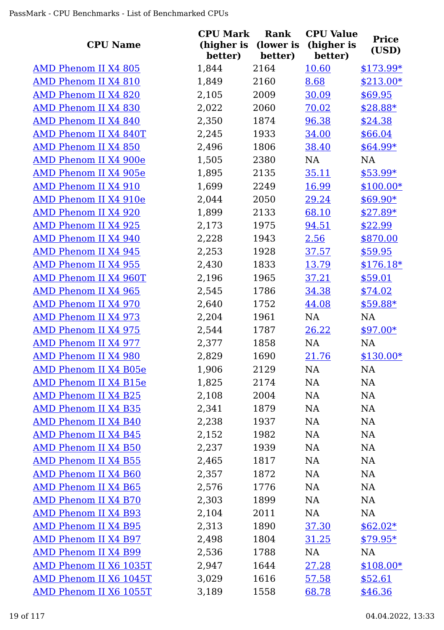| <b>CPU Name</b>             | <b>CPU Mark</b><br>(higher is<br>better) | <b>Rank</b><br>(lower is | <b>CPU Value</b><br>(higher is<br>better) | <b>Price</b><br>(USD) |
|-----------------------------|------------------------------------------|--------------------------|-------------------------------------------|-----------------------|
| <b>AMD Phenom II X4 805</b> | 1,844                                    | better)<br>2164          | 10.60                                     | $$173.99*$            |
| AMD Phenom II X4 810        | 1,849                                    | 2160                     | 8.68                                      | $$213.00*$            |
| AMD Phenom II X4 820        | 2,105                                    | 2009                     | 30.09                                     | \$69.95               |
| <b>AMD Phenom II X4 830</b> | 2,022                                    | 2060                     | 70.02                                     | $$28.88*$             |
| <b>AMD Phenom II X4 840</b> | 2,350                                    | 1874                     | 96.38                                     | \$24.38               |
| AMD Phenom II X4 840T       | 2,245                                    | 1933                     | 34.00                                     | \$66.04               |
| <b>AMD Phenom II X4 850</b> | 2,496                                    | 1806                     | 38.40                                     | $$64.99*$             |
| AMD Phenom II X4 900e       | 1,505                                    | 2380                     | NA                                        | NA                    |
| AMD Phenom II X4 905e       | 1,895                                    | 2135                     | 35.11                                     | $$53.99*$             |
| AMD Phenom II X4 910        | 1,699                                    | 2249                     | 16.99                                     | $$100.00*$            |
| AMD Phenom II X4 910e       | 2,044                                    | 2050                     | 29.24                                     | $$69.90*$             |
| AMD Phenom II X4 920        | 1,899                                    | 2133                     | 68.10                                     | $$27.89*$             |
| <b>AMD Phenom II X4 925</b> | 2,173                                    | 1975                     | 94.51                                     | \$22.99               |
| AMD Phenom II X4 940        | 2,228                                    | 1943                     | 2.56                                      | \$870.00              |
| <b>AMD Phenom II X4 945</b> | 2,253                                    | 1928                     | 37.57                                     | \$59.95               |
| <b>AMD Phenom II X4 955</b> | 2,430                                    | 1833                     | 13.79                                     | $$176.18*$            |
| AMD Phenom II X4 960T       | 2,196                                    | 1965                     | 37.21                                     | \$59.01               |
| AMD Phenom II X4 965        | 2,545                                    | 1786                     | 34.38                                     | \$74.02               |
| AMD Phenom II X4 970        | 2,640                                    | 1752                     | 44.08                                     | $$59.88*$             |
| <b>AMD Phenom II X4 973</b> | 2,204                                    | 1961                     | NA                                        | NA                    |
| <b>AMD Phenom II X4 975</b> | 2,544                                    | 1787                     | 26.22                                     | $$97.00*$             |
| <b>AMD Phenom II X4 977</b> | 2,377                                    | 1858                     | NA                                        | NA                    |
| <b>AMD Phenom II X4 980</b> | 2,829                                    | 1690                     | 21.76                                     | $$130.00*$            |
| AMD Phenom II X4 B05e       | 1,906                                    | 2129                     | <b>NA</b>                                 | <b>NA</b>             |
| AMD Phenom II X4 B15e       | 1,825                                    | 2174                     | NA                                        | <b>NA</b>             |
| AMD Phenom II X4 B25        | 2,108                                    | 2004                     | NA                                        | <b>NA</b>             |
| <b>AMD Phenom II X4 B35</b> | 2,341                                    | 1879                     | NA                                        | <b>NA</b>             |
| <b>AMD Phenom II X4 B40</b> | 2,238                                    | 1937                     | NA                                        | <b>NA</b>             |
| <b>AMD Phenom II X4 B45</b> | 2,152                                    | 1982                     | NA                                        | <b>NA</b>             |
| AMD Phenom II X4 B50        | 2,237                                    | 1939                     | NA                                        | <b>NA</b>             |
| <b>AMD Phenom II X4 B55</b> | 2,465                                    | 1817                     | NA                                        | <b>NA</b>             |
| <b>AMD Phenom II X4 B60</b> | 2,357                                    | 1872                     | NA                                        | <b>NA</b>             |
| <b>AMD Phenom II X4 B65</b> | 2,576                                    | 1776                     | NA                                        | <b>NA</b>             |
| <b>AMD Phenom II X4 B70</b> | 2,303                                    | 1899                     | NA                                        | <b>NA</b>             |
| <b>AMD Phenom II X4 B93</b> | 2,104                                    | 2011                     | NA                                        | <b>NA</b>             |
| <b>AMD Phenom II X4 B95</b> | 2,313                                    | 1890                     | 37.30                                     | $$62.02*$             |
| AMD Phenom II X4 B97        | 2,498                                    | 1804                     | 31.25                                     | $$79.95*$             |
| AMD Phenom II X4 B99        | 2,536                                    | 1788                     | NA                                        | <b>NA</b>             |
| AMD Phenom II X6 1035T      | 2,947                                    | 1644                     | 27.28                                     | $$108.00*$            |
| AMD Phenom II X6 1045T      | 3,029                                    | 1616                     | 57.58                                     | \$52.61               |
| AMD Phenom II X6 1055T      | 3,189                                    | 1558                     | 68.78                                     | \$46.36               |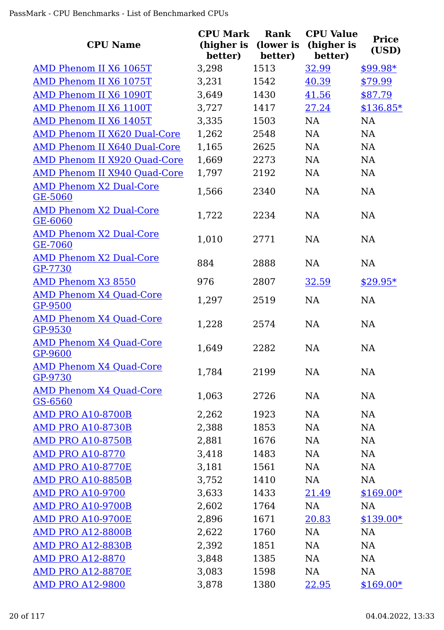|                                           | <b>CPU Mark</b>       | Rank                 | <b>CPU Value</b>      | <b>Price</b> |
|-------------------------------------------|-----------------------|----------------------|-----------------------|--------------|
| <b>CPU Name</b>                           | (higher is<br>better) | (lower is<br>better) | (higher is<br>better) | (USD)        |
| AMD Phenom II X6 1065T                    | 3,298                 | 1513                 | 32.99                 | $$99.98*$    |
| AMD Phenom II X6 1075T                    | 3,231                 | 1542                 | 40.39                 | \$79.99      |
| AMD Phenom II X6 1090T                    | 3,649                 | 1430                 | 41.56                 | \$87.79      |
| AMD Phenom II X6 1100T                    | 3,727                 | 1417                 | 27.24                 | $$136.85*$   |
| AMD Phenom II X6 1405T                    | 3,335                 | 1503                 | <b>NA</b>             | NA           |
| <b>AMD Phenom II X620 Dual-Core</b>       | 1,262                 | 2548                 | NA                    | NA           |
| AMD Phenom II X640 Dual-Core              | 1,165                 | 2625                 | NA                    | <b>NA</b>    |
| AMD Phenom II X920 Quad-Core              | 1,669                 | 2273                 | NA                    | <b>NA</b>    |
| AMD Phenom II X940 Quad-Core              | 1,797                 | 2192                 | NA                    | NA           |
| <b>AMD Phenom X2 Dual-Core</b><br>GE-5060 | 1,566                 | 2340                 | NA                    | NA           |
| <b>AMD Phenom X2 Dual-Core</b><br>GE-6060 | 1,722                 | 2234                 | NA                    | <b>NA</b>    |
| <b>AMD Phenom X2 Dual-Core</b><br>GE-7060 | 1,010                 | 2771                 | <b>NA</b>             | <b>NA</b>    |
| <b>AMD Phenom X2 Dual-Core</b><br>GP-7730 | 884                   | 2888                 | <b>NA</b>             | <b>NA</b>    |
| AMD Phenom X3 8550                        | 976                   | 2807                 | 32.59                 | $$29.95*$    |
| <b>AMD Phenom X4 Quad-Core</b><br>GP-9500 | 1,297                 | 2519                 | <b>NA</b>             | NA           |
| <b>AMD Phenom X4 Quad-Core</b><br>GP-9530 | 1,228                 | 2574                 | <b>NA</b>             | NA           |
| <b>AMD Phenom X4 Quad-Core</b><br>GP-9600 | 1,649                 | 2282                 | <b>NA</b>             | <b>NA</b>    |
| <b>AMD Phenom X4 Quad-Core</b><br>GP-9730 | 1,784                 | 2199                 | <b>NA</b>             | <b>NA</b>    |
| <b>AMD Phenom X4 Quad-Core</b><br>GS-6560 | 1,063                 | 2726                 | NA                    | NA           |
| <b>AMD PRO A10-8700B</b>                  | 2,262                 | 1923                 | <b>NA</b>             | NA           |
| <b>AMD PRO A10-8730B</b>                  | 2,388                 | 1853                 | <b>NA</b>             | NA           |
| <b>AMD PRO A10-8750B</b>                  | 2,881                 | 1676                 | NA                    | NA           |
| <b>AMD PRO A10-8770</b>                   | 3,418                 | 1483                 | NA                    | NA           |
| <b>AMD PRO A10-8770E</b>                  | 3,181                 | 1561                 | NA                    | NA           |
| <b>AMD PRO A10-8850B</b>                  | 3,752                 | 1410                 | NA                    | NA           |
| <b>AMD PRO A10-9700</b>                   | 3,633                 | 1433                 | 21.49                 | $$169.00*$   |
| <b>AMD PRO A10-9700B</b>                  | 2,602                 | 1764                 | NA                    | NA           |
| <b>AMD PRO A10-9700E</b>                  | 2,896                 | 1671                 | 20.83                 | $$139.00*$   |
| <b>AMD PRO A12-8800B</b>                  | 2,622                 | 1760                 | NA                    | NA           |
| <b>AMD PRO A12-8830B</b>                  | 2,392                 | 1851                 | NA                    | NA           |
| <b>AMD PRO A12-8870</b>                   | 3,848                 | 1385                 | NA                    | NA           |
| <b>AMD PRO A12-8870E</b>                  | 3,083                 | 1598                 | NA                    | NA           |
| <b>AMD PRO A12-9800</b>                   | 3,878                 | 1380                 | 22.95                 | $$169.00*$   |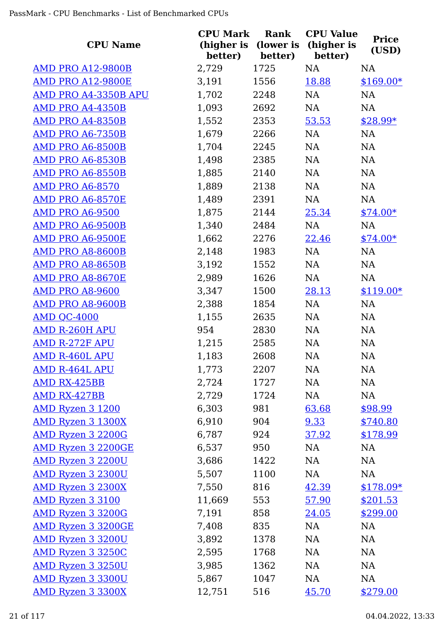|                           | <b>CPU Mark</b>       | Rank                 | <b>CPU Value</b>      | <b>Price</b> |
|---------------------------|-----------------------|----------------------|-----------------------|--------------|
| <b>CPU Name</b>           | (higher is<br>better) | (lower is<br>better) | (higher is<br>better) | (USD)        |
| <b>AMD PRO A12-9800B</b>  | 2,729                 | 1725                 | NA                    | <b>NA</b>    |
| <b>AMD PRO A12-9800E</b>  | 3,191                 | 1556                 | 18.88                 | $$169.00*$   |
| AMD PRO A4-3350B APU      | 1,702                 | 2248                 | NA                    | NA           |
| <b>AMD PRO A4-4350B</b>   | 1,093                 | 2692                 | NA                    | NA           |
| <b>AMD PRO A4-8350B</b>   | 1,552                 | 2353                 | 53.53                 | $$28.99*$    |
| <b>AMD PRO A6-7350B</b>   | 1,679                 | 2266                 | NA                    | NA           |
| AMD PRO A6-8500B          | 1,704                 | 2245                 | NA                    | NA           |
| <b>AMD PRO A6-8530B</b>   | 1,498                 | 2385                 | NA                    | NA           |
| AMD PRO A6-8550B          | 1,885                 | 2140                 | NA                    | NA           |
| <b>AMD PRO A6-8570</b>    | 1,889                 | 2138                 | NA                    | NA           |
| AMD PRO A6-8570E          | 1,489                 | 2391                 | NA                    | NA           |
| <b>AMD PRO A6-9500</b>    | 1,875                 | 2144                 | 25.34                 | $$74.00*$    |
| AMD PRO A6-9500B          | 1,340                 | 2484                 | NA                    | NA           |
| AMD PRO A6-9500E          | 1,662                 | 2276                 | 22.46                 | $$74.00*$    |
| AMD PRO A8-8600B          | 2,148                 | 1983                 | NA                    | NA           |
| AMD PRO A8-8650B          | 3,192                 | 1552                 | NA                    | NA           |
| AMD PRO A8-8670E          | 2,989                 | 1626                 | NA                    | NA           |
| <b>AMD PRO A8-9600</b>    | 3,347                 | 1500                 | 28.13                 | $$119.00*$   |
| <b>AMD PRO A8-9600B</b>   | 2,388                 | 1854                 | NA                    | NA           |
| <b>AMD QC-4000</b>        | 1,155                 | 2635                 | NA                    | NA           |
| <b>AMD R-260H APU</b>     | 954                   | 2830                 | NA                    | <b>NA</b>    |
| <b>AMD R-272F APU</b>     | 1,215                 | 2585                 | NA                    | NA           |
| <b>AMD R-460L APU</b>     | 1,183                 | 2608                 | <b>NA</b>             | NA           |
| <b>AMD R-464L APU</b>     | 1,773                 | 2207                 | NA                    | NA           |
| AMD RX-425BB              | 2,724                 | 1727                 | NA                    | NA           |
| AMD RX-427BB              | 2,729                 | 1724                 | NA                    | <b>NA</b>    |
| <b>AMD Ryzen 3 1200</b>   | 6,303                 | 981                  | 63.68                 | \$98.99      |
| AMD Ryzen 3 1300X         | 6,910                 | 904                  | 9.33                  | \$740.80     |
| <b>AMD Ryzen 3 2200G</b>  | 6,787                 | 924                  | 37.92                 | \$178.99     |
| <b>AMD Ryzen 3 2200GE</b> | 6,537                 | 950                  | NA                    | NA           |
| AMD Ryzen 3 2200U         | 3,686                 | 1422                 | NA                    | NA           |
| <b>AMD Ryzen 3 2300U</b>  | 5,507                 | 1100                 | NA                    | NA           |
| AMD Ryzen 3 2300X         | 7,550                 | 816                  | 42.39                 | $$178.09*$   |
| <b>AMD Ryzen 3 3100</b>   | 11,669                | 553                  | 57.90                 | \$201.53     |
| <b>AMD Ryzen 3 3200G</b>  | 7,191                 | 858                  | 24.05                 | \$299.00     |
| <b>AMD Ryzen 3 3200GE</b> | 7,408                 | 835                  | NA                    | NA           |
| <b>AMD Ryzen 3 3200U</b>  | 3,892                 | 1378                 | NA                    | NA           |
| AMD Ryzen 3 3250C         | 2,595                 | 1768                 | NA                    | NA           |
| <b>AMD Ryzen 3 3250U</b>  | 3,985                 | 1362                 | NA                    | <b>NA</b>    |
| <b>AMD Ryzen 3 3300U</b>  | 5,867                 | 1047                 | NA                    | NA           |
| <b>AMD Ryzen 3 3300X</b>  | 12,751                | 516                  | 45.70                 | \$279.00     |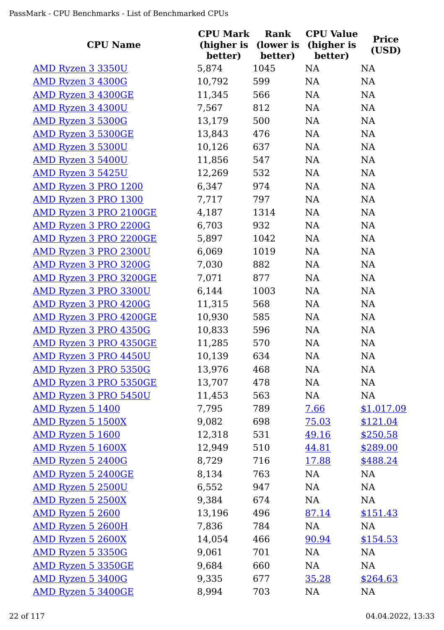| <b>CPU Name</b>               | <b>CPU Mark</b><br>better) | Rank<br>(higher is (lower is<br>better) | <b>CPU Value</b><br>(higher is<br>better) | <b>Price</b><br>(USD) |
|-------------------------------|----------------------------|-----------------------------------------|-------------------------------------------|-----------------------|
| <u>AMD Ryzen 3 3350U</u>      | 5,874                      | 1045                                    | <b>NA</b>                                 | <b>NA</b>             |
| AMD Ryzen 3 4300G             | 10,792                     | 599                                     | NA                                        | NA                    |
| <b>AMD Ryzen 3 4300GE</b>     | 11,345                     | 566                                     | NA                                        | NA                    |
| AMD Ryzen 3 4300U             | 7,567                      | 812                                     | NA                                        | NA                    |
| <b>AMD Ryzen 3 5300G</b>      | 13,179                     | 500                                     | NA                                        | NA                    |
| <b>AMD Ryzen 3 5300GE</b>     | 13,843                     | 476                                     | NA                                        | <b>NA</b>             |
| <b>AMD Ryzen 3 5300U</b>      | 10,126                     | 637                                     | NA                                        | NA                    |
| <b>AMD Ryzen 3 5400U</b>      | 11,856                     | 547                                     | NA                                        | NA                    |
| AMD Ryzen 3 5425U             | 12,269                     | 532                                     | NA                                        | NA                    |
| AMD Ryzen 3 PRO 1200          | 6,347                      | 974                                     | NA                                        | <b>NA</b>             |
| <b>AMD Ryzen 3 PRO 1300</b>   | 7,717                      | 797                                     | NA                                        | NA                    |
| <b>AMD Ryzen 3 PRO 2100GE</b> | 4,187                      | 1314                                    | NA                                        | NA                    |
| <b>AMD Ryzen 3 PRO 2200G</b>  | 6,703                      | 932                                     | NA                                        | NA                    |
| <b>AMD Ryzen 3 PRO 2200GE</b> | 5,897                      | 1042                                    | NA                                        | NA                    |
| <b>AMD Ryzen 3 PRO 2300U</b>  | 6,069                      | 1019                                    | NA                                        | NA                    |
| <b>AMD Ryzen 3 PRO 3200G</b>  | 7,030                      | 882                                     | NA                                        | NA                    |
| <b>AMD Ryzen 3 PRO 3200GE</b> | 7,071                      | 877                                     | NA                                        | NA                    |
| <b>AMD Ryzen 3 PRO 3300U</b>  | 6,144                      | 1003                                    | NA                                        | NA                    |
| <b>AMD Ryzen 3 PRO 4200G</b>  | 11,315                     | 568                                     | NA                                        | <b>NA</b>             |
| <b>AMD Ryzen 3 PRO 4200GE</b> | 10,930                     | 585                                     | NA                                        | NA                    |
| AMD Ryzen 3 PRO 4350G         | 10,833                     | 596                                     | NA                                        | <b>NA</b>             |
| <b>AMD Ryzen 3 PRO 4350GE</b> | 11,285                     | 570                                     | NA                                        | <b>NA</b>             |
| AMD Ryzen 3 PRO 4450U         | 10,139                     | 634                                     | NA                                        | <b>NA</b>             |
| <u>AMD Ryzen 3 PRO 5350G</u>  | 13,976                     | 468                                     | NA                                        | <b>NA</b>             |
| <b>AMD Ryzen 3 PRO 5350GE</b> | 13,707                     | 478                                     | NA                                        | NA                    |
| <b>AMD Ryzen 3 PRO 5450U</b>  | 11,453                     | 563                                     | NA                                        | NA                    |
| AMD Ryzen 5 1400              | 7,795                      | 789                                     | 7.66                                      | \$1,017.09            |
| AMD Ryzen 5 1500X             | 9,082                      | 698                                     | 75.03                                     | \$121.04              |
| AMD Ryzen 5 1600              | 12,318                     | 531                                     | 49.16                                     | \$250.58              |
| AMD Ryzen 5 1600X             | 12,949                     | 510                                     | 44.81                                     | \$289.00              |
| <b>AMD Ryzen 5 2400G</b>      | 8,729                      | 716                                     | 17.88                                     | \$488.24              |
| <b>AMD Ryzen 5 2400GE</b>     | 8,134                      | 763                                     | NA                                        | <b>NA</b>             |
| <b>AMD Ryzen 5 2500U</b>      | 6,552                      | 947                                     | NA                                        | <b>NA</b>             |
| <b>AMD Ryzen 5 2500X</b>      | 9,384                      | 674                                     | NA                                        | NA                    |
| AMD Ryzen 5 2600              | 13,196                     | 496                                     | 87.14                                     | \$151.43              |
| AMD Ryzen 5 2600H             | 7,836                      | 784                                     | NA                                        | <b>NA</b>             |
| <b>AMD Ryzen 5 2600X</b>      | 14,054                     | 466                                     | 90.94                                     | \$154.53              |
| <b>AMD Ryzen 5 3350G</b>      | 9,061                      | 701                                     | NA                                        | <b>NA</b>             |
| <b>AMD Ryzen 5 3350GE</b>     | 9,684                      | 660                                     | NA                                        | <b>NA</b>             |
| AMD Ryzen 5 3400G             | 9,335                      | 677                                     | 35.28                                     | \$264.63              |
| AMD Ryzen 5 3400GE            | 8,994                      | 703                                     | NA                                        | <b>NA</b>             |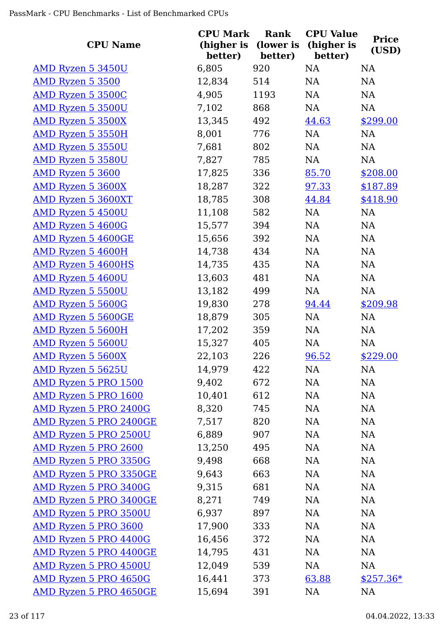| <b>CPU Name</b>               | <b>CPU Mark</b><br>(higher is<br>better) | Rank<br>(lower is<br>better) | <b>CPU Value</b><br>(higher is<br>better) | <b>Price</b><br>(USD) |
|-------------------------------|------------------------------------------|------------------------------|-------------------------------------------|-----------------------|
| <b>AMD Ryzen 5 3450U</b>      | 6,805                                    | 920                          | NA                                        | <b>NA</b>             |
| AMD Ryzen 5 3500              | 12,834                                   | 514                          | NA                                        | NA                    |
| AMD Ryzen 5 3500C             | 4,905                                    | 1193                         | NA                                        | NA                    |
| AMD Ryzen 5 3500U             | 7,102                                    | 868                          | NA                                        | NA                    |
| <b>AMD Ryzen 5 3500X</b>      | 13,345                                   | 492                          | 44.63                                     | \$299.00              |
| <b>AMD Ryzen 5 3550H</b>      | 8,001                                    | 776                          | NA                                        | NA                    |
| <b>AMD Ryzen 5 3550U</b>      | 7,681                                    | 802                          | NA                                        | NA                    |
| <b>AMD Ryzen 5 3580U</b>      | 7,827                                    | 785                          | NA                                        | NA                    |
| <u>AMD Ryzen 5 3600</u>       | 17,825                                   | 336                          | 85.70                                     | \$208.00              |
| <b>AMD Ryzen 5 3600X</b>      | 18,287                                   | 322                          | 97.33                                     | \$187.89              |
| <b>AMD Ryzen 5 3600XT</b>     | 18,785                                   | 308                          | 44.84                                     | \$418.90              |
| AMD Ryzen 5 4500U             | 11,108                                   | 582                          | NA                                        | NA                    |
| AMD Ryzen 5 4600G             | 15,577                                   | 394                          | NA                                        | NA                    |
| <b>AMD Ryzen 5 4600GE</b>     | 15,656                                   | 392                          | NA                                        | NA                    |
| AMD Ryzen 5 4600H             | 14,738                                   | 434                          | NA                                        | NA                    |
| <b>AMD Ryzen 5 4600HS</b>     | 14,735                                   | 435                          | NA                                        | NA                    |
| <b>AMD Ryzen 5 4600U</b>      | 13,603                                   | 481                          | NA                                        | NA                    |
| AMD Ryzen 5 5500U             | 13,182                                   | 499                          | NA                                        | NA                    |
| <b>AMD Ryzen 5 5600G</b>      | 19,830                                   | 278                          | 94.44                                     | \$209.98              |
| <b>AMD Ryzen 5 5600GE</b>     | 18,879                                   | 305                          | NA                                        | NA                    |
| <b>AMD Ryzen 5 5600H</b>      | 17,202                                   | 359                          | NA                                        | NA                    |
| AMD Ryzen 5 5600U             | 15,327                                   | 405                          | NA                                        | NA                    |
| AMD Ryzen 5 5600X             | 22,103                                   | 226                          | 96.52                                     | \$229.00              |
| AMD Ryzen 5 5625U             | 14,979                                   | 422                          | NA                                        | NA                    |
| AMD Ryzen 5 PRO 1500          | 9,402                                    | 672                          | NA                                        | NA                    |
| AMD Ryzen 5 PRO 1600          | 10,401                                   | 612                          | NA                                        | NA                    |
| AMD Ryzen 5 PRO 2400G         | 8,320                                    | 745                          | NA                                        | <b>NA</b>             |
| <b>AMD Ryzen 5 PRO 2400GE</b> | 7,517                                    | 820                          | NA                                        | NA                    |
| AMD Ryzen 5 PRO 2500U         | 6,889                                    | 907                          | NA                                        | NA                    |
| AMD Ryzen 5 PRO 2600          | 13,250                                   | 495                          | NA                                        | NA                    |
| <b>AMD Ryzen 5 PRO 3350G</b>  | 9,498                                    | 668                          | NA                                        | NA                    |
| AMD Ryzen 5 PRO 3350GE        | 9,643                                    | 663                          | NA                                        | NA                    |
| AMD Ryzen 5 PRO 3400G         | 9,315                                    | 681                          | NA                                        | NA                    |
| <b>AMD Ryzen 5 PRO 3400GE</b> | 8,271                                    | 749                          | NA                                        | NA                    |
| AMD Ryzen 5 PRO 3500U         | 6,937                                    | 897                          | NA                                        | NA                    |
| AMD Ryzen 5 PRO 3600          | 17,900                                   | 333                          | NA                                        | NA                    |
| <b>AMD Ryzen 5 PRO 4400G</b>  | 16,456                                   | 372                          | NA                                        | NA                    |
| AMD Ryzen 5 PRO 4400GE        | 14,795                                   | 431                          | NA                                        | NA                    |
| <b>AMD Ryzen 5 PRO 4500U</b>  | 12,049                                   | 539                          | NA                                        | <b>NA</b>             |
| AMD Ryzen 5 PRO 4650G         | 16,441                                   | 373                          | 63.88                                     | $$257.36*$            |
| AMD Ryzen 5 PRO 4650GE        | 15,694                                   | 391                          | NA                                        | <b>NA</b>             |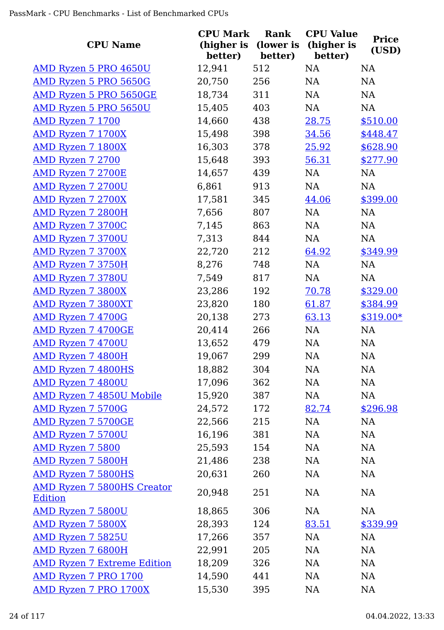| <b>CPU Name</b>                                     | <b>CPU Mark</b><br>(higher is<br>better) | Rank<br>(lower is<br>better) | <b>CPU Value</b><br>(higher is<br>better) | <b>Price</b><br>(USD) |
|-----------------------------------------------------|------------------------------------------|------------------------------|-------------------------------------------|-----------------------|
| AMD Ryzen 5 PRO 4650U                               | 12,941                                   | 512                          | <b>NA</b>                                 | NA                    |
| AMD Ryzen 5 PRO 5650G                               | 20,750                                   | 256                          | <b>NA</b>                                 | NA                    |
| AMD Ryzen 5 PRO 5650GE                              | 18,734                                   | 311                          | <b>NA</b>                                 | <b>NA</b>             |
| AMD Ryzen 5 PRO 5650U                               | 15,405                                   | 403                          | NA                                        | <b>NA</b>             |
| AMD Ryzen 7 1700                                    | 14,660                                   | 438                          | 28.75                                     | \$510.00              |
| AMD Ryzen 7 1700X                                   | 15,498                                   | 398                          | 34.56                                     | \$448.47              |
| <b>AMD Ryzen 7 1800X</b>                            | 16,303                                   | 378                          | 25.92                                     | \$628.90              |
| <b>AMD Ryzen 7 2700</b>                             | 15,648                                   | 393                          | 56.31                                     | \$277.90              |
| <b>AMD Ryzen 7 2700E</b>                            | 14,657                                   | 439                          | NA                                        | NA                    |
| <b>AMD Ryzen 7 2700U</b>                            | 6,861                                    | 913                          | NA                                        | <b>NA</b>             |
| <b>AMD Ryzen 7 2700X</b>                            | 17,581                                   | 345                          | 44.06                                     | \$399.00              |
| <b>AMD Ryzen 7 2800H</b>                            | 7,656                                    | 807                          | NA                                        | <b>NA</b>             |
| AMD Ryzen 7 3700C                                   | 7,145                                    | 863                          | NA                                        | NA                    |
| AMD Ryzen 7 3700U                                   | 7,313                                    | 844                          | NA                                        | NA                    |
| AMD Ryzen 7 3700X                                   | 22,720                                   | 212                          | 64.92                                     | \$349.99              |
| AMD Ryzen 7 3750H                                   | 8,276                                    | 748                          | NA                                        | <b>NA</b>             |
| <b>AMD Ryzen 7 3780U</b>                            | 7,549                                    | 817                          | NA                                        | NA                    |
| <b>AMD Ryzen 7 3800X</b>                            | 23,286                                   | 192                          | <u>70.78</u>                              | \$329.00              |
| <b>AMD Ryzen 7 3800XT</b>                           | 23,820                                   | 180                          | 61.87                                     | \$384.99              |
| AMD Ryzen 7 4700G                                   | 20,138                                   | 273                          | 63.13                                     | \$319.00*             |
| AMD Ryzen 7 4700GE                                  | 20,414                                   | 266                          | NA                                        | NA                    |
| AMD Ryzen 7 4700U                                   | 13,652                                   | 479                          | NA                                        | <b>NA</b>             |
| AMD Ryzen 7 4800H                                   | 19,067                                   | 299                          | NA                                        | NA                    |
| <b>AMD Ryzen 7 4800HS</b>                           | 18,882                                   | 304                          | <b>NA</b>                                 | NA                    |
| AMD Ryzen 7 4800U                                   | 17,096                                   | 362                          | NA                                        | <b>NA</b>             |
| <b>AMD Ryzen 7 4850U Mobile</b>                     | 15,920                                   | 387                          | NA                                        | NA                    |
| <b>AMD Ryzen 7 5700G</b>                            | 24,572                                   | 172                          | 82.74                                     | \$296.98              |
| AMD Ryzen 7 5700GE                                  | 22,566                                   | 215                          | NA                                        | NA                    |
| <b>AMD Ryzen 7 5700U</b>                            | 16,196                                   | 381                          | NA                                        | <b>NA</b>             |
| AMD Ryzen 7 5800                                    | 25,593                                   | 154                          | NA                                        | NA                    |
| <b>AMD Ryzen 7 5800H</b>                            | 21,486                                   | 238                          | NA                                        | NA                    |
| <b>AMD Ryzen 7 5800HS</b>                           | 20,631                                   | 260                          | NA                                        | NA                    |
| <b>AMD Ryzen 7 5800HS Creator</b><br><b>Edition</b> | 20,948                                   | 251                          | <b>NA</b>                                 | <b>NA</b>             |
| <b>AMD Ryzen 7 5800U</b>                            | 18,865                                   | 306                          | NA                                        | NA                    |
| <b>AMD Ryzen 7 5800X</b>                            | 28,393                                   | 124                          | 83.51                                     | \$339.99              |
| AMD Ryzen 7 5825U                                   | 17,266                                   | 357                          | NA                                        | NA                    |
| AMD Ryzen 7 6800H                                   | 22,991                                   | 205                          | NA                                        | <b>NA</b>             |
| <b>AMD Ryzen 7 Extreme Edition</b>                  | 18,209                                   | 326                          | NA                                        | NA                    |
| AMD Ryzen 7 PRO 1700                                | 14,590                                   | 441                          | NA                                        | NA                    |
| AMD Ryzen 7 PRO 1700X                               | 15,530                                   | 395                          | <b>NA</b>                                 | NA                    |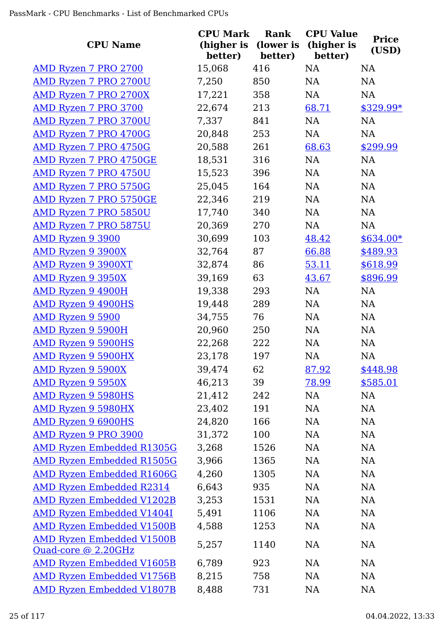| <b>CPU Name</b>                                         | <b>CPU Mark</b><br>(higher is<br>better) | Rank<br>(lower is<br>better) | <b>CPU Value</b><br>(higher is<br>better) | <b>Price</b><br>(USD) |
|---------------------------------------------------------|------------------------------------------|------------------------------|-------------------------------------------|-----------------------|
| <b>AMD Ryzen 7 PRO 2700</b>                             | 15,068                                   | 416                          | <b>NA</b>                                 | <b>NA</b>             |
| AMD Ryzen 7 PRO 2700U                                   | 7,250                                    | 850                          | NA                                        | NA                    |
| <b>AMD Ryzen 7 PRO 2700X</b>                            | 17,221                                   | 358                          | NA                                        | <b>NA</b>             |
| AMD Ryzen 7 PRO 3700                                    | 22,674                                   | 213                          | 68.71                                     | \$329.99*             |
| <b>AMD Ryzen 7 PRO 3700U</b>                            | 7,337                                    | 841                          | NA                                        | <b>NA</b>             |
| AMD Ryzen 7 PRO 4700G                                   | 20,848                                   | 253                          | NA                                        | NA                    |
| <b>AMD Ryzen 7 PRO 4750G</b>                            | 20,588                                   | 261                          | 68.63                                     | \$299.99              |
| AMD Ryzen 7 PRO 4750GE                                  | 18,531                                   | 316                          | NA                                        | <b>NA</b>             |
| <u>AMD Ryzen 7 PRO 4750U</u>                            | 15,523                                   | 396                          | NA                                        | NA                    |
| <b>AMD Ryzen 7 PRO 5750G</b>                            | 25,045                                   | 164                          | NA                                        | NA                    |
| <b>AMD Ryzen 7 PRO 5750GE</b>                           | 22,346                                   | 219                          | NA                                        | NA                    |
| <b>AMD Ryzen 7 PRO 5850U</b>                            | 17,740                                   | 340                          | NA                                        | NA                    |
| <b>AMD Ryzen 7 PRO 5875U</b>                            | 20,369                                   | 270                          | NA                                        | NA                    |
| AMD Ryzen 9 3900                                        | 30,699                                   | 103                          | 48.42                                     | $$634.00*$            |
| <b>AMD Ryzen 9 3900X</b>                                | 32,764                                   | 87                           | 66.88                                     | \$489.93              |
| <b>AMD Ryzen 9 3900XT</b>                               | 32,874                                   | 86                           | 53.11                                     | \$618.99              |
| <b>AMD Ryzen 9 3950X</b>                                | 39,169                                   | 63                           | 43.67                                     | \$896.99              |
| AMD Ryzen 9 4900H                                       | 19,338                                   | 293                          | NA                                        | <b>NA</b>             |
| <b>AMD Ryzen 9 4900HS</b>                               | 19,448                                   | 289                          | NA                                        | NA                    |
| AMD Ryzen 9 5900                                        | 34,755                                   | 76                           | NA                                        | NA                    |
| AMD Ryzen 9 5900H                                       | 20,960                                   | 250                          | NA                                        | <b>NA</b>             |
| <b>AMD Ryzen 9 5900HS</b>                               | 22,268                                   | 222                          | NA                                        | NA                    |
| <b>AMD Ryzen 9 5900HX</b>                               | 23,178                                   | 197                          | NA                                        | NA                    |
| <b>AMD Ryzen 9 5900X</b>                                | 39,474                                   | 62                           | 87.92                                     | \$448.98              |
| <b>AMD Ryzen 9 5950X</b>                                | 46,213                                   | 39                           | 78.99                                     | \$585.01              |
| <b>AMD Ryzen 9 5980HS</b>                               | 21,412                                   | 242                          | NA                                        | <b>NA</b>             |
| <b>AMD Ryzen 9 5980HX</b>                               | 23,402                                   | 191                          | NA                                        | <b>NA</b>             |
| AMD Ryzen 9 6900HS                                      | 24,820                                   | 166                          | NA                                        | <b>NA</b>             |
| AMD Ryzen 9 PRO 3900                                    | 31,372                                   | 100                          | NA                                        | NA                    |
| <b>AMD Ryzen Embedded R1305G</b>                        | 3,268                                    | 1526                         | NA                                        | NA                    |
| <b>AMD Ryzen Embedded R1505G</b>                        | 3,966                                    | 1365                         | NA                                        | NA                    |
| <b>AMD Ryzen Embedded R1606G</b>                        | 4,260                                    | 1305                         | NA                                        | <b>NA</b>             |
| <b>AMD Ryzen Embedded R2314</b>                         | 6,643                                    | 935                          | NA                                        | <b>NA</b>             |
| <b>AMD Ryzen Embedded V1202B</b>                        | 3,253                                    | 1531                         | NA                                        | <b>NA</b>             |
| <b>AMD Ryzen Embedded V1404I</b>                        | 5,491                                    | 1106                         | NA                                        | <b>NA</b>             |
| <b>AMD Ryzen Embedded V1500B</b>                        | 4,588                                    | 1253                         | NA                                        | <b>NA</b>             |
| <b>AMD Ryzen Embedded V1500B</b><br>Quad-core @ 2.20GHz | 5,257                                    | 1140                         | NA                                        | <b>NA</b>             |
| <b>AMD Ryzen Embedded V1605B</b>                        | 6,789                                    | 923                          | NA                                        | <b>NA</b>             |
| <b>AMD Ryzen Embedded V1756B</b>                        | 8,215                                    | 758                          | NA                                        | <b>NA</b>             |
| <b>AMD Ryzen Embedded V1807B</b>                        | 8,488                                    | 731                          | <b>NA</b>                                 | NA                    |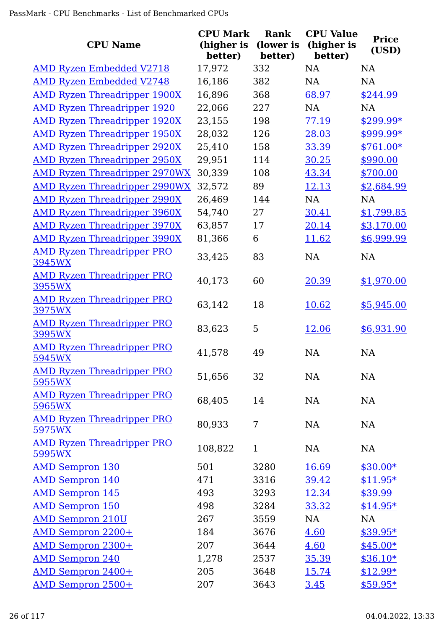| <b>CPU Name</b>                             | <b>CPU Mark</b><br>(higher is<br>better) | <b>Rank</b><br>(lower is<br>better) | <b>CPU Value</b><br>(higher is<br>better) | <b>Price</b><br>(USD) |
|---------------------------------------------|------------------------------------------|-------------------------------------|-------------------------------------------|-----------------------|
| <b>AMD Ryzen Embedded V2718</b>             | 17,972                                   | 332                                 | <b>NA</b>                                 | <b>NA</b>             |
| <b>AMD Ryzen Embedded V2748</b>             | 16,186                                   | 382                                 | <b>NA</b>                                 | <b>NA</b>             |
| <b>AMD Ryzen Threadripper 1900X</b>         | 16,896                                   | 368                                 | 68.97                                     | \$244.99              |
| <b>AMD Ryzen Threadripper 1920</b>          | 22,066                                   | 227                                 | <b>NA</b>                                 | <b>NA</b>             |
| <b>AMD Ryzen Threadripper 1920X</b>         | 23,155                                   | 198                                 | 77.19                                     | $$299.99*$            |
| <b>AMD Ryzen Threadripper 1950X</b>         | 28,032                                   | 126                                 | 28.03                                     | \$999.99*             |
| <b>AMD Ryzen Threadripper 2920X</b>         | 25,410                                   | 158                                 | 33.39                                     | $$761.00*$            |
| <b>AMD Ryzen Threadripper 2950X</b>         | 29,951                                   | 114                                 | 30.25                                     | \$990.00              |
| <b>AMD Ryzen Threadripper 2970WX</b>        | 30,339                                   | 108                                 | 43.34                                     | \$700.00              |
| <b>AMD Ryzen Threadripper 2990WX</b>        | 32,572                                   | 89                                  | 12.13                                     | \$2,684.99            |
| <b>AMD Ryzen Threadripper 2990X</b>         | 26,469                                   | 144                                 | <b>NA</b>                                 | <b>NA</b>             |
| <b>AMD Ryzen Threadripper 3960X</b>         | 54,740                                   | 27                                  | 30.41                                     | \$1,799.85            |
| <b>AMD Ryzen Threadripper 3970X</b>         | 63,857                                   | 17                                  | 20.14                                     | \$3,170.00            |
| <b>AMD Ryzen Threadripper 3990X</b>         | 81,366                                   | 6                                   | 11.62                                     | \$6,999.99            |
| <b>AMD Ryzen Threadripper PRO</b><br>3945WX | 33,425                                   | 83                                  | <b>NA</b>                                 | <b>NA</b>             |
| <b>AMD Ryzen Threadripper PRO</b><br>3955WX | 40,173                                   | 60                                  | 20.39                                     | \$1,970.00            |
| <u>AMD Ryzen Threadripper PRO</u><br>3975WX | 63,142                                   | 18                                  | 10.62                                     | \$5,945.00            |
| <b>AMD Ryzen Threadripper PRO</b><br>3995WX | 83,623                                   | 5                                   | 12.06                                     | \$6,931.90            |
| <b>AMD Ryzen Threadripper PRO</b><br>5945WX | 41,578                                   | 49                                  | <b>NA</b>                                 | <b>NA</b>             |
| <b>AMD Ryzen Threadripper PRO</b><br>5955WX | 51,656                                   | 32                                  | NA                                        | <b>NA</b>             |
| <b>AMD Ryzen Threadripper PRO</b><br>5965WX | 68,405                                   | 14                                  | NA                                        | <b>NA</b>             |
| <b>AMD Ryzen Threadripper PRO</b><br>5975WX | 80,933                                   | 7                                   | NA                                        | <b>NA</b>             |
| <b>AMD Ryzen Threadripper PRO</b><br>5995WX | 108,822                                  | $\mathbf{1}$                        | NA                                        | <b>NA</b>             |
| <b>AMD Sempron 130</b>                      | 501                                      | 3280                                | 16.69                                     | $$30.00*$             |
| <b>AMD Sempron 140</b>                      | 471                                      | 3316                                | 39.42                                     | $$11.95*$             |
| <b>AMD Sempron 145</b>                      | 493                                      | 3293                                | 12.34                                     | \$39.99               |
| <b>AMD Sempron 150</b>                      | 498                                      | 3284                                | 33.32                                     | $$14.95*$             |
| <b>AMD Sempron 210U</b>                     | 267                                      | 3559                                | NA                                        | <b>NA</b>             |
| <b>AMD Sempron 2200+</b>                    | 184                                      | 3676                                | 4.60                                      | $$39.95*$             |
| <b>AMD Sempron 2300+</b>                    | 207                                      | 3644                                | 4.60                                      | $$45.00*$             |
| <b>AMD Sempron 240</b>                      | 1,278                                    | 2537                                | 35.39                                     | $$36.10*$             |
| <b>AMD Sempron 2400+</b>                    | 205                                      | 3648                                | 15.74                                     | $$12.99*$             |
| <b>AMD Sempron 2500+</b>                    | 207                                      | 3643                                | 3.45                                      | $$59.95*$             |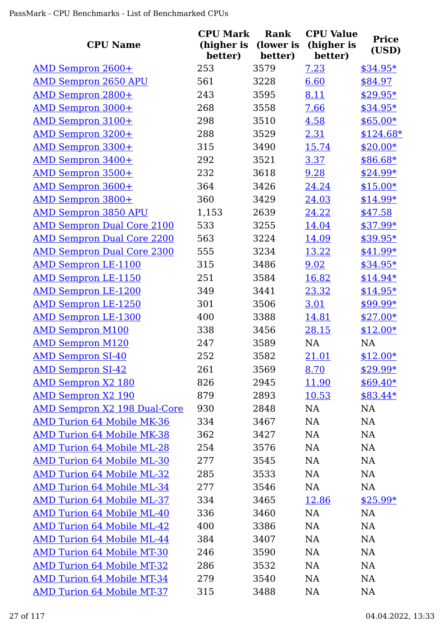| <b>CPU Name</b>                     | <b>CPU Mark</b><br>(higher is<br>better) | Rank<br>(lower is<br>better) | <b>CPU Value</b><br>(higher is<br>better) | <b>Price</b><br>(USD) |
|-------------------------------------|------------------------------------------|------------------------------|-------------------------------------------|-----------------------|
| <u>AMD Sempron 2600+</u>            | 253                                      | 3579                         | 7.23                                      | $$34.95*$             |
| <b>AMD Sempron 2650 APU</b>         | 561                                      | 3228                         | 6.60                                      | \$84.97               |
| <b>AMD Sempron 2800+</b>            | 243                                      | 3595                         | 8.11                                      | \$29.95*              |
| AMD Sempron 3000+                   | 268                                      | 3558                         | 7.66                                      | $$34.95*$             |
| AMD Sempron 3100+                   | 298                                      | 3510                         | 4.58                                      | $$65.00*$             |
| <b>AMD Sempron 3200+</b>            | 288                                      | 3529                         | 2.31                                      | $$124.68*$            |
| AMD Sempron 3300+                   | 315                                      | 3490                         | 15.74                                     | $$20.00*$             |
| AMD Sempron 3400+                   | 292                                      | 3521                         | 3.37                                      | \$86.68*              |
| <u>AMD Sempron 3500+</u>            | 232                                      | 3618                         | 9.28                                      | $$24.99*$             |
| AMD Sempron 3600+                   | 364                                      | 3426                         | 24.24                                     | $$15.00*$             |
| <b>AMD Sempron 3800+</b>            | 360                                      | 3429                         | 24.03                                     | $$14.99*$             |
| <b>AMD Sempron 3850 APU</b>         | 1,153                                    | 2639                         | 24.22                                     | \$47.58               |
| <b>AMD Sempron Dual Core 2100</b>   | 533                                      | 3255                         | 14.04                                     | \$37.99*              |
| <b>AMD Sempron Dual Core 2200</b>   | 563                                      | 3224                         | 14.09                                     | \$39.95*              |
| <b>AMD Sempron Dual Core 2300</b>   | 555                                      | 3234                         | 13.22                                     | $$41.99*$             |
| <b>AMD Sempron LE-1100</b>          | 315                                      | 3486                         | 9.02                                      | \$34.95*              |
| <b>AMD Sempron LE-1150</b>          | 251                                      | 3584                         | 16.82                                     | $$14.94*$             |
| <b>AMD Sempron LE-1200</b>          | 349                                      | 3441                         | 23.32                                     | $$14.95*$             |
| <b>AMD Sempron LE-1250</b>          | 301                                      | 3506                         | 3.01                                      | \$99.99*              |
| <b>AMD Sempron LE-1300</b>          | 400                                      | 3388                         | 14.81                                     | $$27.00*$             |
| <b>AMD Sempron M100</b>             | 338                                      | 3456                         | 28.15                                     | $$12.00*$             |
| <b>AMD Sempron M120</b>             | 247                                      | 3589                         | NA                                        | NA                    |
| <b>AMD Sempron SI-40</b>            | 252                                      | 3582                         | 21.01                                     | $$12.00*$             |
| <b>AMD Sempron SI-42</b>            | 261                                      | 3569                         | 8.70                                      | $$29.99*$             |
| <b>AMD Sempron X2 180</b>           | 826                                      | 2945                         | 11.90                                     | $$69.40*$             |
| <b>AMD Sempron X2 190</b>           | 879                                      | 2893                         | 10.53                                     | $$83.44*$             |
| <b>AMD Sempron X2 198 Dual-Core</b> | 930                                      | 2848                         | NA                                        | NA                    |
| <b>AMD Turion 64 Mobile MK-36</b>   | 334                                      | 3467                         | NA                                        | <b>NA</b>             |
| <b>AMD Turion 64 Mobile MK-38</b>   | 362                                      | 3427                         | <b>NA</b>                                 | <b>NA</b>             |
| <b>AMD Turion 64 Mobile ML-28</b>   | 254                                      | 3576                         | NA                                        | <b>NA</b>             |
| <b>AMD Turion 64 Mobile ML-30</b>   | 277                                      | 3545                         | NA                                        | <b>NA</b>             |
| <b>AMD Turion 64 Mobile ML-32</b>   | 285                                      | 3533                         | NA                                        | <b>NA</b>             |
| <b>AMD Turion 64 Mobile ML-34</b>   | 277                                      | 3546                         | <b>NA</b>                                 | <b>NA</b>             |
| <b>AMD Turion 64 Mobile ML-37</b>   | 334                                      | 3465                         | 12.86                                     | $$25.99*$             |
| <b>AMD Turion 64 Mobile ML-40</b>   | 336                                      | 3460                         | <b>NA</b>                                 | <b>NA</b>             |
| <b>AMD Turion 64 Mobile ML-42</b>   | 400                                      | 3386                         | <b>NA</b>                                 | <b>NA</b>             |
| <b>AMD Turion 64 Mobile ML-44</b>   | 384                                      | 3407                         | NA                                        | NA                    |
| <b>AMD Turion 64 Mobile MT-30</b>   | 246                                      | 3590                         | NA                                        | NA                    |
| <b>AMD Turion 64 Mobile MT-32</b>   | 286                                      | 3532                         | NA                                        | <b>NA</b>             |
| <b>AMD Turion 64 Mobile MT-34</b>   | 279                                      | 3540                         | NA                                        | <b>NA</b>             |
| <b>AMD Turion 64 Mobile MT-37</b>   | 315                                      | 3488                         | <b>NA</b>                                 | NA                    |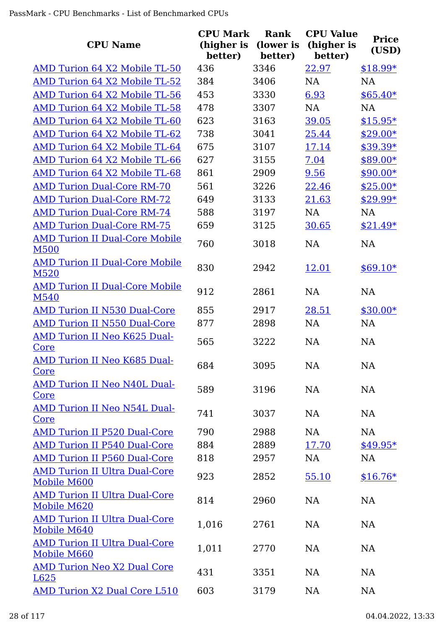| <b>CPU Name</b>                                     | <b>CPU Mark</b><br>(higher is<br>better) | <b>Rank</b><br>(lower is<br>better) | <b>CPU Value</b><br>(higher is<br>better) | <b>Price</b><br>(USD) |
|-----------------------------------------------------|------------------------------------------|-------------------------------------|-------------------------------------------|-----------------------|
| AMD Turion 64 X2 Mobile TL-50                       | 436                                      | 3346                                | 22.97                                     | $$18.99*$             |
| AMD Turion 64 X2 Mobile TL-52                       | 384                                      | 3406                                | <b>NA</b>                                 | <b>NA</b>             |
| AMD Turion 64 X2 Mobile TL-56                       | 453                                      | 3330                                | 6.93                                      | $$65.40*$             |
| AMD Turion 64 X2 Mobile TL-58                       | 478                                      | 3307                                | <b>NA</b>                                 | <b>NA</b>             |
| AMD Turion 64 X2 Mobile TL-60                       | 623                                      | 3163                                | 39.05                                     | $$15.95*$             |
| AMD Turion 64 X2 Mobile TL-62                       | 738                                      | 3041                                | 25.44                                     | $$29.00*$             |
| AMD Turion 64 X2 Mobile TL-64                       | 675                                      | 3107                                | 17.14                                     | $$39.39*$             |
| AMD Turion 64 X2 Mobile TL-66                       | 627                                      | 3155                                | 7.04                                      | \$89.00*              |
| AMD Turion 64 X2 Mobile TL-68                       | 861                                      | 2909                                | 9.56                                      | \$90.00*              |
| <b>AMD Turion Dual-Core RM-70</b>                   | 561                                      | 3226                                | 22.46                                     | $$25.00*$             |
| <b>AMD Turion Dual-Core RM-72</b>                   | 649                                      | 3133                                | 21.63                                     | \$29.99*              |
| <b>AMD Turion Dual-Core RM-74</b>                   | 588                                      | 3197                                | <b>NA</b>                                 | <b>NA</b>             |
| <b>AMD Turion Dual-Core RM-75</b>                   | 659                                      | 3125                                | 30.65                                     | $$21.49*$             |
| <b>AMD Turion II Dual-Core Mobile</b><br>M500       | 760                                      | 3018                                | <b>NA</b>                                 | <b>NA</b>             |
| <b>AMD Turion II Dual-Core Mobile</b><br>M520       | 830                                      | 2942                                | 12.01                                     | $$69.10*$             |
| <b>AMD Turion II Dual-Core Mobile</b><br>M540       | 912                                      | 2861                                | <b>NA</b>                                 | NA                    |
| <b>AMD Turion II N530 Dual-Core</b>                 | 855                                      | 2917                                | 28.51                                     | $$30.00*$             |
| <b>AMD Turion II N550 Dual-Core</b>                 | 877                                      | 2898                                | <b>NA</b>                                 | <b>NA</b>             |
| <b>AMD Turion II Neo K625 Dual-</b><br>Core         | 565                                      | 3222                                | <b>NA</b>                                 | <b>NA</b>             |
| <b>AMD Turion II Neo K685 Dual-</b><br><u>Core</u>  | 684                                      | 3095                                | <b>NA</b>                                 | <b>NA</b>             |
| <b>AMD Turion II Neo N40L Dual-</b><br>Core         | 589                                      | 3196                                | <b>NA</b>                                 | <b>NA</b>             |
| <b>AMD Turion II Neo N54L Dual-</b><br>Core         | 741                                      | 3037                                | <b>NA</b>                                 | <b>NA</b>             |
| <b>AMD Turion II P520 Dual-Core</b>                 | 790                                      | 2988                                | <b>NA</b>                                 | <b>NA</b>             |
| <b>AMD Turion II P540 Dual-Core</b>                 | 884                                      | 2889                                | 17.70                                     | $$49.95*$             |
| <b>AMD Turion II P560 Dual-Core</b>                 | 818                                      | 2957                                | <b>NA</b>                                 | <b>NA</b>             |
| <b>AMD Turion II Ultra Dual-Core</b><br>Mobile M600 | 923                                      | 2852                                | 55.10                                     | $$16.76*$             |
| <b>AMD Turion II Ultra Dual-Core</b><br>Mobile M620 | 814                                      | 2960                                | <b>NA</b>                                 | <b>NA</b>             |
| <b>AMD Turion II Ultra Dual-Core</b><br>Mobile M640 | 1,016                                    | 2761                                | <b>NA</b>                                 | NA                    |
| <b>AMD Turion II Ultra Dual-Core</b><br>Mobile M660 | 1,011                                    | 2770                                | <b>NA</b>                                 | <b>NA</b>             |
| <b>AMD Turion Neo X2 Dual Core</b><br>L625          | 431                                      | 3351                                | <b>NA</b>                                 | <b>NA</b>             |
| <b>AMD Turion X2 Dual Core L510</b>                 | 603                                      | 3179                                | <b>NA</b>                                 | <b>NA</b>             |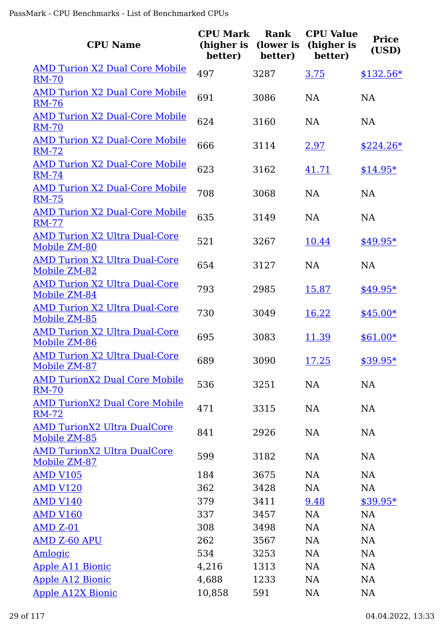| <b>CPU Name</b>                                       | <b>CPU Mark</b><br>(higher is<br>better) | Rank<br>(lower is<br>better) | <b>CPU Value</b><br>(higher is<br>better) | <b>Price</b><br>(USD) |
|-------------------------------------------------------|------------------------------------------|------------------------------|-------------------------------------------|-----------------------|
| <b>AMD Turion X2 Dual Core Mobile</b><br><b>RM-70</b> | 497                                      | 3287                         | 3.75                                      | $$132.56*$            |
| <b>AMD Turion X2 Dual Core Mobile</b><br><b>RM-76</b> | 691                                      | 3086                         | <b>NA</b>                                 | <b>NA</b>             |
| <b>AMD Turion X2 Dual-Core Mobile</b><br><b>RM-70</b> | 624                                      | 3160                         | <b>NA</b>                                 | <b>NA</b>             |
| <b>AMD Turion X2 Dual-Core Mobile</b><br><b>RM-72</b> | 666                                      | 3114                         | 2.97                                      | $$224.26*$            |
| <b>AMD Turion X2 Dual-Core Mobile</b><br><b>RM-74</b> | 623                                      | 3162                         | 41.71                                     | $$14.95*$             |
| <b>AMD Turion X2 Dual-Core Mobile</b><br><b>RM-75</b> | 708                                      | 3068                         | NA                                        | <b>NA</b>             |
| <b>AMD Turion X2 Dual-Core Mobile</b><br><b>RM-77</b> | 635                                      | 3149                         | <b>NA</b>                                 | <b>NA</b>             |
| <b>AMD Turion X2 Ultra Dual-Core</b><br>Mobile ZM-80  | 521                                      | 3267                         | 10.44                                     | $$49.95*$             |
| <b>AMD Turion X2 Ultra Dual-Core</b><br>Mobile ZM-82  | 654                                      | 3127                         | NA                                        | NA                    |
| <b>AMD Turion X2 Ultra Dual-Core</b><br>Mobile ZM-84  | 793                                      | 2985                         | 15.87                                     | $$49.95*$             |
| <b>AMD Turion X2 Ultra Dual-Core</b><br>Mobile ZM-85  | 730                                      | 3049                         | 16.22                                     | $$45.00*$             |
| <b>AMD Turion X2 Ultra Dual-Core</b><br>Mobile ZM-86  | 695                                      | 3083                         | 11.39                                     | $$61.00*$             |
| <b>AMD Turion X2 Ultra Dual-Core</b><br>Mobile ZM-87  | 689                                      | 3090                         | 17.25                                     | $$39.95*$             |
| <b>AMD TurionX2 Dual Core Mobile</b><br><b>RM-70</b>  | 536                                      | 3251                         | NA                                        | NA                    |
| <b>AMD TurionX2 Dual Core Mobile</b><br><b>RM-72</b>  | 471                                      | 3315                         | <b>NA</b>                                 | NA                    |
| <b>AMD TurionX2 Ultra DualCore</b><br>Mobile ZM-85    | 841                                      | 2926                         | NA                                        | NA                    |
| <b>AMD TurionX2 Ultra DualCore</b><br>Mobile ZM-87    | 599                                      | 3182                         | NA                                        | NA                    |
| <b>AMD V105</b>                                       | 184                                      | 3675                         | NA                                        | NA                    |
| <b>AMD V120</b>                                       | 362                                      | 3428                         | NA                                        | <b>NA</b>             |
| <b>AMD V140</b>                                       | 379                                      | 3411                         | 9.48                                      | $$39.95*$             |
| <b>AMD V160</b>                                       | 337                                      | 3457                         | <b>NA</b>                                 | NA                    |
| <b>AMD Z-01</b>                                       | 308                                      | 3498                         | <b>NA</b>                                 | NA                    |
| <b>AMD Z-60 APU</b>                                   | 262                                      | 3567                         | NA                                        | NA                    |
| <b>Amlogic</b>                                        | 534                                      | 3253                         | <b>NA</b>                                 | NA                    |
| <b>Apple A11 Bionic</b>                               | 4,216                                    | 1313                         | NA                                        | NA                    |
| <b>Apple A12 Bionic</b>                               | 4,688                                    | 1233                         | NA                                        | NA                    |
| <b>Apple A12X Bionic</b>                              | 10,858                                   | 591                          | NA                                        | NA                    |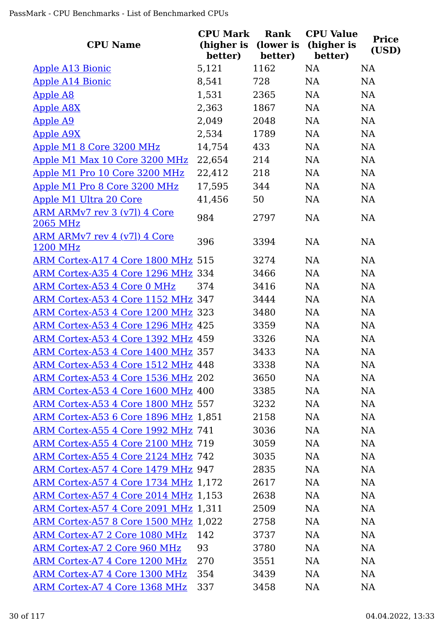| <b>CPU Name</b>                                 | <b>CPU Mark</b><br>(higher is<br>better) | Rank<br>(lower is<br>better) | <b>CPU Value</b><br>(higher is<br>better) | <b>Price</b><br>(USD) |
|-------------------------------------------------|------------------------------------------|------------------------------|-------------------------------------------|-----------------------|
| <b>Apple A13 Bionic</b>                         | 5,121                                    | 1162                         | <b>NA</b>                                 | <b>NA</b>             |
| <b>Apple A14 Bionic</b>                         | 8,541                                    | 728                          | <b>NA</b>                                 | <b>NA</b>             |
| <b>Apple A8</b>                                 | 1,531                                    | 2365                         | <b>NA</b>                                 | <b>NA</b>             |
| <b>Apple A8X</b>                                | 2,363                                    | 1867                         | <b>NA</b>                                 | NA                    |
| <b>Apple A9</b>                                 | 2,049                                    | 2048                         | <b>NA</b>                                 | <b>NA</b>             |
| <b>Apple A9X</b>                                | 2,534                                    | 1789                         | NA                                        | NA                    |
| Apple M1 8 Core 3200 MHz                        | 14,754                                   | 433                          | NA                                        | <b>NA</b>             |
| Apple M1 Max 10 Core 3200 MHz                   | 22,654                                   | 214                          | NA                                        | <b>NA</b>             |
| Apple M1 Pro 10 Core 3200 MHz                   | 22,412                                   | 218                          | <b>NA</b>                                 | <b>NA</b>             |
| Apple M1 Pro 8 Core 3200 MHz                    | 17,595                                   | 344                          | <b>NA</b>                                 | <b>NA</b>             |
| Apple M1 Ultra 20 Core                          | 41,456                                   | 50                           | <b>NA</b>                                 | <b>NA</b>             |
| <u>ARM ARMv7 rev 3 (v7l) 4 Core</u><br>2065 MHz | 984                                      | 2797                         | <b>NA</b>                                 | <b>NA</b>             |
| <u>ARM ARMv7 rev 4 (v7l) 4 Core</u><br>1200 MHz | 396                                      | 3394                         | <b>NA</b>                                 | <b>NA</b>             |
| ARM Cortex-A17 4 Core 1800 MHz 515              |                                          | 3274                         | <b>NA</b>                                 | <b>NA</b>             |
| ARM Cortex-A35 4 Core 1296 MHz 334              |                                          | 3466                         | <b>NA</b>                                 | <b>NA</b>             |
| ARM Cortex-A53 4 Core 0 MHz                     | 374                                      | 3416                         | NA                                        | NA                    |
| ARM Cortex-A53 4 Core 1152 MHz 347              |                                          | 3444                         | NA                                        | <b>NA</b>             |
| ARM Cortex-A53 4 Core 1200 MHz 323              |                                          | 3480                         | NA                                        | NA                    |
| ARM Cortex-A53 4 Core 1296 MHz 425              |                                          | 3359                         | <b>NA</b>                                 | <b>NA</b>             |
| ARM Cortex-A53 4 Core 1392 MHz 459              |                                          | 3326                         | <b>NA</b>                                 | <b>NA</b>             |
| ARM Cortex-A53 4 Core 1400 MHz 357              |                                          | 3433                         | <b>NA</b>                                 | <b>NA</b>             |
| ARM Cortex-A53 4 Core 1512 MHz 448              |                                          | 3338                         | NA                                        | NA                    |
| ARM Cortex-A53 4 Core 1536 MHz 202              |                                          | 3650                         | <b>NA</b>                                 | <b>NA</b>             |
| ARM Cortex-A53 4 Core 1600 MHz 400              |                                          | 3385                         | NA                                        | <b>NA</b>             |
| ARM Cortex-A53 4 Core 1800 MHz 557              |                                          | 3232                         | <b>NA</b>                                 | <b>NA</b>             |
| ARM Cortex-A53 6 Core 1896 MHz 1,851            |                                          | 2158                         | NA                                        | <b>NA</b>             |
| ARM Cortex-A55 4 Core 1992 MHz 741              |                                          | 3036                         | <b>NA</b>                                 | <b>NA</b>             |
| ARM Cortex-A55 4 Core 2100 MHz 719              |                                          | 3059                         | NA.                                       | <b>NA</b>             |
| ARM Cortex-A55 4 Core 2124 MHz 742              |                                          | 3035                         | <b>NA</b>                                 | <b>NA</b>             |
| ARM Cortex-A57 4 Core 1479 MHz 947              |                                          | 2835                         | <b>NA</b>                                 | <b>NA</b>             |
| ARM Cortex-A57 4 Core 1734 MHz 1,172            |                                          | 2617                         | <b>NA</b>                                 | <b>NA</b>             |
| ARM Cortex-A57 4 Core 2014 MHz 1,153            |                                          | 2638                         | <b>NA</b>                                 | <b>NA</b>             |
| <b>ARM Cortex-A57 4 Core 2091 MHz 1,311</b>     |                                          | 2509                         | <b>NA</b>                                 | <b>NA</b>             |
| ARM Cortex-A57 8 Core 1500 MHz 1,022            |                                          | 2758                         | <b>NA</b>                                 | <b>NA</b>             |
| ARM Cortex-A7 2 Core 1080 MHz                   | 142                                      | 3737                         | <b>NA</b>                                 | <b>NA</b>             |
| ARM Cortex-A7 2 Core 960 MHz                    | 93                                       | 3780                         | <b>NA</b>                                 | <b>NA</b>             |
| <b>ARM Cortex-A7 4 Core 1200 MHz</b>            | 270                                      | 3551                         | NA                                        | <b>NA</b>             |
| ARM Cortex-A7 4 Core 1300 MHz                   | 354                                      | 3439                         | <b>NA</b>                                 | <b>NA</b>             |
| ARM Cortex-A7 4 Core 1368 MHz                   | 337                                      | 3458                         | <b>NA</b>                                 | <b>NA</b>             |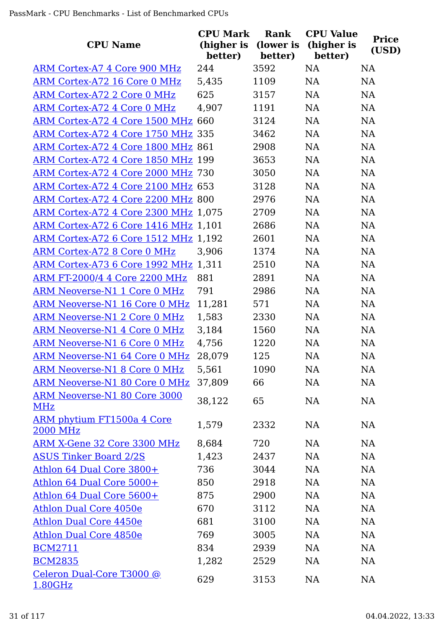| <b>CPU Name</b>                                      | <b>CPU Mark</b><br>(higher is<br>better) | Rank<br>(lower is<br>better) | <b>CPU Value</b><br>(higher is<br>better) | <b>Price</b><br>(USD) |
|------------------------------------------------------|------------------------------------------|------------------------------|-------------------------------------------|-----------------------|
| ARM Cortex-A7 4 Core 900 MHz                         | 244                                      | 3592                         | <b>NA</b>                                 | <b>NA</b>             |
| ARM Cortex-A72 16 Core 0 MHz                         | 5,435                                    | 1109                         | NA                                        | NA                    |
| ARM Cortex-A72 2 Core 0 MHz                          | 625                                      | 3157                         | NA                                        | <b>NA</b>             |
| ARM Cortex-A72 4 Core 0 MHz                          | 4,907                                    | 1191                         | NA                                        | NA                    |
| ARM Cortex-A72 4 Core 1500 MHz 660                   |                                          | 3124                         | NA                                        | <b>NA</b>             |
| ARM Cortex-A72 4 Core 1750 MHz 335                   |                                          | 3462                         | NA                                        | NA                    |
| ARM Cortex-A72 4 Core 1800 MHz 861                   |                                          | 2908                         | NA                                        | <b>NA</b>             |
| ARM Cortex-A72 4 Core 1850 MHz 199                   |                                          | 3653                         | NA                                        | <b>NA</b>             |
| ARM Cortex-A72 4 Core 2000 MHz 730                   |                                          | 3050                         | NA                                        | NA                    |
| ARM Cortex-A72 4 Core 2100 MHz 653                   |                                          | 3128                         | <b>NA</b>                                 | <b>NA</b>             |
| ARM Cortex-A72 4 Core 2200 MHz 800                   |                                          | 2976                         | NA                                        | <b>NA</b>             |
| ARM Cortex-A72 4 Core 2300 MHz 1,075                 |                                          | 2709                         | <b>NA</b>                                 | NA                    |
| ARM Cortex-A72 6 Core 1416 MHz 1,101                 |                                          | 2686                         | NA                                        | <b>NA</b>             |
| ARM Cortex-A72 6 Core 1512 MHz 1,192                 |                                          | 2601                         | NA                                        | <b>NA</b>             |
| ARM Cortex-A72 8 Core 0 MHz                          | 3,906                                    | 1374                         | NA                                        | NA                    |
| ARM Cortex-A73 6 Core 1992 MHz 1,311                 |                                          | 2510                         | NA                                        | NA                    |
| ARM FT-2000/4 4 Core 2200 MHz                        | 881                                      | 2891                         | NA                                        | NA                    |
| ARM Neoverse-N1 1 Core 0 MHz                         | 791                                      | 2986                         | NA                                        | NA                    |
| ARM Neoverse-N1 16 Core 0 MHz                        | 11,281                                   | 571                          | NA                                        | <b>NA</b>             |
| <b>ARM Neoverse-N1 2 Core 0 MHz</b>                  | 1,583                                    | 2330                         | NA                                        | <b>NA</b>             |
| ARM Neoverse-N1 4 Core 0 MHz                         | 3,184                                    | 1560                         | <b>NA</b>                                 | <b>NA</b>             |
| <b>ARM Neoverse-N1 6 Core 0 MHz</b>                  | 4,756                                    | 1220                         | NA                                        | <b>NA</b>             |
| <b>ARM Neoverse-N1 64 Core 0 MHz</b>                 | 28,079                                   | 125                          | NA                                        | NA                    |
| <b>ARM Neoverse-N1 8 Core 0 MHz</b>                  | 5,561                                    | 1090                         | <b>NA</b>                                 | <b>NA</b>             |
| ARM Neoverse-N1 80 Core 0 MHz                        | 37,809                                   | 66                           | NA                                        | NA                    |
| <b>ARM Neoverse-N1 80 Core 3000</b><br>MHz           | 38,122                                   | 65                           | NA                                        | NA                    |
| <b>ARM phytium FT1500a 4 Core</b><br><b>2000 MHz</b> | 1,579                                    | 2332                         | <b>NA</b>                                 | <b>NA</b>             |
| ARM X-Gene 32 Core 3300 MHz                          | 8,684                                    | 720                          | NA                                        | NA                    |
| <b>ASUS Tinker Board 2/2S</b>                        | 1,423                                    | 2437                         | NA                                        | <b>NA</b>             |
| Athlon 64 Dual Core 3800+                            | 736                                      | 3044                         | NA                                        | <b>NA</b>             |
| Athlon 64 Dual Core 5000+                            | 850                                      | 2918                         | NA                                        | <b>NA</b>             |
| Athlon 64 Dual Core 5600+                            | 875                                      | 2900                         | NA                                        | NA                    |
| <b>Athlon Dual Core 4050e</b>                        | 670                                      | 3112                         | NA                                        | NA                    |
| Athlon Dual Core 4450e                               | 681                                      | 3100                         | NA                                        | NA                    |
| <b>Athlon Dual Core 4850e</b>                        | 769                                      | 3005                         | NA                                        | <b>NA</b>             |
| <b>BCM2711</b>                                       | 834                                      | 2939                         | NA                                        | <b>NA</b>             |
| <b>BCM2835</b>                                       | 1,282                                    | 2529                         | NA                                        | <b>NA</b>             |
| Celeron Dual-Core T3000 @<br>1.80GHz                 | 629                                      | 3153                         | NA                                        | <b>NA</b>             |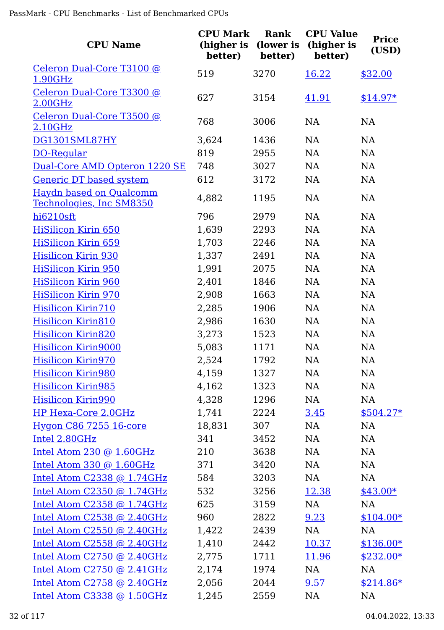| <b>CPU Name</b>                                            | <b>CPU Mark</b><br>(higher is<br>better) | Rank<br>(lower is<br>better) | <b>CPU Value</b><br>(higher is<br>better) | <b>Price</b><br>(USD) |
|------------------------------------------------------------|------------------------------------------|------------------------------|-------------------------------------------|-----------------------|
| Celeron Dual-Core T3100 @<br>1.90GHz                       | 519                                      | 3270                         | <u>16.22</u>                              | \$32.00               |
| Celeron Dual-Core T3300 @<br>2.00GHz                       | 627                                      | 3154                         | 41.91                                     | $$14.97*$             |
| Celeron Dual-Core T3500 @<br>2.10GHz                       | 768                                      | 3006                         | <b>NA</b>                                 | NA                    |
| DG1301SML87HY                                              | 3,624                                    | 1436                         | NA                                        | NA                    |
| DO-Regular                                                 | 819                                      | 2955                         | NA                                        | NA                    |
| Dual-Core AMD Opteron 1220 SE                              | 748                                      | 3027                         | NA                                        | NA                    |
| <b>Generic DT based system</b>                             | 612                                      | 3172                         | NA                                        | NA                    |
| Haydn based on Qualcomm<br><u>Technologies, Inc SM8350</u> | 4,882                                    | 1195                         | NA                                        | <b>NA</b>             |
| hi6210sft                                                  | 796                                      | 2979                         | NA                                        | NA                    |
| <b>HiSilicon Kirin 650</b>                                 | 1,639                                    | 2293                         | NA                                        | NA                    |
| <b>HiSilicon Kirin 659</b>                                 | 1,703                                    | 2246                         | NA                                        | NA                    |
| <b>Hisilicon Kirin 930</b>                                 | 1,337                                    | 2491                         | NA                                        | NA                    |
| <b>HiSilicon Kirin 950</b>                                 | 1,991                                    | 2075                         | NA                                        | NA                    |
| <b>HiSilicon Kirin 960</b>                                 | 2,401                                    | 1846                         | NA                                        | NA                    |
| <b>HiSilicon Kirin 970</b>                                 | 2,908                                    | 1663                         | NA                                        | NA                    |
| Hisilicon Kirin710                                         | 2,285                                    | 1906                         | NA                                        | NA                    |
| Hisilicon Kirin810                                         | 2,986                                    | 1630                         | NA                                        | NA                    |
| <b>Hisilicon Kirin820</b>                                  | 3,273                                    | 1523                         | NA                                        | NA                    |
| Hisilicon Kirin9000                                        | 5,083                                    | 1171                         | NA                                        | <b>NA</b>             |
| Hisilicon Kirin970                                         | 2,524                                    | 1792                         | <b>NA</b>                                 | <b>NA</b>             |
| <b>Hisilicon Kirin980</b>                                  | 4,159                                    | 1327                         | NA                                        | <b>NA</b>             |
| <b>Hisilicon Kirin985</b>                                  | 4,162                                    | 1323                         | NA                                        | NA                    |
| <b>Hisilicon Kirin990</b>                                  | 4,328                                    | 1296                         | NA                                        | NA                    |
| HP Hexa-Core 2.0GHz                                        | 1,741                                    | 2224                         | 3.45                                      | $$504.27*$            |
| <b>Hygon C86 7255 16-core</b>                              | 18,831                                   | 307                          | NA                                        | NA                    |
| Intel 2.80GHz                                              | 341                                      | 3452                         | NA                                        | NA                    |
| Intel Atom 230 @ 1.60GHz                                   | 210                                      | 3638                         | NA                                        | NA                    |
| Intel Atom 330 @ 1.60GHz                                   | 371                                      | 3420                         | NA                                        | NA                    |
| Intel Atom C2338 @ 1.74GHz                                 | 584                                      | 3203                         | NA                                        | NA                    |
| Intel Atom $C2350$ @ 1.74GHz                               | 532                                      | 3256                         | 12.38                                     | $$43.00*$             |
| Intel Atom C2358 @ 1.74GHz                                 | 625                                      | 3159                         | NA                                        | NA                    |
| Intel Atom C2538 @ 2.40GHz                                 | 960                                      | 2822                         | 9.23                                      | $$104.00*$            |
| Intel Atom C2550 @ 2.40GHz                                 | 1,422                                    | 2439                         | NA                                        | NA                    |
| Intel Atom C2558 @ 2.40GHz                                 | 1,410                                    | 2442                         | 10.37                                     | $$136.00*$            |
| Intel Atom C2750 @ 2.40GHz                                 | 2,775                                    | 1711                         | 11.96                                     | $$232.00*$            |
| Intel Atom C2750 @ 2.41GHz                                 | 2,174                                    | 1974                         | NA                                        | NA                    |
| Intel Atom C2758 @ 2.40GHz                                 | 2,056                                    | 2044                         | 9.57                                      | $$214.86*$            |
| Intel Atom C3338 @ 1.50GHz                                 | 1,245                                    | 2559                         | NA                                        | NA                    |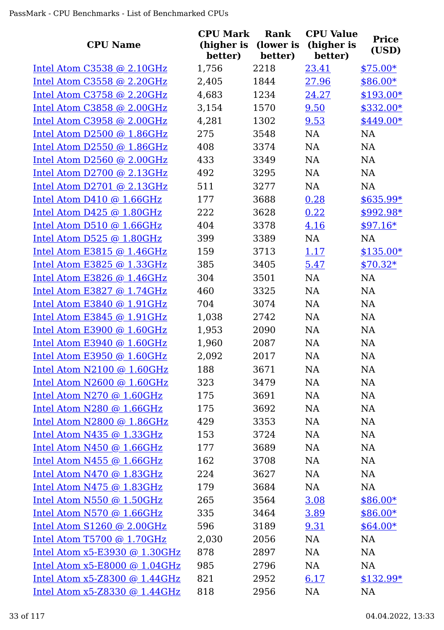| <b>CPU Name</b>                 | <b>CPU Mark</b><br>(higher is | Rank<br>(lower is | <b>CPU Value</b><br>(higher is | <b>Price</b> |
|---------------------------------|-------------------------------|-------------------|--------------------------------|--------------|
|                                 | better)                       | better)           | better)                        | (USD)        |
| Intel Atom C3538 @ 2.10GHz      | 1,756                         | 2218              | 23.41                          | $$75.00*$    |
| Intel Atom C3558 @ 2.20GHz      | 2,405                         | 1844              | 27.96                          | $$86.00*$    |
| Intel Atom C3758 @ 2.20GHz      | 4,683                         | 1234              | 24.27                          | $$193.00*$   |
| Intel Atom C3858 @ 2.00GHz      | 3,154                         | 1570              | 9.50                           | \$332.00*    |
| Intel Atom C3958 @ 2.00GHz      | 4,281                         | 1302              | 9.53                           | $$449.00*$   |
| Intel Atom D2500 @ 1.86GHz      | 275                           | 3548              | NA                             | <b>NA</b>    |
| Intel Atom D2550 @ 1.86GHz      | 408                           | 3374              | NA                             | <b>NA</b>    |
| Intel Atom $D2560$ @ 2.00GHz    | 433                           | 3349              | NA                             | <b>NA</b>    |
| Intel Atom $D2700$ @ 2.13GHz    | 492                           | 3295              | NA                             | NA           |
| Intel Atom D2701 @ 2.13GHz      | 511                           | 3277              | <b>NA</b>                      | <b>NA</b>    |
| Intel Atom D410 @ 1.66GHz       | 177                           | 3688              | 0.28                           | $$635.99*$   |
| Intel Atom D425 @ 1.80GHz       | 222                           | 3628              | 0.22                           | $$992.98*$   |
| Intel Atom D510 @ 1.66GHz       | 404                           | 3378              | 4.16                           | $$97.16*$    |
| Intel Atom D525 @ 1.80GHz       | 399                           | 3389              | NA                             | <b>NA</b>    |
| Intel Atom E3815 $@$ 1.46GHz    | 159                           | 3713              | 1.17                           | $$135.00*$   |
| Intel Atom E3825 @ 1.33GHz      | 385                           | 3405              | 5.47                           | $$70.32*$    |
| Intel Atom E3826 @ 1.46GHz      | 304                           | 3501              | NA                             | NA           |
| Intel Atom E3827 @ 1.74GHz      | 460                           | 3325              | <b>NA</b>                      | <b>NA</b>    |
| Intel Atom E3840 @ 1.91GHz      | 704                           | 3074              | NA                             | <b>NA</b>    |
| Intel Atom E3845 @ 1.91GHz      | 1,038                         | 2742              | NA                             | <b>NA</b>    |
| Intel Atom E3900 @ 1.60GHz      | 1,953                         | 2090              | NA                             | <b>NA</b>    |
| Intel Atom E3940 @ 1.60GHz      | 1,960                         | 2087              | NA                             | <b>NA</b>    |
| Intel Atom E3950 @ 1.60GHz      | 2,092                         | 2017              | <b>NA</b>                      | <b>NA</b>    |
| Intel Atom N2100 @ 1.60GHz      | 188                           | 3671              | NA                             | NA           |
| Intel Atom $N2600$ @ 1.60GHz    | 323                           | 3479              | NA                             | NA           |
| Intel Atom N270 @ 1.60GHz       | 175                           | 3691              | NA                             | NA           |
| Intel Atom N280 @ 1.66GHz       | 175                           | 3692              | NA                             | NA           |
| Intel Atom N2800 @ 1.86GHz      | 429                           | 3353              | NA                             | NA           |
| Intel Atom N435 @ 1.33GHz       | 153                           | 3724              | NA                             | NA           |
| Intel Atom N450 @ 1.66GHz       | 177                           | 3689              | NA                             | NA           |
| Intel Atom N455 @ 1.66GHz       | 162                           | 3708              | NA                             | NA           |
| Intel Atom N470 @ 1.83GHz       | 224                           | 3627              | NA                             | NA           |
| Intel Atom N475 @ 1.83GHz       | 179                           | 3684              | NA                             | NA           |
| Intel Atom N550 @ 1.50GHz       | 265                           | 3564              | 3.08                           | $$86.00*$    |
| Intel Atom N570 @ 1.66GHz       | 335                           | 3464              | 3.89                           | $$86.00*$    |
| Intel Atom $S1260$ @ 2.00GHz    | 596                           | 3189              | 9.31                           | $$64.00*$    |
| Intel Atom T5700 @ 1.70GHz      | 2,030                         | 2056              | NA                             | NA           |
| Intel Atom $x5-E3930$ @ 1.30GHz | 878                           | 2897              | NA                             | NA           |
| Intel Atom $x5-E8000$ @ 1.04GHz | 985                           | 2796              | NA                             | NA           |
| Intel Atom $x5-Z8300$ @ 1.44GHz | 821                           | 2952              | 6.17                           | $$132.99*$   |
| Intel Atom $x5-Z8330$ @ 1.44GHz | 818                           | 2956              | <b>NA</b>                      | <b>NA</b>    |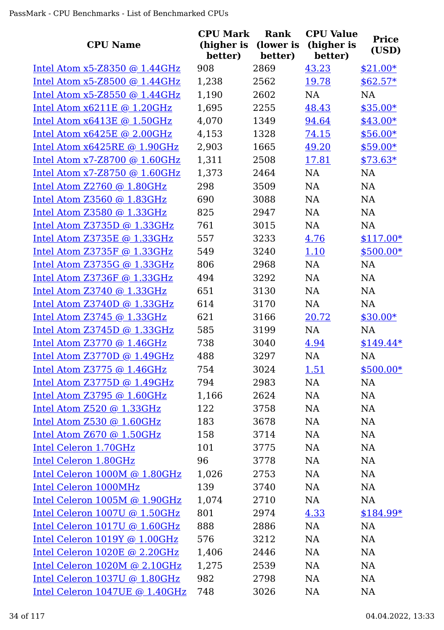| <b>CPU Name</b>                   | <b>CPU Mark</b><br>(higher is<br>better) | Rank<br>(lower is<br>better) | <b>CPU Value</b><br>(higher is<br>better) | <b>Price</b><br>(USD) |
|-----------------------------------|------------------------------------------|------------------------------|-------------------------------------------|-----------------------|
| Intel Atom $x5-Z8350$ @ 1.44GHz   | 908                                      | 2869                         | 43.23                                     | $$21.00*$             |
| Intel Atom $x5-Z8500$ @ 1.44GHz   | 1,238                                    | 2562                         | 19.78                                     | $$62.57*$             |
| Intel Atom x5-Z8550 @ 1.44GHz     | 1,190                                    | 2602                         | <b>NA</b>                                 | <b>NA</b>             |
| Intel Atom $x6211E$ @ 1.20GHz     | 1,695                                    | 2255                         | 48.43                                     | $$35.00*$             |
| Intel Atom $x6413E$ @ 1.50GHz     | 4,070                                    | 1349                         | 94.64                                     | $$43.00*$             |
| Intel Atom $x6425E \odot 2.00GHz$ | 4,153                                    | 1328                         | 74.15                                     | $$56.00*$             |
| Intel Atom $x6425RE$ @ 1.90GHz    | 2,903                                    | 1665                         | 49.20                                     | $$59.00*$             |
| Intel Atom $x7-28700$ @ 1.60GHz   | 1,311                                    | 2508                         | 17.81                                     | $$73.63*$             |
| Intel Atom $x7 - Z8750$ @ 1.60GHz | 1,373                                    | 2464                         | <b>NA</b>                                 | <b>NA</b>             |
| Intel Atom $Z2760$ @ 1.80GHz      | 298                                      | 3509                         | NA                                        | <b>NA</b>             |
| Intel Atom Z3560 @ 1.83GHz        | 690                                      | 3088                         | <b>NA</b>                                 | NA                    |
| Intel Atom Z3580 @ 1.33GHz        | 825                                      | 2947                         | NA                                        | <b>NA</b>             |
| Intel Atom Z3735D @ 1.33GHz       | 761                                      | 3015                         | NA                                        | <b>NA</b>             |
| Intel Atom Z3735E @ 1.33GHz       | 557                                      | 3233                         | 4.76                                      | $$117.00*$            |
| Intel Atom Z3735F @ 1.33GHz       | 549                                      | 3240                         | 1.10                                      | $$500.00*$            |
| Intel Atom Z3735G @ 1.33GHz       | 806                                      | 2968                         | <b>NA</b>                                 | <b>NA</b>             |
| Intel Atom Z3736F @ 1.33GHz       | 494                                      | 3292                         | <b>NA</b>                                 | NA                    |
| Intel Atom $Z3740$ @ 1.33GHz      | 651                                      | 3130                         | <b>NA</b>                                 | NA                    |
| Intel Atom $Z3740D$ @ 1.33GHz     | 614                                      | 3170                         | NA                                        | <b>NA</b>             |
| Intel Atom Z3745 @ 1.33GHz        | 621                                      | 3166                         | 20.72                                     | $$30.00*$             |
| Intel Atom Z3745D @ 1.33GHz       | 585                                      | 3199                         | NA                                        | NA                    |
| Intel Atom $Z3770$ @ 1.46GHz      | 738                                      | 3040                         | 4.94                                      | $$149.44*$            |
| Intel Atom Z3770D @ 1.49GHz       | 488                                      | 3297                         | NA                                        | NA                    |
| Intel Atom $Z3775$ @ 1.46GHz      | 754                                      | 3024                         | <u>1.51</u>                               | $$500.00*$            |
| Intel Atom Z3775D @ 1.49GHz       | 794                                      | 2983                         | NA                                        | NA                    |
| Intel Atom Z3795 $@1.60GHz$       | 1,166                                    | 2624                         | NA                                        | NA                    |
| Intel Atom Z520 @ 1.33GHz         | 122                                      | 3758                         | NA                                        | NA                    |
| Intel Atom Z530 @ 1.60GHz         | 183                                      | 3678                         | NA                                        | NA                    |
| Intel Atom $Z670$ @ 1.50GHz       | 158                                      | 3714                         | NA                                        | NA                    |
| Intel Celeron 1.70GHz             | 101                                      | 3775                         | NA                                        | NA                    |
| Intel Celeron 1.80GHz             | 96                                       | 3778                         | NA                                        | <b>NA</b>             |
| Intel Celeron 1000M @ 1.80GHz     | 1,026                                    | 2753                         | NA                                        | NA                    |
| Intel Celeron 1000MHz             | 139                                      | 3740                         | NA                                        | NA                    |
| Intel Celeron 1005M @ 1.90GHz     | 1,074                                    | 2710                         | NA                                        | NA                    |
| Intel Celeron 1007U @ 1.50GHz     | 801                                      | 2974                         | 4.33                                      | $$184.99*$            |
| Intel Celeron 1017U @ 1.60GHz     | 888                                      | 2886                         | NA                                        | NA                    |
| Intel Celeron 1019Y @ 1.00GHz     | 576                                      | 3212                         | NA                                        | NA                    |
| Intel Celeron 1020E @ 2.20GHz     | 1,406                                    | 2446                         | NA                                        | NA                    |
| Intel Celeron 1020M @ 2.10GHz     | 1,275                                    | 2539                         | NA                                        | NA                    |
| Intel Celeron 1037U @ 1.80GHz     | 982                                      | 2798                         | NA                                        | <b>NA</b>             |
| Intel Celeron 1047UE @ 1.40GHz    | 748                                      | 3026                         | NA                                        | <b>NA</b>             |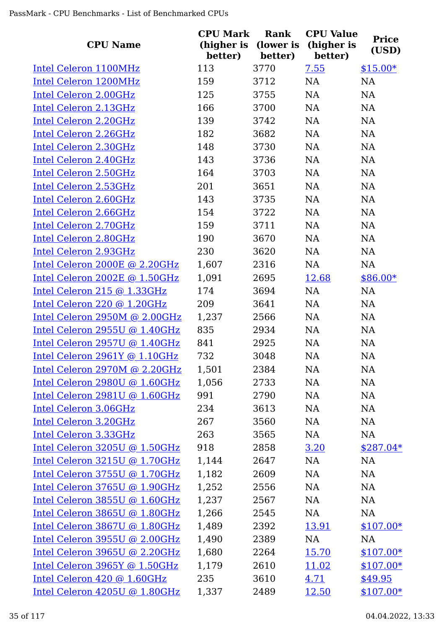| <b>CPU Name</b>               | <b>CPU Mark</b><br>(higher is<br>better) | Rank<br>(lower is<br>better) | <b>CPU Value</b><br>(higher is<br>better) | <b>Price</b><br>(USD) |
|-------------------------------|------------------------------------------|------------------------------|-------------------------------------------|-----------------------|
| Intel Celeron 1100MHz         | 113                                      | 3770                         | 7.55                                      | $$15.00*$             |
| Intel Celeron 1200MHz         | 159                                      | 3712                         | NA                                        | <b>NA</b>             |
| Intel Celeron 2.00GHz         | 125                                      | 3755                         | NA                                        | <b>NA</b>             |
| Intel Celeron 2.13GHz         | 166                                      | 3700                         | NA                                        | <b>NA</b>             |
| Intel Celeron 2.20GHz         | 139                                      | 3742                         | NA                                        | <b>NA</b>             |
| Intel Celeron 2.26GHz         | 182                                      | 3682                         | NA                                        | <b>NA</b>             |
| Intel Celeron 2.30GHz         | 148                                      | 3730                         | NA                                        | <b>NA</b>             |
| Intel Celeron 2.40GHz         | 143                                      | 3736                         | NA                                        | <b>NA</b>             |
| Intel Celeron 2.50GHz         | 164                                      | 3703                         | NA                                        | <b>NA</b>             |
| Intel Celeron 2.53GHz         | 201                                      | 3651                         | NA                                        | <b>NA</b>             |
| Intel Celeron 2.60GHz         | 143                                      | 3735                         | NA                                        | NA                    |
| Intel Celeron 2.66GHz         | 154                                      | 3722                         | NA                                        | <b>NA</b>             |
| Intel Celeron 2.70GHz         | 159                                      | 3711                         | NA                                        | <b>NA</b>             |
| Intel Celeron 2.80GHz         | 190                                      | 3670                         | NA                                        | NA                    |
| Intel Celeron 2.93GHz         | 230                                      | 3620                         | NA                                        | <b>NA</b>             |
| Intel Celeron 2000E @ 2.20GHz | 1,607                                    | 2316                         | NA                                        | <b>NA</b>             |
| Intel Celeron 2002E @ 1.50GHz | 1,091                                    | 2695                         | 12.68                                     | $$86.00*$             |
| Intel Celeron 215 @ 1.33GHz   | 174                                      | 3694                         | NA                                        | <b>NA</b>             |
| Intel Celeron 220 @ 1.20GHz   | 209                                      | 3641                         | NA                                        | <b>NA</b>             |
| Intel Celeron 2950M @ 2.00GHz | 1,237                                    | 2566                         | NA                                        | <b>NA</b>             |
| Intel Celeron 2955U @ 1.40GHz | 835                                      | 2934                         | NA                                        | <b>NA</b>             |
| Intel Celeron 2957U @ 1.40GHz | 841                                      | 2925                         | NA                                        | <b>NA</b>             |
| Intel Celeron 2961Y @ 1.10GHz | 732                                      | 3048                         | NA                                        | NA                    |
| Intel Celeron 2970M @ 2.20GHz | 1,501                                    | 2384                         | NA                                        | <b>NA</b>             |
| Intel Celeron 2980U @ 1.60GHz | 1,056                                    | 2733                         | NA                                        | <b>NA</b>             |
| Intel Celeron 2981U @ 1.60GHz | 991                                      | 2790                         | NA                                        | <b>NA</b>             |
| Intel Celeron 3.06GHz         | 234                                      | 3613                         | NA                                        | <b>NA</b>             |
| Intel Celeron 3.20GHz         | 267                                      | 3560                         | NA                                        | <b>NA</b>             |
| Intel Celeron 3.33GHz         | 263                                      | 3565                         | NA                                        | <b>NA</b>             |
| Intel Celeron 3205U @ 1.50GHz | 918                                      | 2858                         | 3.20                                      | $$287.04*$            |
| Intel Celeron 3215U @ 1.70GHz | 1,144                                    | 2647                         | NA                                        | <b>NA</b>             |
| Intel Celeron 3755U @ 1.70GHz | 1,182                                    | 2609                         | NA                                        | <b>NA</b>             |
| Intel Celeron 3765U @ 1.90GHz | 1,252                                    | 2556                         | NA                                        | NA                    |
| Intel Celeron 3855U @ 1.60GHz | 1,237                                    | 2567                         | NA                                        | <b>NA</b>             |
| Intel Celeron 3865U @ 1.80GHz | 1,266                                    | 2545                         | NA                                        | <b>NA</b>             |
| Intel Celeron 3867U @ 1.80GHz | 1,489                                    | 2392                         | 13.91                                     | $$107.00*$            |
| Intel Celeron 3955U @ 2.00GHz | 1,490                                    | 2389                         | NA                                        | NA                    |
| Intel Celeron 3965U @ 2.20GHz | 1,680                                    | 2264                         | 15.70                                     | $$107.00*$            |
| Intel Celeron 3965Y @ 1.50GHz | 1,179                                    | 2610                         | 11.02                                     | $$107.00*$            |
| Intel Celeron 420 @ 1.60GHz   | 235                                      | 3610                         | 4.71                                      | \$49.95               |
| Intel Celeron 4205U @ 1.80GHz | 1,337                                    | 2489                         | <u>12.50</u>                              | $$107.00*$            |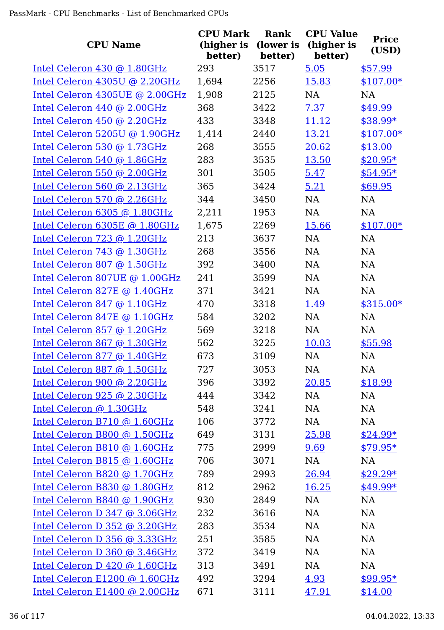|                                | <b>CPU Mark</b>       | Rank                 | <b>CPU Value</b>      |                       |
|--------------------------------|-----------------------|----------------------|-----------------------|-----------------------|
| <b>CPU Name</b>                | (higher is<br>better) | (lower is<br>better) | (higher is<br>better) | <b>Price</b><br>(USD) |
| Intel Celeron 430 @ 1.80GHz    | 293                   | 3517                 | 5.05                  | \$57.99               |
| Intel Celeron 4305U @ 2.20GHz  | 1,694                 | 2256                 | 15.83                 | $$107.00*$            |
| Intel Celeron 4305UE @ 2.00GHz | 1,908                 | 2125                 | NA                    | <b>NA</b>             |
| Intel Celeron 440 @ 2.00GHz    | 368                   | 3422                 | 7.37                  | \$49.99               |
| Intel Celeron 450 @ 2.20GHz    | 433                   | 3348                 | 11.12                 | $$38.99*$             |
| Intel Celeron 5205U @ 1.90GHz  | 1,414                 | 2440                 | 13.21                 | $$107.00*$            |
| Intel Celeron 530 @ 1.73GHz    | 268                   | 3555                 | 20.62                 | \$13.00               |
| Intel Celeron 540 @ 1.86GHz    | 283                   | 3535                 | 13.50                 | $$20.95*$             |
| Intel Celeron 550 @ 2.00GHz    | 301                   | 3505                 | 5.47                  | $$54.95*$             |
| Intel Celeron 560 @ 2.13GHz    | 365                   | 3424                 | 5.21                  | \$69.95               |
| Intel Celeron 570 @ 2.26GHz    | 344                   | 3450                 | NA                    | NA                    |
| Intel Celeron 6305 @ 1.80GHz   | 2,211                 | 1953                 | NA                    | <b>NA</b>             |
| Intel Celeron 6305E @ 1.80GHz  | 1,675                 | 2269                 | 15.66                 | $$107.00*$            |
| Intel Celeron 723 @ 1.20GHz    | 213                   | 3637                 | <b>NA</b>             | <b>NA</b>             |
| Intel Celeron 743 @ 1.30GHz    | 268                   | 3556                 | NA                    | NA                    |
| Intel Celeron 807 @ 1.50GHz    | 392                   | 3400                 | <b>NA</b>             | <b>NA</b>             |
| Intel Celeron 807UE @ 1.00GHz  | 241                   | 3599                 | NA                    | NA                    |
| Intel Celeron 827E @ 1.40GHz   | 371                   | 3421                 | <b>NA</b>             | <b>NA</b>             |
| Intel Celeron 847 @ 1.10GHz    | 470                   | 3318                 | 1.49                  | $$315.00*$            |
| Intel Celeron 847E @ 1.10GHz   | 584                   | 3202                 | NA                    | <b>NA</b>             |
| Intel Celeron 857 @ 1.20GHz    | 569                   | 3218                 | NA                    | <b>NA</b>             |
| Intel Celeron 867 @ 1.30GHz    | 562                   | 3225                 | 10.03                 | \$55.98               |
| Intel Celeron 877 @ 1.40GHz    | 673                   | 3109                 | <b>NA</b>             | <b>NA</b>             |
| Intel Celeron 887 @ 1.50GHz    | 727                   | 3053                 | NA                    | NA                    |
| Intel Celeron 900 @ 2.20GHz    | 396                   | 3392                 | 20.85                 | \$18.99               |
| Intel Celeron 925 @ 2.30GHz    | 444                   | 3342                 | NA                    | NA                    |
| Intel Celeron @ 1.30GHz        | 548                   | 3241                 | NA                    | NA                    |
| Intel Celeron B710 @ 1.60GHz   | 106                   | 3772                 | NA                    | NA                    |
| Intel Celeron B800 @ 1.50GHz   | 649                   | 3131                 | 25.98                 | $$24.99*$             |
| Intel Celeron B810 @ 1.60GHz   | 775                   | 2999                 | 9.69                  | $$79.95*$             |
| Intel Celeron B815 @ 1.60GHz   | 706                   | 3071                 | NA                    | NA                    |
| Intel Celeron B820 @ 1.70GHz   | 789                   | 2993                 | 26.94                 | $$29.29*$             |
| Intel Celeron B830 @ 1.80GHz   | 812                   | 2962                 | 16.25                 | $$49.99*$             |
| Intel Celeron B840 @ 1.90GHz   | 930                   | 2849                 | NA                    | <b>NA</b>             |
| Intel Celeron D 347 @ 3.06GHz  | 232                   | 3616                 | NA                    | NA                    |
| Intel Celeron D 352 @ 3.20GHz  | 283                   | 3534                 | NA                    | NA                    |
| Intel Celeron D 356 @ 3.33GHz  | 251                   | 3585                 | NA                    | NA                    |
| Intel Celeron D 360 @ 3.46GHz  | 372                   | 3419                 | NA                    | NA                    |
| Intel Celeron D 420 @ 1.60GHz  | 313                   | 3491                 | NA                    | NA                    |
| Intel Celeron E1200 @ 1.60GHz  | 492                   | 3294                 | 4.93                  | $$99.95*$             |
| Intel Celeron E1400 @ 2.00GHz  | 671                   | 3111                 | 47.91                 | \$14.00               |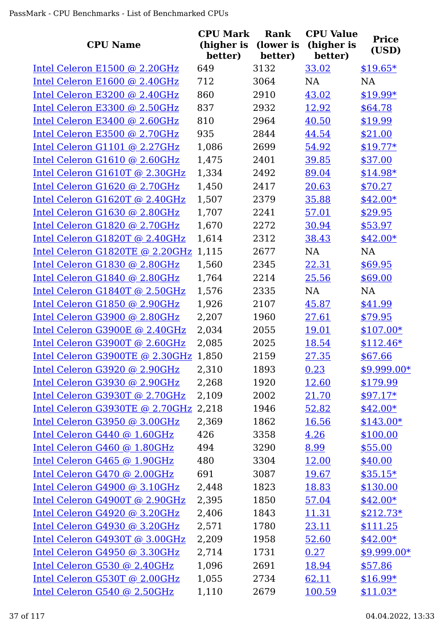| <b>CPU Name</b>                 | <b>CPU Mark</b><br>(higher is<br>better) | Rank<br>(lower is<br>better) | <b>CPU Value</b><br>(higher is<br>better) | <b>Price</b><br>(USD) |
|---------------------------------|------------------------------------------|------------------------------|-------------------------------------------|-----------------------|
| Intel Celeron E1500 @ 2.20GHz   | 649                                      | 3132                         | 33.02                                     | $$19.65*$             |
| Intel Celeron E1600 @ 2.40GHz   | 712                                      | 3064                         | <b>NA</b>                                 | <b>NA</b>             |
| Intel Celeron E3200 @ 2.40GHz   | 860                                      | 2910                         | 43.02                                     | $$19.99*$             |
| Intel Celeron E3300 @ 2.50GHz   | 837                                      | 2932                         | 12.92                                     | \$64.78               |
| Intel Celeron E3400 @ 2.60GHz   | 810                                      | 2964                         | 40.50                                     | \$19.99               |
| Intel Celeron E3500 @ 2.70GHz   | 935                                      | 2844                         | 44.54                                     | \$21.00               |
| Intel Celeron G1101 @ 2.27GHz   | 1,086                                    | 2699                         | 54.92                                     | $$19.77*$             |
| Intel Celeron G1610 @ 2.60GHz   | 1,475                                    | 2401                         | 39.85                                     | \$37.00               |
| Intel Celeron G1610T @ 2.30GHz  | 1,334                                    | 2492                         | 89.04                                     | $$14.98*$             |
| Intel Celeron G1620 @ 2.70GHz   | 1,450                                    | 2417                         | 20.63                                     | \$70.27               |
| Intel Celeron G1620T @ 2.40GHz  | 1,507                                    | 2379                         | 35.88                                     | $$42.00*$             |
| Intel Celeron G1630 @ 2.80GHz   | 1,707                                    | 2241                         | 57.01                                     | \$29.95               |
| Intel Celeron G1820 @ 2.70GHz   | 1,670                                    | 2272                         | 30.94                                     | \$53.97               |
| Intel Celeron G1820T @ 2.40GHz  | 1,614                                    | 2312                         | 38.43                                     | $$42.00*$             |
| Intel Celeron G1820TE @ 2.20GHz | 1,115                                    | 2677                         | NA                                        | NA                    |
| Intel Celeron G1830 @ 2.80GHz   | 1,560                                    | 2345                         | 22.31                                     | \$69.95               |
| Intel Celeron G1840 @ 2.80GHz   | 1,764                                    | 2214                         | 25.56                                     | \$69.00               |
| Intel Celeron G1840T @ 2.50GHz  | 1,576                                    | 2335                         | <b>NA</b>                                 | <b>NA</b>             |
| Intel Celeron G1850 @ 2.90GHz   | 1,926                                    | 2107                         | 45.87                                     | \$41.99               |
| Intel Celeron G3900 @ 2.80GHz   | 2,207                                    | 1960                         | 27.61                                     | \$79.95               |
| Intel Celeron G3900E @ 2.40GHz  | 2,034                                    | 2055                         | <u>19.01</u>                              | $$107.00*$            |
| Intel Celeron G3900T @ 2.60GHz  | 2,085                                    | 2025                         | 18.54                                     | $$112.46*$            |
| Intel Celeron G3900TE @ 2.30GHz | 1,850                                    | 2159                         | 27.35                                     | \$67.66               |
| Intel Celeron G3920 @ 2.90GHz   | 2,310                                    | 1893                         | 0.23                                      | \$9,999.00*           |
| Intel Celeron G3930 @ 2.90GHz   | 2,268                                    | 1920                         | 12.60                                     | \$179.99              |
| Intel Celeron G3930T @ 2.70GHz  | 2,109                                    | 2002                         | 21.70                                     | $$97.17*$             |
| Intel Celeron G3930TE @ 2.70GHz | 2,218                                    | 1946                         | 52.82                                     | $$42.00*$             |
| Intel Celeron G3950 @ 3.00GHz   | 2,369                                    | 1862                         | 16.56                                     | $$143.00*$            |
| Intel Celeron G440 @ 1.60GHz    | 426                                      | 3358                         | 4.26                                      | \$100.00              |
| Intel Celeron G460 @ 1.80GHz    | 494                                      | 3290                         | 8.99                                      | \$55.00               |
| Intel Celeron G465 @ 1.90GHz    | 480                                      | 3304                         | 12.00                                     | \$40.00               |
| Intel Celeron G470 @ 2.00GHz    | 691                                      | 3087                         | 19.67                                     | $$35.15*$             |
| Intel Celeron G4900 @ 3.10GHz   | 2,448                                    | 1823                         | 18.83                                     | \$130.00              |
| Intel Celeron G4900T @ 2.90GHz  | 2,395                                    | 1850                         | 57.04                                     | $$42.00*$             |
| Intel Celeron G4920 @ 3.20GHz   | 2,406                                    | 1843                         | 11.31                                     | $$212.73*$            |
| Intel Celeron G4930 @ 3.20GHz   | 2,571                                    | 1780                         | 23.11                                     | \$111.25              |
| Intel Celeron G4930T @ 3.00GHz  | 2,209                                    | 1958                         | 52.60                                     | $$42.00*$             |
| Intel Celeron G4950 @ 3.30GHz   | 2,714                                    | 1731                         | 0.27                                      | $$9,999.00*$          |
| Intel Celeron G530 @ 2.40GHz    | 1,096                                    | 2691                         | 18.94                                     | \$57.86               |
| Intel Celeron G530T @ 2.00GHz   | 1,055                                    | 2734                         | 62.11                                     | $$16.99*$             |
| Intel Celeron G540 @ 2.50GHz    | 1,110                                    | 2679                         | 100.59                                    | $$11.03*$             |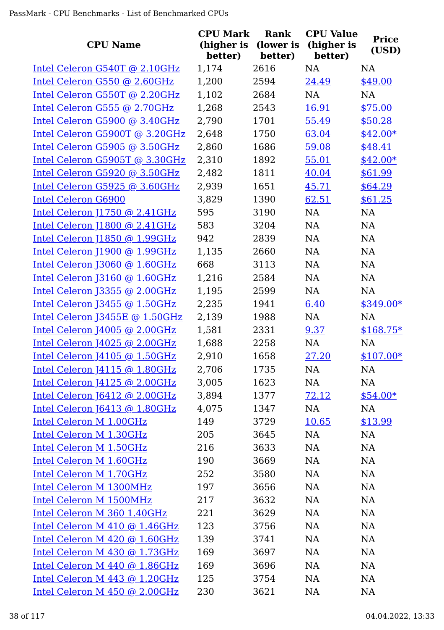| <b>CPU Name</b>                | <b>CPU Mark</b><br>(higher is<br>better) | <b>Rank</b><br>(lower is<br>better) | <b>CPU Value</b><br>(higher is<br>better) | <b>Price</b><br>(USD) |
|--------------------------------|------------------------------------------|-------------------------------------|-------------------------------------------|-----------------------|
| Intel Celeron G540T @ 2.10GHz  | 1,174                                    | 2616                                | <b>NA</b>                                 | <b>NA</b>             |
| Intel Celeron G550 @ 2.60GHz   | 1,200                                    | 2594                                | 24.49                                     | \$49.00               |
| Intel Celeron G550T @ 2.20GHz  | 1,102                                    | 2684                                | <b>NA</b>                                 | <b>NA</b>             |
| Intel Celeron G555 @ 2.70GHz   | 1,268                                    | 2543                                | 16.91                                     | \$75.00               |
| Intel Celeron G5900 @ 3.40GHz  | 2,790                                    | 1701                                | 55.49                                     | \$50.28               |
| Intel Celeron G5900T @ 3.20GHz | 2,648                                    | 1750                                | 63.04                                     | $$42.00*$             |
| Intel Celeron G5905 @ 3.50GHz  | 2,860                                    | 1686                                | 59.08                                     | \$48.41               |
| Intel Celeron G5905T @ 3.30GHz | 2,310                                    | 1892                                | 55.01                                     | $$42.00*$             |
| Intel Celeron G5920 @ 3.50GHz  | 2,482                                    | 1811                                | 40.04                                     | \$61.99               |
| Intel Celeron G5925 @ 3.60GHz  | 2,939                                    | 1651                                | 45.71                                     | \$64.29               |
| <b>Intel Celeron G6900</b>     | 3,829                                    | 1390                                | 62.51                                     | \$61.25               |
| Intel Celeron J1750 @ 2.41GHz  | 595                                      | 3190                                | <b>NA</b>                                 | <b>NA</b>             |
| Intel Celeron J1800 @ 2.41GHz  | 583                                      | 3204                                | NA                                        | NA                    |
| Intel Celeron [1850 @ 1.99GHz  | 942                                      | 2839                                | <b>NA</b>                                 | <b>NA</b>             |
| Intel Celeron J1900 @ 1.99GHz  | 1,135                                    | 2660                                | NA                                        | <b>NA</b>             |
| Intel Celeron J3060 @ 1.60GHz  | 668                                      | 3113                                | <b>NA</b>                                 | NA                    |
| Intel Celeron J3160 @ 1.60GHz  | 1,216                                    | 2584                                | <b>NA</b>                                 | NA                    |
| Intel Celeron J3355 @ 2.00GHz  | 1,195                                    | 2599                                | <b>NA</b>                                 | <b>NA</b>             |
| Intel Celeron J3455 @ 1.50GHz  | 2,235                                    | 1941                                | 6.40                                      | $$349.00*$            |
| Intel Celeron J3455E @ 1.50GHz | 2,139                                    | 1988                                | NA                                        | <b>NA</b>             |
| Intel Celeron J4005 @ 2.00GHz  | 1,581                                    | 2331                                | 9.37                                      | $$168.75*$            |
| Intel Celeron J4025 @ 2.00GHz  | 1,688                                    | 2258                                | <b>NA</b>                                 | <b>NA</b>             |
| Intel Celeron J4105 @ 1.50GHz  | 2,910                                    | 1658                                | 27.20                                     | $$107.00*$            |
| Intel Celeron J4115 @ 1.80GHz  | 2,706                                    | 1735                                | NA                                        | NA                    |
| Intel Celeron J4125 @ 2.00GHz  | 3,005                                    | 1623                                | NA                                        | <b>NA</b>             |
| Intel Celeron J6412 @ 2.00GHz  | 3,894                                    | 1377                                | 72.12                                     | $$54.00*$             |
| Intel Celeron J6413 @ 1.80GHz  | 4,075                                    | 1347                                | NA                                        | <b>NA</b>             |
| Intel Celeron M 1.00GHz        | 149                                      | 3729                                | 10.65                                     | \$13.99               |
| Intel Celeron M 1.30GHz        | 205                                      | 3645                                | NA                                        | <b>NA</b>             |
| Intel Celeron M 1.50GHz        | 216                                      | 3633                                | NA                                        | <b>NA</b>             |
| Intel Celeron M 1.60GHz        | 190                                      | 3669                                | NA                                        | <b>NA</b>             |
| Intel Celeron M 1.70GHz        | 252                                      | 3580                                | NA                                        | <b>NA</b>             |
| Intel Celeron M 1300MHz        | 197                                      | 3656                                | NA                                        | <b>NA</b>             |
| Intel Celeron M 1500MHz        | 217                                      | 3632                                | NA                                        | <b>NA</b>             |
| Intel Celeron M 360 1.40GHz    | 221                                      | 3629                                | NA                                        | <b>NA</b>             |
| Intel Celeron M 410 @ 1.46GHz  | 123                                      | 3756                                | NA                                        | <b>NA</b>             |
| Intel Celeron M 420 @ 1.60GHz  | 139                                      | 3741                                | NA                                        | <b>NA</b>             |
| Intel Celeron M 430 @ 1.73GHz  | 169                                      | 3697                                | NA                                        | <b>NA</b>             |
| Intel Celeron M 440 @ 1.86GHz  | 169                                      | 3696                                | NA                                        | <b>NA</b>             |
| Intel Celeron M 443 @ 1.20GHz  | 125                                      | 3754                                | NA                                        | <b>NA</b>             |
| Intel Celeron M 450 @ 2.00GHz  | 230                                      | 3621                                | NA                                        | <b>NA</b>             |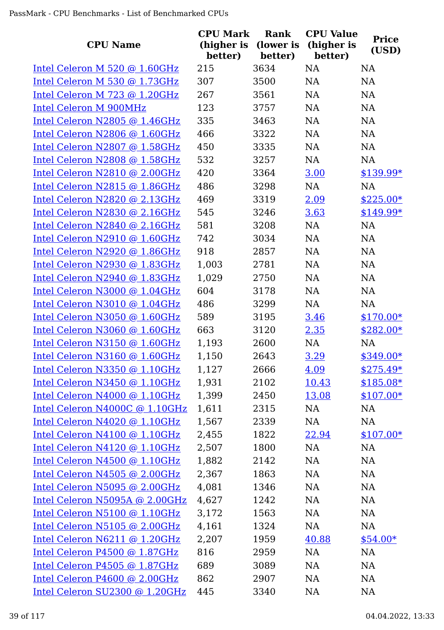|                                | <b>CPU Mark</b>       | Rank                 | <b>CPU Value</b>      | <b>Price</b> |
|--------------------------------|-----------------------|----------------------|-----------------------|--------------|
| <b>CPU Name</b>                | (higher is<br>better) | (lower is<br>better) | (higher is<br>better) | (USD)        |
| Intel Celeron M 520 @ 1.60GHz  | 215                   | 3634                 | <b>NA</b>             | <b>NA</b>    |
| Intel Celeron M 530 @ 1.73GHz  | 307                   | 3500                 | NA                    | <b>NA</b>    |
| Intel Celeron M 723 @ 1.20GHz  | 267                   | 3561                 | NA                    | <b>NA</b>    |
| <b>Intel Celeron M 900MHz</b>  | 123                   | 3757                 | NA                    | NA           |
| Intel Celeron N2805 @ 1.46GHz  | 335                   | 3463                 | <b>NA</b>             | NA           |
| Intel Celeron N2806 @ 1.60GHz  | 466                   | 3322                 | <b>NA</b>             | <b>NA</b>    |
| Intel Celeron N2807 @ 1.58GHz  | 450                   | 3335                 | <b>NA</b>             | <b>NA</b>    |
| Intel Celeron N2808 @ 1.58GHz  | 532                   | 3257                 | <b>NA</b>             | <b>NA</b>    |
| Intel Celeron N2810 @ 2.00GHz  | 420                   | 3364                 | 3.00                  | $$139.99*$   |
| Intel Celeron N2815 @ 1.86GHz  | 486                   | 3298                 | NA                    | <b>NA</b>    |
| Intel Celeron N2820 @ 2.13GHz  | 469                   | 3319                 | 2.09                  | $$225.00*$   |
| Intel Celeron N2830 @ 2.16GHz  | 545                   | 3246                 | 3.63                  | \$149.99*    |
| Intel Celeron N2840 @ 2.16GHz  | 581                   | 3208                 | NA                    | <b>NA</b>    |
| Intel Celeron N2910 @ 1.60GHz  | 742                   | 3034                 | <b>NA</b>             | <b>NA</b>    |
| Intel Celeron N2920 @ 1.86GHz  | 918                   | 2857                 | NA                    | NA           |
| Intel Celeron N2930 @ 1.83GHz  | 1,003                 | 2781                 | <b>NA</b>             | NA           |
| Intel Celeron N2940 @ 1.83GHz  | 1,029                 | 2750                 | <b>NA</b>             | <b>NA</b>    |
| Intel Celeron N3000 @ 1.04GHz  | 604                   | 3178                 | <b>NA</b>             | <b>NA</b>    |
| Intel Celeron N3010 @ 1.04GHz  | 486                   | 3299                 | NA                    | <b>NA</b>    |
| Intel Celeron N3050 @ 1.60GHz  | 589                   | 3195                 | 3.46                  | $$170.00*$   |
| Intel Celeron N3060 @ 1.60GHz  | 663                   | 3120                 | 2.35                  | $$282.00*$   |
| Intel Celeron N3150 @ 1.60GHz  | 1,193                 | 2600                 | NA                    | <b>NA</b>    |
| Intel Celeron N3160 @ 1.60GHz  | 1,150                 | 2643                 | 3.29                  | $$349.00*$   |
| Intel Celeron N3350 @ 1.10GHz  | 1,127                 | 2666                 | 4.09                  | $$275.49*$   |
| Intel Celeron N3450 @ 1.10GHz  | 1,931                 | 2102                 | 10.43                 | $$185.08*$   |
| Intel Celeron N4000 @ 1.10GHz  | 1,399                 | 2450                 | 13.08                 | $$107.00*$   |
| Intel Celeron N4000C @ 1.10GHz | 1,611                 | 2315                 | NA                    | NA           |
| Intel Celeron N4020 @ 1.10GHz  | 1,567                 | 2339                 | NA                    | <b>NA</b>    |
| Intel Celeron N4100 @ 1.10GHz  | 2,455                 | 1822                 | 22.94                 | $$107.00*$   |
| Intel Celeron N4120 @ 1.10GHz  | 2,507                 | 1800                 | NA                    | <b>NA</b>    |
| Intel Celeron N4500 @ 1.10GHz  | 1,882                 | 2142                 | NA                    | <b>NA</b>    |
| Intel Celeron N4505 @ 2.00GHz  | 2,367                 | 1863                 | NA                    | <b>NA</b>    |
| Intel Celeron N5095 @ 2.00GHz  | 4,081                 | 1346                 | NA                    | <b>NA</b>    |
| Intel Celeron N5095A @ 2.00GHz | 4,627                 | 1242                 | NA                    | <b>NA</b>    |
| Intel Celeron N5100 @ 1.10GHz  | 3,172                 | 1563                 | NA                    | <b>NA</b>    |
| Intel Celeron N5105 @ 2.00GHz  | 4,161                 | 1324                 | NA                    | <b>NA</b>    |
| Intel Celeron N6211 @ 1.20GHz  | 2,207                 | 1959                 | 40.88                 | $$54.00*$    |
| Intel Celeron P4500 @ 1.87GHz  | 816                   | 2959                 | <b>NA</b>             | <b>NA</b>    |
| Intel Celeron P4505 @ 1.87GHz  | 689                   | 3089                 | NA                    | <b>NA</b>    |
| Intel Celeron P4600 @ 2.00GHz  | 862                   | 2907                 | NA                    | <b>NA</b>    |
| Intel Celeron SU2300 @ 1.20GHz | 445                   | 3340                 | <b>NA</b>             | <b>NA</b>    |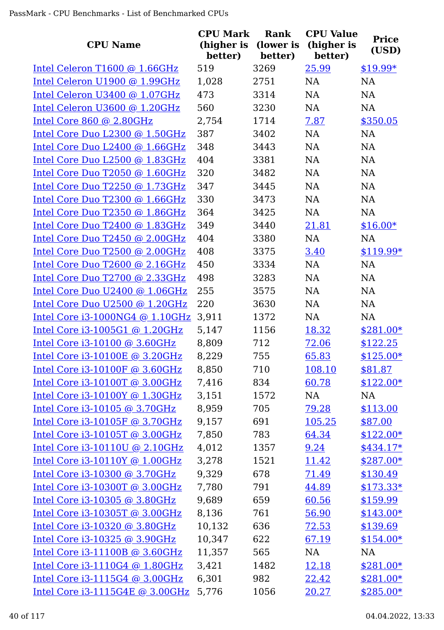| <b>CPU Name</b>                   | <b>CPU Mark</b><br>(higher is<br>better) | Rank<br>(lower is<br>better) | <b>CPU Value</b><br>(higher is<br>better) | <b>Price</b><br>(USD) |
|-----------------------------------|------------------------------------------|------------------------------|-------------------------------------------|-----------------------|
| Intel Celeron T1600 @ 1.66GHz     | 519                                      | 3269                         | 25.99                                     | $$19.99*$             |
| Intel Celeron U1900 @ 1.99GHz     | 1,028                                    | 2751                         | <b>NA</b>                                 | <b>NA</b>             |
| Intel Celeron U3400 @ 1.07GHz     | 473                                      | 3314                         | <b>NA</b>                                 | <b>NA</b>             |
| Intel Celeron U3600 @ 1.20GHz     | 560                                      | 3230                         | NA                                        | <b>NA</b>             |
| Intel Core 860 @ 2.80GHz          | 2,754                                    | 1714                         | 7.87                                      | \$350.05              |
| Intel Core Duo L2300 @ 1.50GHz    | 387                                      | 3402                         | <b>NA</b>                                 | <b>NA</b>             |
| Intel Core Duo L2400 @ 1.66GHz    | 348                                      | 3443                         | <b>NA</b>                                 | <b>NA</b>             |
| Intel Core Duo L2500 @ 1.83GHz    | 404                                      | 3381                         | <b>NA</b>                                 | NA                    |
| Intel Core Duo T2050 @ 1.60GHz    | 320                                      | 3482                         | <b>NA</b>                                 | <b>NA</b>             |
| Intel Core Duo T2250 @ 1.73GHz    | 347                                      | 3445                         | <b>NA</b>                                 | <b>NA</b>             |
| Intel Core Duo T2300 @ 1.66GHz    | 330                                      | 3473                         | <b>NA</b>                                 | <b>NA</b>             |
| Intel Core Duo T2350 @ 1.86GHz    | 364                                      | 3425                         | <b>NA</b>                                 | <b>NA</b>             |
| Intel Core Duo T2400 @ 1.83GHz    | 349                                      | 3440                         | 21.81                                     | $$16.00*$             |
| Intel Core Duo T2450 @ 2.00GHz    | 404                                      | 3380                         | <b>NA</b>                                 | <b>NA</b>             |
| Intel Core Duo T2500 @ 2.00GHz    | 408                                      | 3375                         | 3.40                                      | \$119.99*             |
| Intel Core Duo T2600 @ 2.16GHz    | 450                                      | 3334                         | <b>NA</b>                                 | <b>NA</b>             |
| Intel Core Duo T2700 @ 2.33GHz    | 498                                      | 3283                         | <b>NA</b>                                 | <b>NA</b>             |
| Intel Core Duo U2400 @ 1.06GHz    | 255                                      | 3575                         | <b>NA</b>                                 | <b>NA</b>             |
| Intel Core Duo U2500 @ 1.20GHz    | 220                                      | 3630                         | NA                                        | NA                    |
| Intel Core $i3-1000NG4$ @ 1.10GHz | 3,911                                    | 1372                         | <b>NA</b>                                 | <b>NA</b>             |
| Intel Core i3-1005G1 @ 1.20GHz    | 5,147                                    | 1156                         | 18.32                                     | $$281.00*$            |
| Intel Core i3-10100 @ 3.60GHz     | 8,809                                    | 712                          | 72.06                                     | \$122.25              |
| Intel Core i3-10100E @ 3.20GHz    | 8,229                                    | 755                          | 65.83                                     | $$125.00*$            |
| Intel Core i3-10100F @ 3.60GHz    | 8,850                                    | 710                          | 108.10                                    | \$81.87               |
| Intel Core i3-10100T @ 3.00GHz    | 7,416                                    | 834                          | 60.78                                     | $$122.00*$            |
| Intel Core i3-10100Y @ 1.30GHz    | 3,151                                    | 1572                         | NA                                        | NA                    |
| Intel Core i3-10105 @ 3.70GHz     | 8,959                                    | 705                          | 79.28                                     | \$113.00              |
| Intel Core i3-10105F @ 3.70GHz    | 9,157                                    | 691                          | 105.25                                    | \$87.00               |
| Intel Core i3-10105T @ 3.00GHz    | 7,850                                    | 783                          | 64.34                                     | $$122.00*$            |
| Intel Core i3-10110U @ 2.10GHz    | 4,012                                    | 1357                         | 9.24                                      | $$434.17*$            |
| Intel Core i3-10110Y @ 1.00GHz    | 3,278                                    | 1521                         | 11.42                                     | $$287.00*$            |
| Intel Core i3-10300 @ 3.70GHz     | 9,329                                    | 678                          | 71.49                                     | \$130.49              |
| Intel Core i3-10300T @ 3.00GHz    | 7,780                                    | 791                          | 44.89                                     | $$173.33*$            |
| Intel Core i3-10305 @ 3.80GHz     | 9,689                                    | 659                          | 60.56                                     | \$159.99              |
| Intel Core i3-10305T @ 3.00GHz    | 8,136                                    | 761                          | 56.90                                     | $$143.00*$            |
| Intel Core i3-10320 @ 3.80GHz     | 10,132                                   | 636                          | 72.53                                     | \$139.69              |
| Intel Core i3-10325 @ 3.90GHz     | 10,347                                   | 622                          | 67.19                                     | $$154.00*$            |
| Intel Core i3-11100B @ 3.60GHz    | 11,357                                   | 565                          | NA                                        | NA                    |
| Intel Core i3-1110G4 @ 1.80GHz    | 3,421                                    | 1482                         | 12.18                                     | $$281.00*$            |
| Intel Core i3-1115G4 @ 3.00GHz    | 6,301                                    | 982                          | 22.42                                     | \$281.00*             |
| Intel Core i3-1115G4E @ 3.00GHz   | 5,776                                    | 1056                         | 20.27                                     | $$285.00*$            |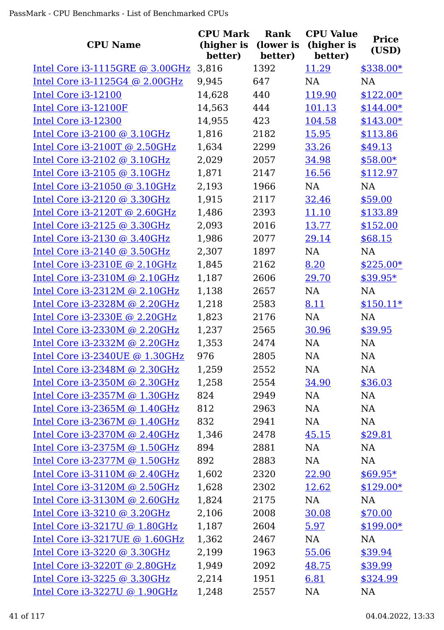|                                     | <b>CPU Mark</b>       | Rank                 | <b>CPU Value</b>      | <b>Price</b> |
|-------------------------------------|-----------------------|----------------------|-----------------------|--------------|
| <b>CPU Name</b>                     | (higher is<br>better) | (lower is<br>better) | (higher is<br>better) | (USD)        |
| Intel Core i3-1115GRE @ 3.00GHz     | 3,816                 | 1392                 | 11.29                 | \$338.00*    |
| Intel Core i3-1125G4 @ 2.00GHz      | 9,945                 | 647                  | NA                    | <b>NA</b>    |
| Intel Core i3-12100                 | 14,628                | 440                  | 119.90                | $$122.00*$   |
| Intel Core i3-12100F                | 14,563                | 444                  | 101.13                | $$144.00*$   |
| Intel Core i3-12300                 | 14,955                | 423                  | 104.58                | $$143.00*$   |
| Intel Core i3-2100 @ 3.10GHz        | 1,816                 | 2182                 | 15.95                 | \$113.86     |
| Intel Core i3-2100T @ 2.50GHz       | 1,634                 | 2299                 | 33.26                 | \$49.13      |
| Intel Core i3-2102 @ 3.10GHz        | 2,029                 | 2057                 | 34.98                 | $$58.00*$    |
| Intel Core i3-2105 @ 3.10GHz        | 1,871                 | 2147                 | 16.56                 | \$112.97     |
| Intel Core i3-21050 @ 3.10GHz       | 2,193                 | 1966                 | <b>NA</b>             | <b>NA</b>    |
| Intel Core i3-2120 @ 3.30GHz        | 1,915                 | 2117                 | 32.46                 | \$59.00      |
| Intel Core i3-2120T @ 2.60GHz       | 1,486                 | 2393                 | 11.10                 | \$133.89     |
| Intel Core i3-2125 @ 3.30GHz        | 2,093                 | 2016                 | 13.77                 | \$152.00     |
| Intel Core i3-2130 @ 3.40GHz        | 1,986                 | 2077                 | 29.14                 | \$68.15      |
| Intel Core i3-2140 @ 3.50GHz        | 2,307                 | 1897                 | NA                    | NA           |
| Intel Core $i3-2310E \odot 2.10GHz$ | 1,845                 | 2162                 | 8.20                  | $$225.00*$   |
| Intel Core $i3-2310M$ @ 2.10GHz     | 1,187                 | 2606                 | 29.70                 | $$39.95*$    |
| Intel Core i3-2312M @ 2.10GHz       | 1,138                 | 2657                 | NA                    | <b>NA</b>    |
| Intel Core i3-2328M @ 2.20GHz       | 1,218                 | 2583                 | 8.11                  | $$150.11*$   |
| Intel Core i3-2330E @ 2.20GHz       | 1,823                 | 2176                 | NA                    | <b>NA</b>    |
| Intel Core i3-2330M @ 2.20GHz       | 1,237                 | 2565                 | 30.96                 | \$39.95      |
| Intel Core i3-2332M @ 2.20GHz       | 1,353                 | 2474                 | NA                    | NA           |
| Intel Core i3-2340UE @ 1.30GHz      | 976                   | 2805                 | NA                    | NA           |
| Intel Core i3-2348M @ 2.30GHz       | 1,259                 | 2552                 | <b>NA</b>             | NA           |
| Intel Core i3-2350M @ 2.30GHz       | 1,258                 | 2554                 | 34.90                 | \$36.03      |
| Intel Core i3-2357M @ 1.30GHz       | 824                   | 2949                 | NA                    | NA           |
| Intel Core i3-2365M @ 1.40GHz       | 812                   | 2963                 | NA                    | <b>NA</b>    |
| Intel Core i3-2367M @ 1.40GHz       | 832                   | 2941                 | NA                    | <b>NA</b>    |
| Intel Core $i3-2370M$ @ 2.40GHz     | 1,346                 | 2478                 | 45.15                 | \$29.81      |
| Intel Core i3-2375M @ 1.50GHz       | 894                   | 2881                 | NA                    | <b>NA</b>    |
| Intel Core i3-2377M @ 1.50GHz       | 892                   | 2883                 | NA                    | NA           |
| Intel Core $i3-3110M$ @ 2.40GHz     | 1,602                 | 2320                 | 22.90                 | $$69.95*$    |
| Intel Core i3-3120M @ 2.50GHz       | 1,628                 | 2302                 | 12.62                 | $$129.00*$   |
| Intel Core $i3-3130M$ @ 2.60GHz     | 1,824                 | 2175                 | NA                    | NA           |
| Intel Core i3-3210 @ 3.20GHz        | 2,106                 | 2008                 | 30.08                 | \$70.00      |
| Intel Core i3-3217U @ 1.80GHz       | 1,187                 | 2604                 | 5.97                  | $$199.00*$   |
| Intel Core i3-3217UE @ 1.60GHz      | 1,362                 | 2467                 | NA                    | NA           |
| Intel Core i3-3220 @ 3.30GHz        | 2,199                 | 1963                 | 55.06                 | \$39.94      |
| Intel Core i3-3220T @ 2.80GHz       | 1,949                 | 2092                 | 48.75                 | \$39.99      |
| Intel Core i3-3225 @ 3.30GHz        | 2,214                 | 1951                 | 6.81                  | \$324.99     |
| Intel Core i3-3227U @ 1.90GHz       | 1,248                 | 2557                 | NA                    | <b>NA</b>    |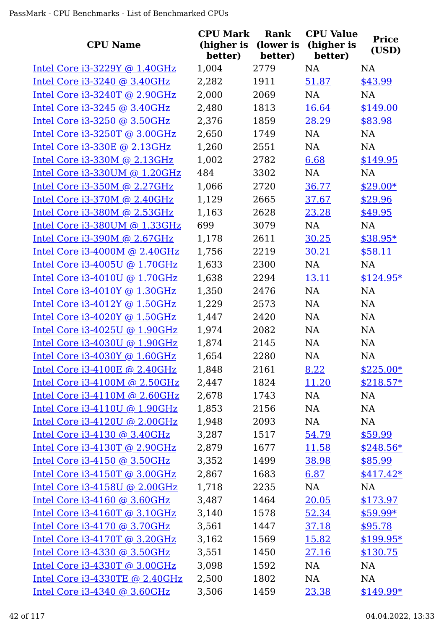| <b>CPU Name</b>                     | <b>CPU Mark</b><br>(higher is<br>better) | Rank<br>(lower is<br>better) | <b>CPU Value</b><br>(higher is<br>better) | <b>Price</b><br>(USD) |
|-------------------------------------|------------------------------------------|------------------------------|-------------------------------------------|-----------------------|
| Intel Core i3-3229Y @ 1.40GHz       | 1,004                                    | 2779                         | <b>NA</b>                                 | <b>NA</b>             |
| Intel Core i3-3240 @ 3.40GHz        | 2,282                                    | 1911                         | 51.87                                     | \$43.99               |
| Intel Core i3-3240T @ 2.90GHz       | 2,000                                    | 2069                         | <b>NA</b>                                 | <b>NA</b>             |
| Intel Core i3-3245 @ 3.40GHz        | 2,480                                    | 1813                         | 16.64                                     | \$149.00              |
| Intel Core i3-3250 @ 3.50GHz        | 2,376                                    | 1859                         | 28.29                                     | \$83.98               |
| Intel Core i3-3250T @ 3.00GHz       | 2,650                                    | 1749                         | NA                                        | NA                    |
| Intel Core i3-330E @ 2.13GHz        | 1,260                                    | 2551                         | NA                                        | <b>NA</b>             |
| Intel Core i3-330M @ 2.13GHz        | 1,002                                    | 2782                         | 6.68                                      | \$149.95              |
| Intel Core i3-330UM @ 1.20GHz       | 484                                      | 3302                         | NA                                        | <b>NA</b>             |
| Intel Core i3-350M @ 2.27GHz        | 1,066                                    | 2720                         | 36.77                                     | $$29.00*$             |
| Intel Core i3-370M @ 2.40GHz        | 1,129                                    | 2665                         | 37.67                                     | \$29.96               |
| Intel Core i3-380M @ 2.53GHz        | 1,163                                    | 2628                         | 23.28                                     | \$49.95               |
| Intel Core i3-380UM @ 1.33GHz       | 699                                      | 3079                         | NA                                        | <b>NA</b>             |
| Intel Core i3-390M @ 2.67GHz        | 1,178                                    | 2611                         | 30.25                                     | \$38.95*              |
| Intel Core i3-4000M @ 2.40GHz       | 1,756                                    | 2219                         | 30.21                                     | \$58.11               |
| Intel Core i3-4005U @ 1.70GHz       | 1,633                                    | 2300                         | NA                                        | <b>NA</b>             |
| Intel Core $i3-4010U$ @ 1.70GHz     | 1,638                                    | 2294                         | 13.11                                     | $$124.95*$            |
| Intel Core i3-4010Y @ 1.30GHz       | 1,350                                    | 2476                         | <b>NA</b>                                 | <b>NA</b>             |
| Intel Core $i3-4012Y$ @ 1.50GHz     | 1,229                                    | 2573                         | NA                                        | <b>NA</b>             |
| Intel Core i3-4020Y @ 1.50GHz       | 1,447                                    | 2420                         | <b>NA</b>                                 | NA                    |
| Intel Core i3-4025U @ 1.90GHz       | 1,974                                    | 2082                         | NA                                        | <b>NA</b>             |
| Intel Core i3-4030U @ 1.90GHz       | 1,874                                    | 2145                         | NA                                        | <b>NA</b>             |
| Intel Core i3-4030Y @ 1.60GHz       | 1,654                                    | 2280                         | <b>NA</b>                                 | NA                    |
| Intel Core $i3-4100E \odot 2.40GHz$ | 1,848                                    | 2161                         | 8.22                                      | $$225.00*$            |
| Intel Core i3-4100M @ 2.50GHz       | 2,447                                    | 1824                         | 11.20                                     | $$218.57*$            |
| Intel Core i3-4110M @ 2.60GHz       | 2,678                                    | 1743                         | NA                                        | NA                    |
| Intel Core i3-4110U @ 1.90GHz       | 1,853                                    | 2156                         | NA                                        | NA                    |
| Intel Core i3-4120U @ 2.00GHz       | 1,948                                    | 2093                         | NA                                        | NA                    |
| Intel Core i3-4130 @ 3.40GHz        | 3,287                                    | 1517                         | 54.79                                     | \$59.99               |
| Intel Core i3-4130T @ 2.90GHz       | 2,879                                    | 1677                         | 11.58                                     | $$248.56*$            |
| Intel Core $i3-4150$ @ 3.50GHz      | 3,352                                    | 1499                         | 38.98                                     | \$85.99               |
| Intel Core i3-4150T @ 3.00GHz       | 2,867                                    | 1683                         | 6.87                                      | $$417.42*$            |
| Intel Core i3-4158U @ 2.00GHz       | 1,718                                    | 2235                         | NA                                        | NA                    |
| Intel Core i3-4160 @ 3.60GHz        | 3,487                                    | 1464                         | 20.05                                     | \$173.97              |
| Intel Core $i3-4160T$ @ 3.10GHz     | 3,140                                    | 1578                         | 52.34                                     | $$59.99*$             |
| Intel Core i3-4170 @ 3.70GHz        | 3,561                                    | 1447                         | 37.18                                     | \$95.78               |
| Intel Core i3-4170T @ 3.20GHz       | 3,162                                    | 1569                         | 15.82                                     | $$199.95*$            |
| Intel Core i3-4330 @ 3.50GHz        | 3,551                                    | 1450                         | 27.16                                     | \$130.75              |
| Intel Core i3-4330T @ 3.00GHz       | 3,098                                    | 1592                         | NA                                        | NA                    |
| Intel Core i3-4330TE @ 2.40GHz      | 2,500                                    | 1802                         | NA                                        | NA                    |
| Intel Core i3-4340 @ 3.60GHz        | 3,506                                    | 1459                         | 23.38                                     | $$149.99*$            |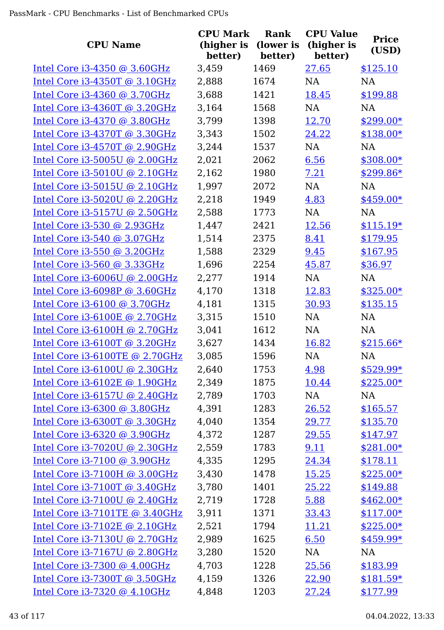| <b>CPU Name</b>                     | <b>CPU Mark</b><br>(higher is<br>better) | Rank<br>(lower is<br>better) | <b>CPU Value</b><br>(higher is<br>better) | <b>Price</b><br>(USD) |
|-------------------------------------|------------------------------------------|------------------------------|-------------------------------------------|-----------------------|
| Intel Core $i3-4350$ @ 3.60GHz      | 3,459                                    | 1469                         | 27.65                                     | \$125.10              |
| Intel Core i3-4350T @ 3.10GHz       | 2,888                                    | 1674                         | <b>NA</b>                                 | <b>NA</b>             |
| Intel Core i3-4360 @ 3.70GHz        | 3,688                                    | 1421                         | 18.45                                     | \$199.88              |
| Intel Core i3-4360T @ 3.20GHz       | 3,164                                    | 1568                         | NA                                        | NA                    |
| Intel Core i3-4370 @ 3.80GHz        | 3,799                                    | 1398                         | 12.70                                     | \$299.00*             |
| Intel Core i3-4370T @ 3.30GHz       | 3,343                                    | 1502                         | 24.22                                     | $$138.00*$            |
| Intel Core i3-4570T @ 2.90GHz       | 3,244                                    | 1537                         | NA                                        | <b>NA</b>             |
| Intel Core i3-5005U @ 2.00GHz       | 2,021                                    | 2062                         | 6.56                                      | $$308.00*$            |
| Intel Core $i3-5010U$ @ 2.10GHz     | 2,162                                    | 1980                         | 7.21                                      | $$299.86*$            |
| Intel Core i3-5015U @ 2.10GHz       | 1,997                                    | 2072                         | NA                                        | NA                    |
| Intel Core i3-5020U @ 2.20GHz       | 2,218                                    | 1949                         | 4.83                                      | $$459.00*$            |
| Intel Core i3-5157U @ 2.50GHz       | 2,588                                    | 1773                         | <b>NA</b>                                 | <b>NA</b>             |
| Intel Core i3-530 @ 2.93GHz         | 1,447                                    | 2421                         | 12.56                                     | $$115.19*$            |
| Intel Core i3-540 @ 3.07GHz         | 1,514                                    | 2375                         | 8.41                                      | \$179.95              |
| Intel Core i3-550 @ 3.20GHz         | 1,588                                    | 2329                         | 9.45                                      | \$167.95              |
| Intel Core i3-560 @ 3.33GHz         | 1,696                                    | 2254                         | 45.87                                     | \$36.97               |
| Intel Core $i3-6006U$ @ 2.00GHz     | 2,277                                    | 1914                         | NA                                        | <b>NA</b>             |
| Intel Core i3-6098P @ 3.60GHz       | 4,170                                    | 1318                         | 12.83                                     | $$325.00*$            |
| Intel Core $i3-6100$ @ 3.70GHz      | 4,181                                    | 1315                         | 30.93                                     | \$135.15              |
| Intel Core i3-6100E @ 2.70GHz       | 3,315                                    | 1510                         | <b>NA</b>                                 | <b>NA</b>             |
| Intel Core i3-6100H @ 2.70GHz       | 3,041                                    | 1612                         | <b>NA</b>                                 | <b>NA</b>             |
| Intel Core i3-6100T @ 3.20GHz       | 3,627                                    | 1434                         | 16.82                                     | $$215.66*$            |
| Intel Core i3-6100TE @ 2.70GHz      | 3,085                                    | 1596                         | <b>NA</b>                                 | <b>NA</b>             |
| Intel Core $i3-6100U$ @ 2.30GHz     | 2,640                                    | 1753                         | 4.98                                      | $$529.99*$            |
| Intel Core $i3-6102E \odot 1.90GHz$ | 2,349                                    | 1875                         | 10.44                                     | $$225.00*$            |
| Intel Core i3-6157U @ 2.40GHz       | 2,789                                    | 1703                         | NA                                        | NA                    |
| Intel Core i3-6300 @ 3.80GHz        | 4,391                                    | 1283                         | 26.52                                     | \$165.57              |
| Intel Core i3-6300T @ 3.30GHz       | 4,040                                    | 1354                         | 29.77                                     | \$135.70              |
| Intel Core i3-6320 @ 3.90GHz        | 4,372                                    | 1287                         | 29.55                                     | \$147.97              |
| Intel Core i3-7020U @ 2.30GHz       | 2,559                                    | 1783                         | 9.11                                      | $$281.00*$            |
| Intel Core i3-7100 @ 3.90GHz        | 4,335                                    | 1295                         | 24.34                                     | \$178.11              |
| Intel Core i3-7100H @ 3.00GHz       | 3,430                                    | 1478                         | 15.25                                     | $$225.00*$            |
| Intel Core i3-7100T @ 3.40GHz       | 3,780                                    | 1401                         | 25.22                                     | \$149.88              |
| Intel Core i3-7100U @ 2.40GHz       | 2,719                                    | 1728                         | 5.88                                      | $$462.00*$            |
| Intel Core i3-7101TE @ 3.40GHz      | 3,911                                    | 1371                         | 33.43                                     | $$117.00*$            |
| Intel Core i3-7102E @ 2.10GHz       | 2,521                                    | 1794                         | <u>11.21</u>                              | $$225.00*$            |
| Intel Core i3-7130U @ 2.70GHz       | 2,989                                    | 1625                         | 6.50                                      | $$459.99*$            |
| Intel Core i3-7167U @ 2.80GHz       | 3,280                                    | 1520                         | NA                                        | NA                    |
| Intel Core i3-7300 @ 4.00GHz        | 4,703                                    | 1228                         | 25.56                                     | \$183.99              |
| Intel Core i3-7300T @ 3.50GHz       | 4,159                                    | 1326                         | 22.90                                     | $$181.59*$            |
| Intel Core i3-7320 @ 4.10GHz        | 4,848                                    | 1203                         | 27.24                                     | \$177.99              |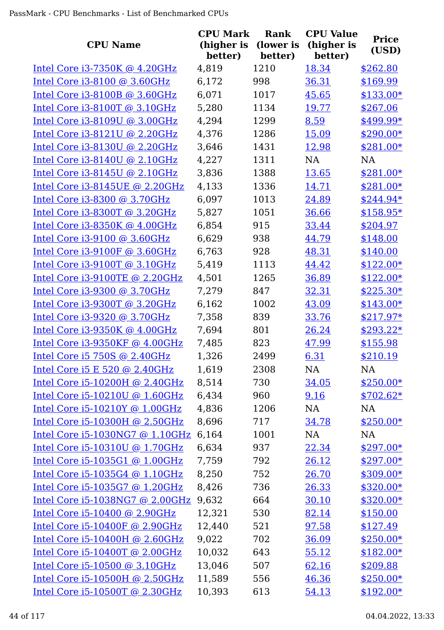| <b>CPU Name</b>                 | <b>CPU Mark</b><br>(higher is<br>better) | <b>Rank</b><br>(lower is<br>better) | <b>CPU Value</b><br>(higher is<br>better) | <b>Price</b><br>(USD) |
|---------------------------------|------------------------------------------|-------------------------------------|-------------------------------------------|-----------------------|
| Intel Core $i3-7350K$ @ 4.20GHz | 4,819                                    | 1210                                | 18.34                                     | \$262.80              |
| Intel Core i3-8100 @ 3.60GHz    | 6,172                                    | 998                                 | 36.31                                     | \$169.99              |
| Intel Core i3-8100B @ 3.60GHz   | 6,071                                    | 1017                                | 45.65                                     | $$133.00*$            |
| Intel Core i3-8100T @ 3.10GHz   | 5,280                                    | 1134                                | 19.77                                     | \$267.06              |
| Intel Core i3-8109U @ 3.00GHz   | 4,294                                    | 1299                                | 8.59                                      | \$499.99*             |
| Intel Core i3-8121U @ 2.20GHz   | 4,376                                    | 1286                                | 15.09                                     | $$290.00*$            |
| Intel Core i3-8130U @ 2.20GHz   | 3,646                                    | 1431                                | 12.98                                     | $$281.00*$            |
| Intel Core $i3-8140U$ @ 2.10GHz | 4,227                                    | 1311                                | <b>NA</b>                                 | <b>NA</b>             |
| Intel Core i3-8145U @ 2.10GHz   | 3,836                                    | 1388                                | 13.65                                     | $$281.00*$            |
| Intel Core i3-8145UE @ 2.20GHz  | 4,133                                    | 1336                                | 14.71                                     | \$281.00*             |
| Intel Core i3-8300 @ 3.70GHz    | 6,097                                    | 1013                                | 24.89                                     | \$244.94*             |
| Intel Core i3-8300T @ 3.20GHz   | 5,827                                    | 1051                                | 36.66                                     | $$158.95*$            |
| Intel Core i3-8350K @ 4.00GHz   | 6,854                                    | 915                                 | 33.44                                     | \$204.97              |
| Intel Core i3-9100 @ 3.60GHz    | 6,629                                    | 938                                 | 44.79                                     | \$148.00              |
| Intel Core i3-9100F @ 3.60GHz   | 6,763                                    | 928                                 | 48.31                                     | \$140.00              |
| Intel Core i3-9100T @ 3.10GHz   | 5,419                                    | 1113                                | 44.42                                     | $$122.00*$            |
| Intel Core i3-9100TE @ 2.20GHz  | 4,501                                    | 1265                                | 36.89                                     | $$122.00*$            |
| Intel Core i3-9300 @ 3.70GHz    | 7,279                                    | 847                                 | 32.31                                     | $$225.30*$            |
| Intel Core i3-9300T @ 3.20GHz   | 6,162                                    | 1002                                | 43.09                                     | $$143.00*$            |
| Intel Core i3-9320 @ 3.70GHz    | 7,358                                    | 839                                 | 33.76                                     | $$217.97*$            |
| Intel Core i3-9350K @ 4.00GHz   | 7,694                                    | 801                                 | 26.24                                     | $$293.22*$            |
| Intel Core i3-9350KF @ 4.00GHz  | 7,485                                    | 823                                 | 47.99                                     | \$155.98              |
| Intel Core i5 750S @ 2.40GHz    | 1,326                                    | 2499                                | 6.31                                      | \$210.19              |
| Intel Core $i5 E 520$ @ 2.40GHz | 1,619                                    | 2308                                | NA                                        | NA                    |
| Intel Core i5-10200H @ 2.40GHz  | 8,514                                    | 730                                 | 34.05                                     | $$250.00*$            |
| Intel Core i5-10210U @ 1.60GHz  | 6,434                                    | 960                                 | 9.16                                      | $$702.62*$            |
| Intel Core i5-10210Y @ 1.00GHz  | 4,836                                    | 1206                                | NA                                        | NA                    |
| Intel Core i5-10300H @ 2.50GHz  | 8,696                                    | 717                                 | 34.78                                     | $$250.00*$            |
| Intel Core i5-1030NG7 @ 1.10GHz | 6,164                                    | 1001                                | NA                                        | NA                    |
| Intel Core i5-10310U @ 1.70GHz  | 6,634                                    | 937                                 | 22.34                                     | $$297.00*$            |
| Intel Core i5-1035G1 @ 1.00GHz  | 7,759                                    | 792                                 | 26.12                                     | $$297.00*$            |
| Intel Core i5-1035G4 @ 1.10GHz  | 8,250                                    | 752                                 | 26.70                                     | $$309.00*$            |
| Intel Core i5-1035G7 @ 1.20GHz  | 8,426                                    | 736                                 | 26.33                                     | $$320.00*$            |
| Intel Core i5-1038NG7 @ 2.00GHz | 9,632                                    | 664                                 | 30.10                                     | $$320.00*$            |
| Intel Core i5-10400 @ 2.90GHz   | 12,321                                   | 530                                 | 82.14                                     | \$150.00              |
| Intel Core i5-10400F @ 2.90GHz  | 12,440                                   | 521                                 | 97.58                                     | \$127.49              |
| Intel Core i5-10400H @ 2.60GHz  | 9,022                                    | 702                                 | 36.09                                     | $$250.00*$            |
| Intel Core i5-10400T @ 2.00GHz  | 10,032                                   | 643                                 | 55.12                                     | $$182.00*$            |
| Intel Core i5-10500 @ 3.10GHz   | 13,046                                   | 507                                 | 62.16                                     | \$209.88              |
| Intel Core i5-10500H @ 2.50GHz  | 11,589                                   | 556                                 | 46.36                                     | $$250.00*$            |
| Intel Core i5-10500T @ 2.30GHz  | 10,393                                   | 613                                 | 54.13                                     | $$192.00*$            |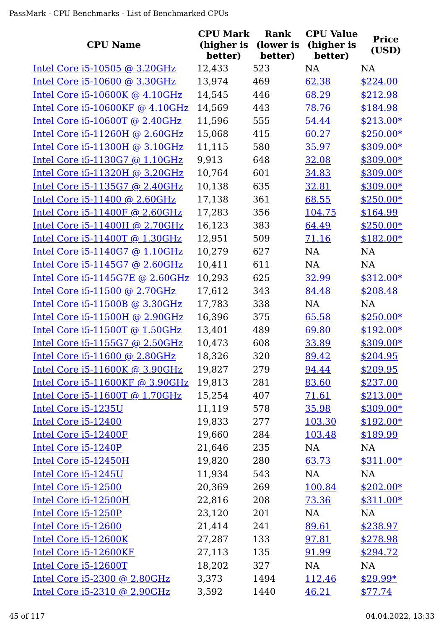| <b>CPU Name</b>                  | <b>CPU Mark</b><br>(higher is<br>better) | Rank<br>(lower is<br>better) | <b>CPU Value</b><br>(higher is<br>better) | <b>Price</b><br>(USD) |
|----------------------------------|------------------------------------------|------------------------------|-------------------------------------------|-----------------------|
| Intel Core i5-10505 @ 3.20GHz    | 12,433                                   | 523                          | NA                                        | NA                    |
| Intel Core i5-10600 @ 3.30GHz    | 13,974                                   | 469                          | 62.38                                     | \$224.00              |
| Intel Core $i5-10600K$ @ 4.10GHz | 14,545                                   | 446                          | 68.29                                     | \$212.98              |
| Intel Core i5-10600KF @ 4.10GHz  | 14,569                                   | 443                          | 78.76                                     | \$184.98              |
| Intel Core i5-10600T @ 2.40GHz   | 11,596                                   | 555                          | 54.44                                     | $$213.00*$            |
| Intel Core i5-11260H @ 2.60GHz   | 15,068                                   | 415                          | 60.27                                     | $$250.00*$            |
| Intel Core i5-11300H @ 3.10GHz   | 11,115                                   | 580                          | 35.97                                     | \$309.00*             |
| Intel Core i5-1130G7 @ 1.10GHz   | 9,913                                    | 648                          | 32.08                                     | \$309.00*             |
| Intel Core i5-11320H @ 3.20GHz   | 10,764                                   | 601                          | 34.83                                     | \$309.00*             |
| Intel Core i5-1135G7 @ 2.40GHz   | 10,138                                   | 635                          | 32.81                                     | \$309.00*             |
| Intel Core $i5-11400$ @ 2.60GHz  | 17,138                                   | 361                          | 68.55                                     | $$250.00*$            |
| Intel Core i5-11400F @ 2.60GHz   | 17,283                                   | 356                          | 104.75                                    | \$164.99              |
| Intel Core i5-11400H @ 2.70GHz   | 16,123                                   | 383                          | 64.49                                     | $$250.00*$            |
| Intel Core i5-11400T @ 1.30GHz   | 12,951                                   | 509                          | 71.16                                     | $$182.00*$            |
| Intel Core $i5-1140G7$ @ 1.10GHz | 10,279                                   | 627                          | <b>NA</b>                                 | <b>NA</b>             |
| Intel Core $i5-1145G7$ @ 2.60GHz | 10,411                                   | 611                          | <b>NA</b>                                 | NA                    |
| Intel Core i5-1145G7E @ 2.60GHz  | 10,293                                   | 625                          | 32.99                                     | $$312.00*$            |
| Intel Core i5-11500 @ 2.70GHz    | 17,612                                   | 343                          | 84.48                                     | \$208.48              |
| Intel Core i5-11500B @ 3.30GHz   | 17,783                                   | 338                          | <b>NA</b>                                 | <b>NA</b>             |
| Intel Core i5-11500H @ 2.90GHz   | 16,396                                   | 375                          | 65.58                                     | $$250.00*$            |
| Intel Core i5-11500T @ 1.50GHz   | 13,401                                   | 489                          | 69.80                                     | $$192.00*$            |
| Intel Core i5-1155G7 @ 2.50GHz   | 10,473                                   | 608                          | 33.89                                     | \$309.00*             |
| Intel Core i5-11600 @ 2.80GHz    | 18,326                                   | 320                          | 89.42                                     | \$204.95              |
| Intel Core $i5-11600K$ @ 3.90GHz | 19,827                                   | 279                          | <u>94.44</u>                              | \$209.95              |
| Intel Core i5-11600KF @ 3.90GHz  | 19,813                                   | 281                          | 83.60                                     | \$237.00              |
| Intel Core i5-11600T @ 1.70GHz   | 15,254                                   | 407                          | 71.61                                     | $$213.00*$            |
| Intel Core i5-1235U              | 11,119                                   | 578                          | 35.98                                     | $$309.00*$            |
| Intel Core i5-12400              | 19,833                                   | 277                          | 103.30                                    | $$192.00*$            |
| Intel Core i5-12400F             | 19,660                                   | 284                          | 103.48                                    | \$189.99              |
| Intel Core i5-1240P              | 21,646                                   | 235                          | NA                                        | NA                    |
| Intel Core i5-12450H             | 19,820                                   | 280                          | 63.73                                     | $$311.00*$            |
| Intel Core i5-1245U              | 11,934                                   | 543                          | NA                                        | NA                    |
| Intel Core i5-12500              | 20,369                                   | 269                          | 100.84                                    | $$202.00*$            |
| Intel Core i5-12500H             | 22,816                                   | 208                          | 73.36                                     | $$311.00*$            |
| Intel Core i5-1250P              | 23,120                                   | 201                          | NA                                        | NA                    |
| Intel Core i5-12600              | 21,414                                   | 241                          | 89.61                                     | \$238.97              |
| Intel Core i5-12600K             | 27,287                                   | 133                          | 97.81                                     | \$278.98              |
| Intel Core i5-12600KF            | 27,113                                   | 135                          | 91.99                                     | \$294.72              |
| Intel Core i5-12600T             | 18,202                                   | 327                          | NA                                        | NA                    |
| Intel Core i5-2300 @ 2.80GHz     | 3,373                                    | 1494                         | 112.46                                    | $$29.99*$             |
| Intel Core i5-2310 @ 2.90GHz     | 3,592                                    | 1440                         | 46.21                                     | \$77.74               |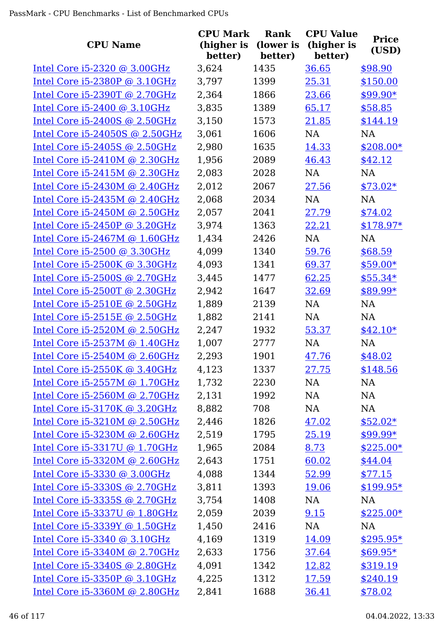| <b>CPU Name</b>                     | <b>CPU Mark</b><br>(higher is<br>better) | <b>Rank</b><br>(lower is<br>better) | <b>CPU Value</b><br>(higher is<br>better) | <b>Price</b><br>(USD) |
|-------------------------------------|------------------------------------------|-------------------------------------|-------------------------------------------|-----------------------|
| Intel Core i5-2320 @ 3.00GHz        | 3,624                                    | 1435                                | 36.65                                     | \$98.90               |
| Intel Core i5-2380P @ 3.10GHz       | 3,797                                    | 1399                                | 25.31                                     | \$150.00              |
| Intel Core i5-2390T @ 2.70GHz       | 2,364                                    | 1866                                | 23.66                                     | $$99.90*$             |
| Intel Core i5-2400 @ 3.10GHz        | 3,835                                    | 1389                                | 65.17                                     | \$58.85               |
| Intel Core i5-2400S @ 2.50GHz       | 3,150                                    | 1573                                | 21.85                                     | \$144.19              |
| Intel Core i5-24050S @ 2.50GHz      | 3,061                                    | 1606                                | NA                                        | <b>NA</b>             |
| Intel Core $i5-2405S$ @ 2.50GHz     | 2,980                                    | 1635                                | 14.33                                     | $$208.00*$            |
| Intel Core i5-2410M @ 2.30GHz       | 1,956                                    | 2089                                | 46.43                                     | \$42.12               |
| Intel Core i5-2415M @ 2.30GHz       | 2,083                                    | 2028                                | <b>NA</b>                                 | NA                    |
| Intel Core $i5-2430M$ @ 2.40GHz     | 2,012                                    | 2067                                | 27.56                                     | $$73.02*$             |
| Intel Core i5-2435M @ 2.40GHz       | 2,068                                    | 2034                                | NA                                        | <b>NA</b>             |
| Intel Core $i5-2450M$ @ 2.50GHz     | 2,057                                    | 2041                                | 27.79                                     | \$74.02               |
| Intel Core i5-2450P @ 3.20GHz       | 3,974                                    | 1363                                | 22.21                                     | $$178.97*$            |
| Intel Core i5-2467M @ 1.60GHz       | 1,434                                    | 2426                                | <b>NA</b>                                 | <b>NA</b>             |
| Intel Core i5-2500 @ 3.30GHz        | 4,099                                    | 1340                                | 59.76                                     | \$68.59               |
| Intel Core $i5-2500K$ @ 3.30GHz     | 4,093                                    | 1341                                | 69.37                                     | $$59.00*$             |
| Intel Core i5-2500S @ 2.70GHz       | 3,445                                    | 1477                                | 62.25                                     | $$55.34*$             |
| Intel Core i5-2500T @ 2.30GHz       | 2,942                                    | 1647                                | 32.69                                     | $$89.99*$             |
| Intel Core $i5-2510E \odot 2.50GHz$ | 1,889                                    | 2139                                | <b>NA</b>                                 | <b>NA</b>             |
| Intel Core i5-2515E @ 2.50GHz       | 1,882                                    | 2141                                | <b>NA</b>                                 | <b>NA</b>             |
| Intel Core i5-2520M @ 2.50GHz       | 2,247                                    | 1932                                | 53.37                                     | $$42.10*$             |
| Intel Core i5-2537M @ 1.40GHz       | 1,007                                    | 2777                                | <b>NA</b>                                 | <b>NA</b>             |
| Intel Core i5-2540M @ 2.60GHz       | 2,293                                    | 1901                                | 47.76                                     | \$48.02               |
| Intel Core $i5-2550K$ @ 3.40GHz     | 4,123                                    | 1337                                | <u>27.75</u>                              | \$148.56              |
| Intel Core $i5-2557M$ @ 1.70GHz     | 1,732                                    | 2230                                | NA                                        | NA                    |
| Intel Core $i5-2560M$ @ 2.70GHz     | 2,131                                    | 1992                                | NA                                        | NA                    |
| Intel Core i5-3170K @ 3.20GHz       | 8,882                                    | 708                                 | NA                                        | NA                    |
| Intel Core i5-3210M @ 2.50GHz       | 2,446                                    | 1826                                | 47.02                                     | $$52.02*$             |
| Intel Core i5-3230M @ 2.60GHz       | 2,519                                    | 1795                                | 25.19                                     | \$99.99*              |
| Intel Core i5-3317U @ 1.70GHz       | 1,965                                    | 2084                                | 8.73                                      | $$225.00*$            |
| Intel Core $i5-3320M$ @ 2.60GHz     | 2,643                                    | 1751                                | 60.02                                     | \$44.04               |
| Intel Core i5-3330 @ 3.00GHz        | 4,088                                    | 1344                                | 52.99                                     | \$77.15               |
| Intel Core i5-3330S @ 2.70GHz       | 3,811                                    | 1393                                | 19.06                                     | $$199.95*$            |
| Intel Core i5-3335S @ 2.70GHz       | 3,754                                    | 1408                                | NA                                        | NA                    |
| Intel Core i5-3337U @ 1.80GHz       | 2,059                                    | 2039                                | 9.15                                      | $$225.00*$            |
| Intel Core $i5-3339Y$ @ 1.50GHz     | 1,450                                    | 2416                                | NA                                        | <b>NA</b>             |
| Intel Core i5-3340 @ 3.10GHz        | 4,169                                    | 1319                                | 14.09                                     | $$295.95*$            |
| Intel Core $i5-3340M$ @ 2.70GHz     | 2,633                                    | 1756                                | 37.64                                     | $$69.95*$             |
| Intel Core i5-3340S @ 2.80GHz       | 4,091                                    | 1342                                | 12.82                                     | \$319.19              |
| Intel Core $i5-3350P$ @ 3.10GHz     | 4,225                                    | 1312                                | 17.59                                     | \$240.19              |
| Intel Core i5-3360M @ 2.80GHz       | 2,841                                    | 1688                                | 36.41                                     | \$78.02               |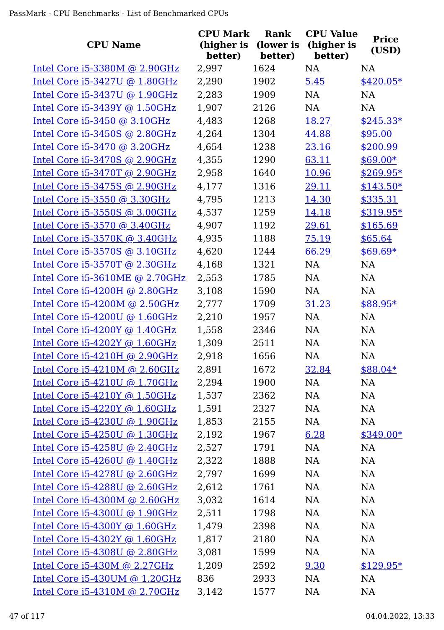| <b>CPU Name</b>                 | <b>CPU Mark</b><br>(higher is<br>better) | Rank<br>(lower is<br>better) | <b>CPU Value</b><br>(higher is<br>better) | <b>Price</b><br>(USD) |
|---------------------------------|------------------------------------------|------------------------------|-------------------------------------------|-----------------------|
| Intel Core $i5-3380M$ @ 2.90GHz | 2,997                                    | 1624                         | <b>NA</b>                                 | <b>NA</b>             |
| Intel Core i5-3427U @ 1.80GHz   | 2,290                                    | 1902                         | 5.45                                      | $$420.05*$            |
| Intel Core i5-3437U @ 1.90GHz   | 2,283                                    | 1909                         | <b>NA</b>                                 | <b>NA</b>             |
| Intel Core i5-3439Y @ 1.50GHz   | 1,907                                    | 2126                         | NA                                        | <b>NA</b>             |
| Intel Core i5-3450 @ 3.10GHz    | 4,483                                    | 1268                         | 18.27                                     | $$245.33*$            |
| Intel Core i5-3450S @ 2.80GHz   | 4,264                                    | 1304                         | 44.88                                     | \$95.00               |
| Intel Core i5-3470 @ 3.20GHz    | 4,654                                    | 1238                         | 23.16                                     | \$200.99              |
| Intel Core i5-3470S @ 2.90GHz   | 4,355                                    | 1290                         | 63.11                                     | $$69.00*$             |
| Intel Core i5-3470T @ 2.90GHz   | 2,958                                    | 1640                         | 10.96                                     | $$269.95*$            |
| Intel Core i5-3475S @ 2.90GHz   | 4,177                                    | 1316                         | 29.11                                     | $$143.50*$            |
| Intel Core i5-3550 @ 3.30GHz    | 4,795                                    | 1213                         | 14.30                                     | \$335.31              |
| Intel Core i5-3550S @ 3.00GHz   | 4,537                                    | 1259                         | 14.18                                     | \$319.95*             |
| Intel Core i5-3570 @ 3.40GHz    | 4,907                                    | 1192                         | 29.61                                     | \$165.69              |
| Intel Core i5-3570K @ 3.40GHz   | 4,935                                    | 1188                         | 75.19                                     | \$65.64               |
| Intel Core i5-3570S @ 3.10GHz   | 4,620                                    | 1244                         | 66.29                                     | $$69.69*$             |
| Intel Core i5-3570T @ 2.30GHz   | 4,168                                    | 1321                         | <b>NA</b>                                 | <b>NA</b>             |
| Intel Core i5-3610ME @ 2.70GHz  | 2,553                                    | 1785                         | NA                                        | NA                    |
| Intel Core i5-4200H @ 2.80GHz   | 3,108                                    | 1590                         | <b>NA</b>                                 | NA                    |
| Intel Core $i5-4200M$ @ 2.50GHz | 2,777                                    | 1709                         | 31.23                                     | $$88.95*$             |
| Intel Core $i5-4200U$ @ 1.60GHz | 2,210                                    | 1957                         | NA                                        | <b>NA</b>             |
| Intel Core i5-4200Y @ 1.40GHz   | 1,558                                    | 2346                         | <b>NA</b>                                 | <b>NA</b>             |
| Intel Core i5-4202Y @ 1.60GHz   | 1,309                                    | 2511                         | <b>NA</b>                                 | <b>NA</b>             |
| Intel Core i5-4210H @ 2.90GHz   | 2,918                                    | 1656                         | <b>NA</b>                                 | NA                    |
| Intel Core $i5-4210M$ @ 2.60GHz | 2,891                                    | 1672                         | <u>32.84</u>                              | $$88.04*$             |
| Intel Core $i5-4210U$ @ 1.70GHz | 2,294                                    | 1900                         | NA                                        | NA                    |
| Intel Core i5-4210Y @ 1.50GHz   | 1,537                                    | 2362                         | NA                                        | NA                    |
| Intel Core i5-4220Y @ 1.60GHz   | 1,591                                    | 2327                         | NA                                        | NA                    |
| Intel Core i5-4230U @ 1.90GHz   | 1,853                                    | 2155                         | NA                                        | <b>NA</b>             |
| Intel Core i5-4250U @ 1.30GHz   | 2,192                                    | 1967                         | 6.28                                      | $$349.00*$            |
| Intel Core i5-4258U @ 2.40GHz   | 2,527                                    | 1791                         | NA                                        | <b>NA</b>             |
| Intel Core i5-4260U @ 1.40GHz   | 2,322                                    | 1888                         | NA                                        | <b>NA</b>             |
| Intel Core i5-4278U @ 2.60GHz   | 2,797                                    | 1699                         | NA                                        | NA                    |
| Intel Core i5-4288U @ 2.60GHz   | 2,612                                    | 1761                         | NA                                        | <b>NA</b>             |
| Intel Core $i5-4300M$ @ 2.60GHz | 3,032                                    | 1614                         | NA                                        | <b>NA</b>             |
| Intel Core i5-4300U @ 1.90GHz   | 2,511                                    | 1798                         | NA                                        | <b>NA</b>             |
| Intel Core $i5-4300Y$ @ 1.60GHz | 1,479                                    | 2398                         | NA                                        | <b>NA</b>             |
| Intel Core i5-4302Y @ 1.60GHz   | 1,817                                    | 2180                         | NA                                        | NA                    |
| Intel Core i5-4308U @ 2.80GHz   | 3,081                                    | 1599                         | NA                                        | NA                    |
| Intel Core i5-430M @ 2.27GHz    | 1,209                                    | 2592                         | 9.30                                      | $$129.95*$            |
| Intel Core i5-430UM @ 1.20GHz   | 836                                      | 2933                         | NA                                        | NA                    |
| Intel Core i5-4310M @ 2.70GHz   | 3,142                                    | 1577                         | NA                                        | <b>NA</b>             |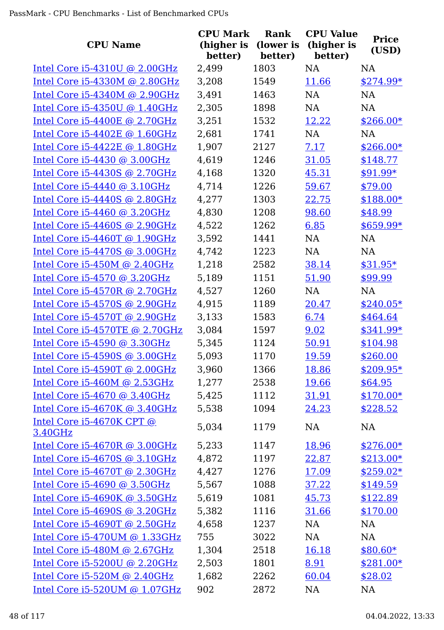| <b>CPU Name</b>                      | <b>CPU Mark</b><br>(higher is<br>better) | <b>Rank</b><br>(lower is<br>better) | <b>CPU Value</b><br>(higher is<br>better) | <b>Price</b><br>(USD) |
|--------------------------------------|------------------------------------------|-------------------------------------|-------------------------------------------|-----------------------|
| Intel Core $i5-4310U$ @ 2.00GHz      | 2,499                                    | 1803                                | <b>NA</b>                                 | <b>NA</b>             |
| Intel Core i5-4330M @ 2.80GHz        | 3,208                                    | 1549                                | 11.66                                     | $$274.99*$            |
| Intel Core i5-4340M @ 2.90GHz        | 3,491                                    | 1463                                | <b>NA</b>                                 | <b>NA</b>             |
| Intel Core $i5-4350U$ @ 1.40GHz      | 2,305                                    | 1898                                | NA                                        | <b>NA</b>             |
| Intel Core i5-4400E @ 2.70GHz        | 3,251                                    | 1532                                | 12.22                                     | $$266.00*$            |
| Intel Core $i5-4402E \odot 1.60GHz$  | 2,681                                    | 1741                                | NA                                        | NA                    |
| Intel Core i5-4422E @ 1.80GHz        | 1,907                                    | 2127                                | 7.17                                      | $$266.00*$            |
| Intel Core i5-4430 @ 3.00GHz         | 4,619                                    | 1246                                | 31.05                                     | \$148.77              |
| Intel Core i5-4430S @ 2.70GHz        | 4,168                                    | 1320                                | 45.31                                     | $$91.99*$             |
| Intel Core i5-4440 @ 3.10GHz         | 4,714                                    | 1226                                | 59.67                                     | \$79.00               |
| Intel Core i5-4440S @ 2.80GHz        | 4,277                                    | 1303                                | 22.75                                     | $$188.00*$            |
| Intel Core $i5-4460$ @ 3.20GHz       | 4,830                                    | 1208                                | 98.60                                     | \$48.99               |
| Intel Core $i5-4460S$ @ 2.90GHz      | 4,522                                    | 1262                                | 6.85                                      | $$659.99*$            |
| Intel Core i5-4460T @ 1.90GHz        | 3,592                                    | 1441                                | <b>NA</b>                                 | <b>NA</b>             |
| Intel Core i5-4470S @ 3.00GHz        | 4,742                                    | 1223                                | NA                                        | <b>NA</b>             |
| Intel Core $i5-450M$ @ 2.40GHz       | 1,218                                    | 2582                                | 38.14                                     | $$31.95*$             |
| Intel Core i5-4570 @ 3.20GHz         | 5,189                                    | 1151                                | 51.90                                     | \$99.99               |
| Intel Core i5-4570R @ 2.70GHz        | 4,527                                    | 1260                                | NA                                        | <b>NA</b>             |
| Intel Core $i5-4570S$ @ 2.90GHz      | 4,915                                    | 1189                                | 20.47                                     | $$240.05*$            |
| Intel Core i5-4570T @ 2.90GHz        | 3,133                                    | 1583                                | 6.74                                      | \$464.64              |
| Intel Core i5-4570TE @ 2.70GHz       | 3,084                                    | 1597                                | 9.02                                      | \$341.99*             |
| Intel Core i5-4590 @ 3.30GHz         | 5,345                                    | 1124                                | 50.91                                     | \$104.98              |
| Intel Core i5-4590S @ 3.00GHz        | 5,093                                    | 1170                                | 19.59                                     | \$260.00              |
| Intel Core $i5-4590T$ @ 2.00GHz      | 3,960                                    | 1366                                | 18.86                                     | $$209.95*$            |
| Intel Core $i5-460M$ @ 2.53GHz       | 1,277                                    | 2538                                | 19.66                                     | \$64.95               |
| Intel Core i5-4670 @ 3.40GHz         | 5,425                                    | 1112                                | 31.91                                     | $$170.00*$            |
| Intel Core i5-4670K @ 3.40GHz        | 5,538                                    | 1094                                | 24.23                                     | \$228.52              |
| Intel Core i5-4670K CPT @<br>3.40GHz | 5,034                                    | 1179                                | <b>NA</b>                                 | <b>NA</b>             |
| Intel Core i5-4670R @ 3.00GHz        | 5,233                                    | 1147                                | 18.96                                     | $$276.00*$            |
| Intel Core i5-4670S @ 3.10GHz        | 4,872                                    | 1197                                | 22.87                                     | $$213.00*$            |
| Intel Core i5-4670T @ 2.30GHz        | 4,427                                    | 1276                                | 17.09                                     | $$259.02*$            |
| Intel Core i5-4690 @ 3.50GHz         | 5,567                                    | 1088                                | 37.22                                     | \$149.59              |
| Intel Core $i5-4690K$ @ 3.50GHz      | 5,619                                    | 1081                                | 45.73                                     | \$122.89              |
| Intel Core i5-4690S @ 3.20GHz        | 5,382                                    | 1116                                | 31.66                                     | \$170.00              |
| Intel Core $i5-4690T$ @ 2.50GHz      | 4,658                                    | 1237                                | NA                                        | NA                    |
| Intel Core $i5-470$ UM @ 1.33GHz     | 755                                      | 3022                                | NA                                        | <b>NA</b>             |
| Intel Core $i5-480M$ @ 2.67GHz       | 1,304                                    | 2518                                | 16.18                                     | $$80.60*$             |
| Intel Core i5-5200U @ 2.20GHz        | 2,503                                    | 1801                                | 8.91                                      | $$281.00*$            |
| Intel Core i5-520M @ 2.40GHz         | 1,682                                    | 2262                                | 60.04                                     | \$28.02               |
| Intel Core i5-520UM @ 1.07GHz        | 902                                      | 2872                                | <b>NA</b>                                 | <b>NA</b>             |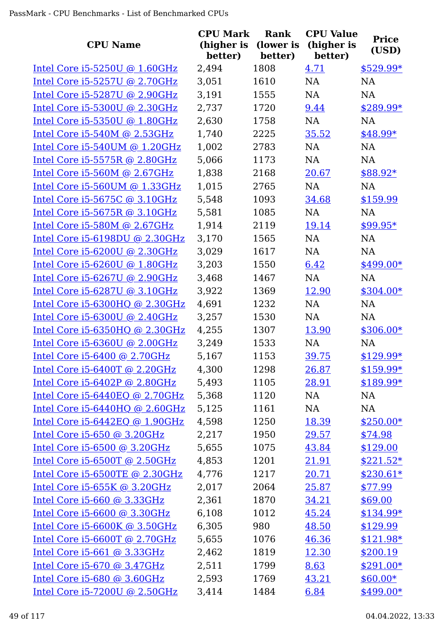| <b>CPU Name</b>                   | <b>CPU Mark</b><br>(higher is<br>better) | Rank<br>(lower is<br>better) | <b>CPU Value</b><br>(higher is<br>better) | <b>Price</b><br>(USD) |
|-----------------------------------|------------------------------------------|------------------------------|-------------------------------------------|-----------------------|
| Intel Core $i5-5250U$ @ 1.60GHz   | 2,494                                    | 1808                         | 4.71                                      | $$529.99*$            |
| Intel Core i5-5257U @ 2.70GHz     | 3,051                                    | 1610                         | NA                                        | <b>NA</b>             |
| Intel Core i5-5287U @ 2.90GHz     | 3,191                                    | 1555                         | NA                                        | <b>NA</b>             |
| Intel Core i5-5300U @ 2.30GHz     | 2,737                                    | 1720                         | 9.44                                      | $$289.99*$            |
| Intel Core i5-5350U @ 1.80GHz     | 2,630                                    | 1758                         | NA                                        | <b>NA</b>             |
| Intel Core $i5-540M$ @ 2.53GHz    | 1,740                                    | 2225                         | 35.52                                     | \$48.99*              |
| Intel Core $i5-540$ UM @ 1.20GHz  | 1,002                                    | 2783                         | <b>NA</b>                                 | <b>NA</b>             |
| Intel Core i5-5575R @ 2.80GHz     | 5,066                                    | 1173                         | <b>NA</b>                                 | NA                    |
| Intel Core i5-560M @ 2.67GHz      | 1,838                                    | 2168                         | 20.67                                     | $$88.92*$             |
| Intel Core i5-560UM @ 1.33GHz     | 1,015                                    | 2765                         | NA                                        | <b>NA</b>             |
| Intel Core i5-5675C @ 3.10GHz     | 5,548                                    | 1093                         | 34.68                                     | \$159.99              |
| Intel Core i5-5675R @ 3.10GHz     | 5,581                                    | 1085                         | <b>NA</b>                                 | <b>NA</b>             |
| Intel Core i5-580M @ 2.67GHz      | 1,914                                    | 2119                         | 19.14                                     | \$99.95*              |
| Intel Core i5-6198DU @ 2.30GHz    | 3,170                                    | 1565                         | <b>NA</b>                                 | <b>NA</b>             |
| Intel Core i5-6200U @ 2.30GHz     | 3,029                                    | 1617                         | NA                                        | <b>NA</b>             |
| Intel Core $i5-6260U$ @ 1.80GHz   | 3,203                                    | 1550                         | 6.42                                      | \$499.00*             |
| Intel Core i5-6267U @ 2.90GHz     | 3,468                                    | 1467                         | NA                                        | NA                    |
| Intel Core i5-6287U @ 3.10GHz     | 3,922                                    | 1369                         | 12.90                                     | $$304.00*$            |
| Intel Core $i5-6300HQ$ @ 2.30GHz  | 4,691                                    | 1232                         | <b>NA</b>                                 | <b>NA</b>             |
| Intel Core $i5-6300U$ @ 2.40GHz   | 3,257                                    | 1530                         | <b>NA</b>                                 | <b>NA</b>             |
| Intel Core i5-6350HQ @ 2.30GHz    | 4,255                                    | 1307                         | 13.90                                     | $$306.00*$            |
| Intel Core i5-6360U @ 2.00GHz     | 3,249                                    | 1533                         | NA                                        | <b>NA</b>             |
| Intel Core i5-6400 @ 2.70GHz      | 5,167                                    | 1153                         | 39.75                                     | $$129.99*$            |
| Intel Core $i5-6400T$ @ 2.20GHz   | 4,300                                    | 1298                         | <u>26.87</u>                              | $$159.99*$            |
| Intel Core $i5-6402P$ @ 2.80GHz   | 5,493                                    | 1105                         | 28.91                                     | $$189.99*$            |
| Intel Core $i5-6440EQ$ @ 2.70GHz  | 5,368                                    | 1120                         | NA                                        | NA                    |
| Intel Core i5-6440HQ @ 2.60GHz    | 5,125                                    | 1161                         | NA                                        | NA                    |
| Intel Core i5-6442EQ @ 1.90GHz    | 4,598                                    | 1250                         | 18.39                                     | $$250.00*$            |
| Intel Core i5-650 @ 3.20GHz       | 2,217                                    | 1950                         | 29.57                                     | \$74.98               |
| Intel Core i5-6500 @ 3.20GHz      | 5,655                                    | 1075                         | 43.84                                     | \$129.00              |
| Intel Core $i5-6500T$ @ 2.50GHz   | 4,853                                    | 1201                         | 21.91                                     | $$221.52*$            |
| Intel Core $i5-6500$ TE @ 2.30GHz | 4,776                                    | 1217                         | 20.71                                     | $$230.61*$            |
| Intel Core i5-655K @ 3.20GHz      | 2,017                                    | 2064                         | 25.87                                     | \$77.99               |
| Intel Core $i5-660$ @ 3.33GHz     | 2,361                                    | 1870                         | 34.21                                     | \$69.00               |
| Intel Core $i5-6600$ @ 3.30GHz    | 6,108                                    | 1012                         | 45.24                                     | $$134.99*$            |
| Intel Core $i5-6600K$ @ 3.50GHz   | 6,305                                    | 980                          | 48.50                                     | \$129.99              |
| Intel Core i5-6600T @ 2.70GHz     | 5,655                                    | 1076                         | 46.36                                     | $$121.98*$            |
| Intel Core $i5-661$ @ 3.33GHz     | 2,462                                    | 1819                         | 12.30                                     | \$200.19              |
| Intel Core i5-670 @ 3.47GHz       | 2,511                                    | 1799                         | 8.63                                      | $$291.00*$            |
| Intel Core i5-680 @ 3.60GHz       | 2,593                                    | 1769                         | 43.21                                     | $$60.00*$             |
| Intel Core i5-7200U @ 2.50GHz     | 3,414                                    | 1484                         | 6.84                                      | $$499.00*$            |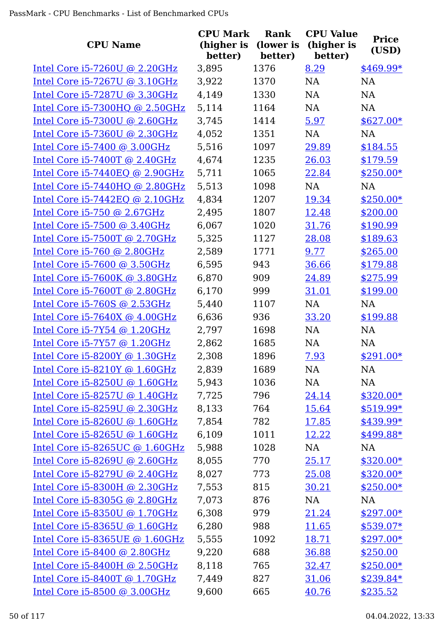| <b>CPU Name</b>                   | <b>CPU Mark</b><br>(higher is<br>better) | Rank<br>(lower is<br>better) | <b>CPU Value</b><br>(higher is<br>better) | <b>Price</b><br>(USD) |
|-----------------------------------|------------------------------------------|------------------------------|-------------------------------------------|-----------------------|
| Intel Core $i5-7260U$ @ 2.20GHz   | 3,895                                    | 1376                         | 8.29                                      | \$469.99*             |
| Intel Core i5-7267U @ 3.10GHz     | 3,922                                    | 1370                         | <b>NA</b>                                 | <b>NA</b>             |
| Intel Core i5-7287U @ 3.30GHz     | 4,149                                    | 1330                         | <b>NA</b>                                 | <b>NA</b>             |
| Intel Core i5-7300HQ @ 2.50GHz    | 5,114                                    | 1164                         | NA                                        | <b>NA</b>             |
| Intel Core $i5-7300U$ @ 2.60GHz   | 3,745                                    | 1414                         | 5.97                                      | $$627.00*$            |
| Intel Core i5-7360U @ 2.30GHz     | 4,052                                    | 1351                         | NA                                        | NA                    |
| Intel Core $i5-7400$ @ 3.00GHz    | 5,516                                    | 1097                         | 29.89                                     | \$184.55              |
| Intel Core $i5-7400T$ @ 2.40GHz   | 4,674                                    | 1235                         | 26.03                                     | \$179.59              |
| Intel Core $i5-7440EQ$ @ 2.90GHz  | 5,711                                    | 1065                         | 22.84                                     | $$250.00*$            |
| Intel Core $i5-7440HQ$ @ 2.80GHz  | 5,513                                    | 1098                         | <b>NA</b>                                 | <b>NA</b>             |
| Intel Core $i5-7442EQ$ @ 2.10GHz  | 4,834                                    | 1207                         | 19.34                                     | $$250.00*$            |
| Intel Core $i5-750$ @ 2.67GHz     | 2,495                                    | 1807                         | 12.48                                     | \$200.00              |
| Intel Core i5-7500 @ 3.40GHz      | 6,067                                    | 1020                         | 31.76                                     | \$190.99              |
| Intel Core i5-7500T @ 2.70GHz     | 5,325                                    | 1127                         | 28.08                                     | \$189.63              |
| Intel Core $i5-760$ @ 2.80GHz     | 2,589                                    | 1771                         | 9.77                                      | \$265.00              |
| Intel Core i5-7600 @ 3.50GHz      | 6,595                                    | 943                          | 36.66                                     | \$179.88              |
| Intel Core $i5-7600K$ @ 3.80GHz   | 6,870                                    | 909                          | 24.89                                     | \$275.99              |
| Intel Core i5-7600T @ 2.80GHz     | 6,170                                    | 999                          | 31.01                                     | \$199.00              |
| Intel Core $i5-760S$ @ 2.53GHz    | 5,440                                    | 1107                         | NA                                        | <b>NA</b>             |
| Intel Core $i5-7640X$ @ $4.00GHz$ | 6,636                                    | 936                          | 33.20                                     | \$199.88              |
| Intel Core i5-7Y54 @ 1.20GHz      | 2,797                                    | 1698                         | NA                                        | <b>NA</b>             |
| Intel Core i5-7Y57 @ 1.20GHz      | 2,862                                    | 1685                         | <b>NA</b>                                 | <b>NA</b>             |
| Intel Core $i5-8200Y$ @ 1.30GHz   | 2,308                                    | 1896                         | 7.93                                      | $$291.00*$            |
| Intel Core i5-8210Y @ 1.60GHz     | 2,839                                    | 1689                         | <b>NA</b>                                 | NA                    |
| Intel Core $i5-8250U$ @ 1.60GHz   | 5,943                                    | 1036                         | NA                                        | NA                    |
| Intel Core i5-8257U @ 1.40GHz     | 7,725                                    | 796                          | 24.14                                     | $$320.00*$            |
| Intel Core i5-8259U @ 2.30GHz     | 8,133                                    | 764                          | 15.64                                     | \$519.99*             |
| Intel Core i5-8260U @ 1.60GHz     | 7,854                                    | 782                          | 17.85                                     | \$439.99*             |
| Intel Core i5-8265U @ 1.60GHz     | 6,109                                    | 1011                         | 12.22                                     | \$499.88*             |
| Intel Core i5-8265UC @ 1.60GHz    | 5,988                                    | 1028                         | NA                                        | <b>NA</b>             |
| Intel Core i5-8269U @ 2.60GHz     | 8,055                                    | 770                          | 25.17                                     | $$320.00*$            |
| Intel Core $i5-8279U$ @ 2.40GHz   | 8,027                                    | 773                          | 25.08                                     | $$320.00*$            |
| Intel Core $i5-8300H$ @ 2.30GHz   | 7,553                                    | 815                          | 30.21                                     | $$250.00*$            |
| Intel Core i5-8305G @ 2.80GHz     | 7,073                                    | 876                          | NA                                        | <b>NA</b>             |
| Intel Core i5-8350U @ 1.70GHz     | 6,308                                    | 979                          | 21.24                                     | $$297.00*$            |
| Intel Core i5-8365U @ 1.60GHz     | 6,280                                    | 988                          | 11.65                                     | $$539.07*$            |
| Intel Core i5-8365UE @ 1.60GHz    | 5,555                                    | 1092                         | 18.71                                     | $$297.00*$            |
| Intel Core i5-8400 @ 2.80GHz      | 9,220                                    | 688                          | 36.88                                     | \$250.00              |
| Intel Core i5-8400H @ 2.50GHz     | 8,118                                    | 765                          | 32.47                                     | $$250.00*$            |
| Intel Core i5-8400T @ 1.70GHz     | 7,449                                    | 827                          | 31.06                                     | $$239.84*$            |
| Intel Core i5-8500 @ 3.00GHz      | 9,600                                    | 665                          | 40.76                                     | \$235.52              |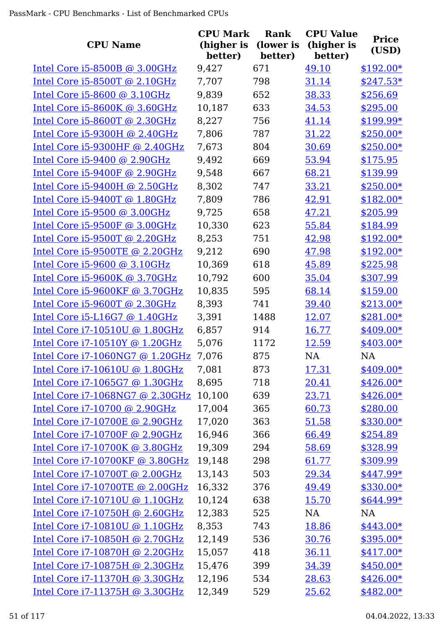| <b>CPU Name</b>                  | <b>CPU Mark</b><br>(higher is<br>better) | <b>Rank</b><br>(lower is<br>better) | <b>CPU Value</b><br>(higher is<br>better) | <b>Price</b><br>(USD) |
|----------------------------------|------------------------------------------|-------------------------------------|-------------------------------------------|-----------------------|
| Intel Core $i5-8500B$ @ 3.00GHz  | 9,427                                    | 671                                 | 49.10                                     | $$192.00*$            |
| Intel Core i5-8500T @ 2.10GHz    | 7,707                                    | 798                                 | 31.14                                     | $$247.53*$            |
| Intel Core i5-8600 @ 3.10GHz     | 9,839                                    | 652                                 | 38.33                                     | \$256.69              |
| Intel Core $i5-8600K$ @ 3.60GHz  | 10,187                                   | 633                                 | 34.53                                     | \$295.00              |
| Intel Core i5-8600T @ 2.30GHz    | 8,227                                    | 756                                 | 41.14                                     | \$199.99*             |
| Intel Core i5-9300H @ 2.40GHz    | 7,806                                    | 787                                 | 31.22                                     | $$250.00*$            |
| Intel Core $i5-9300HF$ @ 2.40GHz | 7,673                                    | 804                                 | 30.69                                     | $$250.00*$            |
| Intel Core $i5-9400$ @ 2.90GHz   | 9,492                                    | 669                                 | 53.94                                     | \$175.95              |
| Intel Core $i5-9400F$ @ 2.90GHz  | 9,548                                    | 667                                 | 68.21                                     | \$139.99              |
| Intel Core $i5-9400H$ @ 2.50GHz  | 8,302                                    | 747                                 | 33.21                                     | $$250.00*$            |
| Intel Core i5-9400T @ 1.80GHz    | 7,809                                    | 786                                 | 42.91                                     | $$182.00*$            |
| Intel Core $i5-9500$ @ 3.00GHz   | 9,725                                    | 658                                 | 47.21                                     | \$205.99              |
| Intel Core $i5-9500F$ @ 3.00GHz  | 10,330                                   | 623                                 | 55.84                                     | \$184.99              |
| Intel Core i5-9500T @ 2.20GHz    | 8,253                                    | 751                                 | 42.98                                     | $$192.00*$            |
| Intel Core i5-9500TE @ 2.20GHz   | 9,212                                    | 690                                 | 47.98                                     | $$192.00*$            |
| Intel Core i5-9600 @ 3.10GHz     | 10,369                                   | 618                                 | 45.89                                     | \$225.98              |
| Intel Core $i5-9600K$ @ 3.70GHz  | 10,792                                   | 600                                 | 35.04                                     | \$307.99              |
| Intel Core $i5-9600KF$ @ 3.70GHz | 10,835                                   | 595                                 | 68.14                                     | \$159.00              |
| Intel Core $i5-9600T$ @ 2.30GHz  | 8,393                                    | 741                                 | 39.40                                     | $$213.00*$            |
| Intel Core i5-L16G7 $@$ 1.40GHz  | 3,391                                    | 1488                                | 12.07                                     | $$281.00*$            |
| Intel Core i7-10510U @ 1.80GHz   | 6,857                                    | 914                                 | 16.77                                     | $$409.00*$            |
| Intel Core i7-10510Y @ 1.20GHz   | 5,076                                    | 1172                                | 12.59                                     | $$403.00*$            |
| Intel Core i7-1060NG7 @ 1.20GHz  | 7,076                                    | 875                                 | NA                                        | <b>NA</b>             |
| Intel Core i7-10610U @ 1.80GHz   | 7,081                                    | 873                                 | <u>17.31</u>                              | $$409.00*$            |
| Intel Core i7-1065G7 @ 1.30GHz   | 8,695                                    | 718                                 | 20.41                                     | $$426.00*$            |
| Intel Core i7-1068NG7 @ 2.30GHz  | 10,100                                   | 639                                 | 23.71                                     | $$426.00*$            |
| Intel Core i7-10700 @ 2.90GHz    | 17,004                                   | 365                                 | 60.73                                     | \$280.00              |
| Intel Core i7-10700E @ 2.90GHz   | 17,020                                   | 363                                 | 51.58                                     | \$330.00*             |
| Intel Core i7-10700F @ 2.90GHz   | 16,946                                   | 366                                 | 66.49                                     | \$254.89              |
| Intel Core i7-10700K @ 3.80GHz   | 19,309                                   | 294                                 | 58.69                                     | \$328.99              |
| Intel Core i7-10700KF @ 3.80GHz  | 19,148                                   | 298                                 | 61.77                                     | \$309.99              |
| Intel Core i7-10700T @ 2.00GHz   | 13,143                                   | 503                                 | 29.34                                     | $$447.99*$            |
| Intel Core i7-10700TE @ 2.00GHz  | 16,332                                   | 376                                 | 49.49                                     | $$330.00*$            |
| Intel Core i7-10710U @ 1.10GHz   | 10,124                                   | 638                                 | 15.70                                     | $$644.99*$            |
| Intel Core i7-10750H @ 2.60GHz   | 12,383                                   | 525                                 | NA                                        | <b>NA</b>             |
| Intel Core i7-10810U @ 1.10GHz   | 8,353                                    | 743                                 | 18.86                                     | $$443.00*$            |
| Intel Core i7-10850H @ 2.70GHz   | 12,149                                   | 536                                 | 30.76                                     | $$395.00*$            |
| Intel Core i7-10870H @ 2.20GHz   | 15,057                                   | 418                                 | 36.11                                     | $$417.00*$            |
| Intel Core i7-10875H @ 2.30GHz   | 15,476                                   | 399                                 | 34.39                                     | $$450.00*$            |
| Intel Core i7-11370H @ 3.30GHz   | 12,196                                   | 534                                 | 28.63                                     | $$426.00*$            |
| Intel Core i7-11375H @ 3.30GHz   | 12,349                                   | 529                                 | 25.62                                     | $$482.00*$            |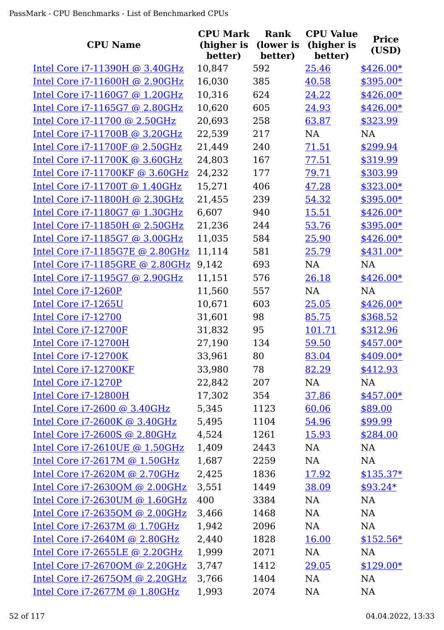| <b>CPU Name</b>                  | <b>CPU Mark</b><br>(higher is<br>better) | Rank<br>(lower is<br>better) | <b>CPU Value</b><br>(higher is<br>better) | <b>Price</b><br>(USD) |
|----------------------------------|------------------------------------------|------------------------------|-------------------------------------------|-----------------------|
| Intel Core i7-11390H @ 3.40GHz   | 10,847                                   | 592                          | 25.46                                     | $$426.00*$            |
| Intel Core i7-11600H @ 2.90GHz   | 16,030                                   | 385                          | 40.58                                     | $$395.00*$            |
| Intel Core i7-1160G7 @ 1.20GHz   | 10,316                                   | 624                          | 24.22                                     | $$426.00*$            |
| Intel Core i7-1165G7 @ 2.80GHz   | 10,620                                   | 605                          | 24.93                                     | $$426.00*$            |
| Intel Core i7-11700 @ 2.50GHz    | 20,693                                   | 258                          | 63.87                                     | \$323.99              |
| Intel Core i7-11700B @ 3.20GHz   | 22,539                                   | 217                          | <b>NA</b>                                 | <b>NA</b>             |
| Intel Core i7-11700F @ 2.50GHz   | 21,449                                   | 240                          | 71.51                                     | \$299.94              |
| Intel Core i7-11700K @ 3.60GHz   | 24,803                                   | 167                          | 77.51                                     | \$319.99              |
| Intel Core i7-11700KF @ 3.60GHz  | 24,232                                   | 177                          | 79.71                                     | \$303.99              |
| Intel Core i7-11700T @ 1.40GHz   | 15,271                                   | 406                          | 47.28                                     | \$323.00*             |
| Intel Core i7-11800H @ 2.30GHz   | 21,455                                   | 239                          | 54.32                                     | $$395.00*$            |
| Intel Core i7-1180G7 @ 1.30GHz   | 6,607                                    | 940                          | 15.51                                     | $$426.00*$            |
| Intel Core i7-11850H @ 2.50GHz   | 21,236                                   | 244                          | 53.76                                     | $$395.00*$            |
| Intel Core i7-1185G7 @ 3.00GHz   | 11,035                                   | 584                          | 25.90                                     | $$426.00*$            |
| Intel Core i7-1185G7E @ 2.80GHz  | 11,114                                   | 581                          | 25.79                                     | $$431.00*$            |
| Intel Core i7-1185GRE @ 2.80GHz  | 9,142                                    | 693                          | <b>NA</b>                                 | <b>NA</b>             |
| Intel Core i7-1195G7 @ 2.90GHz   | 11,151                                   | 576                          | 26.18                                     | $$426.00*$            |
| Intel Core i7-1260P              | 11,560                                   | 557                          | NA                                        | <b>NA</b>             |
| Intel Core i7-1265U              | 10,671                                   | 603                          | 25.05                                     | $$426.00*$            |
| Intel Core i7-12700              | 31,601                                   | 98                           | 85.75                                     | \$368.52              |
| Intel Core i7-12700F             | 31,832                                   | 95                           | <u>101.71</u>                             | \$312.96              |
| Intel Core i7-12700H             | 27,190                                   | 134                          | 59.50                                     | $$457.00*$            |
| Intel Core i7-12700K             | 33,961                                   | 80                           | 83.04                                     | $$409.00*$            |
| Intel Core i7-12700KF            | 33,980                                   | 78                           | 82.29                                     | \$412.93              |
| Intel Core i7-1270P              | 22,842                                   | 207                          | NA                                        | NA                    |
| Intel Core i7-12800H             | 17,302                                   | 354                          | 37.86                                     | $$457.00*$            |
| Intel Core i7-2600 @ 3.40GHz     | 5,345                                    | 1123                         | 60.06                                     | \$89.00               |
| Intel Core i7-2600K @ 3.40GHz    | 5,495                                    | 1104                         | 54.96                                     | \$99.99               |
| Intel Core i7-2600S @ 2.80GHz    | 4,524                                    | 1261                         | 15.93                                     | \$284.00              |
| Intel Core i7-2610UE @ 1.50GHz   | 1,409                                    | 2443                         | NA                                        | NA                    |
| Intel Core i7-2617M @ 1.50GHz    | 1,687                                    | 2259                         | NA                                        | <b>NA</b>             |
| Intel Core i7-2620M @ 2.70GHz    | 2,425                                    | 1836                         | 17.92                                     | $$135.37*$            |
| Intel Core $i7-2630QM$ @ 2.00GHz | 3,551                                    | 1449                         | 38.09                                     | $$93.24*$             |
| Intel Core i7-2630UM @ 1.60GHz   | 400                                      | 3384                         | NA                                        | <b>NA</b>             |
| Intel Core $i7-2635QM$ @ 2.00GHz | 3,466                                    | 1468                         | NA                                        | NA                    |
| Intel Core i7-2637M @ 1.70GHz    | 1,942                                    | 2096                         | NA                                        | <b>NA</b>             |
| Intel Core i7-2640M @ 2.80GHz    | 2,440                                    | 1828                         | 16.00                                     | $$152.56*$            |
| Intel Core i7-2655LE @ 2.20GHz   | 1,999                                    | 2071                         | NA                                        | <b>NA</b>             |
| Intel Core $i7-2670QM$ @ 2.20GHz | 3,747                                    | 1412                         | 29.05                                     | $$129.00*$            |
| Intel Core i7-2675QM @ 2.20GHz   | 3,766                                    | 1404                         | <b>NA</b>                                 | <b>NA</b>             |
| Intel Core i7-2677M @ 1.80GHz    | 1,993                                    | 2074                         | <b>NA</b>                                 | <b>NA</b>             |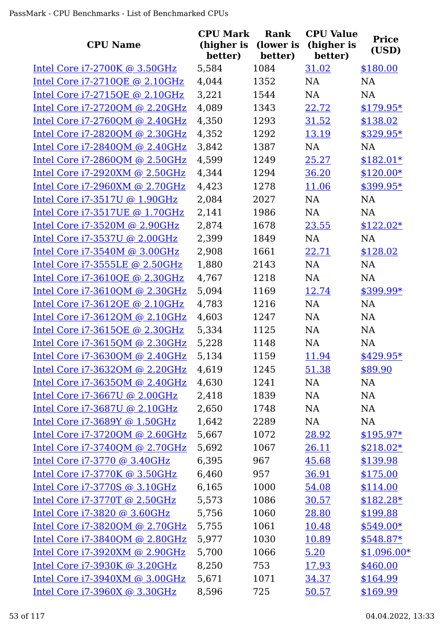| <b>CPU Name</b>                   | <b>CPU Mark</b><br>(higher is<br>better) | <b>Rank</b><br>(lower is<br>better) | <b>CPU Value</b><br>(higher is<br>better) | <b>Price</b><br>(USD) |
|-----------------------------------|------------------------------------------|-------------------------------------|-------------------------------------------|-----------------------|
| Intel Core $i7-2700K$ @ 3.50GHz   | 5,584                                    | 1084                                | 31.02                                     | \$180.00              |
| Intel Core i7-2710QE @ 2.10GHz    | 4,044                                    | 1352                                | <b>NA</b>                                 | <b>NA</b>             |
| Intel Core i7-2715QE @ 2.10GHz    | 3,221                                    | 1544                                | <b>NA</b>                                 | <b>NA</b>             |
| Intel Core i7-2720QM @ 2.20GHz    | 4,089                                    | 1343                                | 22.72                                     | $$179.95*$            |
| Intel Core $i7-2760QM$ @ 2.40GHz  | 4,350                                    | 1293                                | 31.52                                     | \$138.02              |
| Intel Core i7-2820QM @ 2.30GHz    | 4,352                                    | 1292                                | 13.19                                     | \$329.95*             |
| Intel Core $i7-2840QM$ @ 2.40GHz  | 3,842                                    | 1387                                | <b>NA</b>                                 | <b>NA</b>             |
| Intel Core i7-2860QM @ 2.50GHz    | 4,599                                    | 1249                                | 25.27                                     | $$182.01*$            |
| Intel Core i7-2920XM @ 2.50GHz    | 4,344                                    | 1294                                | 36.20                                     | $$120.00*$            |
| Intel Core i7-2960XM @ 2.70GHz    | 4,423                                    | 1278                                | 11.06                                     | \$399.95*             |
| Intel Core i7-3517U @ 1.90GHz     | 2,084                                    | 2027                                | NA                                        | <b>NA</b>             |
| Intel Core i7-3517UE @ 1.70GHz    | 2,141                                    | 1986                                | <b>NA</b>                                 | <b>NA</b>             |
| Intel Core i7-3520M @ 2.90GHz     | 2,874                                    | 1678                                | 23.55                                     | $$122.02*$            |
| Intel Core i7-3537U @ 2.00GHz     | 2,399                                    | 1849                                | <b>NA</b>                                 | <b>NA</b>             |
| Intel Core i7-3540M @ 3.00GHz     | 2,908                                    | 1661                                | 22.71                                     | \$128.02              |
| Intel Core i7-3555LE @ 2.50GHz    | 1,880                                    | 2143                                | <b>NA</b>                                 | <b>NA</b>             |
| Intel Core i7-3610QE @ 2.30GHz    | 4,767                                    | 1218                                | <b>NA</b>                                 | <b>NA</b>             |
| Intel Core i7-3610QM @ 2.30GHz    | 5,094                                    | 1169                                | 12.74                                     | \$399.99*             |
| Intel Core i7-3612QE @ 2.10GHz    | 4,783                                    | 1216                                | NA                                        | <b>NA</b>             |
| Intel Core $i7-3612QM$ @ 2.10GHz  | 4,603                                    | 1247                                | <b>NA</b>                                 | <b>NA</b>             |
| Intel Core i7-3615QE @ 2.30GHz    | 5,334                                    | 1125                                | <b>NA</b>                                 | <b>NA</b>             |
| Intel Core i7-3615QM @ 2.30GHz    | 5,228                                    | 1148                                | <b>NA</b>                                 | <b>NA</b>             |
| Intel Core i7-3630QM @ 2.40GHz    | 5,134                                    | 1159                                | 11.94                                     | $$429.95*$            |
| Intel Core i7-3632QM @ 2.20GHz    | 4,619                                    | 1245                                | 51.38                                     | \$89.90               |
| Intel Core i7-3635QM @ 2.40GHz    | 4,630                                    | 1241                                | NA                                        | NA                    |
| Intel Core i7-3667U @ 2.00GHz     | 2,418                                    | 1839                                | NA                                        | NA                    |
| Intel Core i7-3687U @ 2.10GHz     | 2,650                                    | 1748                                | NA                                        | NA                    |
| Intel Core i7-3689Y @ 1.50GHz     | 1,642                                    | 2289                                | NA                                        | NA                    |
| Intel Core i7-3720QM @ 2.60GHz    | 5,667                                    | 1072                                | 28.92                                     | $$195.97*$            |
| Intel Core i7-3740QM @ 2.70GHz    | 5,692                                    | 1067                                | 26.11                                     | $$218.02*$            |
| Intel Core i7-3770 @ 3.40GHz      | 6,395                                    | 967                                 | 45.68                                     | \$139.98              |
| Intel Core i7-3770K @ 3.50GHz     | 6,460                                    | 957                                 | 36.91                                     | \$175.00              |
| Intel Core i7-3770S @ 3.10GHz     | 6,165                                    | 1000                                | 54.08                                     | \$114.00              |
| Intel Core i7-3770T @ 2.50GHz     | 5,573                                    | 1086                                | 30.57                                     | $$182.28*$            |
| Intel Core i7-3820 @ 3.60GHz      | 5,756                                    | 1060                                | 28.80                                     | \$199.88              |
| Intel Core i7-3820QM @ 2.70GHz    | 5,755                                    | 1061                                | 10.48                                     | $$549.00*$            |
| Intel Core i7-3840QM @ 2.80GHz    | 5,977                                    | 1030                                | 10.89                                     | $$548.87*$            |
| Intel Core i7-3920XM @ 2.90GHz    | 5,700                                    | 1066                                | 5.20                                      | $$1,096.00*$          |
| Intel Core i7-3930K @ 3.20GHz     | 8,250                                    | 753                                 | 17.93                                     | \$460.00              |
| Intel Core $i7-3940$ XM @ 3.00GHz | 5,671                                    | 1071                                | 34.37                                     | \$164.99              |
| Intel Core i7-3960X @ 3.30GHz     | 8,596                                    | 725                                 | 50.57                                     | \$169.99              |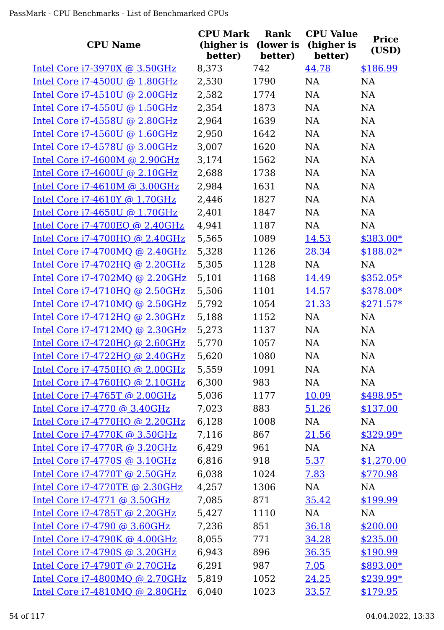| <b>CPU Name</b>                  | <b>CPU Mark</b><br>(higher is<br>better) | Rank<br>(lower is<br>better) | <b>CPU Value</b><br>(higher is<br>better) | <b>Price</b><br>(USD) |
|----------------------------------|------------------------------------------|------------------------------|-------------------------------------------|-----------------------|
| Intel Core $i7-3970X$ @ 3.50GHz  | 8,373                                    | 742                          | 44.78                                     | \$186.99              |
| Intel Core i7-4500U @ 1.80GHz    | 2,530                                    | 1790                         | NA                                        | NA                    |
| Intel Core i7-4510U @ 2.00GHz    | 2,582                                    | 1774                         | NA                                        | <b>NA</b>             |
| Intel Core i7-4550U @ 1.50GHz    | 2,354                                    | 1873                         | NA                                        | <b>NA</b>             |
| Intel Core i7-4558U @ 2.80GHz    | 2,964                                    | 1639                         | <b>NA</b>                                 | NA                    |
| Intel Core i7-4560U @ 1.60GHz    | 2,950                                    | 1642                         | NA                                        | NA                    |
| Intel Core i7-4578U @ 3.00GHz    | 3,007                                    | 1620                         | <b>NA</b>                                 | NA                    |
| Intel Core i7-4600M @ 2.90GHz    | 3,174                                    | 1562                         | <b>NA</b>                                 | <b>NA</b>             |
| Intel Core i7-4600U @ 2.10GHz    | 2,688                                    | 1738                         | <b>NA</b>                                 | <b>NA</b>             |
| Intel Core i7-4610M @ 3.00GHz    | 2,984                                    | 1631                         | <b>NA</b>                                 | <b>NA</b>             |
| Intel Core i7-4610Y @ 1.70GHz    | 2,446                                    | 1827                         | NA                                        | NA                    |
| Intel Core i7-4650U @ 1.70GHz    | 2,401                                    | 1847                         | <b>NA</b>                                 | <b>NA</b>             |
| Intel Core i7-4700EQ @ 2.40GHz   | 4,941                                    | 1187                         | NA                                        | NA                    |
| Intel Core i7-4700HQ @ 2.40GHz   | 5,565                                    | 1089                         | 14.53                                     | \$383.00*             |
| Intel Core i7-4700MQ @ 2.40GHz   | 5,328                                    | 1126                         | 28.34                                     | $$188.02*$            |
| Intel Core i7-4702HQ @ 2.20GHz   | 5,305                                    | 1128                         | <b>NA</b>                                 | <b>NA</b>             |
| Intel Core i7-4702MQ @ 2.20GHz   | 5,101                                    | 1168                         | 14.49                                     | $$352.05*$            |
| Intel Core $i7-4710HQ$ @ 2.50GHz | 5,506                                    | 1101                         | 14.57                                     | $$378.00*$            |
| Intel Core $i7-4710MQ$ @ 2.50GHz | 5,792                                    | 1054                         | 21.33                                     | $$271.57*$            |
| Intel Core i7-4712HQ @ 2.30GHz   | 5,188                                    | 1152                         | NA                                        | <b>NA</b>             |
| Intel Core i7-4712MQ @ 2.30GHz   | 5,273                                    | 1137                         | <b>NA</b>                                 | <b>NA</b>             |
| Intel Core i7-4720HQ @ 2.60GHz   | 5,770                                    | 1057                         | NA                                        | NA                    |
| Intel Core i7-4722HQ @ 2.40GHz   | 5,620                                    | 1080                         | NA                                        | <b>NA</b>             |
| Intel Core $i7-4750HQ$ @ 2.00GHz | 5,559                                    | 1091                         | NA                                        | NA                    |
| Intel Core $i7-4760HQ$ @ 2.10GHz | 6,300                                    | 983                          | NA                                        | NA                    |
| Intel Core i7-4765T @ 2.00GHz    | 5,036                                    | 1177                         | 10.09                                     | $$498.95*$            |
| Intel Core i7-4770 @ 3.40GHz     | 7,023                                    | 883                          | 51.26                                     | \$137.00              |
| Intel Core i7-4770HQ @ 2.20GHz   | 6,128                                    | 1008                         | <b>NA</b>                                 | <b>NA</b>             |
| Intel Core i7-4770K @ 3.50GHz    | 7,116                                    | 867                          | 21.56                                     | $$329.99*$            |
| Intel Core i7-4770R @ 3.20GHz    | 6,429                                    | 961                          | <b>NA</b>                                 | <b>NA</b>             |
| Intel Core i7-4770S @ 3.10GHz    | 6,816                                    | 918                          | 5.37                                      | \$1,270.00            |
| Intel Core i7-4770T @ 2.50GHz    | 6,038                                    | 1024                         | 7.83                                      | \$770.98              |
| Intel Core i7-4770TE @ 2.30GHz   | 4,257                                    | 1306                         | NA                                        | <b>NA</b>             |
| Intel Core i7-4771 @ 3.50GHz     | 7,085                                    | 871                          | 35.42                                     | \$199.99              |
| Intel Core i7-4785T @ 2.20GHz    | 5,427                                    | 1110                         | NA                                        | <b>NA</b>             |
| Intel Core i7-4790 @ 3.60GHz     | 7,236                                    | 851                          | 36.18                                     | \$200.00              |
| Intel Core i7-4790K @ 4.00GHz    | 8,055                                    | 771                          | 34.28                                     | \$235.00              |
| Intel Core i7-4790S @ 3.20GHz    | 6,943                                    | 896                          | 36.35                                     | \$190.99              |
| Intel Core i7-4790T @ 2.70GHz    | 6,291                                    | 987                          | 7.05                                      | \$893.00*             |
| Intel Core i7-4800MQ @ 2.70GHz   | 5,819                                    | 1052                         | 24.25                                     | \$239.99*             |
| Intel Core i7-4810MQ @ 2.80GHz   | 6,040                                    | 1023                         | 33.57                                     | \$179.95              |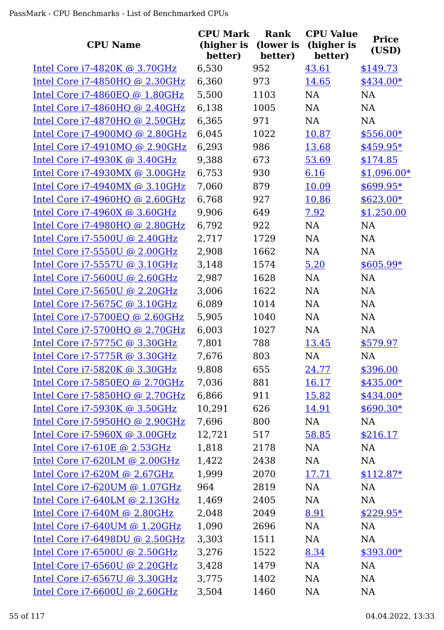| <b>CPU Name</b>                      | <b>CPU Mark</b><br>(higher is<br>better) | Rank<br>(lower is<br>better) | <b>CPU Value</b><br>(higher is<br>better) | <b>Price</b><br>(USD) |
|--------------------------------------|------------------------------------------|------------------------------|-------------------------------------------|-----------------------|
| Intel Core $i7-4820K$ @ 3.70GHz      | 6,530                                    | 952                          | 43.61                                     | \$149.73              |
| Intel Core i7-4850HQ @ 2.30GHz       | 6,360                                    | 973                          | 14.65                                     | \$434.00*             |
| Intel Core i7-4860EQ @ 1.80GHz       | 5,500                                    | 1103                         | <b>NA</b>                                 | <b>NA</b>             |
| Intel Core $i7-4860HQ$ @ 2.40GHz     | 6,138                                    | 1005                         | NA                                        | NA                    |
| Intel Core i7-4870HQ @ 2.50GHz       | 6,365                                    | 971                          | <b>NA</b>                                 | <b>NA</b>             |
| Intel Core $i7-4900MQ$ @ 2.80GHz     | 6,045                                    | 1022                         | 10.87                                     | $$556.00*$            |
| Intel Core $i7-4910MQ$ @ 2.90GHz     | 6,293                                    | 986                          | 13.68                                     | $$459.95*$            |
| Intel Core i7-4930K @ 3.40GHz        | 9,388                                    | 673                          | 53.69                                     | \$174.85              |
| Intel Core i7-4930MX @ 3.00GHz       | 6,753                                    | 930                          | 6.16                                      | $$1,096.00*$          |
| Intel Core $i7-4940MX$ @ 3.10GHz     | 7,060                                    | 879                          | 10.09                                     | $$699.95*$            |
| Intel Core i7-4960HQ @ 2.60GHz       | 6,768                                    | 927                          | 10.86                                     | $$623.00*$            |
| Intel Core $i7-4960X$ @ 3.60GHz      | 9,906                                    | 649                          | 7.92                                      | \$1,250.00            |
| Intel Core i7-4980HQ @ 2.80GHz       | 6,792                                    | 922                          | <b>NA</b>                                 | <b>NA</b>             |
| Intel Core i7-5500U @ 2.40GHz        | 2,717                                    | 1729                         | <b>NA</b>                                 | <b>NA</b>             |
| Intel Core i7-5550U @ 2.00GHz        | 2,908                                    | 1662                         | NA                                        | NA                    |
| Intel Core i7-5557U @ 3.10GHz        | 3,148                                    | 1574                         | 5.20                                      | $$605.99*$            |
| Intel Core $i7-5600U$ @ 2.60GHz      | 2,987                                    | 1628                         | NA                                        | NA                    |
| Intel Core i7-5650U @ 2.20GHz        | 3,006                                    | 1622                         | <b>NA</b>                                 | <b>NA</b>             |
| Intel Core i7-5675C @ 3.10GHz        | 6,089                                    | 1014                         | <b>NA</b>                                 | <b>NA</b>             |
| Intel Core i7-5700EQ @ 2.60GHz       | 5,905                                    | 1040                         | <b>NA</b>                                 | <b>NA</b>             |
| Intel Core i7-5700HQ @ 2.70GHz       | 6,003                                    | 1027                         | <b>NA</b>                                 | NA                    |
| Intel Core i7-5775C @ 3.30GHz        | 7,801                                    | 788                          | 13.45                                     | \$579.97              |
| Intel Core i7-5775R @ 3.30GHz        | 7,676                                    | 803                          | NA                                        | NA                    |
| <u>Intel Core i7-5820K @ 3.30GHz</u> | 9,808                                    | 655                          | <u>24.77</u>                              | \$396.00              |
| Intel Core i7-5850EQ @ 2.70GHz       | 7,036                                    | 881                          | 16.17                                     | $$435.00*$            |
| Intel Core i7-5850HQ @ 2.70GHz       | 6,866                                    | 911                          | 15.82                                     | \$434.00*             |
| Intel Core i7-5930K @ 3.50GHz        | 10,291                                   | 626                          | 14.91                                     | $$690.30*$            |
| Intel Core i7-5950HQ @ 2.90GHz       | 7,696                                    | 800                          | NA                                        | NA                    |
| Intel Core i7-5960X @ 3.00GHz        | 12,721                                   | 517                          | 58.85                                     | \$216.17              |
| Intel Core i7-610E @ 2.53GHz         | 1,818                                    | 2178                         | NA                                        | NA                    |
| Intel Core $i7-620LM$ @ 2.00GHz      | 1,422                                    | 2438                         | NA                                        | NA                    |
| Intel Core i7-620M @ 2.67GHz         | 1,999                                    | 2070                         | 17.71                                     | $$112.87*$            |
| Intel Core i7-620UM @ 1.07GHz        | 964                                      | 2819                         | NA                                        | NA                    |
| Intel Core i7-640LM @ 2.13GHz        | 1,469                                    | 2405                         | NA                                        | NA                    |
| Intel Core i7-640M @ 2.80GHz         | 2,048                                    | 2049                         | 8.91                                      | $$229.95*$            |
| Intel Core i7-640UM @ 1.20GHz        | 1,090                                    | 2696                         | NA                                        | NA                    |
| Intel Core i7-6498DU @ 2.50GHz       | 3,303                                    | 1511                         | NA                                        | NA                    |
| Intel Core i7-6500U @ 2.50GHz        | 3,276                                    | 1522                         | 8.34                                      | $$393.00*$            |
| Intel Core i7-6560U @ 2.20GHz        | 3,428                                    | 1479                         | NA                                        | NA                    |
| Intel Core i7-6567U @ 3.30GHz        | 3,775                                    | 1402                         | NA                                        | NA                    |
| Intel Core i7-6600U @ 2.60GHz        | 3,504                                    | 1460                         | NA                                        | <b>NA</b>             |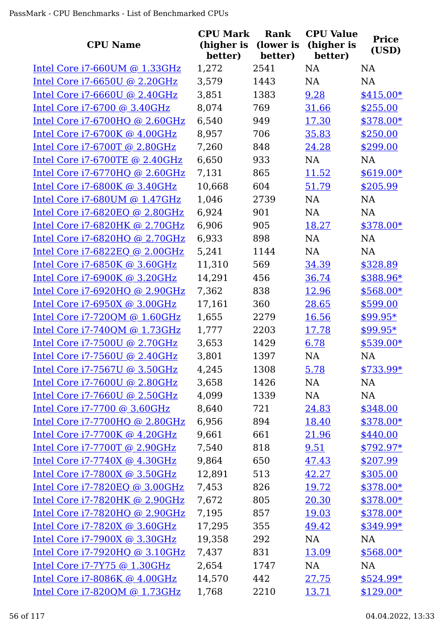| <b>CPU Name</b>                   | <b>CPU Mark</b><br>(higher is | Rank<br>(lower is | <b>CPU Value</b><br>(higher is | <b>Price</b><br>(USD)  |
|-----------------------------------|-------------------------------|-------------------|--------------------------------|------------------------|
|                                   | better)                       | better)           | better)                        |                        |
| Intel Core $i7-660$ UM @ 1.33GHz  | 1,272                         | 2541              | <b>NA</b>                      | <b>NA</b>              |
| Intel Core i7-6650U @ 2.20GHz     | 3,579                         | 1443              | NA                             | <b>NA</b>              |
| Intel Core $i7-6660U$ @ 2.40GHz   | 3,851                         | 1383              | 9.28                           | $$415.00*$             |
| Intel Core i7-6700 @ 3.40GHz      | 8,074                         | 769               | 31.66                          | \$255.00               |
| Intel Core i7-6700HQ @ 2.60GHz    | 6,540                         | 949               | 17.30                          | $$378.00*$             |
| Intel Core i7-6700K @ 4.00GHz     | 8,957                         | 706               | 35.83                          | \$250.00               |
| Intel Core i7-6700T @ 2.80GHz     | 7,260                         | 848               | 24.28                          | \$299.00               |
| Intel Core i7-6700TE @ 2.40GHz    | 6,650                         | 933               | <b>NA</b>                      | <b>NA</b>              |
| Intel Core i7-6770HQ @ 2.60GHz    | 7,131                         | 865               | 11.52                          | $$619.00*$             |
| Intel Core i7-6800K @ 3.40GHz     | 10,668                        | 604               | 51.79                          | \$205.99               |
| Intel Core i7-680UM @ 1.47GHz     | 1,046                         | 2739              | NA<br><b>NA</b>                | <b>NA</b><br><b>NA</b> |
| Intel Core $i7-6820EQ$ @ 2.80GHz  | 6,924                         | 901               |                                |                        |
| Intel Core i7-6820HK @ 2.70GHz    | 6,906                         | 905               | 18.27                          | $$378.00*$             |
| Intel Core i7-6820HQ @ 2.70GHz    | 6,933                         | 898               | <b>NA</b>                      | <b>NA</b>              |
| Intel Core i7-6822EQ @ 2.00GHz    | 5,241                         | 1144              | NA                             | <b>NA</b>              |
| Intel Core $i7-6850K$ @ 3.60GHz   | 11,310                        | 569               | 34.39                          | \$328.89               |
| Intel Core i7-6900K @ 3.20GHz     | 14,291                        | 456               | 36.74                          | \$388.96*              |
| Intel Core $i7-6920HQ$ @ 2.90GHz  | 7,362                         | 838               | 12.96                          | \$568.00*              |
| Intel Core i7-6950X @ 3.00GHz     | 17,161                        | 360               | 28.65                          | \$599.00               |
| Intel Core i7-720QM @ 1.60GHz     | 1,655                         | 2279              | 16.56                          | $$99.95*$              |
| Intel Core i7-740QM @ 1.73GHz     | 1,777                         | 2203              | 17.78                          | $$99.95*$              |
| Intel Core i7-7500U @ 2.70GHz     | 3,653                         | 1429              | 6.78                           | $$539.00*$             |
| Intel Core i7-7560U @ 2.40GHz     | 3,801                         | 1397              | NA                             | NA                     |
| Intel Core i7-7567U @ 3.50GHz     | 4,245                         | 1308              | 5.78                           | $$733.99*$             |
| Intel Core i7-7600U @ 2.80GHz     | 3,658                         | 1426              | NA                             | NA                     |
| Intel Core i7-7660U @ 2.50GHz     | 4,099                         | 1339              | NA                             | NA                     |
| Intel Core i7-7700 @ 3.60GHz      | 8,640                         | 721               | 24.83                          | \$348.00               |
| Intel Core i7-7700HQ @ 2.80GHz    | 6,956                         | 894               | 18.40                          | $$378.00*$             |
| Intel Core i7-7700K @ 4.20GHz     | 9,661                         | 661               | 21.96                          | \$440.00               |
| Intel Core i7-7700T @ 2.90GHz     | 7,540                         | 818               | 9.51                           | $$792.97*$             |
| Intel Core $i7-7740X$ @ 4.30GHz   | 9,864                         | 650               | 47.43                          | \$207.99               |
| Intel Core i7-7800X @ 3.50GHz     | 12,891                        | 513               | 42.27                          | \$305.00               |
| Intel Core i7-7820EQ @ 3.00GHz    | 7,453                         | 826               | 19.72                          | $$378.00*$             |
| Intel Core i7-7820HK @ 2.90GHz    | 7,672                         | 805               | 20.30                          | \$378.00*              |
| Intel Core i7-7820HQ @ 2.90GHz    | 7,195                         | 857               | 19.03                          | $$378.00*$             |
| Intel Core i7-7820X @ 3.60GHz     | 17,295                        | 355               | 49.42                          | \$349.99*              |
| Intel Core i7-7900X @ 3.30GHz     | 19,358                        | 292               | NA                             | <b>NA</b>              |
| Intel Core i7-7920HQ @ 3.10GHz    | 7,437                         | 831               | 13.09                          | $$568.00*$             |
| Intel Core i7-7Y75 @ 1.30GHz      | 2,654                         | 1747              | NA                             | NA                     |
| Intel Core $i7-8086K$ @ $4.00GHz$ | 14,570                        | 442               | 27.75                          | $$524.99*$             |
| Intel Core i7-820QM @ 1.73GHz     | 1,768                         | 2210              | 13.71                          | $$129.00*$             |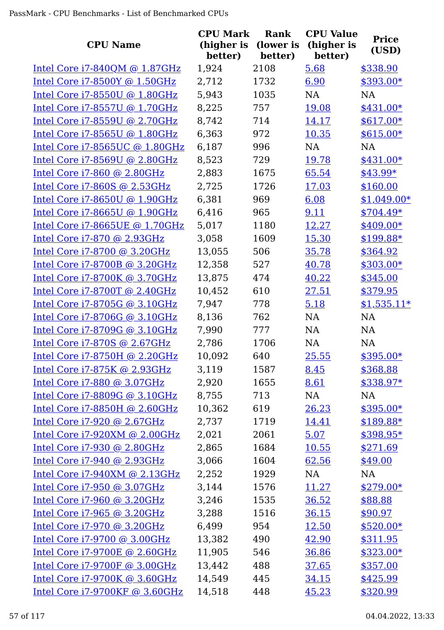| <b>CPU Name</b>                     | <b>CPU Mark</b><br>(higher is<br>better) | Rank<br>(lower is<br>better) | <b>CPU Value</b><br>(higher is<br>better) | <b>Price</b><br>(USD) |
|-------------------------------------|------------------------------------------|------------------------------|-------------------------------------------|-----------------------|
| Intel Core $i7-840QM$ @ 1.87GHz     | 1,924                                    | 2108                         | 5.68                                      | \$338.90              |
| Intel Core i7-8500Y @ 1.50GHz       | 2,712                                    | 1732                         | 6.90                                      | \$393.00*             |
| Intel Core i7-8550U @ 1.80GHz       | 5,943                                    | 1035                         | <b>NA</b>                                 | <b>NA</b>             |
| Intel Core i7-8557U @ 1.70GHz       | 8,225                                    | 757                          | 19.08                                     | $$431.00*$            |
| Intel Core i7-8559U @ 2.70GHz       | 8,742                                    | 714                          | 14.17                                     | $$617.00*$            |
| Intel Core i7-8565U @ 1.80GHz       | 6,363                                    | 972                          | 10.35                                     | $$615.00*$            |
| Intel Core i7-8565UC @ 1.80GHz      | 6,187                                    | 996                          | <b>NA</b>                                 | <b>NA</b>             |
| Intel Core i7-8569U @ 2.80GHz       | 8,523                                    | 729                          | 19.78                                     | $$431.00*$            |
| Intel Core i7-860 @ 2.80GHz         | 2,883                                    | 1675                         | 65.54                                     | $$43.99*$             |
| Intel Core $i7-860S$ @ 2.53GHz      | 2,725                                    | 1726                         | 17.03                                     | \$160.00              |
| Intel Core i7-8650U @ 1.90GHz       | 6,381                                    | 969                          | 6.08                                      | $$1,049.00*$          |
| Intel Core $i7-8665$ U @ 1.90GHz    | 6,416                                    | 965                          | 9.11                                      | \$704.49*             |
| Intel Core i7-8665UE @ 1.70GHz      | 5,017                                    | 1180                         | 12.27                                     | \$409.00*             |
| Intel Core i7-870 @ 2.93GHz         | 3,058                                    | 1609                         | 15.30                                     | \$199.88*             |
| Intel Core i7-8700 @ 3.20GHz        | 13,055                                   | 506                          | 35.78                                     | \$364.92              |
| Intel Core i7-8700B @ 3.20GHz       | 12,358                                   | 527                          | 40.78                                     | \$303.00*             |
| Intel Core i7-8700K @ 3.70GHz       | 13,875                                   | 474                          | 40.22                                     | \$345.00              |
| Intel Core i7-8700T @ 2.40GHz       | 10,452                                   | 610                          | 27.51                                     | \$379.95              |
| Intel Core i7-8705G @ 3.10GHz       | 7,947                                    | 778                          | 5.18                                      | $$1,535.11*$          |
| Intel Core i7-8706G @ 3.10GHz       | 8,136                                    | 762                          | <b>NA</b>                                 | <b>NA</b>             |
| Intel Core i7-8709G @ 3.10GHz       | 7,990                                    | 777                          | NA                                        | NA                    |
| <u>Intel Core i7-870S @ 2.67GHz</u> | 2,786                                    | 1706                         | NA                                        | NA                    |
| Intel Core i7-8750H @ 2.20GHz       | 10,092                                   | 640                          | 25.55                                     | $$395.00*$            |
| Intel Core $i7-875K$ @ 2.93GHz      | 3,119                                    | 1587                         | 8.45                                      | \$368.88              |
| Intel Core i7-880 @ 3.07GHz         | 2,920                                    | 1655                         | 8.61                                      | \$338.97*             |
| Intel Core i7-8809G @ 3.10GHz       | 8,755                                    | 713                          | NA                                        | NA                    |
| Intel Core i7-8850H @ 2.60GHz       | 10,362                                   | 619                          | 26.23                                     | \$395.00*             |
| Intel Core i7-920 @ 2.67GHz         | 2,737                                    | 1719                         | 14.41                                     | \$189.88*             |
| Intel Core i7-920XM @ 2.00GHz       | 2,021                                    | 2061                         | 5.07                                      | $$398.95*$            |
| Intel Core $i7-930$ @ 2.80GHz       | 2,865                                    | 1684                         | 10.55                                     | \$271.69              |
| Intel Core $i7-940$ @ 2.93GHz       | 3,066                                    | 1604                         | 62.56                                     | \$49.00               |
| Intel Core i7-940XM @ 2.13GHz       | 2,252                                    | 1929                         | NA                                        | <b>NA</b>             |
| Intel Core i7-950 @ 3.07GHz         | 3,144                                    | 1576                         | <u>11.27</u>                              | $$279.00*$            |
| Intel Core i7-960 @ 3.20GHz         | 3,246                                    | 1535                         | 36.52                                     | \$88.88               |
| Intel Core i7-965 @ 3.20GHz         | 3,288                                    | 1516                         | 36.15                                     | \$90.97               |
| Intel Core $i7-970$ @ 3.20GHz       | 6,499                                    | 954                          | 12.50                                     | $$520.00*$            |
| Intel Core i7-9700 @ 3.00GHz        | 13,382                                   | 490                          | 42.90                                     | \$311.95              |
| Intel Core i7-9700E @ 2.60GHz       | 11,905                                   | 546                          | 36.86                                     | $$323.00*$            |
| Intel Core i7-9700F @ 3.00GHz       | 13,442                                   | 488                          | 37.65                                     | \$357.00              |
| Intel Core $i7-9700K$ @ 3.60GHz     | 14,549                                   | 445                          | 34.15                                     | \$425.99              |
| Intel Core i7-9700KF @ 3.60GHz      | 14,518                                   | 448                          | 45.23                                     | \$320.99              |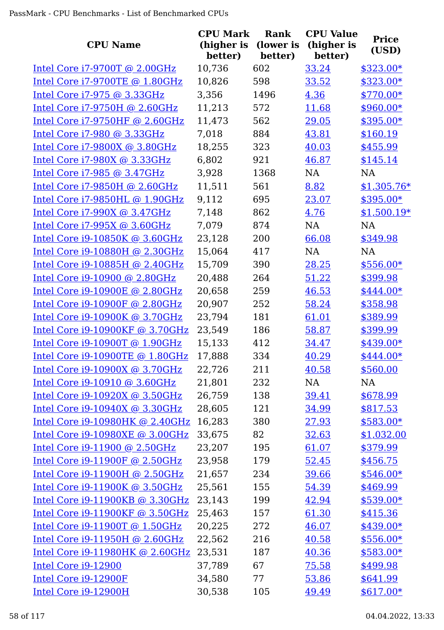| <b>CPU Name</b>                       | <b>CPU Mark</b><br>(higher is<br>better) | Rank<br>(lower is<br>better) | <b>CPU Value</b><br>(higher is<br>better) | <b>Price</b><br>(USD) |
|---------------------------------------|------------------------------------------|------------------------------|-------------------------------------------|-----------------------|
| Intel Core i7-9700T @ 2.00GHz         | 10,736                                   | 602                          | 33.24                                     | $$323.00*$            |
| Intel Core i7-9700TE @ 1.80GHz        | 10,826                                   | 598                          | 33.52                                     | \$323.00*             |
| Intel Core i7-975 @ 3.33GHz           | 3,356                                    | 1496                         | 4.36                                      | \$770.00*             |
| Intel Core i7-9750H @ 2.60GHz         | 11,213                                   | 572                          | 11.68                                     | $$960.00*$            |
| Intel Core i7-9750HF @ 2.60GHz        | 11,473                                   | 562                          | 29.05                                     | \$395.00*             |
| Intel Core i7-980 @ 3.33GHz           | 7,018                                    | 884                          | 43.81                                     | \$160.19              |
| Intel Core $i7-9800X$ @ 3.80GHz       | 18,255                                   | 323                          | 40.03                                     | \$455.99              |
| Intel Core i7-980X @ 3.33GHz          | 6,802                                    | 921                          | 46.87                                     | \$145.14              |
| Intel Core i7-985 @ 3.47GHz           | 3,928                                    | 1368                         | <b>NA</b>                                 | <b>NA</b>             |
| Intel Core $i7-9850H$ @ 2.60GHz       | 11,511                                   | 561                          | 8.82                                      | $$1,305.76*$          |
| Intel Core i7-9850HL @ 1.90GHz        | 9,112                                    | 695                          | 23.07                                     | $$395.00*$            |
| Intel Core $i7-990X$ @ 3.47GHz        | 7,148                                    | 862                          | 4.76                                      | $$1,500.19*$          |
| Intel Core i7-995X @ 3.60GHz          | 7,079                                    | 874                          | <b>NA</b>                                 | <b>NA</b>             |
| Intel Core i9-10850K @ 3.60GHz        | 23,128                                   | 200                          | 66.08                                     | \$349.98              |
| Intel Core i9-10880H @ 2.30GHz        | 15,064                                   | 417                          | <b>NA</b>                                 | NA                    |
| Intel Core i9-10885H @ 2.40GHz        | 15,709                                   | 390                          | 28.25                                     | $$556.00*$            |
| Intel Core i9-10900 @ 2.80GHz         | 20,488                                   | 264                          | 51.22                                     | \$399.98              |
| Intel Core i9-10900E @ 2.80GHz        | 20,658                                   | 259                          | 46.53                                     | $$444.00*$            |
| Intel Core i9-10900F @ 2.80GHz        | 20,907                                   | 252                          | 58.24                                     | \$358.98              |
| Intel Core i9-10900K @ 3.70GHz        | 23,794                                   | 181                          | 61.01                                     | \$389.99              |
| Intel Core i9-10900KF @ 3.70GHz       | 23,549                                   | 186                          | 58.87                                     | \$399.99              |
| Intel Core i9-10900T @ 1.90GHz        | 15,133                                   | 412                          | 34.47                                     | \$439.00*             |
| Intel Core i9-10900TE @ 1.80GHz       | 17,888                                   | 334                          | 40.29                                     | \$444.00*             |
| Intel Core $i9-10900X$ @ 3.70GHz      | 22,726                                   | 211                          | 40.58                                     | \$560.00              |
| Intel Core i9-10910 @ 3.60GHz         | 21,801                                   | 232                          | NA                                        | NA                    |
| <u>Intel Core i9-10920X @ 3.50GHz</u> | 26,759                                   | 138                          | 39.41                                     | \$678.99              |
| Intel Core i9-10940X @ 3.30GHz        | 28,605                                   | 121                          | 34.99                                     | \$817.53              |
| Intel Core i9-10980HK @ 2.40GHz       | 16,283                                   | 380                          | 27.93                                     | $$583.00*$            |
| Intel Core i9-10980XE @ 3.00GHz       | 33,675                                   | 82                           | 32.63                                     | \$1,032.00            |
| Intel Core i9-11900 @ 2.50GHz         | 23,207                                   | 195                          | 61.07                                     | \$379.99              |
| Intel Core $i9-11900F$ @ 2.50GHz      | 23,958                                   | 179                          | 52.45                                     | \$456.75              |
| Intel Core i9-11900H @ 2.50GHz        | 21,657                                   | 234                          | 39.66                                     | $$546.00*$            |
| Intel Core i9-11900K @ 3.50GHz        | 25,561                                   | 155                          | 54.39                                     | \$469.99              |
| Intel Core i9-11900KB @ 3.30GHz       | 23,143                                   | 199                          | 42.94                                     | $$539.00*$            |
| Intel Core i9-11900KF @ 3.50GHz       | 25,463                                   | 157                          | 61.30                                     | \$415.36              |
| Intel Core i9-11900T @ 1.50GHz        | 20,225                                   | 272                          | 46.07                                     | \$439.00*             |
| Intel Core i9-11950H @ 2.60GHz        | 22,562                                   | 216                          | 40.58                                     | $$556.00*$            |
| Intel Core i9-11980HK @ 2.60GHz       | 23,531                                   | 187                          | 40.36                                     | $$583.00*$            |
| Intel Core i9-12900                   | 37,789                                   | 67                           | 75.58                                     | \$499.98              |
| Intel Core i9-12900F                  | 34,580                                   | 77                           | 53.86                                     | \$641.99              |
| Intel Core i9-12900H                  | 30,538                                   | 105                          | 49.49                                     | $$617.00*$            |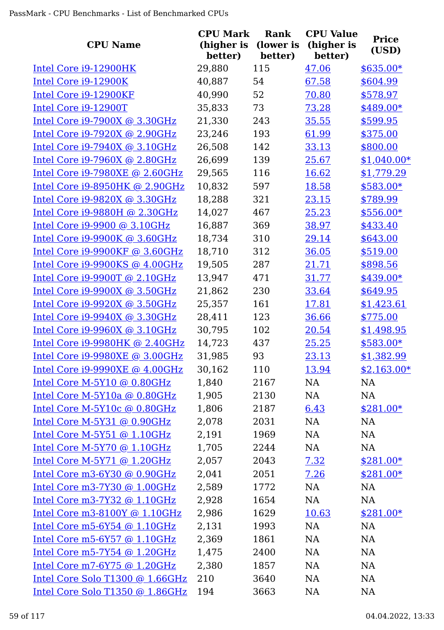| <b>CPU Name</b>                      | <b>CPU Mark</b><br>(higher is | Rank<br>(lower is | <b>CPU Value</b><br>(higher is | <b>Price</b> |
|--------------------------------------|-------------------------------|-------------------|--------------------------------|--------------|
|                                      | better)                       | better)           | better)                        | (USD)        |
| Intel Core i9-12900HK                | 29,880                        | 115               | 47.06                          | $$635.00*$   |
| Intel Core i9-12900K                 | 40,887                        | 54                | 67.58                          | \$604.99     |
| Intel Core i9-12900KF                | 40,990                        | 52                | 70.80                          | \$578.97     |
| Intel Core i9-12900T                 | 35,833                        | 73                | 73.28                          | \$489.00*    |
| Intel Core i9-7900X @ 3.30GHz        | 21,330                        | 243               | 35.55                          | \$599.95     |
| Intel Core i9-7920X @ 2.90GHz        | 23,246                        | 193               | 61.99                          | \$375.00     |
| Intel Core $i9-7940X$ @ 3.10GHz      | 26,508                        | 142               | 33.13                          | \$800.00     |
| Intel Core $i9-7960X$ @ 2.80GHz      | 26,699                        | 139               | 25.67                          | $$1,040.00*$ |
| Intel Core $i9-7980XE$ @ 2.60GHz     | 29,565                        | 116               | 16.62                          | \$1,779.29   |
| Intel Core $i9-8950HK$ @ 2.90GHz     | 10,832                        | 597               | 18.58                          | $$583.00*$   |
| Intel Core i9-9820X @ 3.30GHz        | 18,288                        | 321               | 23.15                          | \$789.99     |
| Intel Core i9-9880H @ 2.30GHz        | 14,027                        | 467               | 25.23                          | $$556.00*$   |
| Intel Core i9-9900 @ 3.10GHz         | 16,887                        | 369               | 38.97                          | \$433.40     |
| Intel Core i9-9900K @ 3.60GHz        | 18,734                        | 310               | 29.14                          | \$643.00     |
| Intel Core i9-9900KF @ 3.60GHz       | 18,710                        | 312               | 36.05                          | \$519.00     |
| Intel Core $i9-9900KS$ @ 4.00GHz     | 19,505                        | 287               | 21.71                          | \$898.56     |
| Intel Core i9-9900T @ 2.10GHz        | 13,947                        | 471               | 31.77                          | $$439.00*$   |
| Intel Core $i9-9900X$ @ 3.50GHz      | 21,862                        | 230               | 33.64                          | \$649.95     |
| <u>Intel Core i9-9920X @ 3.50GHz</u> | 25,357                        | 161               | 17.81                          | \$1,423.61   |
| Intel Core $i9-9940X$ @ 3.30GHz      | 28,411                        | 123               | 36.66                          | \$775.00     |
| Intel Core i9-9960X @ 3.10GHz        | 30,795                        | 102               | 20.54                          | \$1,498.95   |
| Intel Core i9-9980HK @ 2.40GHz       | 14,723                        | 437               | 25.25                          | $$583.00*$   |
| Intel Core i9-9980XE @ 3.00GHz       | 31,985                        | 93                | 23.13                          | \$1,382.99   |
| Intel Core i9-9990XE @ 4.00GHz       | 30,162                        | 110               | 13.94                          | $$2,163.00*$ |
| Intel Core M-5Y10 @ 0.80GHz          | 1,840                         | 2167              | NA                             | <b>NA</b>    |
| Intel Core M-5Y10a @ 0.80GHz         | 1,905                         | 2130              | NA                             | NA           |
| Intel Core M-5Y10c @ 0.80GHz         | 1,806                         | 2187              | 6.43                           | $$281.00*$   |
| Intel Core M-5Y31 @ 0.90GHz          | 2,078                         | 2031              | NA                             | <b>NA</b>    |
| Intel Core M-5Y51 @ 1.10GHz          | 2,191                         | 1969              | NA                             | NA           |
| Intel Core $M-5Y70$ @ 1.10GHz        | 1,705                         | 2244              | NA                             | <b>NA</b>    |
| Intel Core $M-5Y71$ @ 1.20GHz        | 2,057                         | 2043              | 7.32                           | $$281.00*$   |
| Intel Core m3-6Y30 @ 0.90GHz         | 2,041                         | 2051              | 7.26                           | $$281.00*$   |
| Intel Core m3-7Y30 $@$ 1.00GHz       | 2,589                         | 1772              | NA                             | NA           |
| Intel Core m3-7Y32 $@1.10GHz$        | 2,928                         | 1654              | NA                             | <b>NA</b>    |
| Intel Core m3-8100Y @ 1.10GHz        | 2,986                         | 1629              | 10.63                          | $$281.00*$   |
| Intel Core $m5-6Y54$ @ 1.10GHz       | 2,131                         | 1993              | NA                             | <b>NA</b>    |
| Intel Core m5-6Y57 @ 1.10GHz         | 2,369                         | 1861              | NA                             | NA           |
| Intel Core m5-7Y54 @ $1.20GHz$       | 1,475                         | 2400              | NA                             | NA           |
| Intel Core m7-6Y75 $@$ 1.20GHz       | 2,380                         | 1857              | NA                             | NA           |
| Intel Core Solo T1300 @ 1.66GHz      | 210                           | 3640              | NA                             | <b>NA</b>    |
| Intel Core Solo T1350 @ 1.86GHz      | 194                           | 3663              | <b>NA</b>                      | <b>NA</b>    |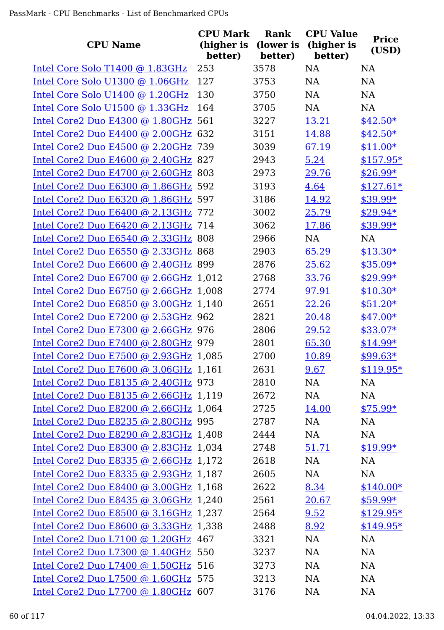|                                       | <b>CPU Mark</b>       | <b>Rank</b>          | <b>CPU Value</b>      |                       |
|---------------------------------------|-----------------------|----------------------|-----------------------|-----------------------|
| <b>CPU Name</b>                       | (higher is<br>better) | (lower is<br>better) | (higher is<br>better) | <b>Price</b><br>(USD) |
| Intel Core Solo T1400 @ 1.83GHz       | 253                   | 3578                 | <b>NA</b>             | <b>NA</b>             |
| Intel Core Solo U1300 @ 1.06GHz       | 127                   | 3753                 | <b>NA</b>             | <b>NA</b>             |
| Intel Core Solo U1400 @ 1.20GHz       | 130                   | 3750                 | <b>NA</b>             | <b>NA</b>             |
| Intel Core Solo U1500 @ 1.33GHz       | 164                   | 3705                 | <b>NA</b>             | NA                    |
| Intel Core2 Duo E4300 @ 1.80GHz 561   |                       | 3227                 | 13.21                 | $$42.50*$             |
| Intel Core2 Duo E4400 @ 2.00GHz 632   |                       | 3151                 | 14.88                 | $$42.50*$             |
| Intel Core2 Duo E4500 @ 2.20GHz 739   |                       | 3039                 | 67.19                 | $$11.00*$             |
| Intel Core2 Duo E4600 @ 2.40GHz 827   |                       | 2943                 | 5.24                  | $$157.95*$            |
| Intel Core2 Duo E4700 @ 2.60GHz 803   |                       | 2973                 | 29.76                 | $$26.99*$             |
| Intel Core2 Duo E6300 @ 1.86GHz 592   |                       | 3193                 | 4.64                  | $$127.61*$            |
| Intel Core2 Duo E6320 @ 1.86GHz 597   |                       | 3186                 | 14.92                 | \$39.99*              |
| Intel Core2 Duo E6400 @ 2.13GHz 772   |                       | 3002                 | 25.79                 | \$29.94*              |
| Intel Core2 Duo E6420 @ 2.13GHz 714   |                       | 3062                 | 17.86                 | $$39.99*$             |
| Intel Core2 Duo E6540 @ 2.33GHz 808   |                       | 2966                 | <b>NA</b>             | <b>NA</b>             |
| Intel Core2 Duo E6550 @ 2.33GHz 868   |                       | 2903                 | 65.29                 | $$13.30*$             |
| Intel Core2 Duo E6600 @ 2.40GHz 899   |                       | 2876                 | 25.62                 | $$35.09*$             |
| Intel Core2 Duo E6700 @ 2.66GHz 1,012 |                       | 2768                 | 33.76                 | $$29.99*$             |
| Intel Core2 Duo E6750 @ 2.66GHz 1,008 |                       | 2774                 | 97.91                 | $$10.30*$             |
| Intel Core2 Duo E6850 @ 3.00GHz 1,140 |                       | 2651                 | 22.26                 | $$51.20*$             |
| Intel Core2 Duo E7200 @ 2.53GHz 962   |                       | 2821                 | 20.48                 | $$47.00*$             |
| Intel Core2 Duo E7300 @ 2.66GHz 976   |                       | 2806                 | 29.52                 | \$33.07*              |
| Intel Core2 Duo E7400 @ 2.80GHz 979   |                       | 2801                 | 65.30                 | $$14.99*$             |
| Intel Core2 Duo E7500 @ 2.93GHz 1,085 |                       | 2700                 | 10.89                 | $$99.63*$             |
| Intel Core2 Duo E7600 @ 3.06GHz 1,161 |                       | 2631                 | 9.67                  | $$119.95*$            |
| Intel Core2 Duo E8135 @ 2.40GHz 973   |                       | 2810                 | NA                    | NA                    |
| Intel Core2 Duo E8135 @ 2.66GHz 1,119 |                       | 2672                 | NA                    | NA                    |
| Intel Core2 Duo E8200 @ 2.66GHz 1,064 |                       | 2725                 | 14.00                 | $$75.99*$             |
| Intel Core2 Duo E8235 @ 2.80GHz 995   |                       | 2787                 | NA                    | <b>NA</b>             |
| Intel Core2 Duo E8290 @ 2.83GHz 1,408 |                       | 2444                 | NA                    | NA                    |
| Intel Core2 Duo E8300 @ 2.83GHz 1,034 |                       | 2748                 | 51.71                 | $$19.99*$             |
| Intel Core2 Duo E8335 @ 2.66GHz 1,172 |                       | 2618                 | NA                    | NA                    |
| Intel Core2 Duo E8335 @ 2.93GHz 1,187 |                       | 2605                 | NA                    | NA                    |
| Intel Core2 Duo E8400 @ 3.00GHz 1,168 |                       | 2622                 | 8.34                  | $$140.00*$            |
| Intel Core2 Duo E8435 @ 3.06GHz 1,240 |                       | 2561                 | 20.67                 | $$59.99*$             |
| Intel Core2 Duo E8500 @ 3.16GHz 1,237 |                       | 2564                 | 9.52                  | $$129.95*$            |
| Intel Core2 Duo E8600 @ 3.33GHz 1,338 |                       | 2488                 | 8.92                  | $$149.95*$            |
| Intel Core2 Duo L7100 @ 1.20GHz 467   |                       | 3321                 | NA                    | NA                    |
| Intel Core2 Duo L7300 @ 1.40GHz 550   |                       | 3237                 | NA                    | NA                    |
| Intel Core2 Duo L7400 @ 1.50GHz 516   |                       | 3273                 | NA                    | <b>NA</b>             |
| Intel Core2 Duo L7500 @ 1.60GHz 575   |                       | 3213                 | NA                    | <b>NA</b>             |
| Intel Core2 Duo L7700 @ 1.80GHz 607   |                       | 3176                 | NA                    | <b>NA</b>             |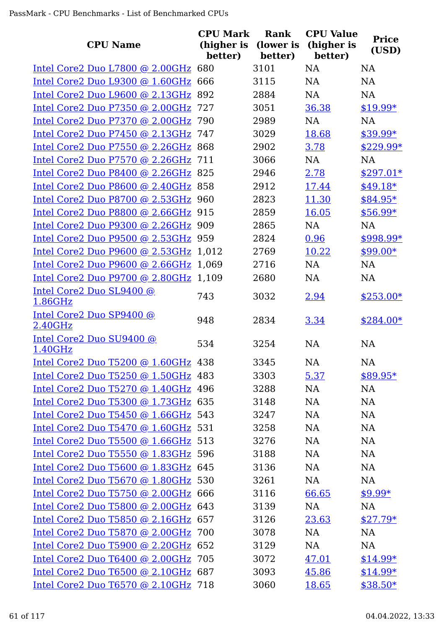| <b>CPU Name</b>                            | <b>CPU Mark</b><br>(higher is | <b>Rank</b><br>(lower is | <b>CPU Value</b><br>(higher is | <b>Price</b> |
|--------------------------------------------|-------------------------------|--------------------------|--------------------------------|--------------|
|                                            | better)                       | better)                  | better)                        | (USD)        |
| Intel Core2 Duo L7800 @ 2.00GHz 680        |                               | 3101                     | <b>NA</b>                      | <b>NA</b>    |
| Intel Core2 Duo L9300 @ 1.60GHz 666        |                               | 3115                     | <b>NA</b>                      | <b>NA</b>    |
| Intel Core2 Duo L9600 @ 2.13GHz            | 892                           | 2884                     | <b>NA</b>                      | <b>NA</b>    |
| Intel Core2 Duo P7350 @ 2.00GHz            | 727                           | 3051                     | 36.38                          | $$19.99*$    |
| Intel Core2 Duo P7370 @ 2.00GHz            | 790                           | 2989                     | <b>NA</b>                      | <b>NA</b>    |
| Intel Core2 Duo P7450 @ 2.13GHz            | 747                           | 3029                     | 18.68                          | $$39.99*$    |
| Intel Core2 Duo P7550 @ 2.26GHz 868        |                               | 2902                     | 3.78                           | $$229.99*$   |
| Intel Core2 Duo P7570 @ 2.26GHz 711        |                               | 3066                     | <b>NA</b>                      | <b>NA</b>    |
| Intel Core2 Duo P8400 @ 2.26GHz 825        |                               | 2946                     | 2.78                           | $$297.01*$   |
| Intel Core2 Duo P8600 @ 2.40GHz            | 858                           | 2912                     | 17.44                          | $$49.18*$    |
| Intel Core2 Duo P8700 @ 2.53GHz            | 960                           | 2823                     | 11.30                          | \$84.95*     |
| Intel Core2 Duo P8800 @ 2.66GHz            | 915                           | 2859                     | 16.05                          | \$56.99*     |
| Intel Core2 Duo P9300 @ 2.26GHz 909        |                               | 2865                     | <b>NA</b>                      | <b>NA</b>    |
| Intel Core2 Duo P9500 @ 2.53GHz 959        |                               | 2824                     | 0.96                           | \$998.99*    |
| Intel Core2 Duo P9600 @ 2.53GHz            | 1,012                         | 2769                     | 10.22                          | $$99.00*$    |
| Intel Core2 Duo P9600 @ 2.66GHz            | 1,069                         | 2716                     | <b>NA</b>                      | <b>NA</b>    |
| Intel Core2 Duo P9700 @ 2.80GHz 1,109      |                               | 2680                     | <b>NA</b>                      | <b>NA</b>    |
| Intel Core2 Duo SL9400 @                   | 743                           | 3032                     | 2.94                           | $$253.00*$   |
| 1.86GHz                                    |                               |                          |                                |              |
| Intel Core2 Duo SP9400 @<br>2.40GHz        | 948                           | 2834                     | 3.34                           | \$284.00*    |
| Intel Core2 Duo SU9400 @                   |                               |                          |                                |              |
| 1.40GHz                                    | 534                           | 3254                     | <b>NA</b>                      | <b>NA</b>    |
| Intel Core2 Duo T5200 @ 1.60GHz 438        |                               | 3345                     | NA                             | NA           |
| Intel Core2 Duo T5250 @ 1.50GHz 483        |                               | 3303                     | 5.37                           | \$89.95*     |
| Intel Core2 Duo T5270 @ 1.40GHz 496        |                               | 3288                     | NA                             | NA           |
| Intel Core2 Duo T5300 @ 1.73GHz 635        |                               | 3148                     | NA                             | <b>NA</b>    |
| Intel Core2 Duo T5450 @ 1.66GHz 543        |                               | 3247                     | NA                             | <b>NA</b>    |
| Intel Core2 Duo T5470 @ 1.60GHz 531        |                               | 3258                     | NA                             | <b>NA</b>    |
| Intel Core2 Duo T5500 @ 1.66GHz 513        |                               | 3276                     | NA                             | <b>NA</b>    |
| Intel Core2 Duo T5550 @ 1.83GHz 596        |                               | 3188                     | NA                             | <b>NA</b>    |
| Intel Core2 Duo T5600 @ 1.83GHz 645        |                               | 3136                     | NA                             | <b>NA</b>    |
| Intel Core2 Duo T5670 @ 1.80GHz 530        |                               | 3261                     | NA                             | <b>NA</b>    |
| Intel Core2 Duo $T5750$ @ 2.00GHz 666      |                               | 3116                     | 66.65                          | $$9.99*$     |
| Intel Core2 Duo T5800 @ 2.00GHz 643        |                               | 3139                     | NA                             | NA           |
| Intel Core2 Duo T5850 @ 2.16GHz 657        |                               | 3126                     | 23.63                          | $$27.79*$    |
| <u>Intel Core2 Duo T5870 @ 2.00GHz</u> 700 |                               | 3078                     | NA                             | NA           |
| Intel Core2 Duo T5900 @ 2.20GHz 652        |                               | 3129                     | NA                             | NA           |
| Intel Core2 Duo T6400 @ 2.00GHz 705        |                               | 3072                     | 47.01                          | $$14.99*$    |
| Intel Core2 Duo T6500 @ 2.10GHz 687        |                               | 3093                     | 45.86                          | $$14.99*$    |
| Intel Core2 Duo T6570 @ 2.10GHz 718        |                               | 3060                     | 18.65                          | $$38.50*$    |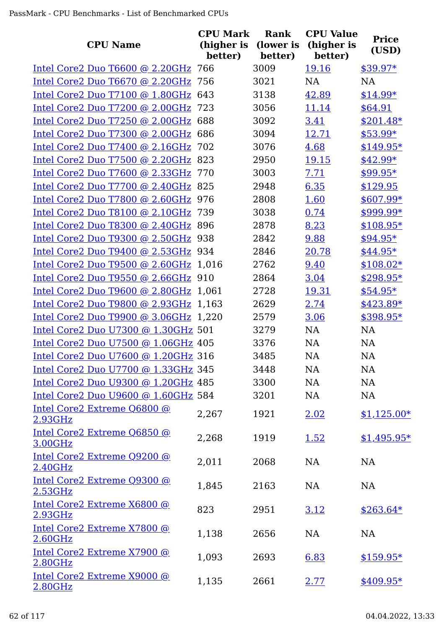| <b>CPU Name</b>                        | <b>CPU Mark</b><br>(higher is | <b>Rank</b><br>(lower is | <b>CPU Value</b><br>(higher is | <b>Price</b><br>(USD) |
|----------------------------------------|-------------------------------|--------------------------|--------------------------------|-----------------------|
|                                        | better)                       | better)                  | better)                        |                       |
| Intel Core2 Duo T6600 @ 2.20GHz        | 766                           | 3009                     | 19.16                          | $$39.97*$             |
| Intel Core2 Duo T6670 @ 2.20GHz        | 756                           | 3021                     | <b>NA</b>                      | <b>NA</b>             |
| Intel Core2 Duo T7100 @ 1.80GHz        | 643                           | 3138                     | 42.89                          | $$14.99*$             |
| Intel Core2 Duo T7200 @ 2.00GHz        | 723                           | 3056                     | 11.14                          | \$64.91               |
| Intel Core2 Duo T7250 @ 2.00GHz        | 688                           | 3092                     | 3.41                           | $$201.48*$            |
| Intel Core2 Duo T7300 @ 2.00GHz        | 686                           | 3094                     | 12.71                          | $$53.99*$             |
| Intel Core2 Duo T7400 @ 2.16GHz        | 702                           | 3076                     | 4.68                           | $$149.95*$            |
| Intel Core2 Duo T7500 @ 2.20GHz        | 823                           | 2950                     | <u>19.15</u>                   | $$42.99*$             |
| Intel Core2 Duo T7600 @ 2.33GHz        | 770                           | 3003                     | 7.71                           | \$99.95*              |
| Intel Core2 Duo T7700 @ 2.40GHz        | 825                           | 2948                     | 6.35                           | \$129.95              |
| Intel Core2 Duo T7800 @ 2.60GHz        | 976                           | 2808                     | 1.60                           | $$607.99*$            |
| Intel Core2 Duo T8100 @ 2.10GHz        | 739                           | 3038                     | 0.74                           | \$999.99*             |
| Intel Core2 Duo T8300 @ 2.40GHz        | 896                           | 2878                     | 8.23                           | $$108.95*$            |
| Intel Core2 Duo T9300 @ 2.50GHz 938    |                               | 2842                     | 9.88                           | \$94.95*              |
| Intel Core2 Duo T9400 @ 2.53GHz 934    |                               | 2846                     | 20.78                          | \$44.95*              |
| Intel Core2 Duo T9500 @ 2.60GHz 1,016  |                               | 2762                     | 9.40                           | $$108.02*$            |
| Intel Core2 Duo T9550 @ 2.66GHz 910    |                               | 2864                     | 3.04                           | $$298.95*$            |
| Intel Core2 Duo T9600 @ 2.80GHz 1,061  |                               | 2728                     | 19.31                          | \$54.95*              |
| Intel Core2 Duo T9800 @ 2.93GHz 1,163  |                               | 2629                     | 2.74                           | $$423.89*$            |
| Intel Core2 Duo T9900 @ 3.06GHz 1,220  |                               | 2579                     | 3.06                           | $$398.95*$            |
| Intel Core2 Duo U7300 @ 1.30GHz 501    |                               | 3279                     | <b>NA</b>                      | <b>NA</b>             |
| Intel Core2 Duo U7500 @ 1.06GHz 405    |                               | 3376                     | NA                             | NA                    |
| Intel Core2 Duo U7600 @ 1.20GHz 316    |                               | 3485                     | <b>NA</b>                      | <b>NA</b>             |
| Intel Core2 Duo U7700 @ 1.33GHz 345    |                               | 3448                     | NA                             | NA                    |
| Intel Core2 Duo U9300 @ 1.20GHz 485    |                               | 3300                     | NA                             | <b>NA</b>             |
| Intel Core2 Duo U9600 @ 1.60GHz 584    |                               | 3201                     | <b>NA</b>                      | NA                    |
| Intel Core2 Extreme Q6800 @            | 2,267                         | 1921                     | 2.02                           | $$1,125.00*$          |
| 2.93GHz                                |                               |                          |                                |                       |
| Intel Core2 Extreme Q6850 @<br>3.00GHz | 2,268                         | 1919                     | 1.52                           | $$1,495.95*$          |
| Intel Core2 Extreme Q9200 @<br>2.40GHz | 2,011                         | 2068                     | NA                             | <b>NA</b>             |
| Intel Core2 Extreme Q9300 @<br>2.53GHz | 1,845                         | 2163                     | NA                             | <b>NA</b>             |
| Intel Core2 Extreme X6800 @<br>2.93GHz | 823                           | 2951                     | 3.12                           | $$263.64*$            |
| Intel Core2 Extreme X7800 @<br>2.60GHz | 1,138                         | 2656                     | NA                             | <b>NA</b>             |
| Intel Core2 Extreme X7900 @<br>2.80GHz | 1,093                         | 2693                     | 6.83                           | $$159.95*$            |
| Intel Core2 Extreme X9000 @<br>2.80GHz | 1,135                         | 2661                     | 2.77                           | $$409.95*$            |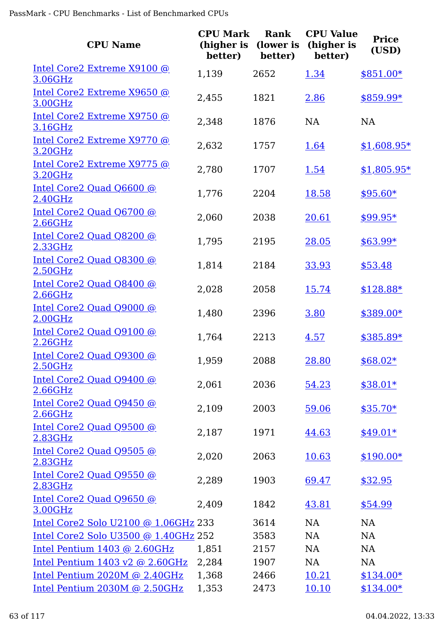| <b>CPU Name</b>                                            | <b>CPU Mark</b><br>(higher is<br>better) | Rank<br>(lower is<br>better) | <b>CPU Value</b><br>(higher is<br>better) | <b>Price</b><br>(USD) |
|------------------------------------------------------------|------------------------------------------|------------------------------|-------------------------------------------|-----------------------|
| Intel Core2 Extreme X9100 @<br>3.06GHz                     | 1,139                                    | 2652                         | 1.34                                      | $$851.00*$            |
| Intel Core2 Extreme X9650 @<br>3.00GHz                     | 2,455                                    | 1821                         | 2.86                                      | \$859.99*             |
| Intel Core2 Extreme X9750 @<br>3.16GHz                     | 2,348                                    | 1876                         | <b>NA</b>                                 | <b>NA</b>             |
| Intel Core2 Extreme X9770 @<br>3.20GHz                     | 2,632                                    | 1757                         | 1.64                                      | $$1,608.95*$          |
| Intel Core2 Extreme X9775 @<br>3.20GHz                     | 2,780                                    | 1707                         | 1.54                                      | $$1,805.95*$          |
| Intel Core2 Quad Q6600 @<br>2.40GHz                        | 1,776                                    | 2204                         | 18.58                                     | $$95.60*$             |
| Intel Core2 Quad Q6700 @<br>2.66GHz                        | 2,060                                    | 2038                         | 20.61                                     | $$99.95*$             |
| Intel Core2 Quad Q8200 @<br>2.33GHz                        | 1,795                                    | 2195                         | 28.05                                     | $$63.99*$             |
| Intel Core2 Quad Q8300 @<br>2.50GHz                        | 1,814                                    | 2184                         | 33.93                                     | \$53.48               |
| Intel Core2 Quad Q8400 @<br>2.66GHz                        | 2,028                                    | 2058                         | 15.74                                     | $$128.88*$            |
| Intel Core2 Quad Q9000 @<br>2.00GHz                        | 1,480                                    | 2396                         | 3.80                                      | \$389.00*             |
| Intel Core2 Quad Q9100 @<br>2.26GHz                        | 1,764                                    | 2213                         | 4.57                                      | \$385.89*             |
| Intel Core2 Quad Q9300 @<br>2.50GHz                        | 1,959                                    | 2088                         | 28.80                                     | $$68.02*$             |
| Intel Core2 Quad Q9400 @<br>2.66GHz                        | 2,061                                    | 2036                         | 54.23                                     | $$38.01*$             |
| Intel Core2 Quad Q9450 @<br>$2.66$ GHz                     | 2,109                                    | 2003                         | 59.06                                     | $$35.70*$             |
| Intel Core2 Quad Q9500 @<br>2.83GHz                        | 2,187                                    | 1971                         | 44.63                                     | $$49.01*$             |
| Intel Core2 Quad Q9505 @<br>2.83GHz                        | 2,020                                    | 2063                         | 10.63                                     | $$190.00*$            |
| Intel Core2 Quad Q9550 @<br>2.83GHz                        | 2,289                                    | 1903                         | 69.47                                     | \$32.95               |
| Intel Core2 Quad Q9650 @<br>3.00GHz                        | 2,409                                    | 1842                         | 43.81                                     | \$54.99               |
| Intel Core2 Solo U2100 @ 1.06GHz 233                       |                                          | 3614                         | <b>NA</b>                                 | <b>NA</b>             |
| Intel Core2 Solo U3500 @ 1.40GHz 252                       |                                          | 3583                         | <b>NA</b>                                 | <b>NA</b>             |
| Intel Pentium 1403 @ 2.60GHz                               | 1,851                                    | 2157                         | <b>NA</b>                                 | <b>NA</b>             |
| Intel Pentium $1403 \text{ v}2 \text{ @ } 2.60 \text{GHz}$ | 2,284                                    | 1907                         | NA                                        | <b>NA</b>             |
| Intel Pentium $2020M$ @ $2.40GHz$                          | 1,368                                    | 2466                         | 10.21                                     | $$134.00*$            |
| Intel Pentium 2030M @ 2.50GHz                              | 1,353                                    | 2473                         | 10.10                                     | $$134.00*$            |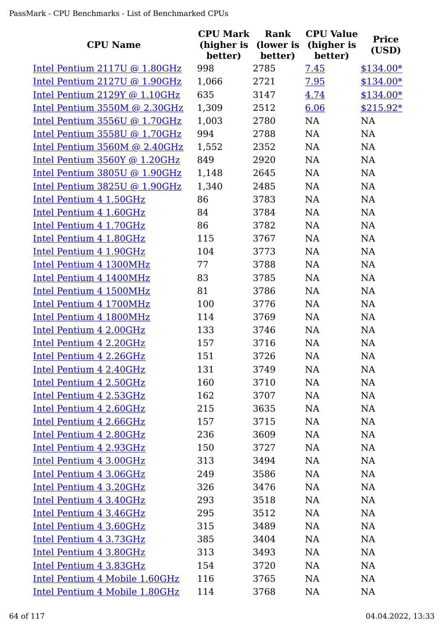| <b>CPU Name</b>                   | <b>CPU Mark</b><br>(higher is<br>better) | <b>Rank</b><br>(lower is<br>better) | <b>CPU Value</b><br>(higher is<br>better) | <b>Price</b><br>(USD) |
|-----------------------------------|------------------------------------------|-------------------------------------|-------------------------------------------|-----------------------|
| Intel Pentium 2117U @ 1.80GHz     | 998                                      | 2785                                | 7.45                                      | $$134.00*$            |
| Intel Pentium 2127U @ 1.90GHz     | 1,066                                    | 2721                                | 7.95                                      | $$134.00*$            |
| Intel Pentium $2129Y$ @ $1.10GHz$ | 635                                      | 3147                                | 4.74                                      | $$134.00*$            |
| Intel Pentium 3550M @ 2.30GHz     | 1,309                                    | 2512                                | 6.06                                      | $$215.92*$            |
| Intel Pentium 3556U @ 1.70GHz     | 1,003                                    | 2780                                | NA                                        | <b>NA</b>             |
| Intel Pentium $3558U$ @ 1.70GHz   | 994                                      | 2788                                | <b>NA</b>                                 | NA                    |
| Intel Pentium 3560M @ 2.40GHz     | 1,552                                    | 2352                                | NA                                        | NA                    |
| Intel Pentium 3560Y @ 1.20GHz     | 849                                      | 2920                                | NA                                        | <b>NA</b>             |
| Intel Pentium 3805U @ 1.90GHz     | 1,148                                    | 2645                                | NA                                        | NA                    |
| Intel Pentium 3825U @ 1.90GHz     | 1,340                                    | 2485                                | NA                                        | <b>NA</b>             |
| Intel Pentium 4 1.50GHz           | 86                                       | 3783                                | NA                                        | NA                    |
| Intel Pentium 4 1.60GHz           | 84                                       | 3784                                | <b>NA</b>                                 | NA                    |
| Intel Pentium 4 1.70GHz           | 86                                       | 3782                                | <b>NA</b>                                 | NA                    |
| Intel Pentium 4 1.80GHz           | 115                                      | 3767                                | NA                                        | <b>NA</b>             |
| Intel Pentium 4 1.90GHz           | 104                                      | 3773                                | <b>NA</b>                                 | NA                    |
| Intel Pentium 4 1300MHz           | 77                                       | 3788                                | <b>NA</b>                                 | <b>NA</b>             |
| Intel Pentium 4 1400MHz           | 83                                       | 3785                                | <b>NA</b>                                 | <b>NA</b>             |
| Intel Pentium 4 1500MHz           | 81                                       | 3786                                | NA                                        | NA                    |
| Intel Pentium 4 1700MHz           | 100                                      | 3776                                | NA                                        | <b>NA</b>             |
| Intel Pentium 4 1800MHz           | 114                                      | 3769                                | NA                                        | <b>NA</b>             |
| Intel Pentium 4 2.00GHz           | 133                                      | 3746                                | <b>NA</b>                                 | NA                    |
| Intel Pentium 4 2.20GHz           | 157                                      | 3716                                | <b>NA</b>                                 | NA                    |
| Intel Pentium 4 2.26GHz           | 151                                      | 3726                                | <b>NA</b>                                 | <b>NA</b>             |
| Intel Pentium 4 2.40GHz           | 131                                      | 3749                                | NA                                        | NA                    |
| Intel Pentium 4 2.50GHz           | 160                                      | 3710                                | NA                                        | NA                    |
| Intel Pentium 4 2.53GHz           | 162                                      | 3707                                | NA                                        | NA                    |
| Intel Pentium 4 2.60GHz           | 215                                      | 3635                                | <b>NA</b>                                 | NA                    |
| Intel Pentium 4 2.66GHz           | 157                                      | 3715                                | <b>NA</b>                                 | <b>NA</b>             |
| Intel Pentium 4 2.80GHz           | 236                                      | 3609                                | <b>NA</b>                                 | NA                    |
| Intel Pentium 4 2.93GHz           | 150                                      | 3727                                | <b>NA</b>                                 | NA                    |
| Intel Pentium 4 3.00GHz           | 313                                      | 3494                                | <b>NA</b>                                 | NA                    |
| Intel Pentium 4 3.06GHz           | 249                                      | 3586                                | <b>NA</b>                                 | <b>NA</b>             |
| Intel Pentium 4 3.20GHz           | 326                                      | 3476                                | <b>NA</b>                                 | NA                    |
| Intel Pentium 4 3.40GHz           | 293                                      | 3518                                | NA                                        | NA                    |
| Intel Pentium 4 3.46GHz           | 295                                      | 3512                                | NA                                        | NA                    |
| Intel Pentium 4 3.60GHz           | 315                                      | 3489                                | NA                                        | NA                    |
| Intel Pentium 4 3.73GHz           | 385                                      | 3404                                | NA                                        | NA                    |
| Intel Pentium 4 3.80GHz           | 313                                      | 3493                                | NA                                        | NA                    |
| Intel Pentium 4 3.83GHz           | 154                                      | 3720                                | <b>NA</b>                                 | NA                    |
| Intel Pentium 4 Mobile 1.60GHz    | 116                                      | 3765                                | <b>NA</b>                                 | NA                    |
| Intel Pentium 4 Mobile 1.80GHz    | 114                                      | 3768                                | NA                                        | NA                    |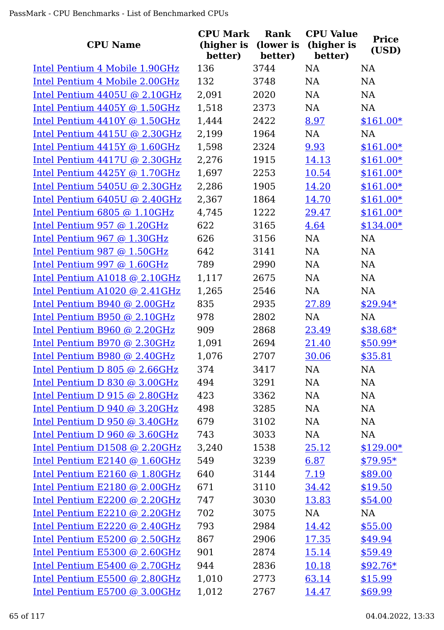| <b>CPU Name</b>                 | <b>CPU Mark</b><br>(higher is<br>better) | Rank<br>(lower is<br>better) | <b>CPU Value</b><br>(higher is<br>better) | <b>Price</b><br>(USD) |
|---------------------------------|------------------------------------------|------------------------------|-------------------------------------------|-----------------------|
| Intel Pentium 4 Mobile 1.90GHz  | 136                                      | 3744                         | <b>NA</b>                                 | <b>NA</b>             |
| Intel Pentium 4 Mobile 2.00GHz  | 132                                      | 3748                         | NA                                        | NA                    |
| Intel Pentium $4405U$ @ 2.10GHz | 2,091                                    | 2020                         | <b>NA</b>                                 | <b>NA</b>             |
| Intel Pentium $4405Y$ @ 1.50GHz | 1,518                                    | 2373                         | NA                                        | NA                    |
| Intel Pentium 4410Y @ 1.50GHz   | 1,444                                    | 2422                         | 8.97                                      | $$161.00*$            |
| Intel Pentium $4415U$ @ 2.30GHz | 2,199                                    | 1964                         | NA                                        | NA                    |
| Intel Pentium $4415Y$ @ 1.60GHz | 1,598                                    | 2324                         | 9.93                                      | $$161.00*$            |
| Intel Pentium 4417U @ 2.30GHz   | 2,276                                    | 1915                         | 14.13                                     | $$161.00*$            |
| Intel Pentium $4425Y$ @ 1.70GHz | 1,697                                    | 2253                         | 10.54                                     | $$161.00*$            |
| Intel Pentium 5405U @ 2.30GHz   | 2,286                                    | 1905                         | 14.20                                     | $$161.00*$            |
| Intel Pentium 6405U @ 2.40GHz   | 2,367                                    | 1864                         | 14.70                                     | $$161.00*$            |
| Intel Pentium $6805$ @ 1.10GHz  | 4,745                                    | 1222                         | 29.47                                     | $$161.00*$            |
| Intel Pentium 957 @ 1.20GHz     | 622                                      | 3165                         | 4.64                                      | $$134.00*$            |
| Intel Pentium 967 @ 1.30GHz     | 626                                      | 3156                         | <b>NA</b>                                 | <b>NA</b>             |
| Intel Pentium 987 @ 1.50GHz     | 642                                      | 3141                         | NA                                        | NA                    |
| Intel Pentium 997 @ 1.60GHz     | 789                                      | 2990                         | <b>NA</b>                                 | NA                    |
| Intel Pentium A1018 @ 2.10GHz   | 1,117                                    | 2675                         | NA                                        | NA                    |
| Intel Pentium $A1020$ @ 2.41GHz | 1,265                                    | 2546                         | NA                                        | <b>NA</b>             |
| Intel Pentium B940 @ 2.00GHz    | 835                                      | 2935                         | 27.89                                     | $$29.94*$             |
| Intel Pentium B950 @ 2.10GHz    | 978                                      | 2802                         | <b>NA</b>                                 | <b>NA</b>             |
| Intel Pentium B960 @ 2.20GHz    | 909                                      | 2868                         | 23.49                                     | $$38.68*$             |
| Intel Pentium B970 @ 2.30GHz    | 1,091                                    | 2694                         | 21.40                                     | $$50.99*$             |
| Intel Pentium B980 @ 2.40GHz    | 1,076                                    | 2707                         | 30.06                                     | \$35.81               |
| Intel Pentium D 805 $@$ 2.66GHz | 374                                      | 3417                         | NA                                        | NA                    |
| Intel Pentium D 830 @ 3.00GHz   | 494                                      | 3291                         | NA                                        | NA                    |
| Intel Pentium D $915$ @ 2.80GHz | 423                                      | 3362                         | NA                                        | NA                    |
| Intel Pentium D 940 @ 3.20GHz   | 498                                      | 3285                         | NA                                        | NA                    |
| Intel Pentium D 950 @ 3.40GHz   | 679                                      | 3102                         | NA                                        | NA                    |
| Intel Pentium D 960 @ 3.60GHz   | 743                                      | 3033                         | NA                                        | NA                    |
| Intel Pentium D1508 @ 2.20GHz   | 3,240                                    | 1538                         | 25.12                                     | $$129.00*$            |
| Intel Pentium E2140 @ 1.60GHz   | 549                                      | 3239                         | 6.87                                      | $$79.95*$             |
| Intel Pentium E2160 @ 1.80GHz   | 640                                      | 3144                         | 7.19                                      | \$89.00               |
| Intel Pentium E2180 @ 2.00GHz   | 671                                      | 3110                         | <u>34.42</u>                              | \$19.50               |
| Intel Pentium E2200 @ 2.20GHz   | 747                                      | 3030                         | 13.83                                     | \$54.00               |
| Intel Pentium E2210 @ 2.20GHz   | 702                                      | 3075                         | NA                                        | NA                    |
| Intel Pentium E2220 @ 2.40GHz   | 793                                      | 2984                         | 14.42                                     | \$55.00               |
| Intel Pentium E5200 @ 2.50GHz   | 867                                      | 2906                         | 17.35                                     | \$49.94               |
| Intel Pentium E5300 @ 2.60GHz   | 901                                      | 2874                         | 15.14                                     | \$59.49               |
| Intel Pentium E5400 @ 2.70GHz   | 944                                      | 2836                         | 10.18                                     | $$92.76*$             |
| Intel Pentium E5500 @ 2.80GHz   | 1,010                                    | 2773                         | 63.14                                     | \$15.99               |
| Intel Pentium E5700 @ 3.00GHz   | 1,012                                    | 2767                         | 14.47                                     | \$69.99               |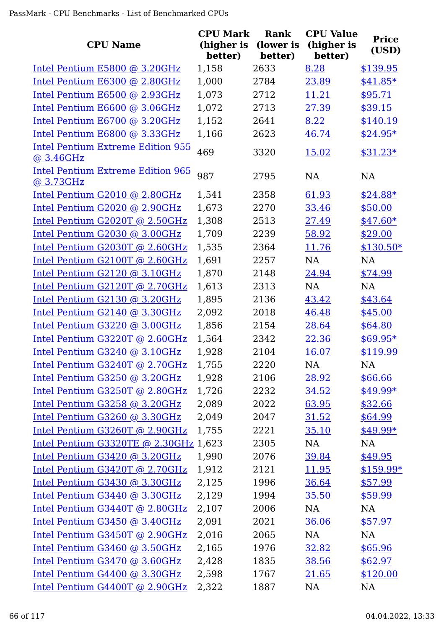|                                                       | <b>CPU Mark</b>       | Rank                 | <b>CPU Value</b>      | <b>Price</b> |
|-------------------------------------------------------|-----------------------|----------------------|-----------------------|--------------|
| <b>CPU Name</b>                                       | (higher is<br>better) | (lower is<br>better) | (higher is<br>better) | (USD)        |
| Intel Pentium E5800 @ 3.20GHz                         | 1,158                 | 2633                 | 8.28                  | \$139.95     |
| Intel Pentium E6300 @ 2.80GHz                         | 1,000                 | 2784                 | 23.89                 | $$41.85*$    |
| Intel Pentium E6500 @ 2.93GHz                         | 1,073                 | 2712                 | 11.21                 | \$95.71      |
| Intel Pentium E6600 @ 3.06GHz                         | 1,072                 | 2713                 | 27.39                 | \$39.15      |
| Intel Pentium E6700 @ 3.20GHz                         | 1,152                 | 2641                 | 8.22                  | \$140.19     |
| Intel Pentium E6800 @ 3.33GHz                         | 1,166                 | 2623                 | 46.74                 | $$24.95*$    |
| <b>Intel Pentium Extreme Edition 955</b><br>@ 3.46GHz | 469                   | 3320                 | 15.02                 | $$31.23*$    |
| <b>Intel Pentium Extreme Edition 965</b><br>@3.73GHz  | 987                   | 2795                 | NA                    | <b>NA</b>    |
| Intel Pentium G2010 @ 2.80GHz                         | 1,541                 | 2358                 | 61.93                 | $$24.88*$    |
| Intel Pentium G2020 @ 2.90GHz                         | 1,673                 | 2270                 | 33.46                 | \$50.00      |
| Intel Pentium G2020T @ 2.50GHz                        | 1,308                 | 2513                 | 27.49                 | $$47.60*$    |
| Intel Pentium G2030 @ 3.00GHz                         | 1,709                 | 2239                 | 58.92                 | \$29.00      |
| Intel Pentium G2030T @ 2.60GHz                        | 1,535                 | 2364                 | 11.76                 | $$130.50*$   |
| Intel Pentium G2100T @ 2.60GHz                        | 1,691                 | 2257                 | NA                    | <b>NA</b>    |
| Intel Pentium $G2120$ @ 3.10GHz                       | 1,870                 | 2148                 | 24.94                 | \$74.99      |
| Intel Pentium G2120T @ 2.70GHz                        | 1,613                 | 2313                 | <b>NA</b>             | <b>NA</b>    |
| Intel Pentium G2130 @ 3.20GHz                         | 1,895                 | 2136                 | 43.42                 | \$43.64      |
| Intel Pentium G2140 @ 3.30GHz                         | 2,092                 | 2018                 | 46.48                 | \$45.00      |
| Intel Pentium G3220 @ 3.00GHz                         | 1,856                 | 2154                 | 28.64                 | \$64.80      |
| Intel Pentium G3220T @ 2.60GHz                        | 1,564                 | 2342                 | 22.36                 | $$69.95*$    |
| Intel Pentium G3240 @ 3.10GHz                         | 1,928                 | 2104                 | 16.07                 | \$119.99     |
| Intel Pentium G3240T @ 2.70GHz                        | 1,755                 | 2220                 | NA                    | NA           |
| Intel Pentium G3250 @ 3.20GHz                         | 1,928                 | 2106                 | 28.92                 | \$66.66      |
| Intel Pentium G3250T @ 2.80GHz                        | 1,726                 | 2232                 | 34.52                 | \$49.99*     |
| Intel Pentium G3258 @ 3.20GHz                         | 2,089                 | 2022                 | 63.95                 | \$32.66      |
| Intel Pentium G3260 @ 3.30GHz                         | 2,049                 | 2047                 | 31.52                 | \$64.99      |
| Intel Pentium G3260T @ 2.90GHz                        | 1,755                 | 2221                 | 35.10                 | $$49.99*$    |
| Intel Pentium G3320TE @ 2.30GHz 1,623                 |                       | 2305                 | NA                    | NA           |
| Intel Pentium G3420 @ 3.20GHz                         | 1,990                 | 2076                 | 39.84                 | \$49.95      |
| Intel Pentium G3420T @ 2.70GHz                        | 1,912                 | 2121                 | 11.95                 | $$159.99*$   |
| Intel Pentium $G3430$ @ 3.30GHz                       | 2,125                 | 1996                 | 36.64                 | \$57.99      |
| Intel Pentium G3440 @ 3.30GHz                         | 2,129                 | 1994                 | 35.50                 | \$59.99      |
| Intel Pentium G3440T @ 2.80GHz                        | 2,107                 | 2006                 | <b>NA</b>             | NA           |
| Intel Pentium G3450 @ 3.40GHz                         | 2,091                 | 2021                 | 36.06                 | \$57.97      |
| Intel Pentium G3450T @ 2.90GHz                        | 2,016                 | 2065                 | <b>NA</b>             | <b>NA</b>    |
| Intel Pentium G3460 @ 3.50GHz                         | 2,165                 | 1976                 | 32.82                 | \$65.96      |
| Intel Pentium G3470 @ 3.60GHz                         | 2,428                 | 1835                 | 38.56                 | \$62.97      |
| Intel Pentium G4400 @ 3.30GHz                         | 2,598                 | 1767                 | 21.65                 | \$120.00     |
| Intel Pentium G4400T @ 2.90GHz                        | 2,322                 | 1887                 | NA                    | <b>NA</b>    |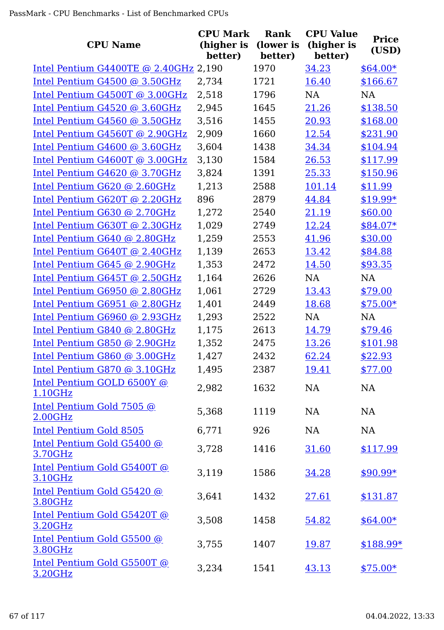|                                        | <b>CPU Mark</b>       | Rank                 | <b>CPU Value</b>      | <b>Price</b> |
|----------------------------------------|-----------------------|----------------------|-----------------------|--------------|
| <b>CPU Name</b>                        | (higher is<br>better) | (lower is<br>better) | (higher is<br>better) | (USD)        |
| Intel Pentium G4400TE @ 2.40GHz 2,190  |                       | 1970                 | 34.23                 | $$64.00*$    |
| Intel Pentium G4500 @ 3.50GHz          | 2,734                 | 1721                 | 16.40                 | \$166.67     |
| Intel Pentium G4500T @ 3.00GHz         | 2,518                 | 1796                 | <b>NA</b>             | <b>NA</b>    |
| Intel Pentium G4520 @ 3.60GHz          | 2,945                 | 1645                 | 21.26                 | \$138.50     |
| Intel Pentium G4560 @ 3.50GHz          | 3,516                 | 1455                 | 20.93                 | \$168.00     |
| Intel Pentium G4560T @ 2.90GHz         | 2,909                 | 1660                 | 12.54                 | \$231.90     |
| Intel Pentium G4600 @ 3.60GHz          | 3,604                 | 1438                 | 34.34                 | \$104.94     |
| Intel Pentium G4600T @ 3.00GHz         | 3,130                 | 1584                 | 26.53                 | \$117.99     |
| Intel Pentium $G4620$ @ 3.70GHz        | 3,824                 | 1391                 | 25.33                 | \$150.96     |
| Intel Pentium G620 @ 2.60GHz           | 1,213                 | 2588                 | 101.14                | \$11.99      |
| Intel Pentium G620T @ 2.20GHz          | 896                   | 2879                 | 44.84                 | $$19.99*$    |
| Intel Pentium G630 @ 2.70GHz           | 1,272                 | 2540                 | 21.19                 | \$60.00      |
| Intel Pentium G630T @ 2.30GHz          | 1,029                 | 2749                 | 12.24                 | $$84.07*$    |
| Intel Pentium G640 @ 2.80GHz           | 1,259                 | 2553                 | 41.96                 | \$30.00      |
| Intel Pentium G640T @ 2.40GHz          | 1,139                 | 2653                 | 13.42                 | \$84.88      |
| Intel Pentium $G645$ @ 2.90GHz         | 1,353                 | 2472                 | 14.50                 | \$93.35      |
| Intel Pentium G645T @ 2.50GHz          | 1,164                 | 2626                 | <b>NA</b>             | <b>NA</b>    |
| Intel Pentium G6950 @ 2.80GHz          | 1,061                 | 2729                 | 13.43                 | \$79.00      |
| Intel Pentium G6951 @ 2.80GHz          | 1,401                 | 2449                 | 18.68                 | $$75.00*$    |
| Intel Pentium G6960 @ 2.93GHz          | 1,293                 | 2522                 | <b>NA</b>             | <b>NA</b>    |
| Intel Pentium G840 @ 2.80GHz           | 1,175                 | 2613                 | 14.79                 | \$79.46      |
| Intel Pentium G850 @ 2.90GHz           | 1,352                 | 2475                 | 13.26                 | \$101.98     |
| Intel Pentium G860 @ 3.00GHz           | 1,427                 | 2432                 | 62.24                 | \$22.93      |
| Intel Pentium G870 @ 3.10GHz           | 1,495                 | 2387                 | 19.41                 | \$77.00      |
| Intel Pentium GOLD 6500Y @<br>1.10GHz  | 2,982                 | 1632                 | NA                    | <b>NA</b>    |
| Intel Pentium Gold 7505 @<br>2.00GHz   | 5,368                 | 1119                 | <b>NA</b>             | NA           |
| <b>Intel Pentium Gold 8505</b>         | 6,771                 | 926                  | NA                    | <b>NA</b>    |
| Intel Pentium Gold G5400 @<br>3.70GHz  | 3,728                 | 1416                 | 31.60                 | \$117.99     |
| Intel Pentium Gold G5400T @<br>3.10GHz | 3,119                 | 1586                 | 34.28                 | $$90.99*$    |
| Intel Pentium Gold G5420 @<br>3.80GHz  | 3,641                 | 1432                 | 27.61                 | \$131.87     |
| Intel Pentium Gold G5420T @<br>3.20GHz | 3,508                 | 1458                 | 54.82                 | $$64.00*$    |
| Intel Pentium Gold G5500 @<br>3.80GHz  | 3,755                 | 1407                 | 19.87                 | $$188.99*$   |
| Intel Pentium Gold G5500T @<br>3.20GHz | 3,234                 | 1541                 | 43.13                 | $$75.00*$    |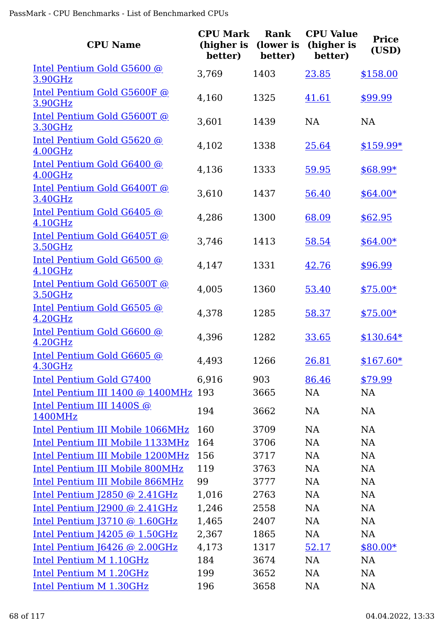| <b>CPU Name</b>                                   | <b>CPU Mark</b><br>(higher is<br>better) | Rank<br>(lower is<br>better) | <b>CPU Value</b><br>(higher is<br>better) | <b>Price</b><br>(USD) |
|---------------------------------------------------|------------------------------------------|------------------------------|-------------------------------------------|-----------------------|
| Intel Pentium Gold G5600 @<br><b>3.90GHz</b>      | 3,769                                    | 1403                         | 23.85                                     | \$158.00              |
| Intel Pentium Gold G5600F @<br>3.90GHz            | 4,160                                    | 1325                         | 41.61                                     | \$99.99               |
| Intel Pentium Gold G5600T @<br>3.30GHz            | 3,601                                    | 1439                         | <b>NA</b>                                 | <b>NA</b>             |
| Intel Pentium Gold G5620 @<br>4.00GHz             | 4,102                                    | 1338                         | 25.64                                     | $$159.99*$            |
| Intel Pentium Gold G6400 @<br>4.00GHz             | 4,136                                    | 1333                         | 59.95                                     | \$68.99*              |
| Intel Pentium Gold G6400T @<br>3.40GHz            | 3,610                                    | 1437                         | 56.40                                     | $$64.00*$             |
| Intel Pentium Gold G6405 @<br>4.10GHz             | 4,286                                    | 1300                         | 68.09                                     | \$62.95               |
| Intel Pentium Gold G6405T @<br>3.50GHz            | 3,746                                    | 1413                         | 58.54                                     | $$64.00*$             |
| Intel Pentium Gold G6500 @<br>4.10GHz             | 4,147                                    | 1331                         | 42.76                                     | \$96.99               |
| Intel Pentium Gold G6500T @<br>3.50GHz            | 4,005                                    | 1360                         | 53.40                                     | $$75.00*$             |
| Intel Pentium Gold G6505 @<br>4.20GHz             | 4,378                                    | 1285                         | 58.37                                     | $$75.00*$             |
| Intel Pentium Gold G6600 @<br>4.20GHz             | 4,396                                    | 1282                         | 33.65                                     | $$130.64*$            |
| Intel Pentium Gold G6605 @<br><u>4.30GHz</u>      | 4,493                                    | 1266                         | 26.81                                     | $$167.60*$            |
| Intel Pentium Gold G7400                          | 6,916                                    | 903                          | 86.46                                     | \$79.99               |
| Intel Pentium III 1400 @ 1400MHz 193              |                                          | 3665                         | <b>NA</b>                                 | <b>NA</b>             |
| Intel Pentium III 1400S @<br>1400MHz              | 194                                      | 3662                         | <b>NA</b>                                 | NA                    |
| Intel Pentium III Mobile 1066MHz                  | 160                                      | 3709                         | <b>NA</b>                                 | NA                    |
| Intel Pentium III Mobile 1133MHz                  | 164                                      | 3706                         | <b>NA</b>                                 | NA                    |
| Intel Pentium III Mobile 1200MHz                  | 156                                      | 3717                         | <b>NA</b>                                 | NA                    |
| Intel Pentium III Mobile 800MHz                   | 119                                      | 3763                         | <b>NA</b>                                 | NA                    |
| <b>Intel Pentium III Mobile 866MHz</b>            | 99                                       | 3777                         | <b>NA</b>                                 | <b>NA</b>             |
| Intel Pentium $J2850$ @ 2.41GHz                   | 1,016                                    | 2763                         | <b>NA</b>                                 | NA                    |
| Intel Pentium $[2900 \text{ @ } 2.41 \text{GHz}]$ | 1,246                                    | 2558                         | <b>NA</b>                                 | NA                    |
| Intel Pentium $J3710$ @ 1.60GHz                   | 1,465                                    | 2407                         | <b>NA</b>                                 | NA                    |
| Intel Pentium J4205 @ 1.50GHz                     | 2,367                                    | 1865                         | NA                                        | <b>NA</b>             |
| Intel Pentium J6426 @ 2.00GHz                     | 4,173                                    | 1317                         | 52.17                                     | $$80.00*$             |
| Intel Pentium M 1.10GHz                           | 184                                      | 3674                         | <b>NA</b>                                 | <b>NA</b>             |
| Intel Pentium M 1.20GHz                           | 199                                      | 3652                         | <b>NA</b>                                 | <b>NA</b>             |
| Intel Pentium M 1.30GHz                           | 196                                      | 3658                         | NA                                        | <b>NA</b>             |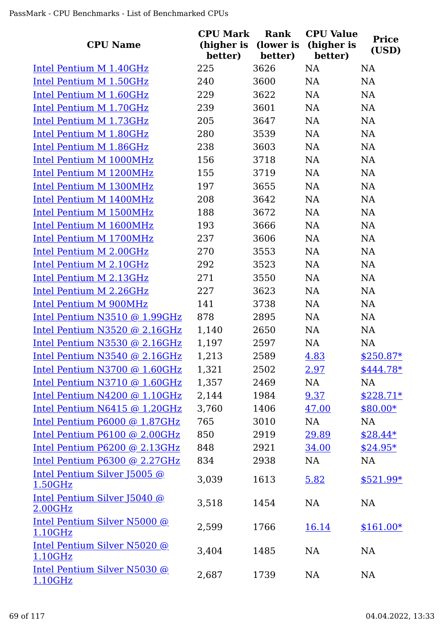| <b>CPU Name</b>                         | <b>CPU Mark</b><br>(higher is<br>better) | <b>Rank</b><br>(lower is<br>better) | <b>CPU Value</b><br>(higher is<br>better) | <b>Price</b><br>(USD) |
|-----------------------------------------|------------------------------------------|-------------------------------------|-------------------------------------------|-----------------------|
| Intel Pentium M 1.40GHz                 | 225                                      | 3626                                | <b>NA</b>                                 | <b>NA</b>             |
| Intel Pentium M 1.50GHz                 | 240                                      | 3600                                | <b>NA</b>                                 | NA                    |
| Intel Pentium M 1.60GHz                 | 229                                      | 3622                                | <b>NA</b>                                 | <b>NA</b>             |
| Intel Pentium M 1.70GHz                 | 239                                      | 3601                                | NA                                        | <b>NA</b>             |
| Intel Pentium M 1.73GHz                 | 205                                      | 3647                                | <b>NA</b>                                 | <b>NA</b>             |
| Intel Pentium M 1.80GHz                 | 280                                      | 3539                                | NA                                        | NA                    |
| Intel Pentium M 1.86GHz                 | 238                                      | 3603                                | <b>NA</b>                                 | <b>NA</b>             |
| Intel Pentium M 1000MHz                 | 156                                      | 3718                                | <b>NA</b>                                 | <b>NA</b>             |
| Intel Pentium M 1200MHz                 | 155                                      | 3719                                | <b>NA</b>                                 | <b>NA</b>             |
| Intel Pentium M 1300MHz                 | 197                                      | 3655                                | <b>NA</b>                                 | <b>NA</b>             |
| Intel Pentium M 1400MHz                 | 208                                      | 3642                                | <b>NA</b>                                 | <b>NA</b>             |
| Intel Pentium M 1500MHz                 | 188                                      | 3672                                | <b>NA</b>                                 | <b>NA</b>             |
| <b>Intel Pentium M 1600MHz</b>          | 193                                      | 3666                                | <b>NA</b>                                 | <b>NA</b>             |
| Intel Pentium M 1700MHz                 | 237                                      | 3606                                | <b>NA</b>                                 | <b>NA</b>             |
| Intel Pentium M 2.00GHz                 | 270                                      | 3553                                | <b>NA</b>                                 | NA                    |
| Intel Pentium M 2.10GHz                 | 292                                      | 3523                                | <b>NA</b>                                 | <b>NA</b>             |
| Intel Pentium M 2.13GHz                 | 271                                      | 3550                                | NA                                        | NA                    |
| Intel Pentium M 2.26GHz                 | 227                                      | 3623                                | <b>NA</b>                                 | <b>NA</b>             |
| Intel Pentium M 900MHz                  | 141                                      | 3738                                | <b>NA</b>                                 | <b>NA</b>             |
| Intel Pentium N3510 @ 1.99GHz           | 878                                      | 2895                                | <b>NA</b>                                 | <b>NA</b>             |
| Intel Pentium N3520 @ 2.16GHz           | 1,140                                    | 2650                                | <b>NA</b>                                 | <b>NA</b>             |
| Intel Pentium N3530 @ 2.16GHz           | 1,197                                    | 2597                                | <b>NA</b>                                 | <b>NA</b>             |
| Intel Pentium N3540 @ 2.16GHz           | 1,213                                    | 2589                                | 4.83                                      | $$250.87*$            |
| Intel Pentium N3700 @ 1.60GHz           | 1,321                                    | 2502                                | 2.97                                      | $$444.78*$            |
| Intel Pentium N3710 @ 1.60GHz           | 1,357                                    | 2469                                | NA                                        | <b>NA</b>             |
| Intel Pentium N4200 @ 1.10GHz           | 2,144                                    | 1984                                | 9.37                                      | $$228.71*$            |
| Intel Pentium N6415 @ 1.20GHz           | 3,760                                    | 1406                                | 47.00                                     | \$80.00*              |
| Intel Pentium P6000 @ 1.87GHz           | 765                                      | 3010                                | NA                                        | <b>NA</b>             |
| Intel Pentium P6100 @ 2.00GHz           | 850                                      | 2919                                | 29.89                                     | $$28.44*$             |
| Intel Pentium P6200 @ 2.13GHz           | 848                                      | 2921                                | 34.00                                     | $$24.95*$             |
| Intel Pentium P6300 @ 2.27GHz           | 834                                      | 2938                                | NA                                        | NA                    |
| Intel Pentium Silver J5005 @<br>1.50GHz | 3,039                                    | 1613                                | 5.82                                      | $$521.99*$            |
| Intel Pentium Silver J5040 @<br>2.00GHz | 3,518                                    | 1454                                | <b>NA</b>                                 | <b>NA</b>             |
| Intel Pentium Silver N5000 @<br>1.10GHz | 2,599                                    | 1766                                | 16.14                                     | $$161.00*$            |
| Intel Pentium Silver N5020 @<br>1.10GHz | 3,404                                    | 1485                                | NA                                        | NA                    |
| Intel Pentium Silver N5030 @<br>1.10GHz | 2,687                                    | 1739                                | NA                                        | NA                    |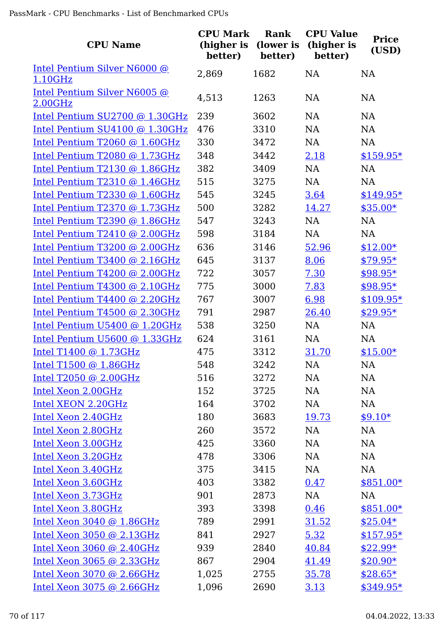| <b>CPU Name</b>                         | <b>CPU Mark</b><br>(higher is<br>better) | Rank<br>(lower is<br>better) | <b>CPU Value</b><br>(higher is<br>better) | <b>Price</b><br>(USD) |
|-----------------------------------------|------------------------------------------|------------------------------|-------------------------------------------|-----------------------|
| Intel Pentium Silver N6000 @<br>1.10GHz | 2,869                                    | 1682                         | <b>NA</b>                                 | <b>NA</b>             |
| Intel Pentium Silver N6005 @<br>2.00GHz | 4,513                                    | 1263                         | <b>NA</b>                                 | <b>NA</b>             |
| Intel Pentium SU2700 @ 1.30GHz          | 239                                      | 3602                         | <b>NA</b>                                 | <b>NA</b>             |
| Intel Pentium SU4100 @ 1.30GHz          | 476                                      | 3310                         | <b>NA</b>                                 | <b>NA</b>             |
| Intel Pentium T2060 @ 1.60GHz           | 330                                      | 3472                         | <b>NA</b>                                 | <b>NA</b>             |
| Intel Pentium T2080 @ 1.73GHz           | 348                                      | 3442                         | 2.18                                      | $$159.95*$            |
| Intel Pentium T2130 @ 1.86GHz           | 382                                      | 3409                         | NA                                        | <b>NA</b>             |
| Intel Pentium T2310 @ 1.46GHz           | 515                                      | 3275                         | <b>NA</b>                                 | <b>NA</b>             |
| Intel Pentium T2330 @ 1.60GHz           | 545                                      | 3245                         | 3.64                                      | $$149.95*$            |
| Intel Pentium T2370 @ 1.73GHz           | 500                                      | 3282                         | 14.27                                     | $$35.00*$             |
| Intel Pentium T2390 @ 1.86GHz           | 547                                      | 3243                         | <b>NA</b>                                 | <b>NA</b>             |
| Intel Pentium T2410 @ 2.00GHz           | 598                                      | 3184                         | <b>NA</b>                                 | <b>NA</b>             |
| Intel Pentium T3200 @ 2.00GHz           | 636                                      | 3146                         | 52.96                                     | $$12.00*$             |
| Intel Pentium T3400 @ 2.16GHz           | 645                                      | 3137                         | 8.06                                      | $$79.95*$             |
| Intel Pentium T4200 @ 2.00GHz           | 722                                      | 3057                         | 7.30                                      | $$98.95*$             |
| Intel Pentium T4300 @ 2.10GHz           | 775                                      | 3000                         | 7.83                                      | $$98.95*$             |
| Intel Pentium T4400 @ 2.20GHz           | 767                                      | 3007                         | 6.98                                      | $$109.95*$            |
| Intel Pentium T4500 @ 2.30GHz           | 791                                      | 2987                         | 26.40                                     | $$29.95*$             |
| Intel Pentium U5400 @ 1.20GHz           | 538                                      | 3250                         | NA                                        | <b>NA</b>             |
| Intel Pentium U5600 @ 1.33GHz           | 624                                      | 3161                         | <b>NA</b>                                 | <b>NA</b>             |
| Intel T1400 @ 1.73GHz                   | 475                                      | 3312                         | 31.70                                     | $$15.00*$             |
| Intel T1500 @ 1.86GHz                   | 548                                      | 3242                         | NA                                        | <b>NA</b>             |
| Intel T2050 @ 2.00GHz                   | 516                                      | 3272                         | <b>NA</b>                                 | NA                    |
| Intel Xeon 2.00GHz                      | 152                                      | 3725                         | NA                                        | NA                    |
| Intel XEON 2.20GHz                      | 164                                      | 3702                         | NA                                        | NA                    |
| Intel Xeon 2.40GHz                      | 180                                      | 3683                         | 19.73                                     | $$9.10*$              |
| Intel Xeon 2.80GHz                      | 260                                      | 3572                         | <b>NA</b>                                 | <b>NA</b>             |
| Intel Xeon 3.00GHz                      | 425                                      | 3360                         | NA                                        | NA                    |
| Intel Xeon 3.20GHz                      | 478                                      | 3306                         | <b>NA</b>                                 | <b>NA</b>             |
| Intel Xeon 3.40GHz                      | 375                                      | 3415                         | NA                                        | NA                    |
| Intel Xeon 3.60GHz                      | 403                                      | 3382                         | 0.47                                      | $$851.00*$            |
| Intel Xeon 3.73GHz                      | 901                                      | 2873                         | NA                                        | NA                    |
| Intel Xeon 3.80GHz                      | 393                                      | 3398                         | 0.46                                      | $$851.00*$            |
| Intel Xeon 3040 @ 1.86GHz               | 789                                      | 2991                         | 31.52                                     | $$25.04*$             |
| Intel Xeon 3050 @ 2.13GHz               | 841                                      | 2927                         | 5.32                                      | $$157.95*$            |
| Intel Xeon $3060$ @ $2.40$ GHz          | 939                                      | 2840                         | 40.84                                     | $$22.99*$             |
| Intel Xeon 3065 @ 2.33GHz               | 867                                      | 2904                         | 41.49                                     | $$20.90*$             |
| Intel Xeon 3070 @ 2.66GHz               | 1,025                                    | 2755                         | 35.78                                     | $$28.65*$             |
| Intel Xeon 3075 @ 2.66GHz               | 1,096                                    | 2690                         | 3.13                                      | $$349.95*$            |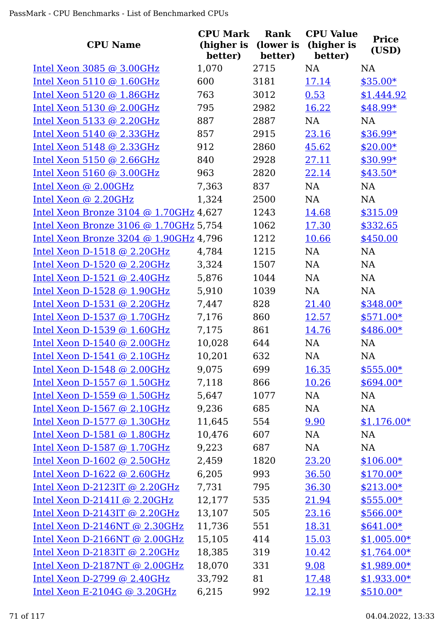| <b>CPU Name</b>                              | <b>CPU Mark</b><br>(higher is<br>better) | <b>Rank</b><br>(lower is<br>better) | <b>CPU Value</b><br>(higher is<br>better) | <b>Price</b><br>(USD) |
|----------------------------------------------|------------------------------------------|-------------------------------------|-------------------------------------------|-----------------------|
| Intel Xeon 3085 @ 3.00GHz                    | 1,070                                    | 2715                                | <b>NA</b>                                 | <b>NA</b>             |
| Intel Xeon $5110 \text{ @ } 1.60 \text{GHz}$ | 600                                      | 3181                                | 17.14                                     | $$35.00*$             |
| Intel Xeon 5120 @ 1.86GHz                    | 763                                      | 3012                                | 0.53                                      | \$1,444.92            |
| Intel Xeon 5130 @ 2.00GHz                    | 795                                      | 2982                                | 16.22                                     | \$48.99*              |
| Intel Xeon 5133 @ 2.20GHz                    | 887                                      | 2887                                | NA                                        | <b>NA</b>             |
| Intel Xeon 5140 @ 2.33GHz                    | 857                                      | 2915                                | 23.16                                     | $$36.99*$             |
| Intel Xeon $5148$ @ 2.33GHz                  | 912                                      | 2860                                | 45.62                                     | $$20.00*$             |
| Intel Xeon $5150$ @ 2.66GHz                  | 840                                      | 2928                                | 27.11                                     | $$30.99*$             |
| Intel Xeon $5160$ @ 3.00GHz                  | 963                                      | 2820                                | 22.14                                     | $$43.50*$             |
| Intel Xeon @ 2.00GHz                         | 7,363                                    | 837                                 | NA                                        | <b>NA</b>             |
| Intel Xeon @ 2.20GHz                         | 1,324                                    | 2500                                | NA                                        | NA                    |
| Intel Xeon Bronze 3104 @ 1.70GHz 4,627       |                                          | 1243                                | 14.68                                     | \$315.09              |
| Intel Xeon Bronze 3106 @ 1.70GHz 5,754       |                                          | 1062                                | 17.30                                     | \$332.65              |
| Intel Xeon Bronze 3204 @ 1.90GHz 4,796       |                                          | 1212                                | 10.66                                     | \$450.00              |
| Intel Xeon D-1518 @ 2.20GHz                  | 4,784                                    | 1215                                | NA                                        | NA                    |
| Intel Xeon D-1520 @ 2.20GHz                  | 3,324                                    | 1507                                | NA                                        | <b>NA</b>             |
| Intel Xeon $D-1521$ @ 2.40GHz                | 5,876                                    | 1044                                | NA                                        | NA                    |
| Intel Xeon D-1528 @ 1.90GHz                  | 5,910                                    | 1039                                | <b>NA</b>                                 | <b>NA</b>             |
| Intel Xeon D-1531 @ $2.20GHz$                | 7,447                                    | 828                                 | 21.40                                     | $$348.00*$            |
| Intel Xeon D-1537 @ 1.70GHz                  | 7,176                                    | 860                                 | 12.57                                     | $$571.00*$            |
| Intel Xeon $D-1539$ @ 1.60GHz                | 7,175                                    | 861                                 | 14.76                                     | \$486.00*             |
| Intel Xeon D-1540 @ 2.00GHz                  | 10,028                                   | 644                                 | NA                                        | <b>NA</b>             |
| Intel Xeon $D-1541$ @ 2.10GHz                | 10,201                                   | 632                                 | <b>NA</b>                                 | <b>NA</b>             |
| Intel Xeon D-1548 @ 2.00GHz                  | 9,075                                    | 699                                 | 16.35                                     | $$555.00*$            |
| Intel Xeon D-1557 @ 1.50GHz                  | 7,118                                    | 866                                 | 10.26                                     | $$694.00*$            |
| Intel Xeon D-1559 @ 1.50GHz                  | 5,647                                    | 1077                                | NA                                        | NA                    |
| Intel Xeon D-1567 @ 2.10GHz                  | 9,236                                    | 685                                 | NA                                        | NA                    |
| Intel Xeon D-1577 @ 1.30GHz                  | 11,645                                   | 554                                 | 9.90                                      | $$1,176.00*$          |
| Intel Xeon D-1581 $@$ 1.80GHz                | 10,476                                   | 607                                 | NA                                        | NA                    |
| Intel Xeon D-1587 @ 1.70GHz                  | 9,223                                    | 687                                 | NA                                        | NA                    |
| Intel Xeon $D-1602$ @ 2.50GHz                | 2,459                                    | 1820                                | 23.20                                     | $$106.00*$            |
| Intel Xeon $D-1622$ @ 2.60GHz                | 6,205                                    | 993                                 | 36.50                                     | $$170.00*$            |
| Intel Xeon $D-2123IT$ @ 2.20GHz              | 7,731                                    | 795                                 | 36.30                                     | $$213.00*$            |
| Intel Xeon D-2141I @ 2.20GHz                 | 12,177                                   | 535                                 | 21.94                                     | $$555.00*$            |
| Intel Xeon D-2143IT @ 2.20GHz                | 13,107                                   | 505                                 | 23.16                                     | $$566.00*$            |
| Intel Xeon D-2146NT @ 2.30GHz                | 11,736                                   | 551                                 | 18.31                                     | $$641.00*$            |
| Intel Xeon D-2166NT @ 2.00GHz                | 15,105                                   | 414                                 | 15.03                                     | $$1,005.00*$          |
| Intel Xeon D-2183IT @ $2.20GHz$              | 18,385                                   | 319                                 | 10.42                                     | $$1,764.00*$          |
| Intel Xeon D-2187NT @ 2.00GHz                | 18,070                                   | 331                                 | 9.08                                      | $$1,989.00*$          |
| Intel Xeon D-2799 @ 2.40GHz                  | 33,792                                   | 81                                  | 17.48                                     | $$1,933.00*$          |
| Intel Xeon E-2104G @ 3.20GHz                 | 6,215                                    | 992                                 | <u>12.19</u>                              | $$510.00*$            |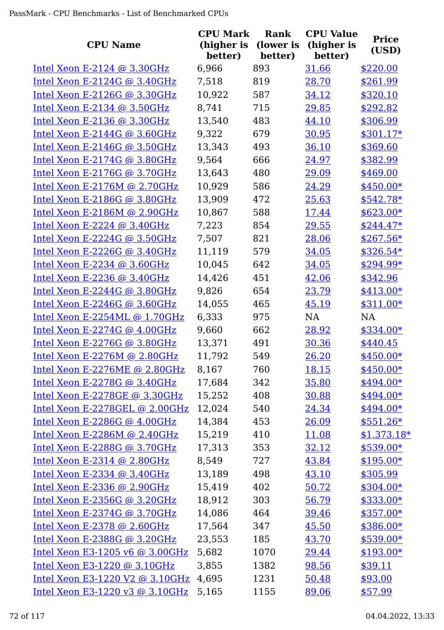|                                                              | <b>CPU Mark</b>       | Rank                 | <b>CPU Value</b>      | <b>Price</b>               |
|--------------------------------------------------------------|-----------------------|----------------------|-----------------------|----------------------------|
| <b>CPU Name</b>                                              | (higher is<br>better) | (lower is<br>better) | (higher is<br>better) | (USD)                      |
| Intel Xeon E-2124 @ 3.30GHz                                  | 6,966                 | 893                  | 31.66                 | \$220.00                   |
| Intel Xeon E-2124G @ $3.40GHz$                               | 7,518                 | 819                  | 28.70                 | \$261.99                   |
| Intel Xeon E-2126G $@$ 3.30GHz                               | 10,922                | 587                  | 34.12                 | \$320.10                   |
| Intel Xeon E-2134 @ 3.50GHz                                  | 8,741                 | 715                  | 29.85                 | \$292.82                   |
| Intel Xeon E-2136 @ 3.30GHz                                  | 13,540                | 483                  | 44.10                 | \$306.99                   |
| Intel Xeon E-2144G $@3.60GHz$                                | 9,322                 | 679                  | 30.95                 | $$301.17*$                 |
| Intel Xeon E-2146G $@3.50GHz$                                | 13,343                | 493                  | 36.10                 | \$369.60                   |
| Intel Xeon E-2174G @ 3.80GHz                                 | 9,564                 | 666                  | 24.97                 | \$382.99                   |
| Intel Xeon E-2176G $@3.70GHz$                                | 13,643                | 480                  | 29.09                 | \$469.00                   |
| Intel Xeon E-2176M @ 2.70GHz                                 | 10,929                | 586                  | 24.29                 | $$450.00*$                 |
| Intel Xeon E-2186G @ 3.80GHz                                 | 13,909                | 472                  | 25.63                 | $$542.78*$                 |
| Intel Xeon E-2186M @ 2.90GHz                                 | 10,867                | 588                  | 17.44                 | $$623.00*$                 |
| Intel Xeon E-2224 $@$ 3.40GHz                                | 7,223                 | 854                  | 29.55                 | $$244.47*$                 |
| Intel Xeon E-2224G @ 3.50GHz                                 | 7,507                 | 821                  | 28.06                 | $$267.56*$                 |
| Intel Xeon E-2226G @ $3.40$ GHz                              | 11,119                | 579                  | 34.05                 | $$326.54*$                 |
| Intel Xeon E-2234 @ $3.60$ GHz                               | 10,045                | 642                  | 34.05                 | \$294.99*                  |
| Intel Xeon E-2236 @ 3.40GHz                                  | 14,426                | 451                  | 42.06                 | \$342.96                   |
| Intel Xeon E-2244G $@3.80GHz$                                | 9,826                 | 654                  | 23.79                 | $$413.00*$                 |
| Intel Xeon E-2246G @ $3.60$ GHz                              | 14,055                | 465                  | 45.19                 | $$311.00*$                 |
| Intel Xeon E-2254ML $@1.70GHz$                               | 6,333                 | 975                  | <b>NA</b>             | <b>NA</b>                  |
| Intel Xeon E-2274G $@$ 4.00GHz                               | 9,660                 | 662                  | 28.92                 | \$334.00*                  |
| Intel Xeon E-2276G @ $3.80$ GHz                              | 13,371                | 491                  | 30.36                 | \$440.45                   |
| Intel Xeon E-2276M @ 2.80GHz                                 | 11,792                | 549                  | 26.20                 | $$450.00*$                 |
| Intel Xeon E-2276ME @ 2.80GHz                                | 8,167                 | 760                  | 18.15                 | \$450.00*                  |
| Intel Xeon E-2278G $@3.40GHz$                                | 17,684                | 342                  | 35.80                 | \$494.00*                  |
| Intel Xeon E-2278GE @ 3.30GHz                                | 15,252                | 408                  | 30.88                 | $$494.00*$                 |
| Intel Xeon E-2278GEL @ 2.00GHz                               |                       | 540                  |                       | $$494.00*$                 |
|                                                              | 12,024<br>14,384      | 453                  | 24.34                 |                            |
| Intel Xeon E-2286G @ $4.00GHz$                               |                       | 410                  | 26.09                 | $$551.26*$                 |
| Intel Xeon E-2286M @ $2.40GHz$                               | 15,219                | 353                  | 11.08<br>32.12        | $$1,373.18*$<br>$$539.00*$ |
| Intel Xeon E-2288G $@3.70GHz$<br>Intel Xeon E-2314 @ 2.80GHz | 17,313                | 727                  | 43.84                 |                            |
|                                                              | 8,549                 |                      |                       | $$195.00*$                 |
| Intel Xeon E-2334 @ 3.40GHz                                  | 13,189                | 498                  | 43.10                 | \$305.99                   |
| Intel Xeon E-2336 @ 2.90GHz                                  | 15,419                | 402                  | 50.72                 | $$304.00*$                 |
| Intel Xeon E-2356G @ 3.20GHz                                 | 18,912                | 303                  | 56.79                 | $$333.00*$                 |
| Intel Xeon E-2374G @ 3.70GHz                                 | 14,086                | 464                  | 39.46                 | $$357.00*$                 |
| Intel Xeon E-2378 @ 2.60GHz                                  | 17,564                | 347                  | 45.50                 | \$386.00*                  |
| Intel Xeon E-2388G @ 3.20GHz                                 | 23,553                | 185                  | 43.70                 | $$539.00*$                 |
| Intel Xeon E3-1205 v6 @ 3.00GHz                              | 5,682                 | 1070                 | 29.44                 | $$193.00*$                 |
| Intel Xeon E3-1220 @ 3.10GHz                                 | 3,855                 | 1382                 | 98.56                 | \$39.11                    |
| Intel Xeon E3-1220 V2 @ 3.10GHz                              | 4,695                 | 1231                 | 50.48                 | \$93.00                    |
| Intel Xeon E3-1220 v3 @ 3.10GHz                              | 5,165                 | 1155                 | 89.06                 | \$57.99                    |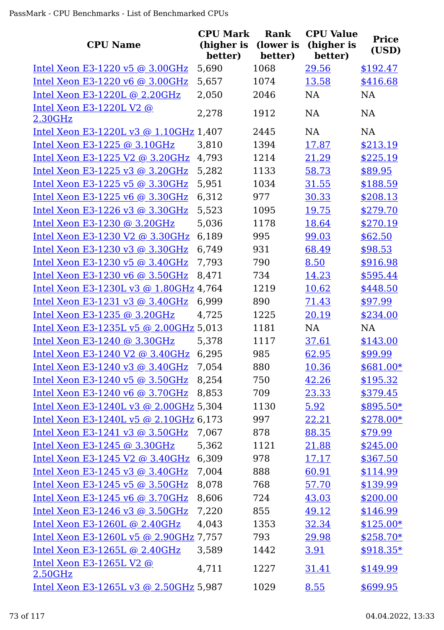| <b>CPU Name</b>                        | <b>CPU Mark</b><br>(higher is<br>better) | Rank<br>(lower is<br>better) | <b>CPU Value</b><br>(higher is<br>better) | <b>Price</b><br>(USD) |
|----------------------------------------|------------------------------------------|------------------------------|-------------------------------------------|-----------------------|
| Intel Xeon E3-1220 v5 @ 3.00GHz        | 5,690                                    | 1068                         | 29.56                                     | \$192.47              |
| Intel Xeon E3-1220 v6 @ 3.00GHz        | 5,657                                    | 1074                         | 13.58                                     | \$416.68              |
| Intel Xeon E3-1220L @ 2.20GHz          | 2,050                                    | 2046                         | NA                                        | NA                    |
| Intel Xeon E3-1220L V2 @<br>2.30GHz    | 2,278                                    | 1912                         | <b>NA</b>                                 | <b>NA</b>             |
| Intel Xeon E3-1220L v3 @ 1.10GHz 1,407 |                                          | 2445                         | <b>NA</b>                                 | <b>NA</b>             |
| Intel Xeon E3-1225 @ 3.10GHz           | 3,810                                    | 1394                         | 17.87                                     | \$213.19              |
| Intel Xeon E3-1225 V2 @ 3.20GHz        | 4,793                                    | 1214                         | 21.29                                     | \$225.19              |
| Intel Xeon E3-1225 v3 @ 3.20GHz        | 5,282                                    | 1133                         | 58.73                                     | \$89.95               |
| Intel Xeon E3-1225 v5 @ 3.30GHz        | 5,951                                    | 1034                         | 31.55                                     | \$188.59              |
| Intel Xeon E3-1225 v6 @ 3.30GHz        | 6,312                                    | 977                          | 30.33                                     | \$208.13              |
| Intel Xeon E3-1226 v3 @ 3.30GHz        | 5,523                                    | 1095                         | 19.75                                     | \$279.70              |
| Intel Xeon E3-1230 @ 3.20GHz           | 5,036                                    | 1178                         | 18.64                                     | \$270.19              |
| Intel Xeon E3-1230 V2 @ 3.30GHz        | 6,189                                    | 995                          | 99.03                                     | \$62.50               |
| Intel Xeon E3-1230 v3 @ 3.30GHz        | 6,749                                    | 931                          | 68.49                                     | \$98.53               |
| Intel Xeon E3-1230 v5 @ 3.40GHz        | 7,793                                    | 790                          | 8.50                                      | \$916.98              |
| Intel Xeon E3-1230 v6 @ 3.50GHz        | 8,471                                    | 734                          | 14.23                                     | \$595.44              |
| Intel Xeon E3-1230L v3 @ 1.80GHz 4,764 |                                          | 1219                         | 10.62                                     | \$448.50              |
| Intel Xeon E3-1231 v3 @ 3.40GHz        | 6,999                                    | 890                          | 71.43                                     | \$97.99               |
| Intel Xeon E3-1235 @ 3.20GHz           | 4,725                                    | 1225                         | 20.19                                     | \$234.00              |
| Intel Xeon E3-1235L v5 @ 2.00GHz 5,013 |                                          | 1181                         | NA                                        | <b>NA</b>             |
| Intel Xeon E3-1240 @ 3.30GHz           | 5,378                                    | 1117                         | 37.61                                     | \$143.00              |
| Intel Xeon E3-1240 V2 $\omega$ 3.40GHz | 6,295                                    | 985                          | 62.95                                     | \$99.99               |
| Intel Xeon E3-1240 v3 @ 3.40GHz        | 7,054                                    | 880                          | 10.36                                     | $$681.00*$            |
| Intel Xeon E3-1240 v5 $\omega$ 3.50GHz | 8,254                                    | 750                          | 42.26                                     | \$195.32              |
| Intel Xeon E3-1240 v6 @ 3.70GHz        | 8,853                                    | 709                          | 23.33                                     | \$379.45              |
| Intel Xeon E3-1240L v3 @ 2.00GHz 5,304 |                                          | 1130                         | 5.92                                      | $$895.50*$            |
| Intel Xeon E3-1240L v5 @ 2.10GHz 6,173 |                                          | 997                          | 22.21                                     | $$278.00*$            |
| Intel Xeon E3-1241 v3 @ 3.50GHz        | 7,067                                    | 878                          | 88.35                                     | \$79.99               |
| Intel Xeon E3-1245 @ 3.30GHz           | 5,362                                    | 1121                         | 21.88                                     | \$245.00              |
| Intel Xeon E3-1245 V2 @ 3.40GHz        | 6,309                                    | 978                          | 17.17                                     | \$367.50              |
| Intel Xeon E3-1245 v3 @ 3.40GHz        | 7,004                                    | 888                          | 60.91                                     | \$114.99              |
| Intel Xeon E3-1245 v5 $\omega$ 3.50GHz | 8,078                                    | 768                          | 57.70                                     | \$139.99              |
| Intel Xeon E3-1245 v6 @ 3.70GHz        | 8,606                                    | 724                          | 43.03                                     | \$200.00              |
| Intel Xeon E3-1246 v3 @ 3.50GHz        | 7,220                                    | 855                          | 49.12                                     | \$146.99              |
| Intel Xeon E3-1260L $@$ 2.40GHz        | 4,043                                    | 1353                         | 32.34                                     | $$125.00*$            |
| Intel Xeon E3-1260L v5 @ 2.90GHz 7,757 |                                          | 793                          | 29.98                                     | $$258.70*$            |
| Intel Xeon E3-1265L @ 2.40GHz          | 3,589                                    | 1442                         | 3.91                                      | $$918.35*$            |
| Intel Xeon E3-1265L V2 $@$<br>2.50GHz  | 4,711                                    | 1227                         | <u>31.41</u>                              | \$149.99              |
| Intel Xeon E3-1265L v3 @ 2.50GHz 5,987 |                                          | 1029                         | 8.55                                      | \$699.95              |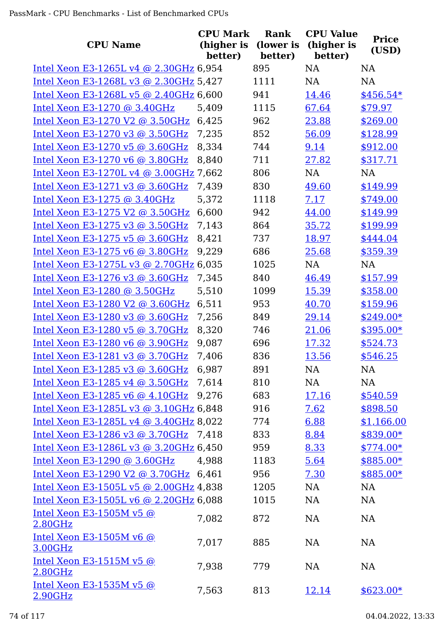|                                        | <b>CPU Mark</b>       | <b>Rank</b>          | <b>CPU Value</b>      | <b>Price</b> |
|----------------------------------------|-----------------------|----------------------|-----------------------|--------------|
| <b>CPU Name</b>                        | (higher is<br>better) | (lower is<br>better) | (higher is<br>better) | (USD)        |
| Intel Xeon E3-1265L v4 @ 2.30GHz 6,954 |                       | 895                  | <b>NA</b>             | <b>NA</b>    |
| Intel Xeon E3-1268L v3 @ 2.30GHz 5,427 |                       | 1111                 | <b>NA</b>             | NA           |
| Intel Xeon E3-1268L v5 @ 2.40GHz 6,600 |                       | 941                  | 14.46                 | $$456.54*$   |
| Intel Xeon E3-1270 @ 3.40GHz           | 5,409                 | 1115                 | 67.64                 | \$79.97      |
| Intel Xeon E3-1270 V2 @ 3.50GHz        | 6,425                 | 962                  | 23.88                 | \$269.00     |
| Intel Xeon E3-1270 v3 @ 3.50GHz        | 7,235                 | 852                  | 56.09                 | \$128.99     |
| Intel Xeon E3-1270 v5 @ 3.60GHz        | 8,334                 | 744                  | 9.14                  | \$912.00     |
| Intel Xeon E3-1270 v6 @ 3.80GHz        | 8,840                 | 711                  | 27.82                 | \$317.71     |
| Intel Xeon E3-1270L v4 @ 3.00GHz 7,662 |                       | 806                  | NA                    | NA           |
| Intel Xeon E3-1271 v3 @ $3.60$ GHz     | 7,439                 | 830                  | 49.60                 | \$149.99     |
| Intel Xeon E3-1275 $@3.40GHz$          | 5,372                 | 1118                 | 7.17                  | \$749.00     |
| Intel Xeon E3-1275 V2 @ 3.50GHz        | 6,600                 | 942                  | 44.00                 | \$149.99     |
| Intel Xeon E3-1275 v3 @ 3.50GHz        | 7,143                 | 864                  | 35.72                 | \$199.99     |
| Intel Xeon E3-1275 v5 @ 3.60GHz        | 8,421                 | 737                  | 18.97                 | \$444.04     |
| Intel Xeon E3-1275 v6 @ 3.80GHz        | 9,229                 | 686                  | 25.68                 | \$359.39     |
| Intel Xeon E3-1275L v3 @ 2.70GHz 6,035 |                       | 1025                 | NA                    | <b>NA</b>    |
| Intel Xeon E3-1276 v3 @ 3.60GHz        | 7,345                 | 840                  | 46.49                 | \$157.99     |
| Intel Xeon E3-1280 $@$ 3.50GHz         | 5,510                 | 1099                 | 15.39                 | \$358.00     |
| Intel Xeon E3-1280 V2 @ 3.60GHz        | 6,511                 | 953                  | 40.70                 | \$159.96     |
| Intel Xeon E3-1280 v3 @ 3.60GHz        | 7,256                 | 849                  | 29.14                 | $$249.00*$   |
| Intel Xeon E3-1280 v5 @ 3.70GHz        | 8,320                 | 746                  | 21.06                 | \$395.00*    |
| Intel Xeon E3-1280 v6 @ 3.90GHz        | 9,087                 | 696                  | 17.32                 | \$524.73     |
| Intel Xeon E3-1281 v3 @ 3.70GHz        | 7,406                 | 836                  | 13.56                 | \$546.25     |
| Intel Xeon E3-1285 v3 @ 3.60GHz        | 6,987                 | 891                  | <b>NA</b>             | NA           |
| Intel Xeon E3-1285 v4 @ 3.50GHz        | 7,614                 | 810                  | NA                    | NA           |
| Intel Xeon E3-1285 v6 @ 4.10GHz        | 9,276                 | 683                  | 17.16                 | \$540.59     |
| Intel Xeon E3-1285L v3 @ 3.10GHz 6,848 |                       | 916                  | 7.62                  | \$898.50     |
| Intel Xeon E3-1285L v4 @ 3.40GHz 8,022 |                       | 774                  | 6.88                  | \$1,166.00   |
| Intel Xeon E3-1286 v3 @ 3.70GHz 7,418  |                       | 833                  | 8.84                  | $$839.00*$   |
| Intel Xeon E3-1286L v3 @ 3.20GHz 6,450 |                       | 959                  | 8.33                  | $$774.00*$   |
| Intel Xeon E3-1290 @ 3.60GHz           | 4,988                 | 1183                 | 5.64                  | $$885.00*$   |
| Intel Xeon E3-1290 V2 @ 3.70GHz 6,461  |                       | 956                  | 7.30                  | $$885.00*$   |
| Intel Xeon E3-1505L v5 @ 2.00GHz 4,838 |                       | 1205                 | <b>NA</b>             | <b>NA</b>    |
| Intel Xeon E3-1505L v6 @ 2.20GHz 6,088 |                       | 1015                 | <b>NA</b>             | <b>NA</b>    |
| Intel Xeon E3-1505M v5 @<br>2.80GHz    | 7,082                 | 872                  | NA                    | <b>NA</b>    |
| Intel Xeon E3-1505M v6 $@$<br>3.00GHz  | 7,017                 | 885                  | <b>NA</b>             | <b>NA</b>    |
| Intel Xeon E3-1515M $v5$ @<br>2.80GHz  | 7,938                 | 779                  | <b>NA</b>             | <b>NA</b>    |
| Intel Xeon E3-1535M $v5$ @<br>2.90GHz  | 7,563                 | 813                  | <u>12.14</u>          | $$623.00*$   |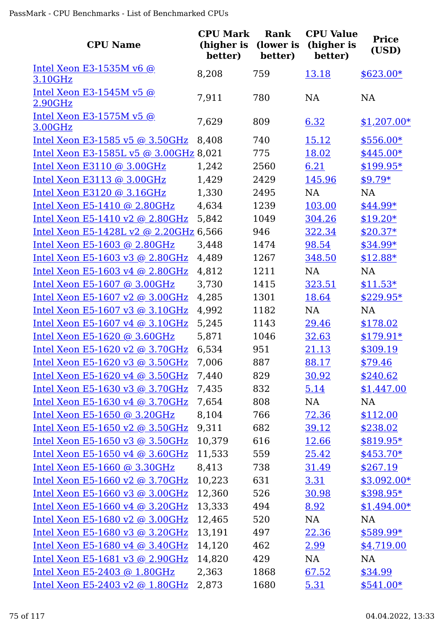| <b>CPU Name</b>                            | <b>CPU Mark</b><br>(higher is<br>better) | Rank<br>(lower is<br>better) | <b>CPU Value</b><br>(higher is<br>better) | <b>Price</b><br>(USD) |
|--------------------------------------------|------------------------------------------|------------------------------|-------------------------------------------|-----------------------|
| Intel Xeon E3-1535M v6 $@$                 | 8,208                                    | 759                          | 13.18                                     | $$623.00*$            |
| 3.10GHz                                    |                                          |                              |                                           |                       |
| <u>Intel Xeon E3-1545M v5 @</u><br>2.90GHz | 7,911                                    | 780                          | NA                                        | NA                    |
| Intel Xeon E3-1575M v5 @                   |                                          |                              |                                           |                       |
| 3.00GHz                                    | 7,629                                    | 809                          | 6.32                                      | $$1,207.00*$          |
| Intel Xeon E3-1585 v5 @ 3.50GHz            | 8,408                                    | 740                          | 15.12                                     | $$556.00*$            |
| Intel Xeon E3-1585L v5 @ 3.00GHz 8,021     |                                          | 775                          | 18.02                                     | \$445.00*             |
| Intel Xeon E3110 @ 3.00GHz                 | 1,242                                    | 2560                         | 6.21                                      | \$199.95*             |
| Intel Xeon E3113 @ 3.00GHz                 | 1,429                                    | 2429                         | 145.96                                    | $$9.79*$              |
| Intel Xeon E3120 @ 3.16GHz                 | 1,330                                    | 2495                         | <b>NA</b>                                 | <b>NA</b>             |
| Intel Xeon E5-1410 @ 2.80GHz               | 4,634                                    | 1239                         | 103.00                                    | \$44.99*              |
| Intel Xeon E5-1410 v2 @ 2.80GHz            | 5,842                                    | 1049                         | 304.26                                    | $$19.20*$             |
| Intel Xeon E5-1428L v2 @ 2.20GHz 6,566     |                                          | 946                          | 322.34                                    | $$20.37*$             |
| Intel Xeon E5-1603 @ 2.80GHz               | 3,448                                    | 1474                         | 98.54                                     | \$34.99*              |
| Intel Xeon E5-1603 v3 @ 2.80GHz            | 4,489                                    | 1267                         | 348.50                                    | $$12.88*$             |
| Intel Xeon E5-1603 v4 @ 2.80GHz            | 4,812                                    | 1211                         | <b>NA</b>                                 | <b>NA</b>             |
| Intel Xeon E5-1607 @ 3.00GHz               | 3,730                                    | 1415                         | 323.51                                    | $$11.53*$             |
| Intel Xeon E5-1607 v2 @ 3.00GHz            | 4,285                                    | 1301                         | 18.64                                     | $$229.95*$            |
| Intel Xeon E5-1607 v3 @ 3.10GHz            | 4,992                                    | 1182                         | <b>NA</b>                                 | NA                    |
| Intel Xeon E5-1607 v4 @ 3.10GHz            | 5,245                                    | 1143                         | 29.46                                     | \$178.02              |
| Intel Xeon E5-1620 @ 3.60GHz               | 5,871                                    | 1046                         | 32.63                                     | $$179.91*$            |
| Intel Xeon E5-1620 v2 @ 3.70GHz            | 6,534                                    | 951                          | 21.13                                     | \$309.19              |
| Intel Xeon E5-1620 v3 @ 3.50GHz            | 7,006                                    | 887                          | 88.17                                     | \$79.46               |
| Intel Xeon E5-1620 v4 $@$ 3.50GHz          | 7,440                                    | 829                          | 30.92                                     | \$240.62              |
| Intel Xeon E5-1630 v3 @ 3.70GHz            | 7,435                                    | 832                          | 5.14                                      | \$1,447.00            |
| Intel Xeon E5-1630 v4 @ 3.70GHz            | 7,654                                    | 808                          | NA                                        | <b>NA</b>             |
| Intel Xeon E5-1650 @ 3.20GHz               | 8,104                                    | 766                          | 72.36                                     | \$112.00              |
| Intel Xeon E5-1650 v2 @ 3.50GHz            | 9,311                                    | 682                          | 39.12                                     | \$238.02              |
| Intel Xeon E5-1650 v3 $\omega$ 3.50GHz     | 10,379                                   | 616                          | 12.66                                     | $$819.95*$            |
| Intel Xeon E5-1650 v4 @ 3.60GHz            | 11,533                                   | 559                          | 25.42                                     | $$453.70*$            |
| Intel Xeon E5-1660 @ 3.30GHz               | 8,413                                    | 738                          | 31.49                                     | \$267.19              |
| Intel Xeon E5-1660 v2 @ 3.70GHz            | 10,223                                   | 631                          | 3.31                                      | $$3,092.00*$          |
| Intel Xeon E5-1660 v3 @ 3.00GHz            | 12,360                                   | 526                          | 30.98                                     | \$398.95*             |
| Intel Xeon E5-1660 v4 @ 3.20GHz            | 13,333                                   | 494                          | 8.92                                      | $$1,494.00*$          |
| Intel Xeon E5-1680 v2 @ 3.00GHz            | 12,465                                   | 520                          | NA                                        | NA                    |
| Intel Xeon E5-1680 v3 @ 3.20GHz            | 13,191                                   | 497                          | 22.36                                     | $$589.99*$            |
| Intel Xeon E5-1680 v4 @ 3.40GHz            | 14,120                                   | 462                          | 2.99                                      | \$4,719.00            |
| Intel Xeon E5-1681 v3 @ 2.90GHz            | 14,820                                   | 429                          | NA                                        | NA                    |
| Intel Xeon E5-2403 @ 1.80GHz               | 2,363                                    | 1868                         | 67.52                                     | \$34.99               |
| Intel Xeon E5-2403 v2 @ 1.80GHz            | 2,873                                    | 1680                         | 5.31                                      | $$541.00*$            |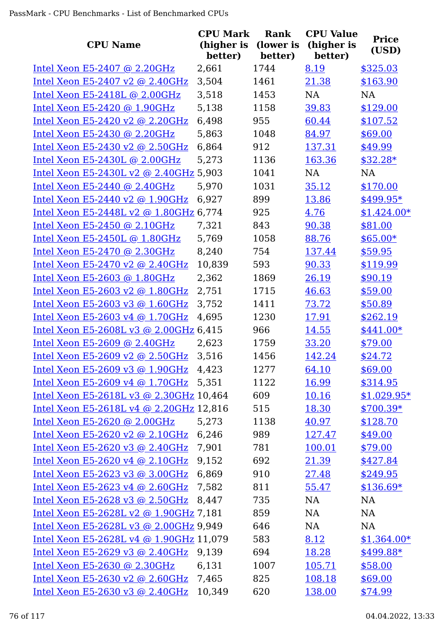|                                         | <b>CPU Mark</b>       | Rank                 | <b>CPU Value</b>      | <b>Price</b> |
|-----------------------------------------|-----------------------|----------------------|-----------------------|--------------|
| <b>CPU Name</b>                         | (higher is<br>better) | (lower is<br>better) | (higher is<br>better) | (USD)        |
| Intel Xeon E5-2407 @ 2.20GHz            | 2,661                 | 1744                 | 8.19                  | \$325.03     |
| Intel Xeon E5-2407 v2 @ 2.40GHz         | 3,504                 | 1461                 | 21.38                 | \$163.90     |
| Intel Xeon E5-2418L @ 2.00GHz           | 3,518                 | 1453                 | NA                    | <b>NA</b>    |
| Intel Xeon $E5-2420$ @ 1.90GHz          | 5,138                 | 1158                 | 39.83                 | \$129.00     |
| Intel Xeon E5-2420 v2 @ 2.20GHz         | 6,498                 | 955                  | 60.44                 | \$107.52     |
| Intel Xeon E5-2430 @ 2.20GHz            | 5,863                 | 1048                 | 84.97                 | \$69.00      |
| Intel Xeon E5-2430 v2 @ 2.50GHz         | 6,864                 | 912                  | 137.31                | \$49.99      |
| Intel Xeon E5-2430L @ 2.00GHz           | 5,273                 | 1136                 | 163.36                | $$32.28*$    |
| Intel Xeon E5-2430L v2 @ 2.40GHz 5,903  |                       | 1041                 | NA                    | <b>NA</b>    |
| Intel Xeon E5-2440 @ 2.40GHz            | 5,970                 | 1031                 | 35.12                 | \$170.00     |
| Intel Xeon E5-2440 v2 @ 1.90GHz         | 6,927                 | 899                  | 13.86                 | $$499.95*$   |
| Intel Xeon E5-2448L v2 @ 1.80GHz 6,774  |                       | 925                  | 4.76                  | $$1,424.00*$ |
| Intel Xeon E5-2450 @ 2.10GHz            | 7,321                 | 843                  | 90.38                 | \$81.00      |
| Intel Xeon E5-2450L @ 1.80GHz           | 5,769                 | 1058                 | 88.76                 | $$65.00*$    |
| <u>Intel Xeon E5-2470 @ 2.30GHz</u>     | 8,240                 | 754                  | 137.44                | \$59.95      |
| Intel Xeon E5-2470 v2 @ 2.40GHz         | 10,839                | 593                  | 90.33                 | \$119.99     |
| Intel Xeon E5-2603 @ 1.80GHz            | 2,362                 | 1869                 | 26.19                 | \$90.19      |
| <u>Intel Xeon E5-2603 v2 @ 1.80GHz</u>  | 2,751                 | 1715                 | 46.63                 | \$59.00      |
| Intel Xeon E5-2603 v3 @ 1.60GHz         | 3,752                 | 1411                 | 73.72                 | \$50.89      |
| Intel Xeon E5-2603 v4 @ 1.70GHz         | 4,695                 | 1230                 | 17.91                 | \$262.19     |
| Intel Xeon E5-2608L v3 @ 2.00GHz 6,415  |                       | 966                  | 14.55                 | $$441.00*$   |
| Intel Xeon E5-2609 @ 2.40GHz            | 2,623                 | 1759                 | 33.20                 | \$79.00      |
| Intel Xeon E5-2609 v2 @ 2.50GHz         | 3,516                 | 1456                 | 142.24                | \$24.72      |
| Intel Xeon E5-2609 v3 @ 1.90GHz         | 4,423                 | 1277                 | 64.10                 | \$69.00      |
| Intel Xeon E5-2609 v4 @ 1.70GHz         | 5,351                 | 1122                 | 16.99                 | \$314.95     |
| Intel Xeon E5-2618L v3 @ 2.30GHz 10,464 |                       | 609                  | 10.16                 | $$1,029.95*$ |
| Intel Xeon E5-2618L v4 @ 2.20GHz 12,816 |                       | 515                  | <u>18.30</u>          | $$700.39*$   |
| Intel Xeon E5-2620 @ 2.00GHz            | 5,273                 | 1138                 | 40.97                 | \$128.70     |
| Intel Xeon E5-2620 v2 @ 2.10GHz         | 6,246                 | 989                  | 127.47                | \$49.00      |
| Intel Xeon E5-2620 v3 @ 2.40GHz         | 7,901                 | 781                  | 100.01                | \$79.00      |
| Intel Xeon E5-2620 v4 @ 2.10GHz         | 9,152                 | 692                  | 21.39                 | \$427.84     |
| Intel Xeon E5-2623 v3 @ 3.00GHz         | 6,869                 | 910                  | 27.48                 | \$249.95     |
| Intel Xeon E5-2623 v4 @ 2.60GHz         | 7,582                 | 811                  | 55.47                 | $$136.69*$   |
| Intel Xeon E5-2628 v3 @ 2.50GHz         | 8,447                 | 735                  | NA                    | <b>NA</b>    |
| Intel Xeon E5-2628L v2 @ 1.90GHz 7,181  |                       | 859                  | NA                    | NA           |
| Intel Xeon E5-2628L v3 @ 2.00GHz 9,949  |                       | 646                  | NA                    | <b>NA</b>    |
| Intel Xeon E5-2628L v4 @ 1.90GHz 11,079 |                       | 583                  | 8.12                  | $$1,364.00*$ |
| Intel Xeon E5-2629 v3 @ 2.40GHz         | 9,139                 | 694                  | 18.28                 | \$499.88*    |
| Intel Xeon E5-2630 @ 2.30GHz            | 6,131                 | 1007                 | 105.71                | \$58.00      |
| Intel Xeon E5-2630 v2 @ 2.60GHz 7,465   |                       | 825                  | 108.18                | \$69.00      |
| Intel Xeon E5-2630 v3 @ 2.40GHz 10,349  |                       | 620                  | 138.00                | \$74.99      |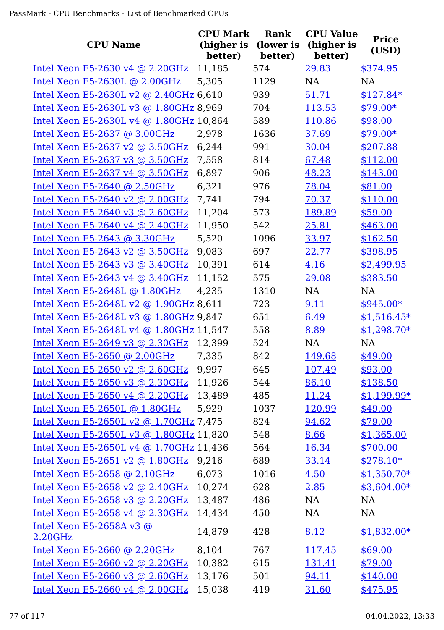| <b>CPU Name</b>                         | <b>CPU Mark</b><br>(higher is<br>better) | Rank<br>(lower is<br>better) | <b>CPU Value</b><br>(higher is<br>better) | <b>Price</b><br>(USD) |
|-----------------------------------------|------------------------------------------|------------------------------|-------------------------------------------|-----------------------|
| Intel Xeon E5-2630 v4 @ 2.20GHz         | 11,185                                   | 574                          | 29.83                                     | \$374.95              |
| Intel Xeon E5-2630L @ 2.00GHz           | 5,305                                    | 1129                         | NA                                        | NA                    |
| Intel Xeon E5-2630L v2 @ 2.40GHz 6,610  |                                          | 939                          | 51.71                                     | $$127.84*$            |
| Intel Xeon E5-2630L v3 @ 1.80GHz 8,969  |                                          | 704                          | 113.53                                    | $$79.00*$             |
| Intel Xeon E5-2630L v4 @ 1.80GHz 10,864 |                                          | 589                          | 110.86                                    | \$98.00               |
| Intel Xeon E5-2637 $@$ 3.00GHz          | 2,978                                    | 1636                         | 37.69                                     | $$79.00*$             |
| Intel Xeon E5-2637 v2 @ $3.50$ GHz      | 6,244                                    | 991                          | 30.04                                     | \$207.88              |
| Intel Xeon E5-2637 v3 @ 3.50GHz         | 7,558                                    | 814                          | 67.48                                     | \$112.00              |
| Intel Xeon E5-2637 v4 $@$ 3.50GHz       | 6,897                                    | 906                          | 48.23                                     | \$143.00              |
| Intel Xeon E5-2640 @ 2.50GHz            | 6,321                                    | 976                          | 78.04                                     | \$81.00               |
| Intel Xeon E5-2640 v2 @ 2.00GHz         | 7,741                                    | 794                          | 70.37                                     | \$110.00              |
| Intel Xeon E5-2640 v3 @ 2.60GHz         | 11,204                                   | 573                          | 189.89                                    | \$59.00               |
| Intel Xeon E5-2640 v4 @ 2.40GHz         | 11,950                                   | 542                          | 25.81                                     | \$463.00              |
| Intel Xeon E5-2643 @ 3.30GHz            | 5,520                                    | 1096                         | 33.97                                     | \$162.50              |
| Intel Xeon E5-2643 v2 @ 3.50GHz         | 9,083                                    | 697                          | 22.77                                     | \$398.95              |
| Intel Xeon E5-2643 v3 @ $3.40$ GHz      | 10,391                                   | 614                          | 4.16                                      | \$2,499.95            |
| Intel Xeon E5-2643 v4 @ 3.40GHz         | 11,152                                   | 575                          | 29.08                                     | \$383.50              |
| Intel Xeon E5-2648L @ 1.80GHz           | 4,235                                    | 1310                         | NA                                        | <b>NA</b>             |
| Intel Xeon E5-2648L v2 @ 1.90GHz 8,611  |                                          | 723                          | 9.11                                      | $$945.00*$            |
| Intel Xeon E5-2648L v3 @ 1.80GHz 9,847  |                                          | 651                          | 6.49                                      | $$1,516.45*$          |
| Intel Xeon E5-2648L v4 @ 1.80GHz 11,547 |                                          | 558                          | 8.89                                      | $$1,298.70*$          |
| Intel Xeon E5-2649 v3 @ 2.30GHz         | 12,399                                   | 524                          | NA                                        | NA                    |
| Intel Xeon E5-2650 @ 2.00GHz            | 7,335                                    | 842                          | 149.68                                    | \$49.00               |
| Intel Xeon E5-2650 v2 @ 2.60GHz         | 9,997                                    | 645                          | 107.49                                    | \$93.00               |
| Intel Xeon E5-2650 v3 @ 2.30GHz         | 11,926                                   | 544                          | 86.10                                     | \$138.50              |
| Intel Xeon E5-2650 v4 $@$ 2.20GHz       | 13,489                                   | 485                          | 11.24                                     | $$1,199.99*$          |
| Intel Xeon E5-2650L @ 1.80GHz           | 5,929                                    | 1037                         | 120.99                                    | \$49.00               |
| Intel Xeon E5-2650L v2 @ 1.70GHz 7,475  |                                          | 824                          | 94.62                                     | \$79.00               |
| Intel Xeon E5-2650L v3 @ 1.80GHz 11,820 |                                          | 548                          | 8.66                                      | \$1,365.00            |
| Intel Xeon E5-2650L v4 @ 1.70GHz 11,436 |                                          | 564                          | 16.34                                     | \$700.00              |
| Intel Xeon E5-2651 v2 @ 1.80GHz         | 9,216                                    | 689                          | 33.14                                     | $$278.10*$            |
| Intel Xeon E5-2658 @ 2.10GHz            | 6,073                                    | 1016                         | 4.50                                      | $$1,350.70*$          |
| Intel Xeon E5-2658 v2 @ 2.40GHz         | 10,274                                   | 628                          | 2.85                                      | $$3,604.00*$          |
| Intel Xeon E5-2658 v3 @ 2.20GHz         | 13,487                                   | 486                          | NA                                        | <b>NA</b>             |
| Intel Xeon E5-2658 v4 @ 2.30GHz         | 14,434                                   | 450                          | NA                                        | NA                    |
| Intel Xeon E5-2658A v3 $@$<br>2.20GHz   | 14,879                                   | 428                          | 8.12                                      | $$1,832.00*$          |
| Intel Xeon E5-2660 @ 2.20GHz            | 8,104                                    | 767                          | 117.45                                    | \$69.00               |
| Intel Xeon E5-2660 v2 @ 2.20GHz         | 10,382                                   | 615                          | 131.41                                    | \$79.00               |
| Intel Xeon E5-2660 v3 @ 2.60GHz         | 13,176                                   | 501                          | 94.11                                     | \$140.00              |
| Intel Xeon E5-2660 v4 @ 2.00GHz         | 15,038                                   | 419                          | 31.60                                     | \$475.95              |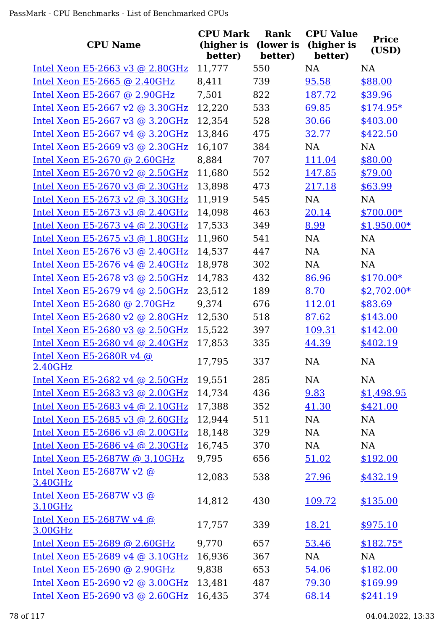| <b>CPU Name</b>                       | <b>CPU Mark</b><br>(higher is<br>better) | Rank<br>(lower is<br>better) | <b>CPU Value</b><br>(higher is<br>better) | <b>Price</b><br>(USD) |
|---------------------------------------|------------------------------------------|------------------------------|-------------------------------------------|-----------------------|
| Intel Xeon E5-2663 v3 @ 2.80GHz       | 11,777                                   | 550                          | <b>NA</b>                                 | <b>NA</b>             |
| Intel Xeon E5-2665 @ 2.40GHz          | 8,411                                    | 739                          | 95.58                                     | \$88.00               |
| Intel Xeon E5-2667 @ 2.90GHz          | 7,501                                    | 822                          | 187.72                                    | \$39.96               |
| Intel Xeon E5-2667 v2 @ 3.30GHz       | 12,220                                   | 533                          | 69.85                                     | $$174.95*$            |
| Intel Xeon E5-2667 v3 @ 3.20GHz       | 12,354                                   | 528                          | 30.66                                     | \$403.00              |
| Intel Xeon E5-2667 v4 @ 3.20GHz       | 13,846                                   | 475                          | 32.77                                     | \$422.50              |
| Intel Xeon E5-2669 v3 @ 2.30GHz       | 16,107                                   | 384                          | <b>NA</b>                                 | <b>NA</b>             |
| Intel Xeon E5-2670 @ 2.60GHz          | 8,884                                    | 707                          | 111.04                                    | \$80.00               |
| Intel Xeon E5-2670 v2 @ 2.50GHz       | 11,680                                   | 552                          | 147.85                                    | \$79.00               |
| Intel Xeon E5-2670 v3 @ 2.30GHz       | 13,898                                   | 473                          | 217.18                                    | \$63.99               |
| Intel Xeon E5-2673 v2 @ 3.30GHz       | 11,919                                   | 545                          | NA                                        | NA                    |
| Intel Xeon E5-2673 v3 @ 2.40GHz       | 14,098                                   | 463                          | 20.14                                     | $$700.00*$            |
| Intel Xeon E5-2673 v4 @ 2.30GHz       | 17,533                                   | 349                          | 8.99                                      | $$1,950.00*$          |
| Intel Xeon E5-2675 v3 @ 1.80GHz       | 11,960                                   | 541                          | NA                                        | <b>NA</b>             |
| Intel Xeon E5-2676 v3 @ 2.40GHz       | 14,537                                   | 447                          | NA                                        | NA                    |
| Intel Xeon E5-2676 v4 @ 2.40GHz       | 18,978                                   | 302                          | NA                                        | <b>NA</b>             |
| Intel Xeon E5-2678 v3 @ 2.50GHz       | 14,783                                   | 432                          | 86.96                                     | $$170.00*$            |
| Intel Xeon E5-2679 v4 @ 2.50GHz       | 23,512                                   | 189                          | 8.70                                      | $$2,702.00*$          |
| Intel Xeon E5-2680 @ 2.70GHz          | 9,374                                    | 676                          | 112.01                                    | \$83.69               |
| Intel Xeon E5-2680 v2 @ 2.80GHz       | 12,530                                   | 518                          | 87.62                                     | \$143.00              |
| Intel Xeon E5-2680 v3 @ 2.50GHz       | 15,522                                   | 397                          | 109.31                                    | \$142.00              |
| Intel Xeon E5-2680 v4 @ 2.40GHz       | 17,853                                   | 335                          | 44.39                                     | \$402.19              |
| Intel Xeon $E5-2680Rv4$ @<br>2.40GHz  | 17,795                                   | 337                          | NA                                        | NA                    |
| Intel Xeon E5-2682 v4 @ 2.50GHz       | 19,551                                   | 285                          | NA                                        | <b>NA</b>             |
| Intel Xeon E5-2683 v3 @ 2.00GHz       | 14,734                                   | 436                          | 9.83                                      | \$1,498.95            |
| Intel Xeon E5-2683 v4 @ 2.10GHz       | 17,388                                   | 352                          | 41.30                                     | \$421.00              |
| Intel Xeon E5-2685 v3 @ 2.60GHz       | 12,944                                   | 511                          | NA                                        | <b>NA</b>             |
| Intel Xeon E5-2686 v3 @ 2.00GHz       | 18,148                                   | 329                          | NA                                        | <b>NA</b>             |
| Intel Xeon E5-2686 v4 @ 2.30GHz       | 16,745                                   | 370                          | NA                                        | NA                    |
| Intel Xeon E5-2687W @ 3.10GHz         | 9,795                                    | 656                          | 51.02                                     | \$192.00              |
| Intel Xeon E5-2687W v2 $@$<br>3.40GHz | 12,083                                   | 538                          | 27.96                                     | \$432.19              |
| Intel Xeon $E5-2687Wv3$ @<br>3.10GHz  | 14,812                                   | 430                          | 109.72                                    | \$135.00              |
| Intel Xeon E5-2687W v4 $@$<br>3.00GHz | 17,757                                   | 339                          | 18.21                                     | \$975.10              |
| Intel Xeon E5-2689 @ 2.60GHz          | 9,770                                    | 657                          | 53.46                                     | $$182.75*$            |
| Intel Xeon E5-2689 v4 @ 3.10GHz       | 16,936                                   | 367                          | <b>NA</b>                                 | <b>NA</b>             |
| Intel Xeon E5-2690 @ 2.90GHz          | 9,838                                    | 653                          | 54.06                                     | \$182.00              |
| Intel Xeon E5-2690 v2 @ 3.00GHz       | 13,481                                   | 487                          | 79.30                                     | \$169.99              |
| Intel Xeon E5-2690 v3 @ 2.60GHz       | 16,435                                   | 374                          | 68.14                                     | \$241.19              |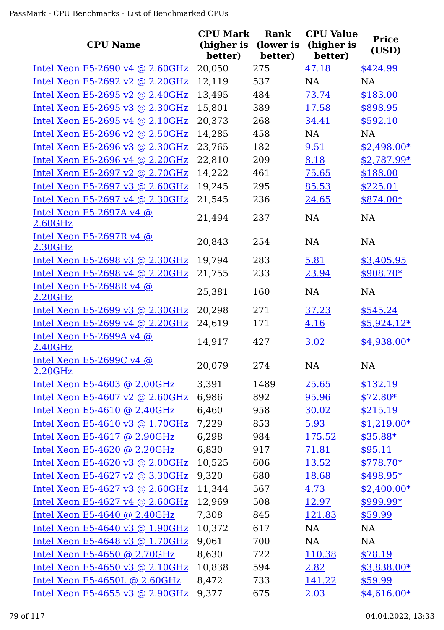|                                            | <b>CPU Mark</b>       | Rank                 | <b>CPU Value</b>      | <b>Price</b> |
|--------------------------------------------|-----------------------|----------------------|-----------------------|--------------|
| <b>CPU Name</b>                            | (higher is<br>better) | (lower is<br>better) | (higher is<br>better) | (USD)        |
| Intel Xeon E5-2690 v4 @ 2.60GHz            | 20,050                | 275                  | 47.18                 | \$424.99     |
| Intel Xeon E5-2692 v2 @ 2.20GHz            | 12,119                | 537                  | <b>NA</b>             | NA           |
| Intel Xeon E5-2695 v2 @ 2.40GHz            | 13,495                | 484                  | 73.74                 | \$183.00     |
| Intel Xeon E5-2695 v3 @ 2.30GHz            | 15,801                | 389                  | 17.58                 | \$898.95     |
| Intel Xeon E5-2695 v4 @ 2.10GHz            | 20,373                | 268                  | 34.41                 | \$592.10     |
| Intel Xeon E5-2696 v2 @ 2.50GHz            | 14,285                | 458                  | <b>NA</b>             | <b>NA</b>    |
| Intel Xeon E5-2696 v3 @ 2.30GHz            | 23,765                | 182                  | 9.51                  | $$2,498.00*$ |
| Intel Xeon E5-2696 v4 @ 2.20GHz            | 22,810                | 209                  | 8.18                  | $$2,787.99*$ |
| Intel Xeon E5-2697 v2 @ 2.70GHz            | 14,222                | 461                  | 75.65                 | \$188.00     |
| Intel Xeon E5-2697 v3 @ 2.60GHz            | 19,245                | 295                  | 85.53                 | \$225.01     |
| Intel Xeon E5-2697 v4 @ 2.30GHz            | 21,545                | 236                  | 24.65                 | $$874.00*$   |
| Intel Xeon E5-2697A v4 @<br>2.60GHz        | 21,494                | 237                  | <b>NA</b>             | NA           |
| Intel Xeon E5-2697R v4 @<br>2.30GHz        | 20,843                | 254                  | <b>NA</b>             | <b>NA</b>    |
| Intel Xeon E5-2698 v3 @ 2.30GHz            | 19,794                | 283                  | 5.81                  | \$3,405.95   |
| Intel Xeon E5-2698 v4 @ 2.20GHz            | 21,755                | 233                  | 23.94                 | $$908.70*$   |
| <u>Intel Xeon E5-2698R v4 @</u><br>2.20GHz | 25,381                | 160                  | <b>NA</b>             | <b>NA</b>    |
| Intel Xeon E5-2699 v3 @ 2.30GHz            | 20,298                | 271                  | 37.23                 | \$545.24     |
| Intel Xeon E5-2699 v4 @ 2.20GHz            | 24,619                | 171                  | 4.16                  | $$5,924.12*$ |
| <u>Intel Xeon E5-2699A v4 @</u><br>2.40GHz | 14,917                | 427                  | 3.02                  | $$4,938.00*$ |
| Intel Xeon E5-2699C v4 @<br>2.20GHz        | 20,079                | 274                  | NA                    | <b>NA</b>    |
| Intel Xeon E5-4603 @ 2.00GHz               | 3,391                 | 1489                 | 25.65                 | \$132.19     |
| Intel Xeon E5-4607 v2 @ 2.60GHz            | 6,986                 | 892                  | 95.96                 | $$72.80*$    |
| Intel Xeon E5-4610 @ 2.40GHz               | 6,460                 | 958                  | 30.02                 | \$215.19     |
| Intel Xeon E5-4610 v3 @ 1.70GHz            | 7,229                 | 853                  | 5.93                  | $$1,219.00*$ |
| Intel Xeon E5-4617 @ 2.90GHz               | 6,298                 | 984                  | 175.52                | $$35.88*$    |
| Intel Xeon E5-4620 @ 2.20GHz               | 6,830                 | 917                  | 71.81                 | \$95.11      |
| Intel Xeon E5-4620 v3 @ 2.00GHz            | 10,525                | 606                  | 13.52                 | $$778.70*$   |
| Intel Xeon E5-4627 v2 @ 3.30GHz            | 9,320                 | 680                  | 18.68                 | $$498.95*$   |
| Intel Xeon E5-4627 v3 @ $2.60$ GHz         | 11,344                | 567                  | 4.73                  | $$2,400.00*$ |
| Intel Xeon E5-4627 v4 @ $2.60$ GHz         | 12,969                | 508                  | 12.97                 | \$999.99*    |
| Intel Xeon $E5-4640$ @ 2.40GHz             | 7,308                 | 845                  | 121.83                | \$59.99      |
| Intel Xeon E5-4640 v3 @ 1.90GHz            | 10,372                | 617                  | NA                    | NA           |
| Intel Xeon E5-4648 v3 @ 1.70GHz            | 9,061                 | 700                  | NA                    | NA           |
| Intel Xeon E5-4650 @ 2.70GHz               | 8,630                 | 722                  | 110.38                | \$78.19      |
| Intel Xeon E5-4650 v3 @ $2.10$ GHz         | 10,838                | 594                  | 2.82                  | $$3,838.00*$ |
| Intel Xeon E5-4650L @ 2.60GHz              | 8,472                 | 733                  | 141.22                | \$59.99      |
| <u>Intel Xeon E5-4655 v3 @ 2.90GHz</u>     | 9,377                 | 675                  | 2.03                  | $$4,616.00*$ |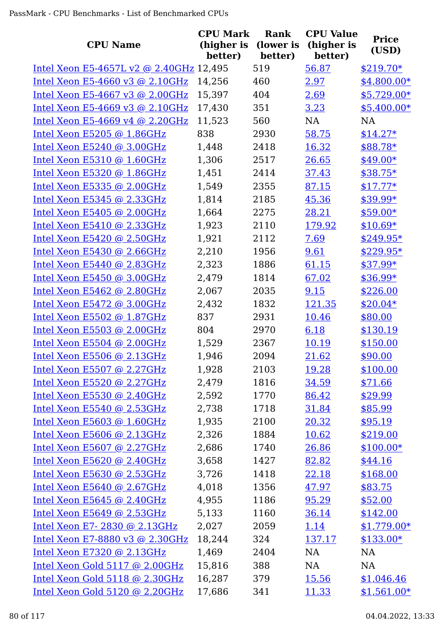| <b>CPU Name</b>                         | <b>CPU Mark</b><br>(higher is<br>better) | Rank<br>(lower is<br>better) | <b>CPU Value</b><br>(higher is<br>better) | <b>Price</b><br>(USD) |
|-----------------------------------------|------------------------------------------|------------------------------|-------------------------------------------|-----------------------|
| Intel Xeon E5-4657L v2 @ 2.40GHz 12,495 |                                          | 519                          | 56.87                                     | $$219.70*$            |
| Intel Xeon E5-4660 v3 @ 2.10GHz         | 14,256                                   | 460                          | 2.97                                      | $$4,800.00*$          |
| Intel Xeon E5-4667 v3 @ $2.00$ GHz      | 15,397                                   | 404                          | 2.69                                      | $$5,729.00*$          |
| Intel Xeon E5-4669 v3 @ $2.10$ GHz      | 17,430                                   | 351                          | 3.23                                      | $$5,400.00*$          |
| Intel Xeon E5-4669 v4 @ 2.20GHz         | 11,523                                   | 560                          | <b>NA</b>                                 | <b>NA</b>             |
| Intel Xeon E5205 @ 1.86GHz              | 838                                      | 2930                         | 58.75                                     | $$14.27*$             |
| Intel Xeon E5240 @ 3.00GHz              | 1,448                                    | 2418                         | 16.32                                     | \$88.78*              |
| Intel Xeon E5310 @ 1.60GHz              | 1,306                                    | 2517                         | 26.65                                     | $$49.00*$             |
| Intel Xeon E5320 @ 1.86GHz              | 1,451                                    | 2414                         | 37.43                                     | $$38.75*$             |
| Intel Xeon E5335 @ 2.00GHz              | 1,549                                    | 2355                         | 87.15                                     | $$17.77*$             |
| Intel Xeon E5345 @ 2.33GHz              | 1,814                                    | 2185                         | 45.36                                     | \$39.99*              |
| Intel Xeon $E5405$ @ 2.00GHz            | 1,664                                    | 2275                         | 28.21                                     | $$59.00*$             |
| Intel Xeon E5410 @ 2.33GHz              | 1,923                                    | 2110                         | 179.92                                    | $$10.69*$             |
| Intel Xeon E5420 @ 2.50GHz              | 1,921                                    | 2112                         | 7.69                                      | $$249.95*$            |
| Intel Xeon E5430 @ 2.66GHz              | 2,210                                    | 1956                         | 9.61                                      | \$229.95*             |
| Intel Xeon $E5440$ @ 2.83GHz            | 2,323                                    | 1886                         | 61.15                                     | $$37.99*$             |
| Intel Xeon E5450 @ 3.00GHz              | 2,479                                    | 1814                         | 67.02                                     | $$36.99*$             |
| Intel Xeon $E5462$ @ 2.80GHz            | 2,067                                    | 2035                         | 9.15                                      | \$226.00              |
| Intel Xeon $E5472$ @ 3.00GHz            | 2,432                                    | 1832                         | 121.35                                    | $$20.04*$             |
| Intel Xeon E5502 @ 1.87GHz              | 837                                      | 2931                         | 10.46                                     | \$80.00               |
| Intel Xeon E5503 @ 2.00GHz              | 804                                      | 2970                         | 6.18                                      | \$130.19              |
| Intel Xeon E5504 @ 2.00GHz              | 1,529                                    | 2367                         | 10.19                                     | \$150.00              |
| Intel Xeon E5506 @ 2.13GHz              | 1,946                                    | 2094                         | 21.62                                     | \$90.00               |
| Intel Xeon E5507 @ 2.27GHz              | 1,928                                    | 2103                         | 19.28                                     | \$100.00              |
| Intel Xeon E5520 @ 2.27GHz              | 2,479                                    | 1816                         | 34.59                                     | \$71.66               |
| Intel Xeon E5530 @ 2.40GHz              | 2,592                                    | 1770                         | 86.42                                     | \$29.99               |
| Intel Xeon E5540 @ 2.53GHz              | 2,738                                    | 1718                         | 31.84                                     | \$85.99               |
| Intel Xeon E5603 @ $1.60$ GHz           | 1,935                                    | 2100                         | 20.32                                     | \$95.19               |
| Intel Xeon E5606 $@$ 2.13GHz            | 2,326                                    | 1884                         | 10.62                                     | \$219.00              |
| Intel Xeon E5607 $@$ 2.27GHz            | 2,686                                    | 1740                         | 26.86                                     | $$100.00*$            |
| Intel Xeon E5620 @ 2.40GHz              | 3,658                                    | 1427                         | 82.82                                     | \$44.16               |
| Intel Xeon E5630 @ 2.53GHz              | 3,726                                    | 1418                         | 22.18                                     | \$168.00              |
| Intel Xeon E5640 @ 2.67GHz              | 4,018                                    | 1356                         | 47.97                                     | \$83.75               |
| Intel Xeon $E5645$ @ 2.40GHz            | 4,955                                    | 1186                         | 95.29                                     | \$52.00               |
| Intel Xeon E5649 @ 2.53GHz              | 5,133                                    | 1160                         | 36.14                                     | \$142.00              |
| Intel Xeon E7-2830 @ 2.13GHz            | 2,027                                    | 2059                         | 1.14                                      | $$1,779.00*$          |
| Intel Xeon E7-8880 v3 @ 2.30GHz         | 18,244                                   | 324                          | 137.17                                    | $$133.00*$            |
| Intel Xeon E7320 @ $2.13GHz$            | 1,469                                    | 2404                         | NA                                        | NA                    |
| Intel Xeon Gold 5117 @ 2.00GHz          | 15,816                                   | 388                          | NA                                        | NA                    |
| Intel Xeon Gold 5118 @ 2.30GHz          | 16,287                                   | 379                          | <u>15.56</u>                              | \$1,046.46            |
| Intel Xeon Gold 5120 @ 2.20GHz          | 17,686                                   | 341                          | 11.33                                     | $$1,561.00*$          |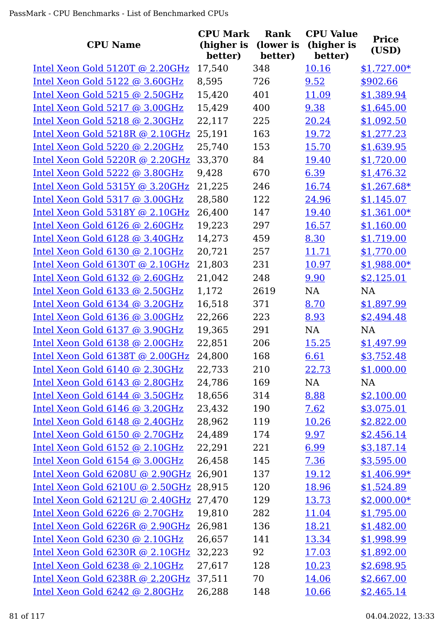| <b>CPU Name</b>                 | <b>CPU Mark</b><br>(higher is | Rank<br>(lower is | <b>CPU Value</b><br>(higher is | <b>Price</b><br>(USD) |
|---------------------------------|-------------------------------|-------------------|--------------------------------|-----------------------|
|                                 | better)                       | better)           | better)                        |                       |
| Intel Xeon Gold 5120T @ 2.20GHz | 17,540                        | 348               | 10.16                          | $$1,727.00*$          |
| Intel Xeon Gold 5122 @ 3.60GHz  | 8,595                         | 726               | 9.52                           | \$902.66              |
| Intel Xeon Gold 5215 @ 2.50GHz  | 15,420                        | 401               | 11.09                          | \$1,389.94            |
| Intel Xeon Gold 5217 @ 3.00GHz  | 15,429                        | 400               | 9.38                           | \$1,645.00            |
| Intel Xeon Gold 5218 @ 2.30GHz  | 22,117                        | 225               | 20.24                          | \$1,092.50            |
| Intel Xeon Gold 5218R @ 2.10GHz | 25,191                        | 163               | 19.72                          | \$1,277.23            |
| Intel Xeon Gold 5220 @ 2.20GHz  | 25,740                        | 153               | 15.70                          | \$1,639.95            |
| Intel Xeon Gold 5220R @ 2.20GHz | 33,370                        | 84                | 19.40                          | \$1,720.00            |
| Intel Xeon Gold 5222 @ 3.80GHz  | 9,428                         | 670               | 6.39                           | \$1,476.32            |
| Intel Xeon Gold 5315Y @ 3.20GHz | 21,225                        | 246               | 16.74                          | $$1,267.68*$          |
| Intel Xeon Gold 5317 @ 3.00GHz  | 28,580                        | 122               | 24.96                          | \$1,145.07            |
| Intel Xeon Gold 5318Y @ 2.10GHz | 26,400                        | 147               | 19.40                          | $$1,361.00*$          |
| Intel Xeon Gold 6126 @ 2.60GHz  | 19,223                        | 297               | 16.57                          | \$1,160.00            |
| Intel Xeon Gold 6128 @ 3.40GHz  | 14,273                        | 459               | 8.30                           | \$1,719.00            |
| Intel Xeon Gold 6130 @ 2.10GHz  | 20,721                        | 257               | 11.71                          | \$1,770.00            |
| Intel Xeon Gold 6130T @ 2.10GHz | 21,803                        | 231               | 10.97                          | $$1,988.00*$          |
| Intel Xeon Gold 6132 @ 2.60GHz  | 21,042                        | 248               | 9.90                           | \$2,125.01            |
| Intel Xeon Gold 6133 @ 2.50GHz  | 1,172                         | 2619              | <b>NA</b>                      | <b>NA</b>             |
| Intel Xeon Gold 6134 @ 3.20GHz  | 16,518                        | 371               | 8.70                           | \$1,897.99            |
| Intel Xeon Gold 6136 @ 3.00GHz  | 22,266                        | 223               | 8.93                           | \$2,494.48            |
| Intel Xeon Gold 6137 @ 3.90GHz  | 19,365                        | 291               | <b>NA</b>                      | <b>NA</b>             |
| Intel Xeon Gold 6138 @ 2.00GHz  | 22,851                        | 206               | 15.25                          | \$1,497.99            |
| Intel Xeon Gold 6138T @ 2.00GHz | 24,800                        | 168               | 6.61                           | \$3,752.48            |
| Intel Xeon Gold 6140 @ 2.30GHz  | 22,733                        | 210               | 22.73                          | \$1,000.00            |
| Intel Xeon Gold 6143 @ 2.80GHz  | 24,786                        | 169               | NA                             | NA                    |
| Intel Xeon Gold 6144 @ 3.50GHz  | 18,656                        | 314               | 8.88                           | \$2,100.00            |
| Intel Xeon Gold 6146 @ 3.20GHz  | 23,432                        | 190               | 7.62                           | \$3,075.01            |
| Intel Xeon Gold 6148 @ 2.40GHz  | 28,962                        | 119               | <u>10.26</u>                   | \$2,822.00            |
| Intel Xeon Gold 6150 @ 2.70GHz  | 24,489                        | 174               | 9.97                           | \$2,456.14            |
| Intel Xeon Gold 6152 @ 2.10GHz  | 22,291                        | 221               | 6.99                           | \$3,187.14            |
| Intel Xeon Gold 6154 @ 3.00GHz  | 26,458                        | 145               | 7.36                           | \$3,595.00            |
| Intel Xeon Gold 6208U @ 2.90GHz | 26,901                        | 137               | 19.12                          | $$1,406.99*$          |
| Intel Xeon Gold 6210U @ 2.50GHz | 28,915                        | 120               | <u>18.96</u>                   | \$1,524.89            |
| Intel Xeon Gold 6212U @ 2.40GHz | 27,470                        | 129               | 13.73                          | $$2,000.00*$          |
| Intel Xeon Gold 6226 @ 2.70GHz  | 19,810                        | 282               | 11.04                          | \$1,795.00            |
| Intel Xeon Gold 6226R @ 2.90GHz | 26,981                        | 136               | 18.21                          | \$1,482.00            |
| Intel Xeon Gold 6230 @ 2.10GHz  | 26,657                        | 141               | 13.34                          | \$1,998.99            |
| Intel Xeon Gold 6230R @ 2.10GHz | 32,223                        | 92                | 17.03                          | \$1,892.00            |
| Intel Xeon Gold 6238 @ 2.10GHz  | 27,617                        | 128               | 10.23                          | \$2,698.95            |
| Intel Xeon Gold 6238R @ 2.20GHz | 37,511                        | 70                | 14.06                          | \$2,667.00            |
| Intel Xeon Gold 6242 @ 2.80GHz  | 26,288                        | 148               | 10.66                          | \$2,465.14            |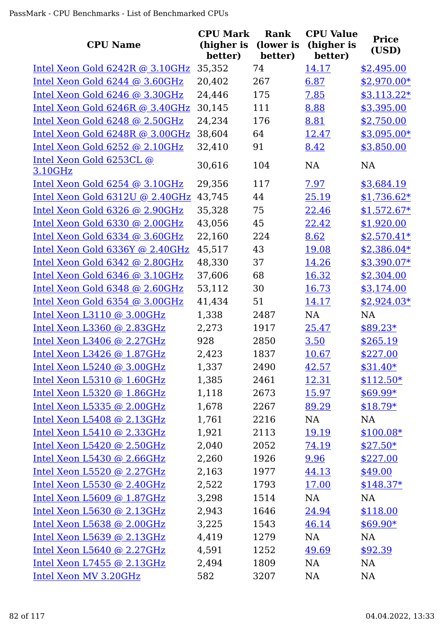| <b>CPU Name</b>                     | <b>CPU Mark</b><br>(higher is | <b>Rank</b><br>(lower is | <b>CPU Value</b><br>(higher is | <b>Price</b> |
|-------------------------------------|-------------------------------|--------------------------|--------------------------------|--------------|
|                                     | better)                       | better)                  | better)                        | (USD)        |
| Intel Xeon Gold $6242R$ @ 3.10GHz   | 35,352                        | 74                       | 14.17                          | \$2,495.00   |
| Intel Xeon Gold 6244 @ 3.60GHz      | 20,402                        | 267                      | 6.87                           | $$2,970.00*$ |
| Intel Xeon Gold 6246 @ 3.30GHz      | 24,446                        | 175                      | 7.85                           | $$3,113.22*$ |
| Intel Xeon Gold 6246R @ 3.40GHz     | 30,145                        | 111                      | 8.88                           | \$3,395.00   |
| Intel Xeon Gold 6248 @ 2.50GHz      | 24,234                        | 176                      | 8.81                           | \$2,750.00   |
| Intel Xeon Gold 6248R @ 3.00GHz     | 38,604                        | 64                       | 12.47                          | $$3,095.00*$ |
| Intel Xeon Gold 6252 @ 2.10GHz      | 32,410                        | 91                       | 8.42                           | \$3,850.00   |
| Intel Xeon Gold 6253CL @<br>3.10GHz | 30,616                        | 104                      | <b>NA</b>                      | NA           |
| Intel Xeon Gold 6254 @ 3.10GHz      | 29,356                        | 117                      | 7.97                           | \$3,684.19   |
| Intel Xeon Gold 6312U @ 2.40GHz     | 43,745                        | 44                       | 25.19                          | $$1,736.62*$ |
| Intel Xeon Gold 6326 @ 2.90GHz      | 35,328                        | 75                       | 22.46                          | $$1,572.67*$ |
| Intel Xeon Gold 6330 @ 2.00GHz      | 43,056                        | 45                       | 22.42                          | \$1,920.00   |
| Intel Xeon Gold 6334 @ 3.60GHz      | 22,160                        | 224                      | 8.62                           | $$2,570.41*$ |
| Intel Xeon Gold 6336Y @ 2.40GHz     | 45,517                        | 43                       | 19.08                          | $$2,386.04*$ |
| Intel Xeon Gold 6342 @ 2.80GHz      | 48,330                        | 37                       | 14.26                          | \$3,390.07*  |
| Intel Xeon Gold 6346 @ 3.10GHz      | 37,606                        | 68                       | 16.32                          | \$2,304.00   |
| Intel Xeon Gold 6348 @ 2.60GHz      | 53,112                        | 30                       | 16.73                          | \$3,174.00   |
| Intel Xeon Gold 6354 @ 3.00GHz      | 41,434                        | 51                       | 14.17                          | $$2,924.03*$ |
| Intel Xeon L3110 @ 3.00GHz          | 1,338                         | 2487                     | NA                             | <b>NA</b>    |
| Intel Xeon L3360 @ 2.83GHz          | 2,273                         | 1917                     | 25.47                          | $$89.23*$    |
| Intel Xeon L3406 @ 2.27GHz          | 928                           | 2850                     | 3.50                           | \$265.19     |
| Intel Xeon L3426 @ 1.87GHz          | 2,423                         | 1837                     | 10.67                          | \$227.00     |
| Intel Xeon L5240 @ 3.00GHz          | 1,337                         | 2490                     | 42.57                          | $$31.40*$    |
| Intel Xeon L5310 @ 1.60GHz          | 1,385                         | 2461                     | 12.31                          | $$112.50*$   |
| Intel Xeon L5320 @ 1.86GHz          | 1,118                         | 2673                     | 15.97                          | $$69.99*$    |
| Intel Xeon $L5335$ @ 2.00GHz        | 1,678                         | 2267                     | 89.29                          | $$18.79*$    |
| Intel Xeon L5408 @ 2.13GHz          | 1,761                         | 2216                     | NA                             | NA           |
| Intel Xeon L5410 @ 2.33GHz          | 1,921                         | 2113                     | 19.19                          | $$100.08*$   |
| Intel Xeon L5420 @ 2.50GHz          | 2,040                         | 2052                     | 74.19                          | $$27.50*$    |
| Intel Xeon $L5430$ @ 2.66GHz        | 2,260                         | 1926                     | 9.96                           | \$227.00     |
| Intel Xeon L5520 @ 2.27GHz          | 2,163                         | 1977                     | 44.13                          | \$49.00      |
| Intel Xeon L5530 @ 2.40GHz          | 2,522                         | 1793                     | <u>17.00</u>                   | $$148.37*$   |
| Intel Xeon $L5609$ @ 1.87GHz        | 3,298                         | 1514                     | NA                             | NA           |
| Intel Xeon L5630 @ 2.13GHz          | 2,943                         | 1646                     | 24.94                          | \$118.00     |
| Intel Xeon $L5638$ @ 2.00GHz        | 3,225                         | 1543                     | 46.14                          | $$69.90*$    |
| Intel Xeon L5639 @ 2.13GHz          | 4,419                         | 1279                     | NA                             | <b>NA</b>    |
| Intel Xeon $L5640$ @ 2.27GHz        | 4,591                         | 1252                     | 49.69                          | \$92.39      |
| Intel Xeon L7455 @ 2.13GHz          | 2,494                         | 1809                     | <b>NA</b>                      | <b>NA</b>    |
| Intel Xeon MV 3.20GHz               | 582                           | 3207                     | <b>NA</b>                      | NA           |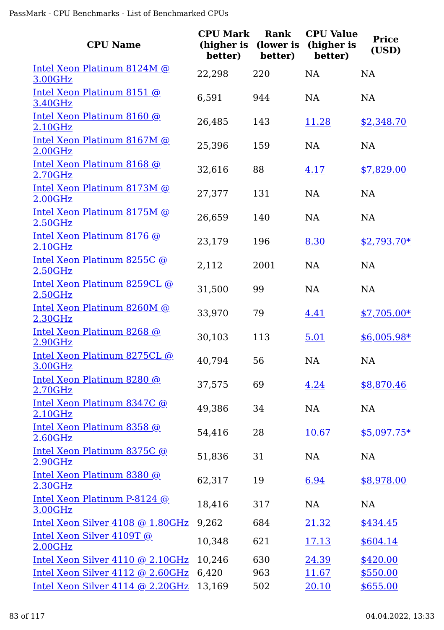| <b>CPU Name</b>                         | <b>CPU Mark</b><br>(higher is<br>better) | Rank<br>(lower is<br>better) | <b>CPU Value</b><br>(higher is<br>better) | <b>Price</b><br>(USD) |
|-----------------------------------------|------------------------------------------|------------------------------|-------------------------------------------|-----------------------|
| Intel Xeon Platinum 8124M @<br>3.00GHz  | 22,298                                   | 220                          | <b>NA</b>                                 | <b>NA</b>             |
| Intel Xeon Platinum 8151 @<br>3.40GHz   | 6,591                                    | 944                          | <b>NA</b>                                 | NA                    |
| Intel Xeon Platinum 8160 @<br>2.10GHz   | 26,485                                   | 143                          | 11.28                                     | \$2,348.70            |
| Intel Xeon Platinum 8167M @<br>2.00GHz  | 25,396                                   | 159                          | <b>NA</b>                                 | <b>NA</b>             |
| Intel Xeon Platinum 8168 @<br>2.70GHz   | 32,616                                   | 88                           | 4.17                                      | \$7,829.00            |
| Intel Xeon Platinum 8173M @<br>2.00GHz  | 27,377                                   | 131                          | <b>NA</b>                                 | <b>NA</b>             |
| Intel Xeon Platinum 8175M @<br>2.50GHz  | 26,659                                   | 140                          | <b>NA</b>                                 | <b>NA</b>             |
| Intel Xeon Platinum 8176 @<br>2.10GHz   | 23,179                                   | 196                          | 8.30                                      | $$2,793.70*$          |
| Intel Xeon Platinum 8255C @<br>2.50GHz  | 2,112                                    | 2001                         | <b>NA</b>                                 | <b>NA</b>             |
| Intel Xeon Platinum 8259CL @<br>2.50GHz | 31,500                                   | 99                           | <b>NA</b>                                 | NA                    |
| Intel Xeon Platinum 8260M @<br>2.30GHz  | 33,970                                   | 79                           | 4.41                                      | $$7,705.00*$          |
| Intel Xeon Platinum 8268 @<br>2.90GHz   | 30,103                                   | 113                          | 5.01                                      | $$6,005.98*$          |
| Intel Xeon Platinum 8275CL @<br>3.00GHz | 40,794                                   | 56                           | NA                                        | <b>NA</b>             |
| Intel Xeon Platinum 8280 @<br>2.70GHz   | 37,575                                   | 69                           | 4.24                                      | \$8,870.46            |
| Intel Xeon Platinum 8347C @<br>2.10GHz  | 49,386                                   | 34                           | <b>NA</b>                                 | <b>NA</b>             |
| Intel Xeon Platinum 8358 @<br>2.60GHz   | 54,416                                   | 28                           | 10.67                                     | <u>\$5,097.75*</u>    |
| Intel Xeon Platinum 8375C @<br>2.90GHz  | 51,836                                   | 31                           | <b>NA</b>                                 | <b>NA</b>             |
| Intel Xeon Platinum 8380 @<br>2.30GHz   | 62,317                                   | 19                           | 6.94                                      | \$8,978.00            |
| Intel Xeon Platinum P-8124 @<br>3.00GHz | 18,416                                   | 317                          | <b>NA</b>                                 | <b>NA</b>             |
| Intel Xeon Silver 4108 @ 1.80GHz        | 9,262                                    | 684                          | 21.32                                     | \$434.45              |
| Intel Xeon Silver 4109T @<br>2.00GHz    | 10,348                                   | 621                          | 17.13                                     | \$604.14              |
| Intel Xeon Silver 4110 @ 2.10GHz        | 10,246                                   | 630                          | 24.39                                     | \$420.00              |
| Intel Xeon Silver 4112 @ 2.60GHz        | 6,420                                    | 963                          | 11.67                                     | \$550.00              |
| Intel Xeon Silver 4114 @ 2.20GHz        | 13,169                                   | 502                          | 20.10                                     | \$655.00              |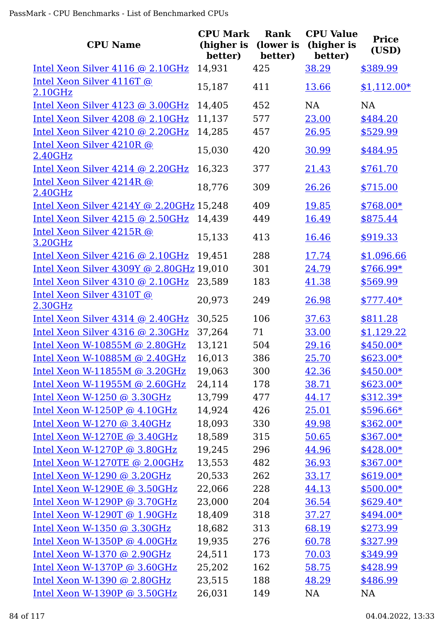| <b>CPU Name</b>                          | <b>CPU Mark</b><br>(higher is<br>better) | <b>Rank</b><br>(lower is<br>better) | <b>CPU Value</b><br>(higher is<br>better) | <b>Price</b><br>(USD) |
|------------------------------------------|------------------------------------------|-------------------------------------|-------------------------------------------|-----------------------|
| Intel Xeon Silver 4116 @ 2.10GHz         | 14,931                                   | 425                                 | 38.29                                     | \$389.99              |
| Intel Xeon Silver 4116T @<br>2.10GHz     | 15,187                                   | 411                                 | 13.66                                     | $$1,112.00*$          |
| Intel Xeon Silver 4123 @ 3.00GHz         | 14,405                                   | 452                                 | NA                                        | NA                    |
| Intel Xeon Silver 4208 @ 2.10GHz         | 11,137                                   | 577                                 | 23.00                                     | \$484.20              |
| Intel Xeon Silver 4210 @ 2.20GHz         | 14,285                                   | 457                                 | 26.95                                     | \$529.99              |
| Intel Xeon Silver 4210R @<br>2.40GHz     | 15,030                                   | 420                                 | 30.99                                     | \$484.95              |
| Intel Xeon Silver 4214 @ 2.20GHz         | 16,323                                   | 377                                 | 21.43                                     | \$761.70              |
| Intel Xeon Silver 4214R @<br>2.40GHz     | 18,776                                   | 309                                 | 26.26                                     | \$715.00              |
| Intel Xeon Silver 4214Y @ 2.20GHz 15,248 |                                          | 409                                 | 19.85                                     | \$768.00*             |
| Intel Xeon Silver $4215$ @ 2.50GHz       | 14,439                                   | 449                                 | 16.49                                     | \$875.44              |
| Intel Xeon Silver 4215R @<br>3.20GHz     | 15,133                                   | 413                                 | 16.46                                     | \$919.33              |
| Intel Xeon Silver 4216 @ 2.10GHz         | 19,451                                   | 288                                 | 17.74                                     | \$1,096.66            |
| Intel Xeon Silver 4309Y @ 2.80GHz 19,010 |                                          | 301                                 | 24.79                                     | $$766.99*$            |
| Intel Xeon Silver 4310 @ 2.10GHz         | 23,589                                   | 183                                 | 41.38                                     | \$569.99              |
| Intel Xeon Silver 4310T @<br>2.30GHz     | 20,973                                   | 249                                 | 26.98                                     | $$777.40*$            |
| Intel Xeon Silver 4314 @ 2.40GHz         | 30,525                                   | 106                                 | 37.63                                     | \$811.28              |
| Intel Xeon Silver 4316 @ 2.30GHz         | 37,264                                   | 71                                  | 33.00                                     | \$1,129.22            |
| Intel Xeon W-10855M @ 2.80GHz            | 13,121                                   | 504                                 | 29.16                                     | $$450.00*$            |
| Intel Xeon W-10885M @ 2.40GHz            | 16,013                                   | 386                                 | 25.70                                     | $$623.00*$            |
| Intel Xeon W-11855M $@$ 3.20GHz          | 19,063                                   | 300                                 | 42.36                                     | $$450.00*$            |
| Intel Xeon W-11955M @ 2.60GHz            | 24,114                                   | 178                                 | 38.71                                     | $$623.00*$            |
| Intel Xeon W-1250 @ 3.30GHz              | 13,799                                   | 477                                 | 44.17                                     | $$312.39*$            |
| Intel Xeon W-1250P $@$ 4.10GHz           | 14,924                                   | 426                                 | 25.01                                     | $$596.66*$            |
| Intel Xeon W-1270 @ 3.40GHz              | 18,093                                   | 330                                 | 49.98                                     | $$362.00*$            |
| Intel Xeon W-1270E $@3.40GHz$            | 18,589                                   | 315                                 | 50.65                                     | $$367.00*$            |
| Intel Xeon W-1270P @ 3.80GHz             | 19,245                                   | 296                                 | 44.96                                     | $$428.00*$            |
| Intel Xeon W-1270TE @ 2.00GHz            | 13,553                                   | 482                                 | 36.93                                     | $$367.00*$            |
| Intel Xeon W-1290 @ 3.20GHz              | 20,533                                   | 262                                 | 33.17                                     | $$619.00*$            |
| Intel Xeon W-1290E $@3.50GHz$            | 22,066                                   | 228                                 | 44.13                                     | $$500.00*$            |
| Intel Xeon W-1290P $@3.70GHz$            | 23,000                                   | 204                                 | 36.54                                     | $$629.40*$            |
| Intel Xeon W-1290T @ 1.90GHz             | 18,409                                   | 318                                 | 37.27                                     | $$494.00*$            |
| Intel Xeon W-1350 @ 3.30GHz              | 18,682                                   | 313                                 | 68.19                                     | \$273.99              |
| Intel Xeon W-1350P $@$ 4.00GHz           | 19,935                                   | 276                                 | 60.78                                     | \$327.99              |
| Intel Xeon W-1370 @ $2.90GHz$            | 24,511                                   | 173                                 | 70.03                                     | \$349.99              |
| Intel Xeon W-1370P $@3.60GHz$            | 25,202                                   | 162                                 | 58.75                                     | \$428.99              |
| Intel Xeon W-1390 @ 2.80GHz              | 23,515                                   | 188                                 | 48.29                                     | \$486.99              |
| Intel Xeon W-1390P $@3.50GHz$            | 26,031                                   | 149                                 | NA                                        | NA                    |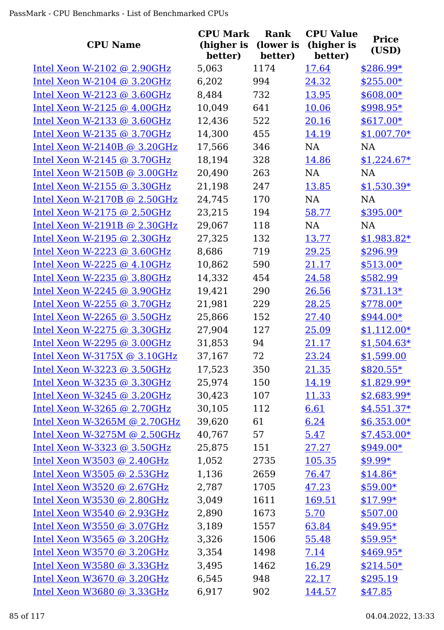| <b>CPU Name</b>                | <b>CPU Mark</b><br>(higher is<br>better) | Rank<br>(lower is<br>better) | <b>CPU Value</b><br>(higher is<br>better) | <b>Price</b><br>(USD) |
|--------------------------------|------------------------------------------|------------------------------|-------------------------------------------|-----------------------|
| Intel Xeon W-2102 @ $2.90GHz$  | 5,063                                    | 1174                         | 17.64                                     | $$286.99*$            |
| Intel Xeon W-2104 @ $3.20GHz$  | 6,202                                    | 994                          | 24.32                                     | $$255.00*$            |
| Intel Xeon W-2123 @ 3.60GHz    | 8,484                                    | 732                          | 13.95                                     | \$608.00*             |
| Intel Xeon W-2125 $@$ 4.00GHz  | 10,049                                   | 641                          | 10.06                                     | \$998.95*             |
| Intel Xeon W-2133 @ $3.60$ GHz | 12,436                                   | 522                          | 20.16                                     | $$617.00*$            |
| Intel Xeon W-2135 @ 3.70GHz    | 14,300                                   | 455                          | 14.19                                     | $$1,007.70*$          |
| Intel Xeon W-2140B $@3.20GHz$  | 17,566                                   | 346                          | <b>NA</b>                                 | <b>NA</b>             |
| Intel Xeon W-2145 @ $3.70$ GHz | 18,194                                   | 328                          | 14.86                                     | $$1,224.67*$          |
| Intel Xeon W-2150B $@3.00GHz$  | 20,490                                   | 263                          | <b>NA</b>                                 | <b>NA</b>             |
| Intel Xeon W-2155 @ 3.30GHz    | 21,198                                   | 247                          | 13.85                                     | $$1,530.39*$          |
| Intel Xeon W-2170B @ $2.50GHz$ | 24,745                                   | 170                          | <b>NA</b>                                 | <b>NA</b>             |
| Intel Xeon W-2175 $@$ 2.50GHz  | 23,215                                   | 194                          | 58.77                                     | \$395.00*             |
| Intel Xeon W-2191B @ 2.30GHz   | 29,067                                   | 118                          | <b>NA</b>                                 | <b>NA</b>             |
| Intel Xeon W-2195 @ 2.30GHz    | 27,325                                   | 132                          | 13.77                                     | $$1,983.82*$          |
| Intel Xeon W-2223 @ $3.60$ GHz | 8,686                                    | 719                          | 29.25                                     | \$296.99              |
| Intel Xeon W-2225 $@$ 4.10GHz  | 10,862                                   | 590                          | 21.17                                     | $$513.00*$            |
| Intel Xeon W-2235 @ 3.80GHz    | 14,332                                   | 454                          | 24.58                                     | \$582.99              |
| Intel Xeon W-2245 $@$ 3.90GHz  | 19,421                                   | 290                          | 26.56                                     | $$731.13*$            |
| Intel Xeon W-2255 $@3.70GHz$   | 21,981                                   | 229                          | 28.25                                     | $$778.00*$            |
| Intel Xeon W-2265 @ 3.50GHz    | 25,866                                   | 152                          | 27.40                                     | $$944.00*$            |
| Intel Xeon W-2275 @ 3.30GHz    | 27,904                                   | 127                          | 25.09                                     | $$1,112.00*$          |
| Intel Xeon W-2295 @ $3.00$ GHz | 31,853                                   | 94                           | 21.17                                     | $$1,504.63*$          |
| Intel Xeon W-3175X @ 3.10GHz   | 37,167                                   | 72                           | 23.24                                     | \$1,599.00            |
| Intel Xeon W-3223 $@$ 3.50GHz  | 17,523                                   | 350                          | <u>21.35</u>                              | $$820.55*$            |
| Intel Xeon W-3235 @ 3.30GHz    | 25,974                                   | 150                          | 14.19                                     | $$1,829.99*$          |
| Intel Xeon W-3245 $@3.20GHz$   | 30,423                                   | 107                          | 11.33                                     | $$2,683.99*$          |
| Intel Xeon W-3265 @ 2.70GHz    | 30,105                                   | 112                          | 6.61                                      | $$4,551.37*$          |
| Intel Xeon W-3265M @ $2.70GHz$ | 39,620                                   | 61                           | 6.24                                      | $$6,353.00*$          |
| Intel Xeon W-3275M @ 2.50GHz   | 40,767                                   | 57                           | 5.47                                      | $$7,453.00*$          |
| Intel Xeon W-3323 @ 3.50GHz    | 25,875                                   | 151                          | 27.27                                     | $$949.00*$            |
| Intel Xeon W3503 @ 2.40GHz     | 1,052                                    | 2735                         | 105.35                                    | $$9.99*$              |
| Intel Xeon W3505 @ 2.53GHz     | 1,136                                    | 2659                         | 76.47                                     | $$14.86*$             |
| Intel Xeon W3520 @ 2.67GHz     | 2,787                                    | 1705                         | 47.23                                     | $$59.00*$             |
| Intel Xeon W3530 @ 2.80GHz     | 3,049                                    | 1611                         | 169.51                                    | $$17.99*$             |
| Intel Xeon W3540 @ 2.93GHz     | 2,890                                    | 1673                         | 5.70                                      | \$507.00              |
| Intel Xeon W3550 $@$ 3.07GHz   | 3,189                                    | 1557                         | 63.84                                     | $$49.95*$             |
| Intel Xeon W3565 $@3.20GHz$    | 3,326                                    | 1506                         | 55.48                                     | $$59.95*$             |
| Intel Xeon W3570 @ 3.20GHz     | 3,354                                    | 1498                         | 7.14                                      | $$469.95*$            |
| Intel Xeon W3580 @ 3.33GHz     | 3,495                                    | 1462                         | 16.29                                     | $$214.50*$            |
| Intel Xeon W3670 @ 3.20GHz     | 6,545                                    | 948                          | 22.17                                     | \$295.19              |
| Intel Xeon W3680 @ 3.33GHz     | 6,917                                    | 902                          | 144.57                                    | \$47.85               |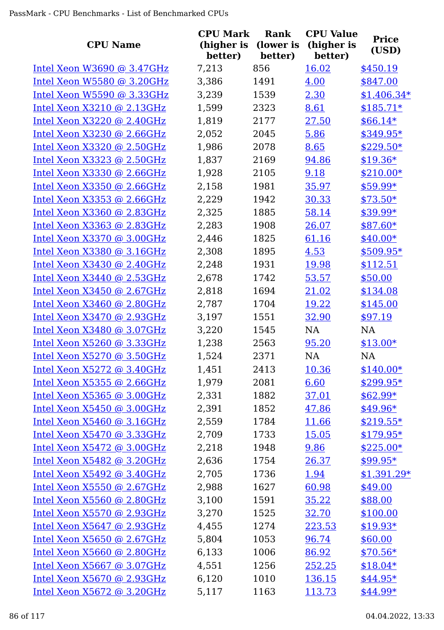| <b>CPU Name</b>              | <b>CPU Mark</b><br>(higher is | Rank<br>(lower is | <b>CPU Value</b><br>(higher is | <b>Price</b><br>(USD) |
|------------------------------|-------------------------------|-------------------|--------------------------------|-----------------------|
|                              | better)                       | better)           | better)                        |                       |
| Intel Xeon W3690 $@$ 3.47GHz | 7,213                         | 856               | 16.02                          | \$450.19              |
| Intel Xeon W5580 @ 3.20GHz   | 3,386                         | 1491              | 4.00                           | \$847.00              |
| Intel Xeon W5590 @ 3.33GHz   | 3,239                         | 1539              | 2.30                           | $$1,406.34*$          |
| Intel Xeon $X3210$ @ 2.13GHz | 1,599                         | 2323              | 8.61                           | $$185.71*$            |
| Intel Xeon $X3220$ @ 2.40GHz | 1,819                         | 2177              | 27.50                          | $$66.14*$             |
| Intel Xeon $X3230$ @ 2.66GHz | 2,052                         | 2045              | 5.86                           | $$349.95*$            |
| Intel Xeon $X3320$ @ 2.50GHz | 1,986                         | 2078              | 8.65                           | $$229.50*$            |
| Intel Xeon X3323 @ 2.50GHz   | 1,837                         | 2169              | 94.86                          | $$19.36*$             |
| Intel Xeon $X3330$ @ 2.66GHz | 1,928                         | 2105              | 9.18                           | $$210.00*$            |
| Intel Xeon $X3350$ @ 2.66GHz | 2,158                         | 1981              | 35.97                          | \$59.99*              |
| Intel Xeon $X3353$ @ 2.66GHz | 2,229                         | 1942              | 30.33                          | $$73.50*$             |
| Intel Xeon $X3360$ @ 2.83GHz | 2,325                         | 1885              | 58.14                          | \$39.99*              |
| Intel Xeon X3363 @ 2.83GHz   | 2,283                         | 1908              | 26.07                          | $$87.60*$             |
| Intel Xeon X3370 @ 3.00GHz   | 2,446                         | 1825              | 61.16                          | $$40.00*$             |
| Intel Xeon $X3380$ @ 3.16GHz | 2,308                         | 1895              | 4.53                           | \$509.95*             |
| Intel Xeon $X3430$ @ 2.40GHz | 2,248                         | 1931              | 19.98                          | \$112.51              |
| Intel Xeon X3440 @ 2.53GHz   | 2,678                         | 1742              | 53.57                          | \$50.00               |
| Intel Xeon $X3450$ @ 2.67GHz | 2,818                         | 1694              | 21.02                          | \$134.08              |
| Intel Xeon X3460 @ 2.80GHz   | 2,787                         | 1704              | <u>19.22</u>                   | \$145.00              |
| Intel Xeon X3470 @ 2.93GHz   | 3,197                         | 1551              | 32.90                          | \$97.19               |
| Intel Xeon X3480 @ 3.07GHz   | 3,220                         | 1545              | NA                             | <b>NA</b>             |
| Intel Xeon X5260 @ 3.33GHz   | 1,238                         | 2563              | 95.20                          | $$13.00*$             |
| Intel Xeon X5270 @ 3.50GHz   | 1,524                         | 2371              | <b>NA</b>                      | <b>NA</b>             |
| Intel Xeon X5272 @ 3.40GHz   | 1,451                         | 2413              | 10.36                          | $$140.00*$            |
| Intel Xeon $X5355$ @ 2.66GHz | 1,979                         | 2081              | 6.60                           | $$299.95*$            |
| Intel Xeon X5365 @ 3.00GHz   | 2,331                         | 1882              | 37.01                          | $$62.99*$             |
| Intel Xeon $X5450$ @ 3.00GHz | 2,391                         | 1852              | 47.86                          | $$49.96*$             |
| Intel Xeon X5460 @ 3.16GHz   | 2,559                         | 1784              | 11.66                          | $$219.55*$            |
| Intel Xeon $X5470$ @ 3.33GHz | 2,709                         | 1733              | 15.05                          | $$179.95*$            |
| Intel Xeon $X5472$ @ 3.00GHz | 2,218                         | 1948              | 9.86                           | $$225.00*$            |
| Intel Xeon $X5482$ @ 3.20GHz | 2,636                         | 1754              | 26.37                          | $$99.95*$             |
| Intel Xeon $X5492$ @ 3.40GHz | 2,705                         | 1736              | 1.94                           | $$1,391.29*$          |
| Intel Xeon $X5550$ @ 2.67GHz | 2,988                         | 1627              | 60.98                          | \$49.00               |
| Intel Xeon $X5560$ @ 2.80GHz | 3,100                         | 1591              | 35.22                          | \$88.00               |
| Intel Xeon X5570 @ 2.93GHz   | 3,270                         | 1525              | 32.70                          | \$100.00              |
| Intel Xeon X5647 @ 2.93GHz   | 4,455                         | 1274              | 223.53                         | $$19.93*$             |
| Intel Xeon $X5650$ @ 2.67GHz | 5,804                         | 1053              | 96.74                          | \$60.00               |
| Intel Xeon X5660 @ 2.80GHz   | 6,133                         | 1006              | 86.92                          | $$70.56*$             |
| Intel Xeon $X5667$ @ 3.07GHz | 4,551                         | 1256              | 252.25                         | $$18.04*$             |
| Intel Xeon $X5670$ @ 2.93GHz | 6,120                         | 1010              | 136.15                         | $$44.95*$             |
| Intel Xeon X5672 @ 3.20GHz   | 5,117                         | 1163              | 113.73                         | $$44.99*$             |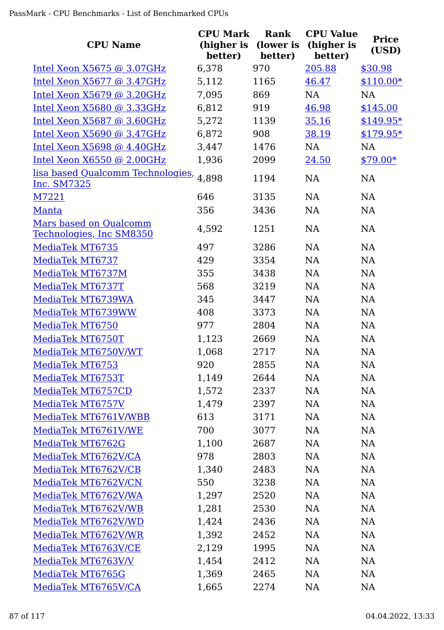|                                                        | <b>CPU Mark</b>       | Rank                 | <b>CPU Value</b>      | <b>Price</b> |
|--------------------------------------------------------|-----------------------|----------------------|-----------------------|--------------|
| <b>CPU Name</b>                                        | (higher is<br>better) | (lower is<br>better) | (higher is<br>better) | (USD)        |
| Intel Xeon $X5675$ @ 3.07GHz                           | 6,378                 | 970                  | 205.88                | \$30.98      |
| Intel Xeon $X5677$ @ 3.47GHz                           | 5,112                 | 1165                 | 46.47                 | $$110.00*$   |
| Intel Xeon $X5679$ @ 3.20GHz                           | 7,095                 | 869                  | <b>NA</b>             | <b>NA</b>    |
| Intel Xeon $X5680$ @ 3.33GHz                           | 6,812                 | 919                  | 46.98                 | \$145.00     |
| Intel Xeon X5687 @ 3.60GHz                             | 5,272                 | 1139                 | 35.16                 | $$149.95*$   |
| Intel Xeon X5690 @ 3.47GHz                             | 6,872                 | 908                  | 38.19                 | $$179.95*$   |
| Intel Xeon X5698 @ 4.40GHz                             | 3,447                 | 1476                 | <b>NA</b>             | <b>NA</b>    |
| Intel Xeon X6550 @ 2.00GHz                             | 1,936                 | 2099                 | 24.50                 | $$79.00*$    |
| lisa based Qualcomm Technologies, 4,898<br>Inc. SM7325 |                       | 1194                 | <b>NA</b>             | <b>NA</b>    |
| M7221                                                  | 646                   | 3135                 | <b>NA</b>             | <b>NA</b>    |
| Manta                                                  | 356                   | 3436                 | <b>NA</b>             | <b>NA</b>    |
| Mars based on Qualcomm<br>Technologies, Inc SM8350     | 4,592                 | 1251                 | <b>NA</b>             | <b>NA</b>    |
| MediaTek MT6735                                        | 497                   | 3286                 | <b>NA</b>             | NA           |
| MediaTek MT6737                                        | 429                   | 3354                 | <b>NA</b>             | NA           |
| MediaTek MT6737M                                       | 355                   | 3438                 | <b>NA</b>             | <b>NA</b>    |
| MediaTek MT6737T                                       | 568                   | 3219                 | <b>NA</b>             | <b>NA</b>    |
| MediaTek MT6739WA                                      | 345                   | 3447                 | <b>NA</b>             | <b>NA</b>    |
| MediaTek MT6739WW                                      | 408                   | 3373                 | <b>NA</b>             | <b>NA</b>    |
| MediaTek MT6750                                        | 977                   | 2804                 | <b>NA</b>             | NA           |
| MediaTek MT6750T                                       | 1,123                 | 2669                 | <b>NA</b>             | <b>NA</b>    |
| MediaTek MT6750V/WT                                    | 1,068                 | 2717                 | <b>NA</b>             | <b>NA</b>    |
| MediaTek MT6753                                        | 920                   | 2855                 | NA                    | NA           |
| MediaTek MT6753T                                       | 1,149                 | 2644                 | <b>NA</b>             | <b>NA</b>    |
| MediaTek MT6757CD                                      | 1,572                 | 2337                 | NA                    | NA           |
| MediaTek MT6757V                                       | 1,479                 | 2397                 | <b>NA</b>             | NA           |
| MediaTek MT6761V/WBB                                   | 613                   | 3171                 | <b>NA</b>             | NA           |
| MediaTek MT6761V/WE                                    | 700                   | 3077                 | NA                    | NA           |
| MediaTek MT6762G                                       | 1,100                 | 2687                 | <b>NA</b>             | NA           |
| MediaTek MT6762V/CA                                    | 978                   | 2803                 | <b>NA</b>             | NA           |
| MediaTek MT6762V/CB                                    | 1,340                 | 2483                 | NA                    | NA           |
| MediaTek MT6762V/CN                                    | 550                   | 3238                 | NA                    | NA           |
| MediaTek MT6762V/WA                                    | 1,297                 | 2520                 | NA                    | NA           |
| MediaTek MT6762V/WB                                    | 1,281                 | 2530                 | NA                    | <b>NA</b>    |
| MediaTek MT6762V/WD                                    | 1,424                 | 2436                 | NA                    | <b>NA</b>    |
| MediaTek MT6762V/WR                                    | 1,392                 | 2452                 | NA                    | NA           |
| MediaTek MT6763V/CE                                    | 2,129                 | 1995                 | <b>NA</b>             | NA           |
| MediaTek MT6763V/V                                     | 1,454                 | 2412                 | NA                    | NA           |
| MediaTek MT6765G                                       | 1,369                 | 2465                 | NA                    | <b>NA</b>    |
| MediaTek MT6765V/CA                                    | 1,665                 | 2274                 | <b>NA</b>             | <b>NA</b>    |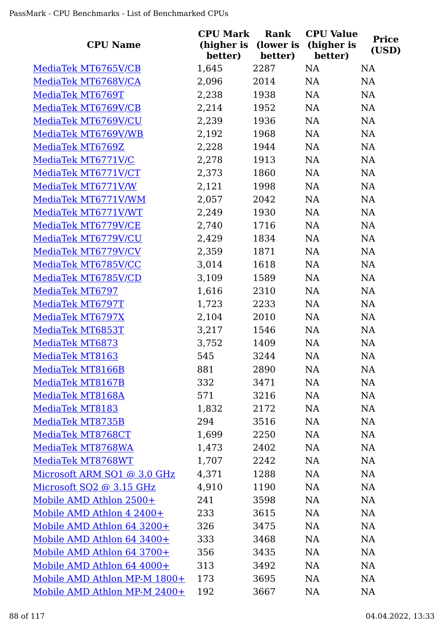| <b>CPU Name</b>              | <b>CPU Mark</b><br>(higher is<br>better) | Rank<br>(lower is<br>better) | <b>CPU Value</b><br>(higher is<br>better) | <b>Price</b><br>(USD) |
|------------------------------|------------------------------------------|------------------------------|-------------------------------------------|-----------------------|
| MediaTek MT6765V/CB          | 1,645                                    | 2287                         | NA                                        | <b>NA</b>             |
| MediaTek MT6768V/CA          | 2,096                                    | 2014                         | NA                                        | NA                    |
| MediaTek MT6769T             | 2,238                                    | 1938                         | NA                                        | NA                    |
| MediaTek MT6769V/CB          | 2,214                                    | 1952                         | NA                                        | NA                    |
| MediaTek MT6769V/CU          | 2,239                                    | 1936                         | NA                                        | <b>NA</b>             |
| MediaTek MT6769V/WB          | 2,192                                    | 1968                         | NA                                        | NA                    |
| MediaTek MT6769Z             | 2,228                                    | 1944                         | NA                                        | NA                    |
| MediaTek MT6771V/C           | 2,278                                    | 1913                         | NA                                        | NA                    |
| MediaTek MT6771V/CT          | 2,373                                    | 1860                         | NA                                        | NA                    |
| MediaTek MT6771V/W           | 2,121                                    | 1998                         | NA                                        | NA                    |
| MediaTek MT6771V/WM          | 2,057                                    | 2042                         | NA                                        | NA                    |
| MediaTek MT6771V/WT          | 2,249                                    | 1930                         | NA                                        | NA                    |
| MediaTek MT6779V/CE          | 2,740                                    | 1716                         | NA                                        | <b>NA</b>             |
| MediaTek MT6779V/CU          | 2,429                                    | 1834                         | NA                                        | NA                    |
| MediaTek MT6779V/CV          | 2,359                                    | 1871                         | NA                                        | NA                    |
| MediaTek MT6785V/CC          | 3,014                                    | 1618                         | NA                                        | <b>NA</b>             |
| MediaTek MT6785V/CD          | 3,109                                    | 1589                         | NA                                        | NA                    |
| MediaTek MT6797              | 1,616                                    | 2310                         | NA                                        | <b>NA</b>             |
| MediaTek MT6797T             | 1,723                                    | 2233                         | NA                                        | NA                    |
| MediaTek MT6797X             | 2,104                                    | 2010                         | NA                                        | NA                    |
| MediaTek MT6853T             | 3,217                                    | 1546                         | NA                                        | NA                    |
| MediaTek MT6873              | 3,752                                    | 1409                         | NA                                        | NA                    |
| MediaTek MT8163              | 545                                      | 3244                         | <b>NA</b>                                 | NA                    |
| MediaTek MT8166B             | 881                                      | 2890                         | <b>NA</b>                                 | NA                    |
| MediaTek MT8167B             | 332                                      | 3471                         | NA                                        | <b>NA</b>             |
| MediaTek MT8168A             | 571                                      | 3216                         | NA                                        | NA                    |
| MediaTek MT8183              | 1,832                                    | 2172                         | <b>NA</b>                                 | <b>NA</b>             |
| MediaTek MT8735B             | 294                                      | 3516                         | <b>NA</b>                                 | NA                    |
| MediaTek MT8768CT            | 1,699                                    | 2250                         | <b>NA</b>                                 | <b>NA</b>             |
| MediaTek MT8768WA            | 1,473                                    | 2402                         | <b>NA</b>                                 | NA                    |
| MediaTek MT8768WT            | 1,707                                    | 2242                         | <b>NA</b>                                 | <b>NA</b>             |
| Microsoft ARM SQ1 @ 3.0 GHz  | 4,371                                    | 1288                         | <b>NA</b>                                 | <b>NA</b>             |
| Microsoft SQ2 @ 3.15 GHz     | 4,910                                    | 1190                         | <b>NA</b>                                 | NA                    |
| Mobile AMD Athlon 2500+      | 241                                      | 3598                         | <b>NA</b>                                 | NA                    |
| Mobile AMD Athlon 4 2400+    | 233                                      | 3615                         | NA                                        | NA                    |
| Mobile AMD Athlon 64 3200+   | 326                                      | 3475                         | NA                                        | <b>NA</b>             |
| Mobile AMD Athlon 64 3400+   | 333                                      | 3468                         | NA                                        | <b>NA</b>             |
| Mobile AMD Athlon 64 3700+   | 356                                      | 3435                         | NA                                        | <b>NA</b>             |
| Mobile AMD Athlon 64 4000+   | 313                                      | 3492                         | <b>NA</b>                                 | <b>NA</b>             |
| Mobile AMD Athlon MP-M 1800+ | 173                                      | 3695                         | <b>NA</b>                                 | NA                    |
| Mobile AMD Athlon MP-M 2400+ | 192                                      | 3667                         | NA                                        | <b>NA</b>             |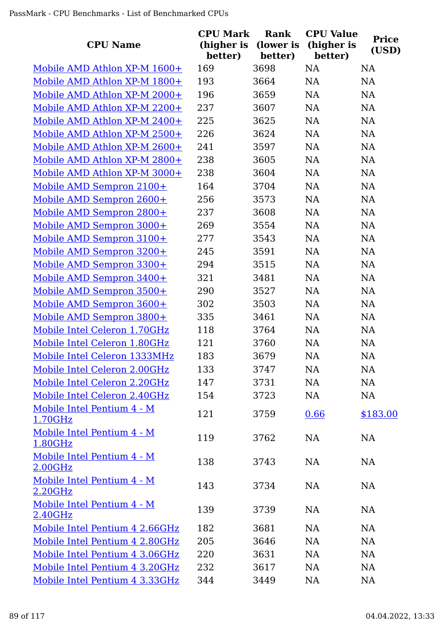| <b>CPU Name</b>                       | <b>CPU Mark</b><br>(higher is<br>better) | Rank<br>(lower is<br>better) | <b>CPU Value</b><br>(higher is<br>better) | <b>Price</b><br>(USD) |
|---------------------------------------|------------------------------------------|------------------------------|-------------------------------------------|-----------------------|
| Mobile AMD Athlon XP-M 1600+          | 169                                      | 3698                         | <b>NA</b>                                 | <b>NA</b>             |
| Mobile AMD Athlon XP-M 1800+          | 193                                      | 3664                         | NA                                        | <b>NA</b>             |
| Mobile AMD Athlon XP-M 2000+          | 196                                      | 3659                         | NA                                        | <b>NA</b>             |
| Mobile AMD Athlon XP-M 2200+          | 237                                      | 3607                         | NA                                        | NA                    |
| Mobile AMD Athlon XP-M 2400+          | 225                                      | 3625                         | <b>NA</b>                                 | NA                    |
| Mobile AMD Athlon XP-M 2500+          | 226                                      | 3624                         | <b>NA</b>                                 | <b>NA</b>             |
| Mobile AMD Athlon XP-M 2600+          | 241                                      | 3597                         | <b>NA</b>                                 | <b>NA</b>             |
| Mobile AMD Athlon XP-M 2800+          | 238                                      | 3605                         | <b>NA</b>                                 | <b>NA</b>             |
| Mobile AMD Athlon XP-M 3000+          | 238                                      | 3604                         | <b>NA</b>                                 | <b>NA</b>             |
| Mobile AMD Sempron 2100+              | 164                                      | 3704                         | <b>NA</b>                                 | <b>NA</b>             |
| Mobile AMD Sempron 2600+              | 256                                      | 3573                         | NA                                        | <b>NA</b>             |
| Mobile AMD Sempron 2800+              | 237                                      | 3608                         | <b>NA</b>                                 | <b>NA</b>             |
| Mobile AMD Sempron 3000+              | 269                                      | 3554                         | NA                                        | <b>NA</b>             |
| Mobile AMD Sempron 3100+              | 277                                      | 3543                         | <b>NA</b>                                 | <b>NA</b>             |
| Mobile AMD Sempron 3200+              | 245                                      | 3591                         | NA                                        | <b>NA</b>             |
| Mobile AMD Sempron 3300+              | 294                                      | 3515                         | <b>NA</b>                                 | NA                    |
| Mobile AMD Sempron 3400+              | 321                                      | 3481                         | <b>NA</b>                                 | NA                    |
| Mobile AMD Sempron 3500+              | 290                                      | 3527                         | <b>NA</b>                                 | <b>NA</b>             |
| Mobile AMD Sempron 3600+              | 302                                      | 3503                         | NA                                        | <b>NA</b>             |
| Mobile AMD Sempron 3800+              | 335                                      | 3461                         | <b>NA</b>                                 | <b>NA</b>             |
| Mobile Intel Celeron 1.70GHz          | 118                                      | 3764                         | NA                                        | <b>NA</b>             |
| Mobile Intel Celeron 1.80GHz          | 121                                      | 3760                         | NA                                        | <b>NA</b>             |
| Mobile Intel Celeron 1333MHz          | 183                                      | 3679                         | NA                                        | <b>NA</b>             |
| Mobile Intel Celeron 2.00GHz          | 133                                      | 3747                         | <b>NA</b>                                 | <b>NA</b>             |
| Mobile Intel Celeron 2.20GHz          | 147                                      | 3731                         | NA                                        | <b>NA</b>             |
| Mobile Intel Celeron 2.40GHz          | 154                                      | 3723                         | NA                                        | <b>NA</b>             |
| Mobile Intel Pentium 4 - M<br>1.70GHz | 121                                      | 3759                         | 0.66                                      | \$183.00              |
| Mobile Intel Pentium 4 - M<br>1.80GHz | 119                                      | 3762                         | <b>NA</b>                                 | NA                    |
| Mobile Intel Pentium 4 - M<br>2.00GHz | 138                                      | 3743                         | <b>NA</b>                                 | NA                    |
| Mobile Intel Pentium 4 - M<br>2.20GHz | 143                                      | 3734                         | <b>NA</b>                                 | NA                    |
| Mobile Intel Pentium 4 - M<br>2.40GHz | 139                                      | 3739                         | <b>NA</b>                                 | <b>NA</b>             |
| Mobile Intel Pentium 4 2.66GHz        | 182                                      | 3681                         | <b>NA</b>                                 | NA                    |
| Mobile Intel Pentium 4 2.80GHz        | 205                                      | 3646                         | <b>NA</b>                                 | NA                    |
| Mobile Intel Pentium 4 3.06GHz        | 220                                      | 3631                         | <b>NA</b>                                 | <b>NA</b>             |
| Mobile Intel Pentium 4 3.20GHz        | 232                                      | 3617                         | <b>NA</b>                                 | NA                    |
| Mobile Intel Pentium 4 3.33GHz        | 344                                      | 3449                         | <b>NA</b>                                 | <b>NA</b>             |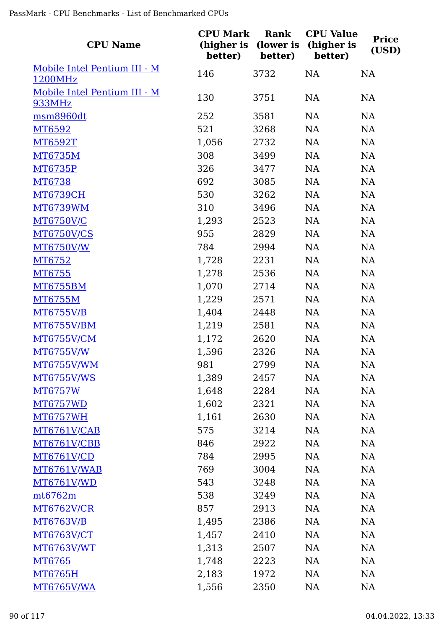| <b>CPU Name</b>              | <b>CPU Mark</b><br>(higher is<br>better) | Rank<br>(lower is<br>better) | <b>CPU Value</b><br>(higher is<br>better) | <b>Price</b><br>(USD) |
|------------------------------|------------------------------------------|------------------------------|-------------------------------------------|-----------------------|
| Mobile Intel Pentium III - M | 146                                      | 3732                         | NA                                        | <b>NA</b>             |
| 1200MHz                      |                                          |                              |                                           |                       |
| Mobile Intel Pentium III - M | 130                                      | 3751                         | <b>NA</b>                                 | <b>NA</b>             |
| <b>933MHz</b>                |                                          |                              |                                           |                       |
| msm8960dt                    | 252                                      | 3581                         | NA                                        | NA                    |
| MT6592                       | 521                                      | 3268                         | NA                                        | <b>NA</b>             |
| MT6592T                      | 1,056                                    | 2732                         | NA                                        | <b>NA</b>             |
| <b>MT6735M</b>               | 308                                      | 3499                         | NA                                        | NA                    |
| MT6735P                      | 326                                      | 3477                         | NA                                        | <b>NA</b>             |
| MT6738                       | 692                                      | 3085                         | NA                                        | <b>NA</b>             |
| <b>MT6739CH</b>              | 530                                      | 3262                         | NA                                        | NA                    |
| <b>MT6739WM</b>              | 310                                      | 3496                         | NA                                        | <b>NA</b>             |
| <b>MT6750V/C</b>             | 1,293                                    | 2523                         | NA                                        | <b>NA</b>             |
| <b>MT6750V/CS</b>            | 955                                      | 2829                         | NA                                        | NA                    |
| <b>MT6750V/W</b>             | 784                                      | 2994                         | NA                                        | <b>NA</b>             |
| MT6752                       | 1,728                                    | 2231                         | NA                                        | <b>NA</b>             |
| MT6755                       | 1,278                                    | 2536                         | NA                                        | NA                    |
| <b>MT6755BM</b>              | 1,070                                    | 2714                         | NA                                        | <b>NA</b>             |
| <b>MT6755M</b>               | 1,229                                    | 2571                         | NA                                        | <b>NA</b>             |
| <b>MT6755V/B</b>             | 1,404                                    | 2448                         | NA                                        | <b>NA</b>             |
| <b>MT6755V/BM</b>            | 1,219                                    | 2581                         | NA                                        | <b>NA</b>             |
| MT6755V/CM                   | 1,172                                    | 2620                         | <b>NA</b>                                 | <b>NA</b>             |
| <b>MT6755V/W</b>             | 1,596                                    | 2326                         | NA                                        | NA                    |
| MT6755V/WM                   | 981                                      | 2799                         | NA                                        | NA                    |
| <b>MT6755V/WS</b>            | 1,389                                    | 2457                         | <b>NA</b>                                 | NA                    |
| MT6757W                      | 1,648                                    | 2284                         | NA                                        | NA                    |
| <b>MT6757WD</b>              | 1,602                                    | 2321                         | NA                                        | NA                    |
| <b>MT6757WH</b>              | 1,161                                    | 2630                         | NA                                        | NA                    |
| MT6761V/CAB                  | 575                                      | 3214                         | NA                                        | NA                    |
| MT6761V/CBB                  | 846                                      | 2922                         | NA                                        | <b>NA</b>             |
| <b>MT6761V/CD</b>            | 784                                      | 2995                         | <b>NA</b>                                 | NA                    |
| MT6761V/WAB                  | 769                                      | 3004                         | <b>NA</b>                                 | NA                    |
| <b>MT6761V/WD</b>            | 543                                      | 3248                         | <b>NA</b>                                 | NA                    |
| mt6762m                      | 538                                      | 3249                         | <b>NA</b>                                 | NA                    |
| <b>MT6762V/CR</b>            | 857                                      | 2913                         | NA                                        | NA                    |
| MT6763V/B                    | 1,495                                    | 2386                         | NA                                        | NA                    |
| <b>MT6763V/CT</b>            | 1,457                                    | 2410                         | NA                                        | <b>NA</b>             |
| <b>MT6763V/WT</b>            | 1,313                                    | 2507                         | NA                                        | NA                    |
| MT6765                       | 1,748                                    | 2223                         | NA                                        | NA                    |
| MT6765H                      | 2,183                                    | 1972                         | NA                                        | NA                    |
| <b>MT6765V/WA</b>            | 1,556                                    | 2350                         | <b>NA</b>                                 | <b>NA</b>             |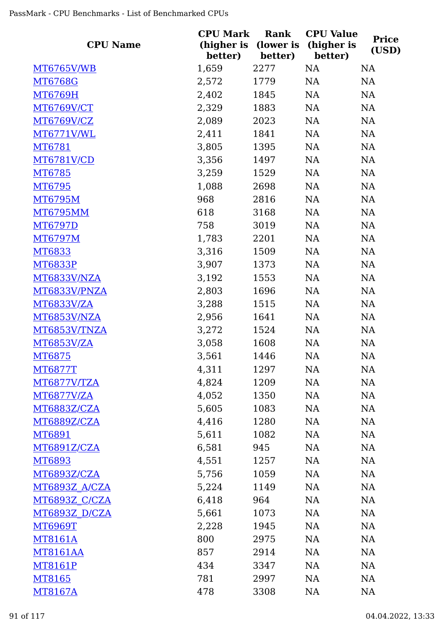| <b>CPU Name</b>      | <b>CPU Mark</b><br>(higher is<br>better) | Rank<br>(lower is<br>better) | <b>CPU Value</b><br>(higher is<br>better) | <b>Price</b><br>(USD) |
|----------------------|------------------------------------------|------------------------------|-------------------------------------------|-----------------------|
| <u>MT6765V/WB</u>    | 1,659                                    | 2277                         | NA                                        | <b>NA</b>             |
| <b>MT6768G</b>       | 2,572                                    | 1779                         | NA                                        | NA                    |
| MT6769H              | 2,402                                    | 1845                         | NA                                        | NA                    |
| MT6769V/CT           | 2,329                                    | 1883                         | NA                                        | NA                    |
| MT6769V/CZ           | 2,089                                    | 2023                         | NA                                        | NA                    |
| MT6771V/WL           | 2,411                                    | 1841                         | NA                                        | <b>NA</b>             |
| MT6781               | 3,805                                    | 1395                         | NA                                        | NA                    |
| <b>MT6781V/CD</b>    | 3,356                                    | 1497                         | NA                                        | NA                    |
| MT6785               | 3,259                                    | 1529                         | NA                                        | <b>NA</b>             |
| MT6795               | 1,088                                    | 2698                         | NA                                        | NA                    |
| MT6795M              | 968                                      | 2816                         | NA                                        | NA                    |
| <b>MT6795MM</b>      | 618                                      | 3168                         | NA                                        | NA                    |
| <b>MT6797D</b>       | 758                                      | 3019                         | NA                                        | NA                    |
| MT6797M              | 1,783                                    | 2201                         | <b>NA</b>                                 | NA                    |
| MT6833               | 3,316                                    | 1509                         | NA                                        | NA                    |
| <b>MT6833P</b>       | 3,907                                    | 1373                         | NA                                        | NA                    |
| MT6833V/NZA          | 3,192                                    | 1553                         | NA                                        | NA                    |
| MT6833V/PNZA         | 2,803                                    | 1696                         | <b>NA</b>                                 | NA                    |
| <u>MT6833V/ZA</u>    | 3,288                                    | 1515                         | <b>NA</b>                                 | NA                    |
| MT6853V/NZA          | 2,956                                    | 1641                         | NA                                        | NA                    |
| MT6853V/TNZA         | 3,272                                    | 1524                         | NA                                        | NA                    |
| <b>MT6853V/ZA</b>    | 3,058                                    | 1608                         | <b>NA</b>                                 | <b>NA</b>             |
| MT6875               | 3,561                                    | 1446                         | <b>NA</b>                                 | <b>NA</b>             |
| <u>MT6877T</u>       | 4,311                                    | 1297                         | NA                                        | NA                    |
| MT6877V/TZA          | 4,824                                    | 1209                         | NA                                        | NA                    |
| <b>MT6877V/ZA</b>    | 4,052                                    | 1350                         | NA                                        | NA                    |
| MT6883Z/CZA          | 5,605                                    | 1083                         | NA                                        | NA                    |
| MT6889Z/CZA          | 4,416                                    | 1280                         | NA                                        | NA                    |
| MT6891               | 5,611                                    | 1082                         | NA                                        | NA                    |
| MT6891Z/CZA          | 6,581                                    | 945                          | NA                                        | <b>NA</b>             |
| <u>MT6893</u>        | 4,551                                    | 1257                         | NA                                        | NA                    |
| <u>MT6893Z/CZA</u>   | 5,756                                    | 1059                         | NA                                        | <b>NA</b>             |
| <u>MT6893Z A/CZA</u> | 5,224                                    | 1149                         | NA                                        | NA                    |
| <b>MT6893Z C/CZA</b> | 6,418                                    | 964                          | NA                                        | NA                    |
| <u>MT6893Z D/CZA</u> | 5,661                                    | 1073                         | NA                                        | NA                    |
| <b>MT6969T</b>       | 2,228                                    | 1945                         | NA                                        | <b>NA</b>             |
| MT8161A              | 800                                      | 2975                         | NA                                        | <b>NA</b>             |
| <b>MT8161AA</b>      | 857                                      | 2914                         | NA                                        | <b>NA</b>             |
| MT8161P              | 434                                      | 3347                         | NA                                        | NA                    |
| MT8165               | 781                                      | 2997                         | NA                                        | NA                    |
| MT8167A              | 478                                      | 3308                         | NA                                        | <b>NA</b>             |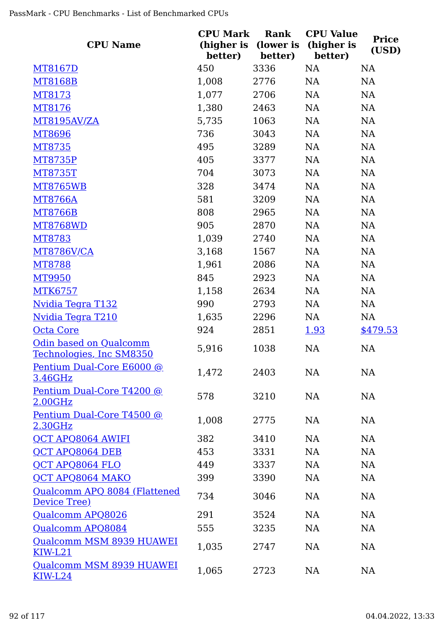| <b>CPU Name</b>                                           | <b>CPU Mark</b><br>(higher is<br>better) | Rank<br>(lower is<br>better) | <b>CPU Value</b><br>(higher is<br>better) | <b>Price</b><br>(USD) |
|-----------------------------------------------------------|------------------------------------------|------------------------------|-------------------------------------------|-----------------------|
| MT8167D                                                   | 450                                      | 3336                         | NA                                        | <b>NA</b>             |
| <b>MT8168B</b>                                            | 1,008                                    | 2776                         | <b>NA</b>                                 | NA                    |
| MT8173                                                    | 1,077                                    | 2706                         | <b>NA</b>                                 | <b>NA</b>             |
| MT8176                                                    | 1,380                                    | 2463                         | NA                                        | NA                    |
| MT8195AV/ZA                                               | 5,735                                    | 1063                         | NA                                        | <b>NA</b>             |
| MT8696                                                    | 736                                      | 3043                         | <b>NA</b>                                 | NA                    |
| MT8735                                                    | 495                                      | 3289                         | NA                                        | NA                    |
| <b>MT8735P</b>                                            | 405                                      | 3377                         | NA                                        | NA                    |
| <b>MT8735T</b>                                            | 704                                      | 3073                         | <b>NA</b>                                 | <b>NA</b>             |
| <b>MT8765WB</b>                                           | 328                                      | 3474                         | <b>NA</b>                                 | <b>NA</b>             |
| <b>MT8766A</b>                                            | 581                                      | 3209                         | <b>NA</b>                                 | <b>NA</b>             |
| <b>MT8766B</b>                                            | 808                                      | 2965                         | <b>NA</b>                                 | NA                    |
| <b>MT8768WD</b>                                           | 905                                      | 2870                         | <b>NA</b>                                 | NA                    |
| MT8783                                                    | 1,039                                    | 2740                         | <b>NA</b>                                 | <b>NA</b>             |
| MT8786V/CA                                                | 3,168                                    | 1567                         | <b>NA</b>                                 | <b>NA</b>             |
| <b>MT8788</b>                                             | 1,961                                    | 2086                         | <b>NA</b>                                 | <b>NA</b>             |
| MT9950                                                    | 845                                      | 2923                         | <b>NA</b>                                 | NA                    |
| <b>MTK6757</b>                                            | 1,158                                    | 2634                         | NA                                        | NA                    |
| <b>Nvidia Tegra T132</b>                                  | 990                                      | 2793                         | NA                                        | NA                    |
| Nvidia Tegra T210                                         | 1,635                                    | 2296                         | NA                                        | NA                    |
| Octa Core                                                 | 924                                      | 2851                         | <u>1.93</u>                               | \$479.53              |
| <b>Odin based on Qualcomm</b><br>Technologies, Inc SM8350 | 5,916                                    | 1038                         | <b>NA</b>                                 | <b>NA</b>             |
| Pentium Dual-Core E6000 @<br>3.46GHz                      | 1,472                                    | 2403                         | <b>NA</b>                                 | NA                    |
| Pentium Dual-Core T4200 @<br>2.00GHz                      | 578                                      | 3210                         | <b>NA</b>                                 | NA                    |
| Pentium Dual-Core T4500 @<br>2.30GHz                      | 1,008                                    | 2775                         | <b>NA</b>                                 | NA                    |
| <b>QCT APQ8064 AWIFI</b>                                  | 382                                      | 3410                         | <b>NA</b>                                 | NA                    |
| QCT APQ8064 DEB                                           | 453                                      | 3331                         | <b>NA</b>                                 | NA                    |
| <b>QCT APQ8064 FLO</b>                                    | 449                                      | 3337                         | <b>NA</b>                                 | NA                    |
| <b>QCT APQ8064 MAKO</b>                                   | 399                                      | 3390                         | <b>NA</b>                                 | <b>NA</b>             |
| Qualcomm APQ 8084 (Flattened<br>Device Tree)              | 734                                      | 3046                         | <b>NA</b>                                 | <b>NA</b>             |
| Qualcomm APQ8026                                          | 291                                      | 3524                         | <b>NA</b>                                 | NA                    |
| Qualcomm APQ8084                                          | 555                                      | 3235                         | <b>NA</b>                                 | <b>NA</b>             |
| Qualcomm MSM 8939 HUAWEI<br>KIW-L21                       | 1,035                                    | 2747                         | <b>NA</b>                                 | NA                    |
| Qualcomm MSM 8939 HUAWEI<br>$KIW-L24$                     | 1,065                                    | 2723                         | NA                                        | NA                    |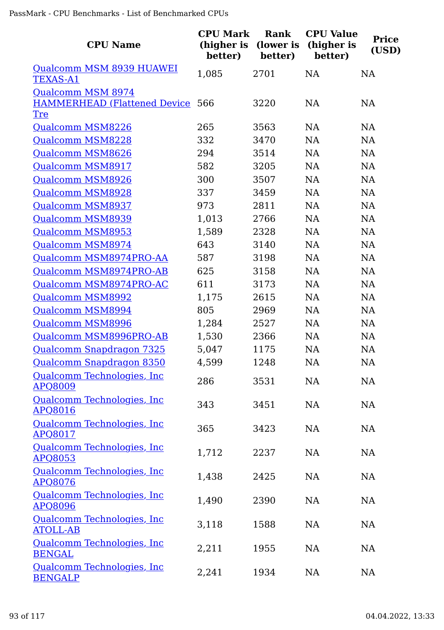| <b>CPU Name</b>                                | <b>CPU Mark</b><br>(higher is<br>better) | Rank<br>(lower is<br>better) | <b>CPU Value</b><br>(higher is<br>better) | <b>Price</b><br>(USD) |
|------------------------------------------------|------------------------------------------|------------------------------|-------------------------------------------|-----------------------|
| Qualcomm MSM 8939 HUAWEI<br><b>TEXAS-A1</b>    | 1,085                                    | 2701                         | NA                                        | <b>NA</b>             |
| Qualcomm MSM 8974                              |                                          |                              |                                           |                       |
| <b>HAMMERHEAD (Flattened Device 566</b>        |                                          | 3220                         | <b>NA</b>                                 | <b>NA</b>             |
| <u>Tre</u>                                     |                                          |                              |                                           |                       |
| <b>Qualcomm MSM8226</b>                        | 265                                      | 3563                         | <b>NA</b>                                 | <b>NA</b>             |
| Qualcomm MSM8228                               | 332                                      | 3470                         | NA                                        | <b>NA</b>             |
| Qualcomm MSM8626                               | 294                                      | 3514                         | NA                                        | <b>NA</b>             |
| Qualcomm MSM8917                               | 582                                      | 3205                         | NA                                        | <b>NA</b>             |
| Qualcomm MSM8926                               | 300                                      | 3507                         | NA                                        | NA                    |
| <b>Qualcomm MSM8928</b>                        | 337                                      | 3459                         | <b>NA</b>                                 | <b>NA</b>             |
| <b>Qualcomm MSM8937</b>                        | 973                                      | 2811                         | NA                                        | NA                    |
| <b>Qualcomm MSM8939</b>                        | 1,013                                    | 2766                         | NA                                        | <b>NA</b>             |
| Qualcomm MSM8953                               | 1,589                                    | 2328                         | NA                                        | <b>NA</b>             |
| Qualcomm MSM8974                               | 643                                      | 3140                         | NA                                        | <b>NA</b>             |
| Qualcomm MSM8974PRO-AA                         | 587                                      | 3198                         | NA                                        | <b>NA</b>             |
| Qualcomm MSM8974PRO-AB                         | 625                                      | 3158                         | <b>NA</b>                                 | <b>NA</b>             |
| Qualcomm MSM8974PRO-AC                         | 611                                      | 3173                         | <b>NA</b>                                 | NA                    |
| Qualcomm MSM8992                               | 1,175                                    | 2615                         | NA                                        | <b>NA</b>             |
| Qualcomm MSM8994                               | 805                                      | 2969                         | <b>NA</b>                                 | <b>NA</b>             |
| Qualcomm MSM8996                               | 1,284                                    | 2527                         | NA                                        | NA                    |
| Qualcomm MSM8996PRO-AB                         | 1,530                                    | 2366                         | NA                                        | <b>NA</b>             |
| Qualcomm Snapdragon 7325                       | 5,047                                    | 1175                         | <b>NA</b>                                 | <b>NA</b>             |
| Qualcomm Snapdragon 8350                       | 4,599                                    | 1248                         | <b>NA</b>                                 | <b>NA</b>             |
| Qualcomm Technologies, Inc<br><b>APQ8009</b>   | 286                                      | 3531                         | NA                                        | NA                    |
| Qualcomm Technologies, Inc.<br>APQ8016         | 343                                      | 3451                         | NA                                        | NA                    |
| Qualcomm Technologies, Inc.<br>APQ8017         | 365                                      | 3423                         | NA                                        | NA                    |
| Qualcomm Technologies, Inc.<br>APQ8053         | 1,712                                    | 2237                         | NA                                        | NA                    |
| Qualcomm Technologies, Inc<br><b>APQ8076</b>   | 1,438                                    | 2425                         | NA                                        | NA                    |
| Qualcomm Technologies, Inc.<br><u>APQ8096</u>  | 1,490                                    | 2390                         | NA                                        | NA                    |
| Qualcomm Technologies, Inc.<br><b>ATOLL-AB</b> | 3,118                                    | 1588                         | NA                                        | NA                    |
| Qualcomm Technologies, Inc<br><b>BENGAL</b>    | 2,211                                    | 1955                         | NA                                        | NA                    |
| Qualcomm Technologies, Inc<br><b>BENGALP</b>   | 2,241                                    | 1934                         | NA                                        | NA                    |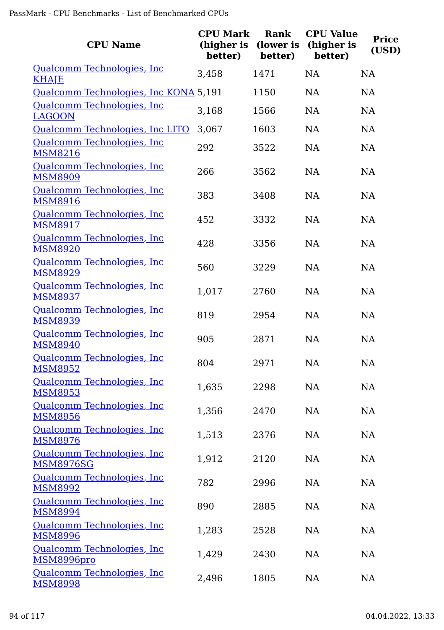| <b>CPU Name</b>                                | <b>CPU Mark</b><br>(higher is<br>better) | <b>Rank</b><br>(lower is<br>better) | <b>CPU Value</b><br>(higher is<br>better) | <b>Price</b><br>(USD) |
|------------------------------------------------|------------------------------------------|-------------------------------------|-------------------------------------------|-----------------------|
| Qualcomm Technologies, Inc.<br><b>KHAJE</b>    | 3,458                                    | 1471                                | <b>NA</b>                                 | <b>NA</b>             |
| Qualcomm Technologies, Inc KONA 5,191          |                                          | 1150                                | <b>NA</b>                                 | <b>NA</b>             |
| Qualcomm Technologies, Inc<br><b>LAGOON</b>    | 3,168                                    | 1566                                | NA                                        | <b>NA</b>             |
| Qualcomm Technologies, Inc LITO                | 3,067                                    | 1603                                | <b>NA</b>                                 | <b>NA</b>             |
| Qualcomm Technologies, Inc<br><b>MSM8216</b>   | 292                                      | 3522                                | <b>NA</b>                                 | <b>NA</b>             |
| Qualcomm Technologies, Inc<br><b>MSM8909</b>   | 266                                      | 3562                                | <b>NA</b>                                 | <b>NA</b>             |
| Qualcomm Technologies, Inc<br><b>MSM8916</b>   | 383                                      | 3408                                | <b>NA</b>                                 | <b>NA</b>             |
| Qualcomm Technologies, Inc<br><b>MSM8917</b>   | 452                                      | 3332                                | <b>NA</b>                                 | <b>NA</b>             |
| Qualcomm Technologies, Inc.<br><b>MSM8920</b>  | 428                                      | 3356                                | <b>NA</b>                                 | <b>NA</b>             |
| Qualcomm Technologies, Inc<br><b>MSM8929</b>   | 560                                      | 3229                                | <b>NA</b>                                 | <b>NA</b>             |
| Qualcomm Technologies, Inc<br><b>MSM8937</b>   | 1,017                                    | 2760                                | <b>NA</b>                                 | <b>NA</b>             |
| Qualcomm Technologies, Inc<br><b>MSM8939</b>   | 819                                      | 2954                                | <b>NA</b>                                 | <b>NA</b>             |
| Qualcomm Technologies, Inc<br><b>MSM8940</b>   | 905                                      | 2871                                | <b>NA</b>                                 | <b>NA</b>             |
| Qualcomm Technologies, Inc<br><b>MSM8952</b>   | 804                                      | 2971                                | <b>NA</b>                                 | <b>NA</b>             |
| Qualcomm Technologies, Inc.<br><b>MSM8953</b>  | 1,635                                    | 2298                                | NA                                        | NA                    |
| Qualcomm Technologies, Inc<br><b>MSM8956</b>   | 1,356                                    | 2470                                | <b>NA</b>                                 | <b>NA</b>             |
| Qualcomm Technologies, Inc.<br><b>MSM8976</b>  | 1,513                                    | 2376                                | <b>NA</b>                                 | NA                    |
| Qualcomm Technologies, Inc<br><b>MSM8976SG</b> | 1,912                                    | 2120                                | <b>NA</b>                                 | <b>NA</b>             |
| Qualcomm Technologies, Inc<br><b>MSM8992</b>   | 782                                      | 2996                                | NA                                        | <b>NA</b>             |
| Qualcomm Technologies, Inc<br><b>MSM8994</b>   | 890                                      | 2885                                | <b>NA</b>                                 | NA                    |
| Qualcomm Technologies, Inc<br><b>MSM8996</b>   | 1,283                                    | 2528                                | <b>NA</b>                                 | NA                    |
| Qualcomm Technologies, Inc<br>MSM8996pro       | 1,429                                    | 2430                                | <b>NA</b>                                 | <b>NA</b>             |
| Qualcomm Technologies, Inc<br><b>MSM8998</b>   | 2,496                                    | 1805                                | NA                                        | NA                    |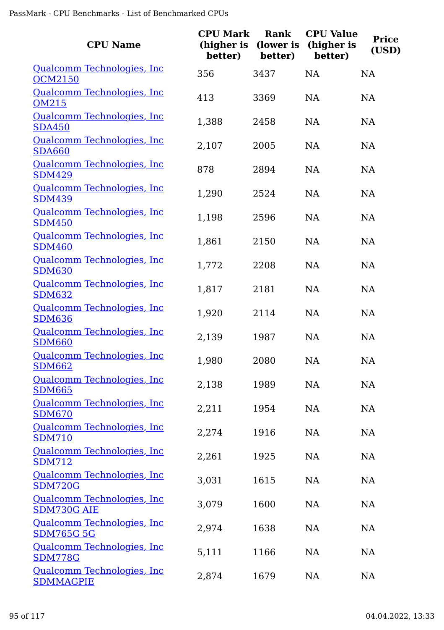| <b>CPU Name</b>                                    | <b>CPU Mark</b><br>(higher is<br>better) | Rank<br>(lower is<br>better) | <b>CPU Value</b><br>(higher is<br>better) | <b>Price</b><br>(USD) |
|----------------------------------------------------|------------------------------------------|------------------------------|-------------------------------------------|-----------------------|
| Qualcomm Technologies, Inc.<br>QCM2150             | 356                                      | 3437                         | <b>NA</b>                                 | NA                    |
| Qualcomm Technologies, Inc.<br>QM215               | 413                                      | 3369                         | <b>NA</b>                                 | <b>NA</b>             |
| Qualcomm Technologies, Inc.<br><b>SDA450</b>       | 1,388                                    | 2458                         | <b>NA</b>                                 | <b>NA</b>             |
| Qualcomm Technologies, Inc.<br><b>SDA660</b>       | 2,107                                    | 2005                         | <b>NA</b>                                 | NA                    |
| Qualcomm Technologies, Inc<br><b>SDM429</b>        | 878                                      | 2894                         | <b>NA</b>                                 | NA                    |
| Qualcomm Technologies, Inc<br><b>SDM439</b>        | 1,290                                    | 2524                         | <b>NA</b>                                 | <b>NA</b>             |
| Qualcomm Technologies, Inc.<br><b>SDM450</b>       | 1,198                                    | 2596                         | NA                                        | NA                    |
| Qualcomm Technologies, Inc<br><b>SDM460</b>        | 1,861                                    | 2150                         | <b>NA</b>                                 | <b>NA</b>             |
| Qualcomm Technologies, Inc<br><b>SDM630</b>        | 1,772                                    | 2208                         | <b>NA</b>                                 | <b>NA</b>             |
| Qualcomm Technologies, Inc.<br><b>SDM632</b>       | 1,817                                    | 2181                         | NA                                        | NA                    |
| Qualcomm Technologies, Inc<br><b>SDM636</b>        | 1,920                                    | 2114                         | <b>NA</b>                                 | NA                    |
| Qualcomm Technologies, Inc.<br><b>SDM660</b>       | 2,139                                    | 1987                         | <b>NA</b>                                 | <b>NA</b>             |
| <u>Qualcomm Technologies, Inc</u><br><b>SDM662</b> | 1,980                                    | 2080                         | <b>NA</b>                                 | <b>NA</b>             |
| Qualcomm Technologies, Inc<br><b>SDM665</b>        | 2,138                                    | 1989                         | NA                                        | NA                    |
| Qualcomm Technologies, Inc<br><b>SDM670</b>        | 2,211                                    | 1954                         | NA                                        | NA                    |
| Qualcomm Technologies, Inc<br><b>SDM710</b>        | 2,274                                    | 1916                         | NA                                        | NA                    |
| Qualcomm Technologies, Inc<br><b>SDM712</b>        | 2,261                                    | 1925                         | NA                                        | <b>NA</b>             |
| Qualcomm Technologies, Inc<br><b>SDM720G</b>       | 3,031                                    | 1615                         | NA                                        | NA                    |
| Qualcomm Technologies, Inc<br>SDM730G AIE          | 3,079                                    | 1600                         | NA                                        | <b>NA</b>             |
| Qualcomm Technologies, Inc<br><b>SDM765G 5G</b>    | 2,974                                    | 1638                         | NA                                        | <b>NA</b>             |
| Qualcomm Technologies, Inc<br><b>SDM778G</b>       | 5,111                                    | 1166                         | NA                                        | NA                    |
| Qualcomm Technologies, Inc<br><b>SDMMAGPIE</b>     | 2,874                                    | 1679                         | NA                                        | NA                    |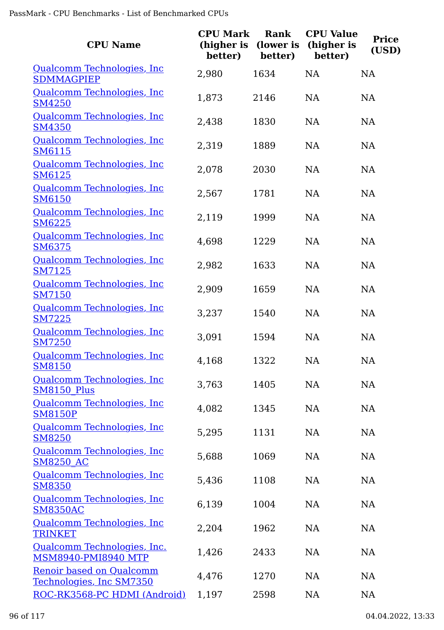| <b>CPU Name</b>                                      | <b>CPU Mark</b><br>(higher is<br>better) | Rank<br>(lower is<br>better) | <b>CPU Value</b><br>(higher is<br>better) | <b>Price</b><br>(USD) |
|------------------------------------------------------|------------------------------------------|------------------------------|-------------------------------------------|-----------------------|
| Qualcomm Technologies, Inc.<br><b>SDMMAGPIEP</b>     | 2,980                                    | 1634                         | <b>NA</b>                                 | NA                    |
| Qualcomm Technologies, Inc.<br><b>SM4250</b>         | 1,873                                    | 2146                         | <b>NA</b>                                 | <b>NA</b>             |
| Qualcomm Technologies, Inc.<br><b>SM4350</b>         | 2,438                                    | 1830                         | <b>NA</b>                                 | <b>NA</b>             |
| Qualcomm Technologies, Inc.<br><b>SM6115</b>         | 2,319                                    | 1889                         | <b>NA</b>                                 | NA                    |
| Qualcomm Technologies, Inc.<br><b>SM6125</b>         | 2,078                                    | 2030                         | <b>NA</b>                                 | <b>NA</b>             |
| Qualcomm Technologies, Inc.<br><b>SM6150</b>         | 2,567                                    | 1781                         | <b>NA</b>                                 | <b>NA</b>             |
| Qualcomm Technologies, Inc.<br><b>SM6225</b>         | 2,119                                    | 1999                         | <b>NA</b>                                 | NA                    |
| Qualcomm Technologies, Inc.<br><b>SM6375</b>         | 4,698                                    | 1229                         | <b>NA</b>                                 | <b>NA</b>             |
| Qualcomm Technologies, Inc.<br><b>SM7125</b>         | 2,982                                    | 1633                         | <b>NA</b>                                 | NA                    |
| Qualcomm Technologies, Inc.<br><b>SM7150</b>         | 2,909                                    | 1659                         | <b>NA</b>                                 | NA                    |
| Qualcomm Technologies, Inc<br><b>SM7225</b>          | 3,237                                    | 1540                         | <b>NA</b>                                 | <b>NA</b>             |
| Qualcomm Technologies, Inc.<br><b>SM7250</b>         | 3,091                                    | 1594                         | <b>NA</b>                                 | <b>NA</b>             |
| Qualcomm Technologies, Inc<br><b>SM8150</b>          | 4,168                                    | 1322                         | <b>NA</b>                                 | <b>NA</b>             |
| Qualcomm Technologies, Inc.<br><b>SM8150 Plus</b>    | 3,763                                    | 1405                         | <b>NA</b>                                 | <b>NA</b>             |
| Qualcomm Technologies, Inc.<br><b>SM8150P</b>        | 4,082                                    | 1345                         | <b>NA</b>                                 | NA                    |
| Qualcomm Technologies, Inc.<br><b>SM8250</b>         | 5,295                                    | 1131                         | <b>NA</b>                                 | <b>NA</b>             |
| Qualcomm Technologies, Inc.<br><b>SM8250 AC</b>      | 5,688                                    | 1069                         | <b>NA</b>                                 | <b>NA</b>             |
| Qualcomm Technologies, Inc.<br><b>SM8350</b>         | 5,436                                    | 1108                         | <b>NA</b>                                 | NA                    |
| Qualcomm Technologies, Inc.<br><b>SM8350AC</b>       | 6,139                                    | 1004                         | <b>NA</b>                                 | NA                    |
| Qualcomm Technologies, Inc<br><b>TRINKET</b>         | 2,204                                    | 1962                         | <b>NA</b>                                 | <b>NA</b>             |
| Qualcomm Technologies, Inc.<br>MSM8940-PMI8940 MTP   | 1,426                                    | 2433                         | <b>NA</b>                                 | <b>NA</b>             |
| Renoir based on Qualcomm<br>Technologies, Inc SM7350 | 4,476                                    | 1270                         | <b>NA</b>                                 | <b>NA</b>             |
| ROC-RK3568-PC HDMI (Android)                         | 1,197                                    | 2598                         | <b>NA</b>                                 | NA                    |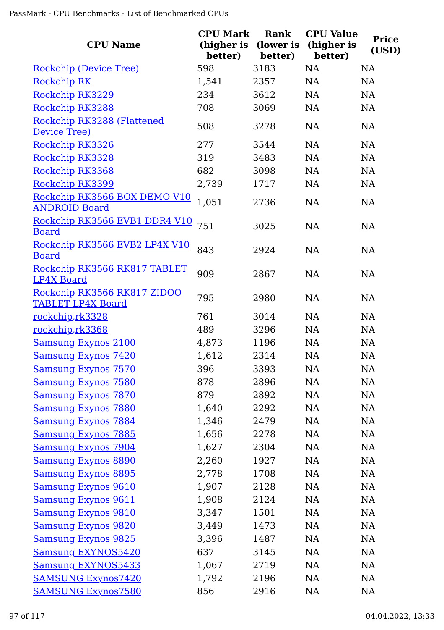| <b>CPU Name</b>                                         | <b>CPU Mark</b><br>(higher is<br>better) | Rank<br>(lower is<br>better) | <b>CPU Value</b><br>(higher is<br>better) | <b>Price</b><br>(USD) |
|---------------------------------------------------------|------------------------------------------|------------------------------|-------------------------------------------|-----------------------|
| Rockchip (Device Tree)                                  | 598                                      | 3183                         | <b>NA</b>                                 | <b>NA</b>             |
| <b>Rockchip RK</b>                                      | 1,541                                    | 2357                         | <b>NA</b>                                 | <b>NA</b>             |
| Rockchip RK3229                                         | 234                                      | 3612                         | <b>NA</b>                                 | NA                    |
| Rockchip RK3288                                         | 708                                      | 3069                         | NA                                        | <b>NA</b>             |
| Rockchip RK3288 (Flattened<br>Device Tree)              | 508                                      | 3278                         | <b>NA</b>                                 | <b>NA</b>             |
| Rockchip RK3326                                         | 277                                      | 3544                         | <b>NA</b>                                 | <b>NA</b>             |
| Rockchip RK3328                                         | 319                                      | 3483                         | <b>NA</b>                                 | <b>NA</b>             |
| Rockchip RK3368                                         | 682                                      | 3098                         | <b>NA</b>                                 | <b>NA</b>             |
| Rockchip RK3399                                         | 2,739                                    | 1717                         | <b>NA</b>                                 | <b>NA</b>             |
| Rockchip RK3566 BOX DEMO V10<br><b>ANDROID Board</b>    | 1,051                                    | 2736                         | NA                                        | <b>NA</b>             |
| Rockchip RK3566 EVB1 DDR4 V10<br><b>Board</b>           | 751                                      | 3025                         | <b>NA</b>                                 | <b>NA</b>             |
| Rockchip RK3566 EVB2 LP4X V10<br><b>Board</b>           | 843                                      | 2924                         | <b>NA</b>                                 | <b>NA</b>             |
| Rockchip RK3566 RK817 TABLET<br><b>LP4X Board</b>       | 909                                      | 2867                         | <b>NA</b>                                 | <b>NA</b>             |
| Rockchip RK3566 RK817 ZIDOO<br><b>TABLET LP4X Board</b> | 795                                      | 2980                         | <b>NA</b>                                 | <b>NA</b>             |
| rockchip, rk3328                                        | 761                                      | 3014                         | NA                                        | <b>NA</b>             |
| rockchip, rk3368                                        | 489                                      | 3296                         | <b>NA</b>                                 | <b>NA</b>             |
| <b>Samsung Exynos 2100</b>                              | 4,873                                    | 1196                         | <b>NA</b>                                 | <b>NA</b>             |
| <b>Samsung Exynos 7420</b>                              | 1,612                                    | 2314                         | NA                                        | NA                    |
| <u>Samsung Exynos 7570</u>                              | 396                                      | 3393                         | <b>NA</b>                                 | NA                    |
| <b>Samsung Exynos 7580</b>                              | 878                                      | 2896                         | NA                                        | NA                    |
| <b>Samsung Exynos 7870</b>                              | 879                                      | 2892                         | NA                                        | NA                    |
| <b>Samsung Exynos 7880</b>                              | 1,640                                    | 2292                         | NA                                        | <b>NA</b>             |
| <b>Samsung Exynos 7884</b>                              | 1,346                                    | 2479                         | NA                                        | NA                    |
| <b>Samsung Exynos 7885</b>                              | 1,656                                    | 2278                         | NA                                        | <b>NA</b>             |
| <b>Samsung Exynos 7904</b>                              | 1,627                                    | 2304                         | NA                                        | <b>NA</b>             |
| <b>Samsung Exynos 8890</b>                              | 2,260                                    | 1927                         | NA                                        | <b>NA</b>             |
| <b>Samsung Exynos 8895</b>                              | 2,778                                    | 1708                         | NA                                        | <b>NA</b>             |
| <b>Samsung Exynos 9610</b>                              | 1,907                                    | 2128                         | NA                                        | <b>NA</b>             |
| <b>Samsung Exynos 9611</b>                              | 1,908                                    | 2124                         | NA                                        | <b>NA</b>             |
| <u>Samsung Exynos 9810</u>                              | 3,347                                    | 1501                         | NA                                        | <b>NA</b>             |
| <b>Samsung Exynos 9820</b>                              | 3,449                                    | 1473                         | NA                                        | <b>NA</b>             |
| <b>Samsung Exynos 9825</b>                              | 3,396                                    | 1487                         | NA                                        | NA                    |
| <b>Samsung EXYNOS5420</b>                               | 637                                      | 3145                         | NA                                        | <b>NA</b>             |
| <b>Samsung EXYNOS5433</b>                               | 1,067                                    | 2719                         | NA                                        | <b>NA</b>             |
| <b>SAMSUNG Exynos7420</b>                               | 1,792                                    | 2196                         | NA                                        | <b>NA</b>             |
| <b>SAMSUNG Exynos7580</b>                               | 856                                      | 2916                         | <b>NA</b>                                 | <b>NA</b>             |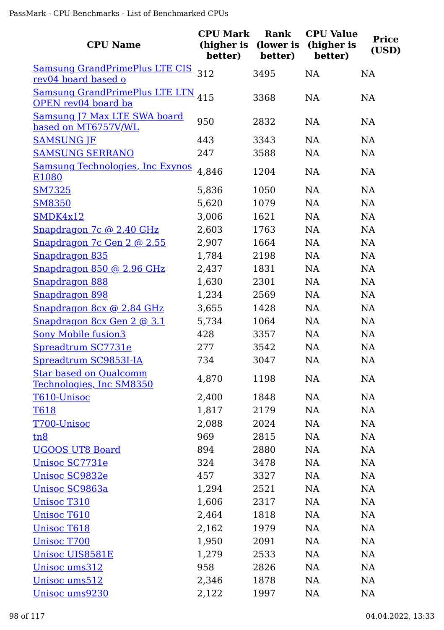| <b>CPU Name</b>                                              | <b>CPU Mark</b><br>(higher is<br>better) | Rank<br>(lower is<br>better) | <b>CPU Value</b><br>(higher is<br>better) | <b>Price</b><br>(USD) |
|--------------------------------------------------------------|------------------------------------------|------------------------------|-------------------------------------------|-----------------------|
| <b>Samsung GrandPrimePlus LTE CIS</b><br>rev04 board based o | 312                                      | 3495                         | <b>NA</b>                                 | <b>NA</b>             |
| <b>Samsung GrandPrimePlus LTE LTN</b><br>OPEN rev04 board ba | 415                                      | 3368                         | NA                                        | NA                    |
| Samsung J7 Max LTE SWA board<br>based on MT6757V/WL          | 950                                      | 2832                         | <b>NA</b>                                 | NA                    |
| <b>SAMSUNG JF</b>                                            | 443                                      | 3343                         | <b>NA</b>                                 | <b>NA</b>             |
| <b>SAMSUNG SERRANO</b>                                       | 247                                      | 3588                         | NA                                        | NA                    |
| <b>Samsung Technologies, Inc Exynos</b><br>E1080             | 4,846                                    | 1204                         | <b>NA</b>                                 | <b>NA</b>             |
| <b>SM7325</b>                                                | 5,836                                    | 1050                         | <b>NA</b>                                 | NA                    |
| <b>SM8350</b>                                                | 5,620                                    | 1079                         | <b>NA</b>                                 | <b>NA</b>             |
| SMDK4x12                                                     | 3,006                                    | 1621                         | NA                                        | NA                    |
| Snapdragon 7c @ 2.40 GHz                                     | 2,603                                    | 1763                         | <b>NA</b>                                 | <b>NA</b>             |
| Snapdragon 7c Gen 2 @ 2.55                                   | 2,907                                    | 1664                         | NA                                        | NA                    |
| Snapdragon 835                                               | 1,784                                    | 2198                         | NA                                        | NA                    |
| Snapdragon 850 @ 2.96 GHz                                    | 2,437                                    | 1831                         | NA                                        | NA                    |
| Snapdragon 888                                               | 1,630                                    | 2301                         | NA                                        | <b>NA</b>             |
| Snapdragon 898                                               | 1,234                                    | 2569                         | NA                                        | NA                    |
| Snapdragon 8cx @ 2.84 GHz                                    | 3,655                                    | 1428                         | NA                                        | NA                    |
| Snapdragon 8cx Gen 2 @ 3.1                                   | 5,734                                    | 1064                         | NA                                        | NA                    |
| <b>Sony Mobile fusion3</b>                                   | 428                                      | 3357                         | NA                                        | NA                    |
| Spreadtrum SC7731e                                           | 277                                      | 3542                         | <b>NA</b>                                 | <b>NA</b>             |
| Spreadtrum SC9853I-IA                                        | 734                                      | 3047                         | NA                                        | <b>NA</b>             |
| <b>Star based on Qualcomm</b><br>Technologies, Inc SM8350    | 4,870                                    | 1198                         | NA                                        | <b>NA</b>             |
| T610-Unisoc                                                  | 2,400                                    | 1848                         | NA                                        | <b>NA</b>             |
| <b>T618</b>                                                  | 1,817                                    | 2179                         | NA                                        | <b>NA</b>             |
| T700-Unisoc                                                  | 2,088                                    | 2024                         | NA                                        | NA                    |
| tn8                                                          | 969                                      | 2815                         | NA                                        | <b>NA</b>             |
| <b>UGOOS UT8 Board</b>                                       | 894                                      | 2880                         | NA                                        | <b>NA</b>             |
| Unisoc SC7731e                                               | 324                                      | 3478                         | NA                                        | <b>NA</b>             |
| Unisoc SC9832e                                               | 457                                      | 3327                         | NA                                        | <b>NA</b>             |
| <u>Unisoc SC9863a</u>                                        | 1,294                                    | 2521                         | NA                                        | <b>NA</b>             |
| <b>Unisoc T310</b>                                           | 1,606                                    | 2317                         | NA                                        | NA                    |
| Unisoc T610                                                  | 2,464                                    | 1818                         | NA                                        | <b>NA</b>             |
| <b>Unisoc T618</b>                                           | 2,162                                    | 1979                         | <b>NA</b>                                 | <b>NA</b>             |
| <b>Unisoc T700</b>                                           | 1,950                                    | 2091                         | <b>NA</b>                                 | <b>NA</b>             |
| <b>Unisoc UIS8581E</b>                                       | 1,279                                    | 2533                         | NA                                        | <b>NA</b>             |
| Unisoc ums312                                                | 958                                      | 2826                         | NA                                        | NA                    |
| Unisoc ums512                                                | 2,346                                    | 1878                         | NA                                        | <b>NA</b>             |
| Unisoc ums9230                                               | 2,122                                    | 1997                         | <b>NA</b>                                 | NA                    |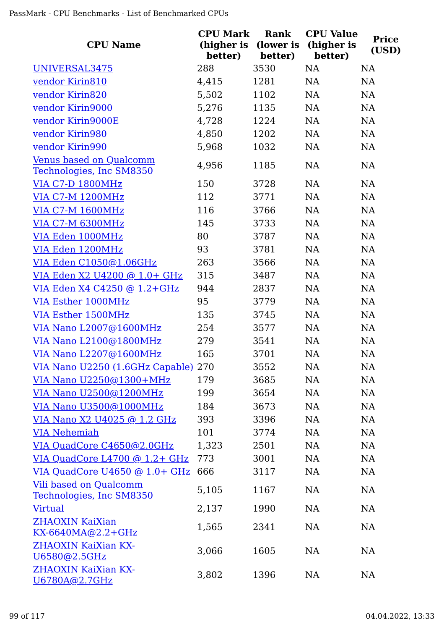| <b>CPU Name</b>                                            | <b>CPU Mark</b><br>(higher is<br>better) | Rank<br>(lower is<br>better) | <b>CPU Value</b><br>(higher is<br>better) | <b>Price</b><br>(USD) |
|------------------------------------------------------------|------------------------------------------|------------------------------|-------------------------------------------|-----------------------|
| UNIVERSAL3475                                              | 288                                      | 3530                         | <b>NA</b>                                 | <b>NA</b>             |
| vendor Kirin810                                            | 4,415                                    | 1281                         | NA                                        | <b>NA</b>             |
| vendor Kirin820                                            | 5,502                                    | 1102                         | <b>NA</b>                                 | <b>NA</b>             |
| vendor Kirin9000                                           | 5,276                                    | 1135                         | NA                                        | NA                    |
| vendor Kirin9000E                                          | 4,728                                    | 1224                         | NA                                        | NA                    |
| vendor Kirin980                                            | 4,850                                    | 1202                         | NA                                        | NA                    |
| vendor Kirin990                                            | 5,968                                    | 1032                         | NA                                        | NA                    |
| <b>Venus based on Qualcomm</b><br>Technologies, Inc SM8350 | 4,956                                    | 1185                         | NA                                        | NA                    |
| <b>VIA C7-D 1800MHz</b>                                    | 150                                      | 3728                         | <b>NA</b>                                 | NA                    |
| <b>VIA C7-M 1200MHz</b>                                    | 112                                      | 3771                         | NA                                        | NA                    |
| <b>VIA C7-M 1600MHz</b>                                    | 116                                      | 3766                         | <b>NA</b>                                 | <b>NA</b>             |
| <b>VIA C7-M 6300MHz</b>                                    | 145                                      | 3733                         | <b>NA</b>                                 | NA                    |
| VIA Eden 1000MHz                                           | 80                                       | 3787                         | <b>NA</b>                                 | NA                    |
| VIA Eden 1200MHz                                           | 93                                       | 3781                         | <b>NA</b>                                 | NA                    |
| VIA Eden C1050@1.06GHz                                     | 263                                      | 3566                         | <b>NA</b>                                 | NA                    |
| VIA Eden X2 U4200 @ 1.0+ GHz                               | 315                                      | 3487                         | NA                                        | <b>NA</b>             |
| VIA Eden X4 C4250 @ 1.2+GHz                                | 944                                      | 2837                         | NA                                        | NA                    |
| <b>VIA Esther 1000MHz</b>                                  | 95                                       | 3779                         | <b>NA</b>                                 | <b>NA</b>             |
| <b>VIA Esther 1500MHz</b>                                  | 135                                      | 3745                         | NA                                        | NA                    |
| VIA Nano L2007@1600MHz                                     | 254                                      | 3577                         | NA                                        | NA                    |
| VIA Nano L2100@1800MHz                                     | 279                                      | 3541                         | NA                                        | NA                    |
| VIA Nano L2207@1600MHz                                     | 165                                      | 3701                         | <b>NA</b>                                 | NA                    |
| <u>VIA Nano U2250 (1.6GHz Capable)</u> 270                 |                                          | 3552                         | NA                                        | NA                    |
| VIA Nano U2250@1300+MHz                                    | 179                                      | 3685                         | NA                                        | NA                    |
| VIA Nano U2500@1200MHz                                     | 199                                      | 3654                         | <b>NA</b>                                 | NA                    |
| VIA Nano U3500@1000MHz                                     | 184                                      | 3673                         | <b>NA</b>                                 | NA                    |
| VIA Nano X2 U4025 @ 1.2 GHz                                | 393                                      | 3396                         | <b>NA</b>                                 | NA                    |
| <b>VIA Nehemiah</b>                                        | 101                                      | 3774                         | <b>NA</b>                                 | NA                    |
| VIA QuadCore C4650@2.0GHz                                  | 1,323                                    | 2501                         | <b>NA</b>                                 | NA                    |
| VIA QuadCore L4700 $@ 1.2 + GHz$                           | 773                                      | 3001                         | <b>NA</b>                                 | <b>NA</b>             |
| VIA QuadCore U4650 @ 1.0+ GHz                              | 666                                      | 3117                         | <b>NA</b>                                 | NA                    |
| <b>Vili based on Qualcomm</b><br>Technologies, Inc SM8350  | 5,105                                    | 1167                         | <b>NA</b>                                 | NA                    |
| <b>Virtual</b>                                             | 2,137                                    | 1990                         | <b>NA</b>                                 | NA                    |
| ZHAOXIN KaiXian<br><u>KX-6640MA@2.2+GHz</u>                | 1,565                                    | 2341                         | <b>NA</b>                                 | NA                    |
| <b>ZHAOXIN KaiXian KX-</b><br>U6580@2.5GHz                 | 3,066                                    | 1605                         | NA                                        | NA                    |
| <b>ZHAOXIN KaiXian KX-</b><br><u> U6780A@2.7GHz</u>        | 3,802                                    | 1396                         | <b>NA</b>                                 | NA                    |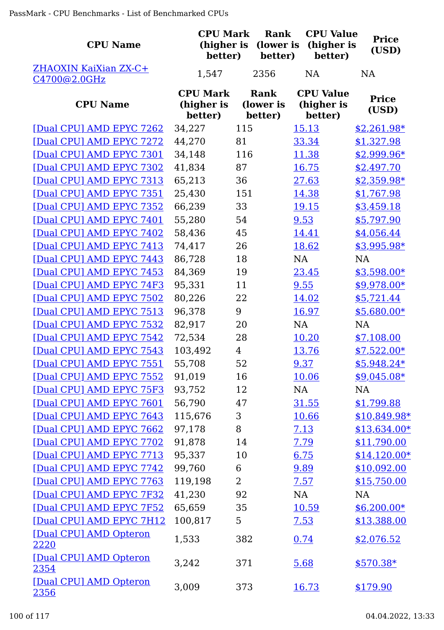| <b>CPU Name</b>                       | <b>CPU Mark</b><br>(higher is<br>better) | Rank<br>(lower is<br>better) | <b>CPU Value</b><br>(higher is<br>better) | <b>Price</b><br>(USD) |
|---------------------------------------|------------------------------------------|------------------------------|-------------------------------------------|-----------------------|
| ZHAOXIN KaiXian ZX-C+<br>C4700@2.0GHz | 1,547                                    | 2356                         | <b>NA</b>                                 | <b>NA</b>             |
| <b>CPU Name</b>                       | <b>CPU Mark</b><br>(higher is<br>better) | Rank<br>(lower is<br>better) | <b>CPU Value</b><br>(higher is<br>better) | <b>Price</b><br>(USD) |
| [Dual CPU] AMD EPYC 7262              | 34,227                                   | 115                          | 15.13                                     | $$2,261.98*$          |
| [Dual CPU] AMD EPYC 7272              | 44,270                                   | 81                           | 33.34                                     | \$1,327.98            |
| [Dual CPU] AMD EPYC 7301              | 34,148                                   | 116                          | 11.38                                     | $$2,999.96*$          |
| [Dual CPU] AMD EPYC 7302              | 41,834                                   | 87                           | 16.75                                     | \$2,497.70            |
| [Dual CPU] AMD EPYC 7313              | 65,213                                   | 36                           | 27.63                                     | $$2,359.98*$          |
| [Dual CPU] AMD EPYC 7351              | 25,430                                   | 151                          | 14.38                                     | \$1,767.98            |
| [Dual CPU] AMD EPYC 7352              | 66,239                                   | 33                           | 19.15                                     | \$3,459.18            |
| [Dual CPU] AMD EPYC 7401              | 55,280                                   | 54                           | 9.53                                      | \$5,797.90            |
| [Dual CPU] AMD EPYC 7402              | 58,436                                   | 45                           | 14.41                                     | \$4,056.44            |
| [Dual CPU] AMD EPYC 7413              | 74,417                                   | 26                           | 18.62                                     | \$3,995.98*           |
| [Dual CPU] AMD EPYC 7443              | 86,728                                   | 18                           | NA                                        | <b>NA</b>             |
| [Dual CPU] AMD EPYC 7453              | 84,369                                   | 19                           | 23.45                                     | $$3,598.00*$          |
| [Dual CPU] AMD EPYC 74F3              | 95,331                                   | 11                           | 9.55                                      | \$9,978.00*           |
| [Dual CPU] AMD EPYC 7502              | 80,226                                   | 22                           | 14.02                                     | \$5,721.44            |
| [Dual CPU] AMD EPYC 7513              | 96,378                                   | 9                            | 16.97                                     | $$5,680.00*$          |
| [Dual CPU] AMD EPYC 7532              | 82,917                                   | 20                           | <b>NA</b>                                 | <b>NA</b>             |
| [Dual CPU] AMD EPYC 7542              | 72,534                                   | 28                           | 10.20                                     | \$7,108.00            |
| [Dual CPU] AMD EPYC 7543              | 103,492                                  | $\overline{4}$               | 13.76                                     | $$7,522.00*$          |
| [Dual CPU] AMD EPYC 7551              | 55,708                                   | 52                           | 9.37                                      | $$5,948.24*$          |
| [Dual CPU] AMD EPYC 7552              | 91,019                                   | 16                           | 10.06                                     | $$9,045.08*$          |
| [Dual CPU] AMD EPYC 75F3              | 93,752                                   | 12                           | <b>NA</b>                                 | NA                    |
| [Dual CPU] AMD EPYC 7601              | 56,790                                   | 47                           | 31.55                                     | \$1,799.88            |
| [Dual CPU] AMD EPYC 7643              | 115,676                                  | 3                            | 10.66                                     | $$10,849.98*$         |
| [Dual CPU] AMD EPYC 7662              | 97,178                                   | 8                            | 7.13                                      | $$13,634.00*$         |
| [Dual CPU] AMD EPYC 7702              | 91,878                                   | 14                           | 7.79                                      | \$11,790.00           |
| [Dual CPU] AMD EPYC 7713              | 95,337                                   | 10                           | 6.75                                      | $$14,120.00*$         |
| [Dual CPU] AMD EPYC 7742              | 99,760                                   | 6                            | 9.89                                      | \$10,092.00           |
| [Dual CPU] AMD EPYC 7763              | 119,198                                  | $\overline{2}$               | 7.57                                      | \$15,750.00           |
| [Dual CPU] AMD EPYC 7F32              | 41,230                                   | 92                           | NA                                        | <b>NA</b>             |
| [Dual CPU] AMD EPYC 7F52              | 65,659                                   | 35                           | 10.59                                     | $$6,200.00*$          |
| [Dual CPU] AMD EPYC 7H12              | 100,817                                  | 5                            | 7.53                                      | \$13,388.00           |
| [Dual CPU] AMD Opteron<br>2220        | 1,533                                    | 382                          | 0.74                                      | \$2,076.52            |
| [Dual CPU] AMD Opteron<br>2354        | 3,242                                    | 371                          | 5.68                                      | $$570.38*$            |
| [Dual CPU] AMD Opteron<br>2356        | 3,009                                    | 373                          | 16.73                                     | \$179.90              |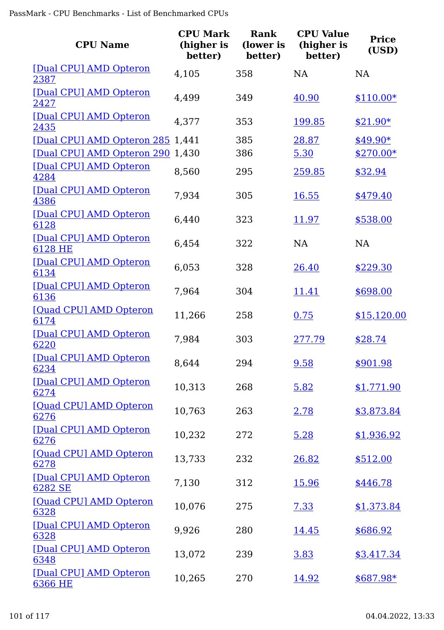| <b>CPU Name</b>                   | <b>CPU Mark</b><br>(higher is<br>better) | Rank<br>(lower is<br>better) | <b>CPU Value</b><br>(higher is<br>better) | <b>Price</b><br>(USD) |
|-----------------------------------|------------------------------------------|------------------------------|-------------------------------------------|-----------------------|
| [Dual CPU] AMD Opteron<br>2387    | 4,105                                    | 358                          | <b>NA</b>                                 | <b>NA</b>             |
| [Dual CPU] AMD Opteron<br>2427    | 4,499                                    | 349                          | 40.90                                     | $$110.00*$            |
| [Dual CPU] AMD Opteron<br>2435    | 4,377                                    | 353                          | 199.85                                    | $$21.90*$             |
| [Dual CPU] AMD Opteron 285 1,441  |                                          | 385                          | 28.87                                     | $$49.90*$             |
| [Dual CPU] AMD Opteron 290        | 1,430                                    | 386                          | 5.30                                      | $$270.00*$            |
| [Dual CPU] AMD Opteron<br>4284    | 8,560                                    | 295                          | 259.85                                    | \$32.94               |
| [Dual CPU] AMD Opteron<br>4386    | 7,934                                    | 305                          | 16.55                                     | \$479.40              |
| [Dual CPU] AMD Opteron<br>6128    | 6,440                                    | 323                          | 11.97                                     | \$538.00              |
| [Dual CPU] AMD Opteron<br>6128 HE | 6,454                                    | 322                          | <b>NA</b>                                 | <b>NA</b>             |
| [Dual CPU] AMD Opteron<br>6134    | 6,053                                    | 328                          | 26.40                                     | \$229.30              |
| [Dual CPU] AMD Opteron<br>6136    | 7,964                                    | 304                          | 11.41                                     | \$698.00              |
| [Quad CPU] AMD Opteron<br>6174    | 11,266                                   | 258                          | 0.75                                      | \$15,120.00           |
| [Dual CPU] AMD Opteron<br>6220    | 7,984                                    | 303                          | 277.79                                    | \$28.74               |
| [Dual CPU] AMD Opteron<br>6234    | 8,644                                    | 294                          | 9.58                                      | \$901.98              |
| [Dual CPU] AMD Opteron<br>6274    | 10,313                                   | 268                          | 5.82                                      | \$1,771.90            |
| [Quad CPU] AMD Opteron<br>6276    | 10,763                                   | 263                          | 2.78                                      | \$3,873.84            |
| [Dual CPU] AMD Opteron<br>6276    | 10,232                                   | 272                          | 5.28                                      | \$1,936.92            |
| [Quad CPU] AMD Opteron<br>6278    | 13,733                                   | 232                          | 26.82                                     | \$512.00              |
| [Dual CPU] AMD Opteron<br>6282 SE | 7,130                                    | 312                          | <u>15.96</u>                              | \$446.78              |
| [Quad CPU] AMD Opteron<br>6328    | 10,076                                   | 275                          | 7.33                                      | \$1,373.84            |
| [Dual CPU] AMD Opteron<br>6328    | 9,926                                    | 280                          | <u>14.45</u>                              | \$686.92              |
| [Dual CPU] AMD Opteron<br>6348    | 13,072                                   | 239                          | 3.83                                      | \$3,417.34            |
| [Dual CPU] AMD Opteron<br>6366 HE | 10,265                                   | 270                          | 14.92                                     | $$687.98*$            |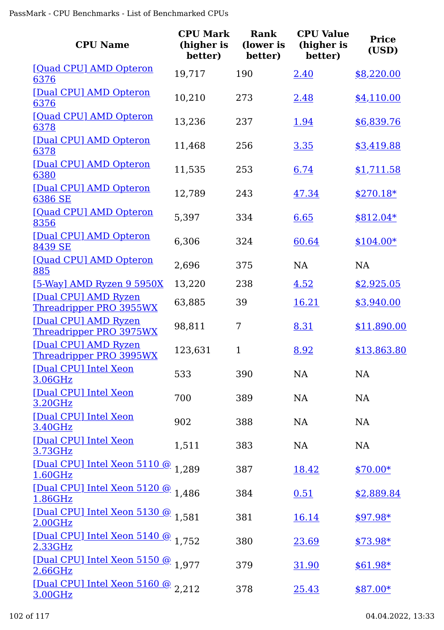| <b>CPU Name</b>                                 | <b>CPU Mark</b><br>(higher is<br>better) | <b>Rank</b><br>(lower is<br>better) | <b>CPU Value</b><br>(higher is<br>better) | <b>Price</b><br>(USD) |
|-------------------------------------------------|------------------------------------------|-------------------------------------|-------------------------------------------|-----------------------|
| [Quad CPU] AMD Opteron<br>6376                  | 19,717                                   | 190                                 | 2.40                                      | \$8,220.00            |
| [Dual CPU] AMD Opteron<br>6376                  | 10,210                                   | 273                                 | 2.48                                      | \$4,110.00            |
| [Quad CPU] AMD Opteron<br>6378                  | 13,236                                   | 237                                 | 1.94                                      | \$6,839.76            |
| [Dual CPU] AMD Opteron<br>6378                  | 11,468                                   | 256                                 | 3.35                                      | \$3,419.88            |
| [Dual CPU] AMD Opteron<br>6380                  | 11,535                                   | 253                                 | 6.74                                      | \$1,711.58            |
| [Dual CPU] AMD Opteron<br>6386 SE               | 12,789                                   | 243                                 | 47.34                                     | $$270.18*$            |
| [Quad CPU] AMD Opteron<br>8356                  | 5,397                                    | 334                                 | 6.65                                      | $$812.04*$            |
| [Dual CPU] AMD Opteron<br>8439 SE               | 6,306                                    | 324                                 | 60.64                                     | $$104.00*$            |
| [Quad CPU] AMD Opteron<br>885                   | 2,696                                    | 375                                 | NA                                        | NA                    |
| [5-Way] AMD Ryzen 9 5950X                       | 13,220                                   | 238                                 | 4.52                                      | \$2,925.05            |
| [Dual CPU] AMD Ryzen<br>Threadripper PRO 3955WX | 63,885                                   | 39                                  | 16.21                                     | \$3,940.00            |
| [Dual CPU] AMD Ryzen<br>Threadripper PRO 3975WX | 98,811                                   | 7                                   | 8.31                                      | \$11,890.00           |
| [Dual CPU] AMD Ryzen<br>Threadripper PRO 3995WX | 123,631                                  | $\mathbf{1}$                        | 8.92                                      | \$13,863.80           |
| [Dual CPU] Intel Xeon<br>3.06GHz                | 533                                      | 390                                 | NA                                        | <b>NA</b>             |
| [Dual CPU] Intel Xeon<br>3.20GHz                | 700                                      | 389                                 | <b>NA</b>                                 | <b>NA</b>             |
| [Dual CPU] Intel Xeon<br>3.40GHz                | 902                                      | 388                                 | <b>NA</b>                                 | <b>NA</b>             |
| [Dual CPU] Intel Xeon<br>3.73GHz                | 1,511                                    | 383                                 | <b>NA</b>                                 | <b>NA</b>             |
| [Dual CPU] Intel Xeon 5110 @ 1,289<br>1.60GHz   |                                          | 387                                 | <u>18.42</u>                              | $$70.00*$             |
| [Dual CPU] Intel Xeon 5120 @ 1.486<br>1.86GHz   |                                          | 384                                 | 0.51                                      | \$2,889.84            |
| [Dual CPU] Intel Xeon 5130 @ 1.581<br>2.00GHz   |                                          | 381                                 | 16.14                                     | $$97.98*$             |
| [Dual CPU] Intel Xeon 5140 @ 1,752<br>2.33GHz   |                                          | 380                                 | 23.69                                     | $$73.98*$             |
| [Dual CPU] Intel Xeon 5150 @ 1.977<br>2.66GHz   |                                          | 379                                 | 31.90                                     | $$61.98*$             |
| [Dual CPU] Intel Xeon 5160 @ 2,212<br>3.00GHz   |                                          | 378                                 | <u>25.43</u>                              | $$87.00*$             |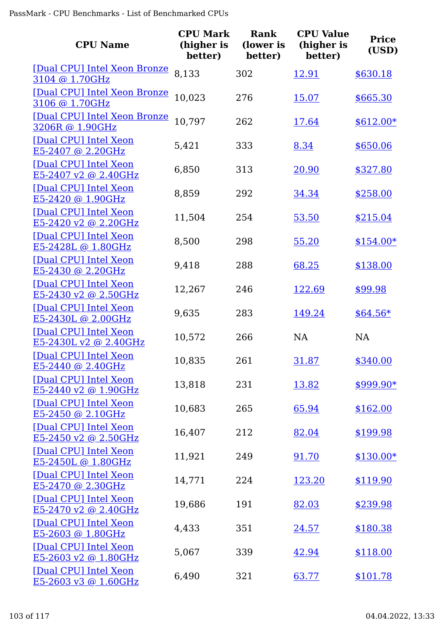| <b>CPU Name</b>                                  | <b>CPU Mark</b><br>(higher is<br>better) | Rank<br>(lower is<br>better) | <b>CPU Value</b><br>(higher is<br>better) | <b>Price</b><br>(USD) |
|--------------------------------------------------|------------------------------------------|------------------------------|-------------------------------------------|-----------------------|
| [Dual CPU] Intel Xeon Bronze<br>3104 @ 1.70GHz   | 8,133                                    | 302                          | 12.91                                     | \$630.18              |
| [Dual CPU] Intel Xeon Bronze<br>3106 @ 1.70GHz   | 10,023                                   | 276                          | <u>15.07</u>                              | \$665.30              |
| [Dual CPU] Intel Xeon Bronze<br>3206R @ 1.90GHz  | 10,797                                   | 262                          | <u>17.64</u>                              | $$612.00*$            |
| [Dual CPU] Intel Xeon<br>E5-2407 @ 2.20GHz       | 5,421                                    | 333                          | 8.34                                      | \$650.06              |
| [Dual CPU] Intel Xeon<br>E5-2407 v2 @ 2.40GHz    | 6,850                                    | 313                          | 20.90                                     | \$327.80              |
| [Dual CPU] Intel Xeon<br>E5-2420 @ 1.90GHz       | 8,859                                    | 292                          | 34.34                                     | \$258.00              |
| [Dual CPU] Intel Xeon<br>E5-2420 v2 @ 2.20GHz    | 11,504                                   | 254                          | 53.50                                     | \$215.04              |
| [Dual CPU] Intel Xeon<br>E5-2428L @ 1.80GHz      | 8,500                                    | 298                          | 55.20                                     | $$154.00*$            |
| [Dual CPU] Intel Xeon<br>E5-2430 @ 2.20GHz       | 9,418                                    | 288                          | 68.25                                     | \$138.00              |
| [Dual CPU] Intel Xeon<br>E5-2430 v2 @ 2.50GHz    | 12,267                                   | 246                          | 122.69                                    | \$99.98               |
| [Dual CPU] Intel Xeon<br>E5-2430L @ 2.00GHz      | 9,635                                    | 283                          | 149.24                                    | $$64.56*$             |
| [Dual CPU] Intel Xeon<br>$E5-2430L v2 @ 2.40GHz$ | 10,572                                   | 266                          | <b>NA</b>                                 | <b>NA</b>             |
| [Dual CPU] Intel Xeon<br>E5-2440 @ 2.40GHz       | 10,835                                   | 261                          | <u>31.87</u>                              | \$340.00              |
| [Dual CPU] Intel Xeon<br>E5-2440 v2 @ 1.90GHz    | 13,818                                   | 231                          | 13.82                                     | \$999.90*             |
| [Dual CPU] Intel Xeon<br>E5-2450 @ 2.10GHz       | 10,683                                   | 265                          | 65.94                                     | \$162.00              |
| [Dual CPU] Intel Xeon<br>E5-2450 v2 @ 2.50GHz    | 16,407                                   | 212                          | 82.04                                     | \$199.98              |
| [Dual CPU] Intel Xeon<br>E5-2450L @ 1.80GHz      | 11,921                                   | 249                          | 91.70                                     | $$130.00*$            |
| [Dual CPU] Intel Xeon<br>E5-2470 @ 2.30GHz       | 14,771                                   | 224                          | 123.20                                    | \$119.90              |
| [Dual CPU] Intel Xeon<br>E5-2470 v2 @ 2.40GHz    | 19,686                                   | 191                          | 82.03                                     | \$239.98              |
| [Dual CPU] Intel Xeon<br>E5-2603 @ 1.80GHz       | 4,433                                    | 351                          | <u>24.57</u>                              | \$180.38              |
| [Dual CPU] Intel Xeon<br>E5-2603 v2 @ 1.80GHz    | 5,067                                    | 339                          | 42.94                                     | \$118.00              |
| [Dual CPU] Intel Xeon<br>E5-2603 v3 @ 1.60GHz    | 6,490                                    | 321                          | 63.77                                     | \$101.78              |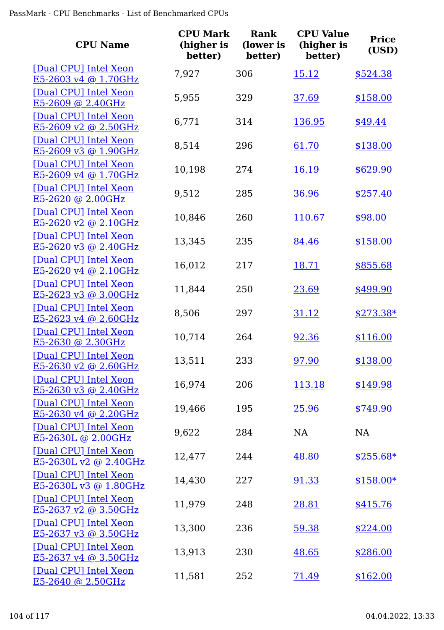| <b>CPU Name</b>                                      | <b>CPU Mark</b><br>(higher is<br>better) | <b>Rank</b><br>(lower is<br>better) | <b>CPU Value</b><br>(higher is<br>better) | <b>Price</b><br>(USD) |
|------------------------------------------------------|------------------------------------------|-------------------------------------|-------------------------------------------|-----------------------|
| [Dual CPU] Intel Xeon<br>E5-2603 v4 @ 1.70GHz        | 7,927                                    | 306                                 | 15.12                                     | \$524.38              |
| [Dual CPU] Intel Xeon<br>E5-2609 @ 2.40GHz           | 5,955                                    | 329                                 | 37.69                                     | \$158.00              |
| [Dual CPU] Intel Xeon<br>$E5-2609$ v2 @ 2.50GHz      | 6,771                                    | 314                                 | 136.95                                    | \$49.44               |
| [Dual CPU] Intel Xeon<br>E5-2609 v3 @ 1.90GHz        | 8,514                                    | 296                                 | 61.70                                     | \$138.00              |
| [Dual CPU] Intel Xeon<br>E5-2609 v4 @ 1.70GHz        | 10,198                                   | 274                                 | 16.19                                     | \$629.90              |
| [Dual CPU] Intel Xeon<br>$E5-2620$ @ 2.00GHz         | 9,512                                    | 285                                 | 36.96                                     | \$257.40              |
| [Dual CPU] Intel Xeon<br>E5-2620 v2 @ 2.10GHz        | 10,846                                   | 260                                 | 110.67                                    | \$98.00               |
| [Dual CPU] Intel Xeon<br>E5-2620 v3 @ 2.40GHz        | 13,345                                   | 235                                 | 84.46                                     | \$158.00              |
| [Dual CPU] Intel Xeon<br>$E5-2620$ v4 @ 2.10GHz      | 16,012                                   | 217                                 | 18.71                                     | \$855.68              |
| [Dual CPU] Intel Xeon<br>E5-2623 v3 @ 3.00GHz        | 11,844                                   | 250                                 | 23.69                                     | \$499.90              |
| [Dual CPU] Intel Xeon<br>E5-2623 v4 @ 2.60GHz        | 8,506                                    | 297                                 | 31.12                                     | $$273.38*$            |
| [Dual CPU] Intel Xeon<br>$E5-2630$ @ 2.30GHz         | 10,714                                   | 264                                 | 92.36                                     | \$116.00              |
| [Dual CPU] Intel Xeon<br><u>E5-2630 v2 @ 2.60GHz</u> | 13,511                                   | 233                                 | 97.90                                     | \$138.00              |
| [Dual CPU] Intel Xeon<br>E5-2630 v3 @ 2.40GHz        | 16,974                                   | 206                                 | 113.18                                    | \$149.98              |
| [Dual CPU] Intel Xeon<br>E5-2630 v4 @ 2.20GHz        | 19,466                                   | 195                                 | 25.96                                     | \$749.90              |
| [Dual CPU] Intel Xeon<br>E5-2630L @ 2.00GHz          | 9,622                                    | 284                                 | NA                                        | NA                    |
| [Dual CPU] Intel Xeon<br>E5-2630L v2 @ 2.40GHz       | 12,477                                   | 244                                 | 48.80                                     | $$255.68*$            |
| [Dual CPU] Intel Xeon<br>E5-2630L v3 @ 1.80GHz       | 14,430                                   | 227                                 | 91.33                                     | $$158.00*$            |
| [Dual CPU] Intel Xeon<br>E5-2637 v2 @ 3.50GHz        | 11,979                                   | 248                                 | 28.81                                     | \$415.76              |
| [Dual CPU] Intel Xeon<br>E5-2637 v3 @ 3.50GHz        | 13,300                                   | 236                                 | 59.38                                     | \$224.00              |
| [Dual CPU] Intel Xeon<br>$E5-2637$ v4 @ 3.50GHz      | 13,913                                   | 230                                 | 48.65                                     | \$286.00              |
| [Dual CPU] Intel Xeon<br>$E5-2640$ @ 2.50GHz         | 11,581                                   | 252                                 | 71.49                                     | \$162.00              |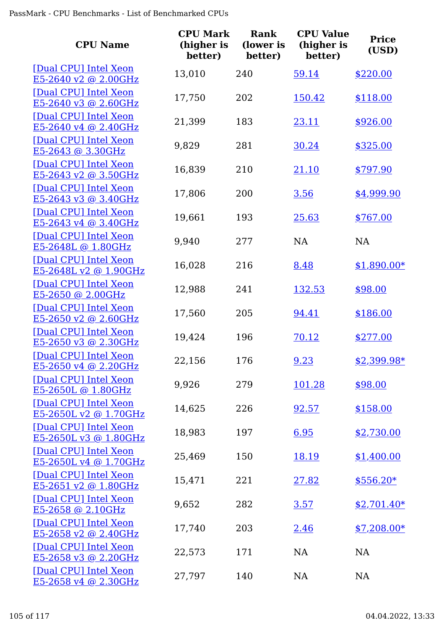| <b>CPU Name</b>                                 | <b>CPU Mark</b><br>(higher is<br>better) | Rank<br>(lower is<br>better) | <b>CPU Value</b><br>(higher is<br>better) | <b>Price</b><br>(USD) |
|-------------------------------------------------|------------------------------------------|------------------------------|-------------------------------------------|-----------------------|
| [Dual CPU] Intel Xeon<br>$E5-2640$ v2 @ 2.00GHz | 13,010                                   | 240                          | 59.14                                     | \$220.00              |
| [Dual CPU] Intel Xeon<br>E5-2640 v3 @ 2.60GHz   | 17,750                                   | 202                          | 150.42                                    | \$118.00              |
| [Dual CPU] Intel Xeon<br>E5-2640 v4 @ 2.40GHz   | 21,399                                   | 183                          | 23.11                                     | \$926.00              |
| [Dual CPU] Intel Xeon<br>E5-2643 @ 3.30GHz      | 9,829                                    | 281                          | 30.24                                     | \$325.00              |
| [Dual CPU] Intel Xeon<br>E5-2643 v2 @ 3.50GHz   | 16,839                                   | 210                          | 21.10                                     | \$797.90              |
| [Dual CPU] Intel Xeon<br>E5-2643 v3 @ 3.40GHz   | 17,806                                   | 200                          | 3.56                                      | \$4,999.90            |
| [Dual CPU] Intel Xeon<br>E5-2643 v4 @ 3.40GHz   | 19,661                                   | 193                          | 25.63                                     | \$767.00              |
| [Dual CPU] Intel Xeon<br>E5-2648L @ 1.80GHz     | 9,940                                    | 277                          | <b>NA</b>                                 | <b>NA</b>             |
| [Dual CPU] Intel Xeon<br>E5-2648L v2 @ 1.90GHz  | 16,028                                   | 216                          | 8.48                                      | $$1,890.00*$          |
| [Dual CPU] Intel Xeon<br>E5-2650 @ 2.00GHz      | 12,988                                   | 241                          | 132.53                                    | \$98.00               |
| [Dual CPU] Intel Xeon<br>E5-2650 v2 @ 2.60GHz   | 17,560                                   | 205                          | 94.41                                     | \$186.00              |
| [Dual CPU] Intel Xeon<br>$E5-2650$ v3 @ 2.30GHz | 19,424                                   | 196                          | 70.12                                     | \$277.00              |
| [Dual CPU] Intel Xeon<br>$E5-2650$ v4 @ 2.20GHz | 22,156                                   | 176                          | 9.23                                      | \$2,399.98*           |
| [Dual CPU] Intel Xeon<br>E5-2650L @ 1.80GHz     | 9,926                                    | 279                          | 101.28                                    | \$98.00               |
| [Dual CPU] Intel Xeon<br>E5-2650L v2 @ 1.70GHz  | 14,625                                   | 226                          | 92.57                                     | \$158.00              |
| [Dual CPU] Intel Xeon<br>E5-2650L v3 @ 1.80GHz  | 18,983                                   | 197                          | 6.95                                      | \$2,730.00            |
| [Dual CPU] Intel Xeon<br>E5-2650L v4 @ 1.70GHz  | 25,469                                   | 150                          | 18.19                                     | \$1,400.00            |
| [Dual CPU] Intel Xeon<br>$E5-2651$ v2 @ 1.80GHz | 15,471                                   | 221                          | 27.82                                     | $$556.20*$            |
| [Dual CPU] Intel Xeon<br>E5-2658 @ 2.10GHz      | 9,652                                    | 282                          | 3.57                                      | $$2,701.40*$          |
| [Dual CPU] Intel Xeon<br>E5-2658 v2 @ 2.40GHz   | 17,740                                   | 203                          | 2.46                                      | $$7,208.00*$          |
| [Dual CPU] Intel Xeon<br>$E5-2658$ v3 @ 2.20GHz | 22,573                                   | 171                          | <b>NA</b>                                 | NA                    |
| [Dual CPU] Intel Xeon<br>E5-2658 v4 @ 2.30GHz   | 27,797                                   | 140                          | NA                                        | NA                    |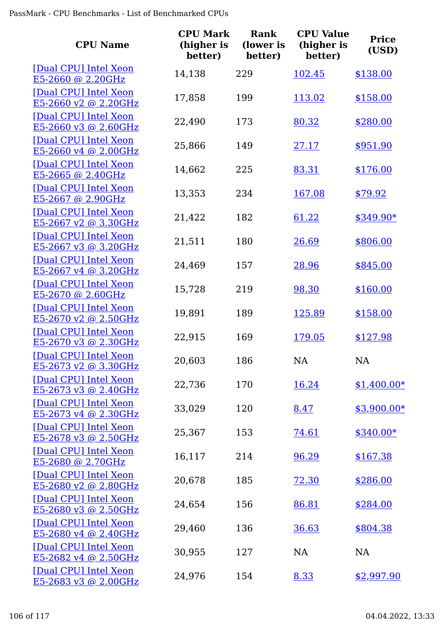| <b>CPU Name</b>                                      | <b>CPU Mark</b><br>(higher is<br>better) | Rank<br>(lower is<br>better) | <b>CPU Value</b><br>(higher is<br>better) | <b>Price</b><br>(USD) |
|------------------------------------------------------|------------------------------------------|------------------------------|-------------------------------------------|-----------------------|
| [Dual CPU] Intel Xeon<br>E5-2660 @ 2.20GHz           | 14,138                                   | 229                          | 102.45                                    | \$138.00              |
| [Dual CPU] Intel Xeon<br>E5-2660 v2 @ 2.20GHz        | 17,858                                   | 199                          | 113.02                                    | \$158.00              |
| [Dual CPU] Intel Xeon<br>$E5-2660$ v3 @ 2.60GHz      | 22,490                                   | 173                          | 80.32                                     | \$280.00              |
| [Dual CPU] Intel Xeon<br>E5-2660 v4 @ 2.00GHz        | 25,866                                   | 149                          | 27.17                                     | \$951.90              |
| [Dual CPU] Intel Xeon<br>E5-2665 @ 2.40GHz           | 14,662                                   | 225                          | 83.31                                     | \$176.00              |
| [Dual CPU] Intel Xeon<br>E5-2667 @ 2.90GHz           | 13,353                                   | 234                          | 167.08                                    | \$79.92               |
| [Dual CPU] Intel Xeon<br>E5-2667 v2 @ 3.30GHz        | 21,422                                   | 182                          | 61.22                                     | $$349.90*$            |
| [Dual CPU] Intel Xeon<br>E5-2667 v3 @ 3.20GHz        | 21,511                                   | 180                          | 26.69                                     | \$806.00              |
| [Dual CPU] Intel Xeon<br>$E5-2667$ v4 @ 3.20GHz      | 24,469                                   | 157                          | 28.96                                     | \$845.00              |
| [Dual CPU] Intel Xeon<br>E5-2670 @ 2.60GHz           | 15,728                                   | 219                          | 98.30                                     | \$160.00              |
| [Dual CPU] Intel Xeon<br>E5-2670 v2 @ 2.50GHz        | 19,891                                   | 189                          | 125.89                                    | \$158.00              |
| [Dual CPU] Intel Xeon<br>E5-2670 v3 @ 2.30GHz        | 22,915                                   | 169                          | 179.05                                    | \$127.98              |
| [Dual CPU] Intel Xeon<br><u>E5-2673 v2 @ 3.30GHz</u> | 20,603                                   | 186                          | NA                                        | <b>NA</b>             |
| [Dual CPU] Intel Xeon<br>E5-2673 v3 @ 2.40GHz        | 22,736                                   | 170                          | 16.24                                     | $$1,400.00*$          |
| [Dual CPU] Intel Xeon<br>$E5-2673$ v4 @ 2.30GHz      | 33,029                                   | 120                          | 8.47                                      | $$3,900.00*$          |
| [Dual CPU] Intel Xeon<br>$E5-2678$ v3 @ 2.50GHz      | 25,367                                   | 153                          | 74.61                                     | $$340.00*$            |
| [Dual CPU] Intel Xeon<br>E5-2680 @ 2.70GHz           | 16,117                                   | 214                          | 96.29                                     | \$167.38              |
| [Dual CPU] Intel Xeon<br>$E5-2680$ v2 @ 2.80GHz      | 20,678                                   | 185                          | 72.30                                     | \$286.00              |
| [Dual CPU] Intel Xeon<br>$E5-2680$ v3 @ 2.50GHz      | 24,654                                   | 156                          | 86.81                                     | \$284.00              |
| [Dual CPU] Intel Xeon<br>$E5-2680$ v4 @ 2.40GHz      | 29,460                                   | 136                          | 36.63                                     | \$804.38              |
| [Dual CPU] Intel Xeon<br>$E5-2682$ v4 @ 2.50GHz      | 30,955                                   | 127                          | <b>NA</b>                                 | <b>NA</b>             |
| [Dual CPU] Intel Xeon<br>E5-2683 v3 @ 2.00GHz        | 24,976                                   | 154                          | 8.33                                      | \$2,997.90            |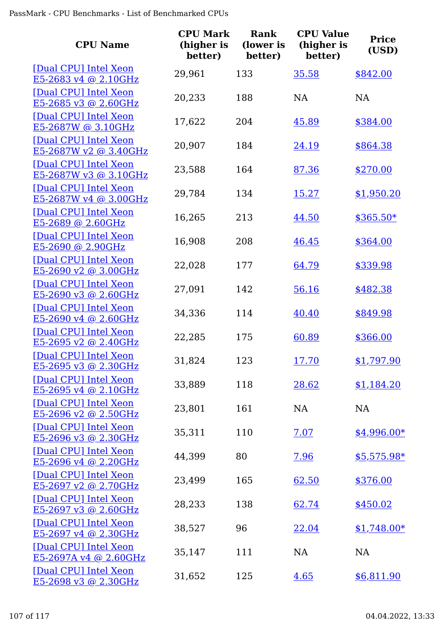| <b>CPU Name</b>                                      | <b>CPU Mark</b><br>(higher is<br>better) | Rank<br>(lower is<br>better) | <b>CPU Value</b><br>(higher is<br>better) | <b>Price</b><br>(USD) |
|------------------------------------------------------|------------------------------------------|------------------------------|-------------------------------------------|-----------------------|
| [Dual CPU] Intel Xeon<br>E5-2683 v4 @ 2.10GHz        | 29,961                                   | 133                          | 35.58                                     | \$842.00              |
| [Dual CPU] Intel Xeon<br>E5-2685 v3 @ 2.60GHz        | 20,233                                   | 188                          | <b>NA</b>                                 | NA                    |
| [Dual CPU] Intel Xeon<br>E5-2687W @ 3.10GHz          | 17,622                                   | 204                          | 45.89                                     | \$384.00              |
| [Dual CPU] Intel Xeon<br>E5-2687W v2 @ 3.40GHz       | 20,907                                   | 184                          | 24.19                                     | \$864.38              |
| [Dual CPU] Intel Xeon<br>E5-2687W v3 @ 3.10GHz       | 23,588                                   | 164                          | 87.36                                     | \$270.00              |
| [Dual CPU] Intel Xeon<br>E5-2687W v4 @ 3.00GHz       | 29,784                                   | 134                          | 15.27                                     | \$1,950.20            |
| [Dual CPU] Intel Xeon<br>E5-2689 @ 2.60GHz           | 16,265                                   | 213                          | 44.50                                     | $$365.50*$            |
| [Dual CPU] Intel Xeon<br>E5-2690 @ 2.90GHz           | 16,908                                   | 208                          | 46.45                                     | \$364.00              |
| [Dual CPU] Intel Xeon<br>$E5-2690$ v2 @ 3.00GHz      | 22,028                                   | 177                          | 64.79                                     | \$339.98              |
| [Dual CPU] Intel Xeon<br>E5-2690 v3 @ 2.60GHz        | 27,091                                   | 142                          | 56.16                                     | \$482.38              |
| [Dual CPU] Intel Xeon<br>E5-2690 v4 @ 2.60GHz        | 34,336                                   | 114                          | 40.40                                     | \$849.98              |
| [Dual CPU] Intel Xeon<br>$E5-2695$ v2 @ 2.40GHz      | 22,285                                   | 175                          | 60.89                                     | \$366.00              |
| [Dual CPU] Intel Xeon<br><u>E5-2695 v3 @ 2.30GHz</u> | 31,824                                   | 123                          | <u>17.70</u>                              | \$1,797.90            |
| [Dual CPU] Intel Xeon<br>E5-2695 v4 @ 2.10GHz        | 33,889                                   | 118                          | 28.62                                     | \$1,184.20            |
| [Dual CPU] Intel Xeon<br>$E5-2696$ v2 @ 2.50GHz      | 23,801                                   | 161                          | NA                                        | NA                    |
| [Dual CPU] Intel Xeon<br>E5-2696 v3 @ 2.30GHz        | 35,311                                   | 110                          | 7.07                                      | \$4,996.00*           |
| [Dual CPU] Intel Xeon<br>E5-2696 v4 @ 2.20GHz        | 44,399                                   | 80                           | 7.96                                      | $$5,575.98*$          |
| [Dual CPU] Intel Xeon<br>$E5-2697$ v2 @ 2.70GHz      | 23,499                                   | 165                          | 62.50                                     | \$376.00              |
| [Dual CPU] Intel Xeon<br>E5-2697 v3 @ 2.60GHz        | 28,233                                   | 138                          | 62.74                                     | \$450.02              |
| [Dual CPU] Intel Xeon<br>E5-2697 v4 @ 2.30GHz        | 38,527                                   | 96                           | 22.04                                     | $$1,748.00*$          |
| [Dual CPU] Intel Xeon<br>$E5-2697A v4 @ 2.60GHz$     | 35,147                                   | 111                          | NA                                        | NA                    |
| [Dual CPU] Intel Xeon<br><u>E5-2698 v3 @ 2.30GHz</u> | 31,652                                   | 125                          | 4.65                                      | \$6,811.90            |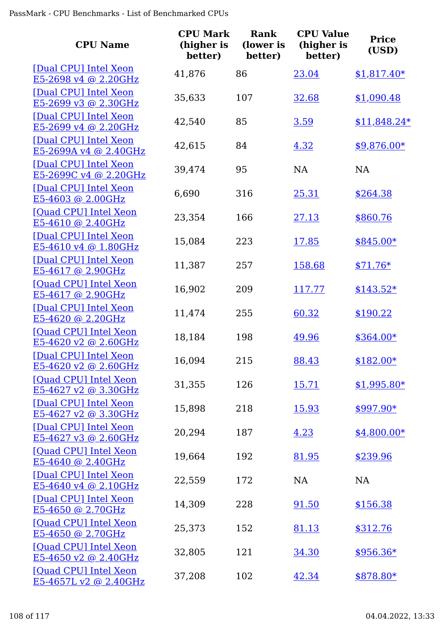| <b>CPU Name</b>                                 | <b>CPU Mark</b><br>(higher is<br>better) | <b>Rank</b><br>(lower is<br>better) | <b>CPU Value</b><br>(higher is<br>better) | <b>Price</b><br>(USD) |
|-------------------------------------------------|------------------------------------------|-------------------------------------|-------------------------------------------|-----------------------|
| [Dual CPU] Intel Xeon<br>E5-2698 v4 @ 2.20GHz   | 41,876                                   | 86                                  | 23.04                                     | $$1,817.40*$          |
| [Dual CPU] Intel Xeon<br>E5-2699 v3 @ 2.30GHz   | 35,633                                   | 107                                 | 32.68                                     | \$1,090.48            |
| [Dual CPU] Intel Xeon<br>E5-2699 v4 @ 2.20GHz   | 42,540                                   | 85                                  | 3.59                                      | $$11,848.24*$         |
| [Dual CPU] Intel Xeon<br>E5-2699A v4 @ 2.40GHz  | 42,615                                   | 84                                  | 4.32                                      | $$9,876.00*$          |
| [Dual CPU] Intel Xeon<br>E5-2699C v4 @ 2.20GHz  | 39,474                                   | 95                                  | <b>NA</b>                                 | NA                    |
| [Dual CPU] Intel Xeon<br>E5-4603 @ 2.00GHz      | 6,690                                    | 316                                 | 25.31                                     | \$264.38              |
| [Ouad CPU] Intel Xeon<br>E5-4610 @ 2.40GHz      | 23,354                                   | 166                                 | 27.13                                     | \$860.76              |
| [Dual CPU] Intel Xeon<br>E5-4610 v4 @ 1.80GHz   | 15,084                                   | 223                                 | 17.85                                     | \$845.00*             |
| [Dual CPU] Intel Xeon<br>$E5-4617$ @ 2.90GHz    | 11,387                                   | 257                                 | 158.68                                    | $$71.76*$             |
| [Quad CPU] Intel Xeon<br>E5-4617 @ 2.90GHz      | 16,902                                   | 209                                 | 117.77                                    | $$143.52*$            |
| [Dual CPU] Intel Xeon<br>E5-4620 @ 2.20GHz      | 11,474                                   | 255                                 | 60.32                                     | \$190.22              |
| [Ouad CPU] Intel Xeon<br>E5-4620 v2 @ 2.60GHz   | 18,184                                   | 198                                 | 49.96                                     | \$364.00*             |
| [Dual CPU] Intel Xeon<br>$E5-4620$ v2 @ 2.60GHz | 16,094                                   | 215                                 | 88.43                                     | \$182.00*             |
| [Quad CPU] Intel Xeon<br>E5-4627 v2 @ 3.30GHz   | 31,355                                   | 126                                 | <u>15.71</u>                              | $$1,995.80*$          |
| [Dual CPU] Intel Xeon<br>E5-4627 v2 @ 3.30GHz   | 15,898                                   | 218                                 | 15.93                                     | \$997.90*             |
| [Dual CPU] Intel Xeon<br>E5-4627 v3 @ 2.60GHz   | 20,294                                   | 187                                 | 4.23                                      | $$4,800.00*$          |
| [Quad CPU] Intel Xeon<br>E5-4640 @ 2.40GHz      | 19,664                                   | 192                                 | 81.95                                     | \$239.96              |
| [Dual CPU] Intel Xeon<br>E5-4640 v4 @ 2.10GHz   | 22,559                                   | 172                                 | NA                                        | NA                    |
| [Dual CPU] Intel Xeon<br>$E5-4650$ @ 2.70GHz    | 14,309                                   | 228                                 | 91.50                                     | \$156.38              |
| [Quad CPU] Intel Xeon<br>E5-4650 @ 2.70GHz      | 25,373                                   | 152                                 | 81.13                                     | \$312.76              |
| [Quad CPU] Intel Xeon<br>$E5-4650$ v2 @ 2.40GHz | 32,805                                   | 121                                 | 34.30                                     | $$956.36*$            |
| [Quad CPU] Intel Xeon<br>E5-4657L v2 @ 2.40GHz  | 37,208                                   | 102                                 | 42.34                                     | \$878.80*             |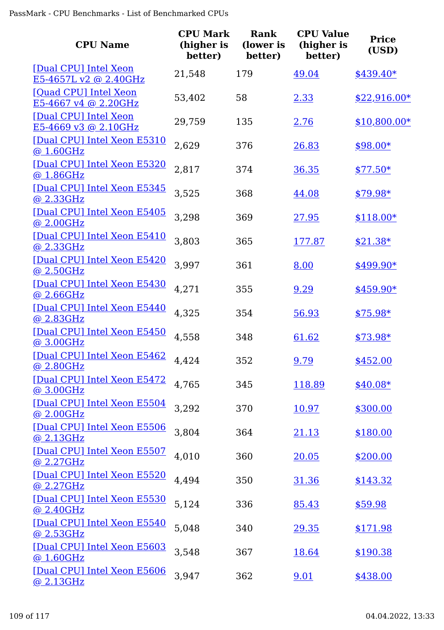| <b>CPU Name</b>                                | <b>CPU Mark</b><br>(higher is<br>better) | Rank<br>(lower is<br>better) | <b>CPU Value</b><br>(higher is<br>better) | <b>Price</b><br>(USD) |
|------------------------------------------------|------------------------------------------|------------------------------|-------------------------------------------|-----------------------|
| [Dual CPU] Intel Xeon<br>E5-4657L v2 @ 2.40GHz | 21,548                                   | 179                          | 49.04                                     | \$439.40*             |
| [Quad CPU] Intel Xeon<br>E5-4667 v4 @ 2.20GHz  | 53,402                                   | 58                           | 2.33                                      | $$22,916.00*$         |
| [Dual CPU] Intel Xeon<br>E5-4669 v3 @ 2.10GHz  | 29,759                                   | 135                          | 2.76                                      | $$10,800.00*$         |
| [Dual CPU] Intel Xeon E5310<br>@1.60GHz        | 2,629                                    | 376                          | 26.83                                     | $$98.00*$             |
| [Dual CPU] Intel Xeon E5320<br>@ 1.86GHz       | 2,817                                    | 374                          | 36.35                                     | $$77.50*$             |
| [Dual CPU] Intel Xeon E5345<br>@ 2.33GHz       | 3,525                                    | 368                          | 44.08                                     | \$79.98*              |
| [Dual CPU] Intel Xeon E5405<br>@ 2.00GHz       | 3,298                                    | 369                          | 27.95                                     | $$118.00*$            |
| [Dual CPU] Intel Xeon E5410<br>@ 2.33GHz       | 3,803                                    | 365                          | 177.87                                    | $$21.38*$             |
| [Dual CPU] Intel Xeon E5420<br>@2.50GHz        | 3,997                                    | 361                          | 8.00                                      | $$499.90*$            |
| [Dual CPU] Intel Xeon E5430<br>@ 2.66GHz       | 4,271                                    | 355                          | 9.29                                      | $$459.90*$            |
| [Dual CPU] Intel Xeon E5440<br>@ 2.83GHz       | 4,325                                    | 354                          | 56.93                                     | $$75.98*$             |
| [Dual CPU] Intel Xeon E5450<br>@ 3.00GHz       | 4,558                                    | 348                          | 61.62                                     | $$73.98*$             |
| [Dual CPU] Intel Xeon E5462<br>@ 2.80GHz       | 4,424                                    | 352                          | 9.79                                      | \$452.00              |
| [Dual CPU] Intel Xeon E5472<br>@3.00GHz        | 4,765                                    | 345                          | 118.89                                    | $$40.08*$             |
| [Dual CPU] Intel Xeon E5504<br>@ 2.00GHz       | 3,292                                    | 370                          | 10.97                                     | \$300.00              |
| [Dual CPU] Intel Xeon E5506<br>@ 2.13GHz       | 3,804                                    | 364                          | <u>21.13</u>                              | \$180.00              |
| [Dual CPU] Intel Xeon E5507<br>@2.27GHz        | 4,010                                    | 360                          | 20.05                                     | \$200.00              |
| [Dual CPU] Intel Xeon E5520<br>@ 2.27GHz       | 4,494                                    | 350                          | <u>31.36</u>                              | \$143.32              |
| [Dual CPU] Intel Xeon E5530<br>@ 2.40GHz       | 5,124                                    | 336                          | 85.43                                     | \$59.98               |
| [Dual CPU] Intel Xeon E5540<br>@2.53GHz        | 5,048                                    | 340                          | 29.35                                     | \$171.98              |
| [Dual CPU] Intel Xeon E5603<br>@1.60GHz        | 3,548                                    | 367                          | 18.64                                     | \$190.38              |
| [Dual CPU] Intel Xeon E5606<br>@ 2.13GHz       | 3,947                                    | 362                          | 9.01                                      | \$438.00              |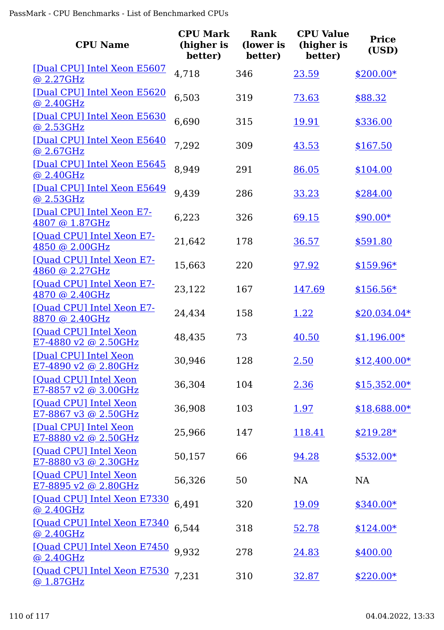| <b>CPU Name</b>                                 | <b>CPU Mark</b><br>(higher is<br>better) | Rank<br>(lower is<br>better) | <b>CPU Value</b><br>(higher is<br>better) | <b>Price</b><br>(USD) |
|-------------------------------------------------|------------------------------------------|------------------------------|-------------------------------------------|-----------------------|
| [Dual CPU] Intel Xeon E5607<br><u>@ 2.27GHz</u> | 4,718                                    | 346                          | 23.59                                     | $$200.00*$            |
| [Dual CPU] Intel Xeon E5620<br>@ 2.40GHz        | 6,503                                    | 319                          | 73.63                                     | \$88.32               |
| [Dual CPU] Intel Xeon E5630<br><u>@ 2.53GHz</u> | 6,690                                    | 315                          | 19.91                                     | \$336.00              |
| [Dual CPU] Intel Xeon E5640<br>@ 2.67GHz        | 7,292                                    | 309                          | 43.53                                     | \$167.50              |
| [Dual CPU] Intel Xeon E5645<br>@ 2.40GHz        | 8,949                                    | 291                          | 86.05                                     | \$104.00              |
| [Dual CPU] Intel Xeon E5649<br>@ 2.53GHz        | 9,439                                    | 286                          | 33.23                                     | \$284.00              |
| [Dual CPU] Intel Xeon E7-<br>4807 @ 1.87GHz     | 6,223                                    | 326                          | 69.15                                     | $$90.00*$             |
| [Quad CPU] Intel Xeon E7-<br>4850 @ 2.00GHz     | 21,642                                   | 178                          | 36.57                                     | \$591.80              |
| [Quad CPU] Intel Xeon E7-<br>4860 @ 2.27GHz     | 15,663                                   | 220                          | 97.92                                     | $$159.96*$            |
| [Quad CPU] Intel Xeon E7-<br>4870 @ 2.40GHz     | 23,122                                   | 167                          | 147.69                                    | $$156.56*$            |
| [Quad CPU] Intel Xeon E7-<br>8870 @ 2.40GHz     | 24,434                                   | 158                          | 1.22                                      | $$20,034.04*$         |
| [Quad CPU] Intel Xeon<br>$E7-4880$ v2 @ 2.50GHz | 48,435                                   | 73                           | 40.50                                     | $$1,196.00*$          |
| [Dual CPU] Intel Xeon<br>E7-4890 v2 @ 2.80GHz   | 30,946                                   | 128                          | 2.50                                      | $$12,400.00*$         |
| [Quad CPU] Intel Xeon<br>E7-8857 v2 @ 3.00GHz   | 36,304                                   | 104                          | 2.36                                      | $$15,352.00*$         |
| [Quad CPU] Intel Xeon<br>E7-8867 v3 @ 2.50GHz   | 36,908                                   | 103                          | <u>1.97</u>                               | \$18,688.00*          |
| [Dual CPU] Intel Xeon<br>E7-8880 v2 @ 2.50GHz   | 25,966                                   | 147                          | 118.41                                    | $$219.28*$            |
| [Quad CPU] Intel Xeon<br>E7-8880 v3 @ 2.30GHz   | 50,157                                   | 66                           | 94.28                                     | $$532.00*$            |
| [Quad CPU] Intel Xeon<br>E7-8895 v2 @ 2.80GHz   | 56,326                                   | 50                           | <b>NA</b>                                 | NA                    |
| [Quad CPU] Intel Xeon E7330<br>@ 2.40GHz        | 6,491                                    | 320                          | 19.09                                     | $$340.00*$            |
| [Quad CPU] Intel Xeon E7340<br>@ 2.40GHz        | 6,544                                    | 318                          | 52.78                                     | $$124.00*$            |
| [Quad CPU] Intel Xeon E7450<br>@ 2.40GHz        | 9,932                                    | 278                          | <u>24.83</u>                              | \$400.00              |
| [Quad CPU] Intel Xeon E7530<br>@ 1.87GHz        | 7,231                                    | 310                          | 32.87                                     | $$220.00*$            |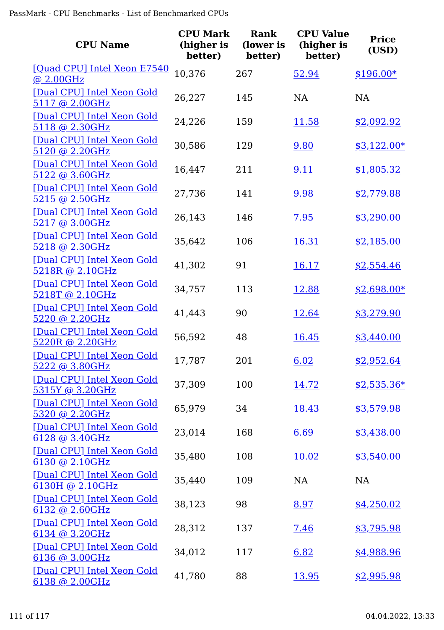| <b>CPU Name</b>                               | <b>CPU Mark</b><br>(higher is<br>better) | <b>Rank</b><br>(lower is<br>better) | <b>CPU Value</b><br>(higher is<br>better) | <b>Price</b><br>(USD) |
|-----------------------------------------------|------------------------------------------|-------------------------------------|-------------------------------------------|-----------------------|
| [Quad CPU] Intel Xeon E7540<br>@ 2.00GHz      | 10,376                                   | 267                                 | 52.94                                     | $$196.00*$            |
| [Dual CPU] Intel Xeon Gold<br>5117 @ 2.00GHz  | 26,227                                   | 145                                 | <b>NA</b>                                 | <b>NA</b>             |
| [Dual CPU] Intel Xeon Gold<br>5118 @ 2.30GHz  | 24,226                                   | 159                                 | 11.58                                     | \$2,092.92            |
| [Dual CPU] Intel Xeon Gold<br>5120 @ 2.20GHz  | 30,586                                   | 129                                 | 9.80                                      | $$3,122.00*$          |
| [Dual CPU] Intel Xeon Gold<br>5122 @ 3.60GHz  | 16,447                                   | 211                                 | 9.11                                      | \$1,805.32            |
| [Dual CPU] Intel Xeon Gold<br>5215 @ 2.50GHz  | 27,736                                   | 141                                 | 9.98                                      | \$2,779.88            |
| [Dual CPU] Intel Xeon Gold<br>5217 @ 3.00GHz  | 26,143                                   | 146                                 | 7.95                                      | \$3,290.00            |
| [Dual CPU] Intel Xeon Gold<br>5218 @ 2.30GHz  | 35,642                                   | 106                                 | 16.31                                     | \$2,185.00            |
| [Dual CPU] Intel Xeon Gold<br>5218R @ 2.10GHz | 41,302                                   | 91                                  | 16.17                                     | \$2,554.46            |
| [Dual CPU] Intel Xeon Gold<br>5218T @ 2.10GHz | 34,757                                   | 113                                 | 12.88                                     | $$2,698.00*$          |
| [Dual CPU] Intel Xeon Gold<br>5220 @ 2.20GHz  | 41,443                                   | 90                                  | 12.64                                     | \$3,279.90            |
| [Dual CPU] Intel Xeon Gold<br>5220R @ 2.20GHz | 56,592                                   | 48                                  | 16.45                                     | \$3,440.00            |
| [Dual CPU] Intel Xeon Gold<br>5222 @ 3.80GHz  | 17,787                                   | 201                                 | 6.02                                      | \$2,952.64            |
| [Dual CPU] Intel Xeon Gold<br>5315Y @ 3.20GHz | 37,309                                   | 100                                 | 14.72                                     | $$2,535.36*$          |
| [Dual CPU] Intel Xeon Gold<br>5320 @ 2.20GHz  | 65,979                                   | 34                                  | 18.43                                     | \$3,579.98            |
| [Dual CPU] Intel Xeon Gold<br>6128 @ 3.40GHz  | 23,014                                   | 168                                 | 6.69                                      | \$3,438.00            |
| [Dual CPU] Intel Xeon Gold<br>6130 @ 2.10GHz  | 35,480                                   | 108                                 | 10.02                                     | \$3,540.00            |
| [Dual CPU] Intel Xeon Gold<br>6130H @ 2.10GHz | 35,440                                   | 109                                 | <b>NA</b>                                 | <b>NA</b>             |
| [Dual CPU] Intel Xeon Gold<br>6132 @ 2.60GHz  | 38,123                                   | 98                                  | 8.97                                      | \$4,250.02            |
| [Dual CPU] Intel Xeon Gold<br>6134 @ 3.20GHz  | 28,312                                   | 137                                 | 7.46                                      | \$3,795.98            |
| [Dual CPU] Intel Xeon Gold<br>6136 @ 3.00GHz  | 34,012                                   | 117                                 | 6.82                                      | \$4,988.96            |
| [Dual CPU] Intel Xeon Gold<br>6138 @ 2.00GHz  | 41,780                                   | 88                                  | 13.95                                     | \$2,995.98            |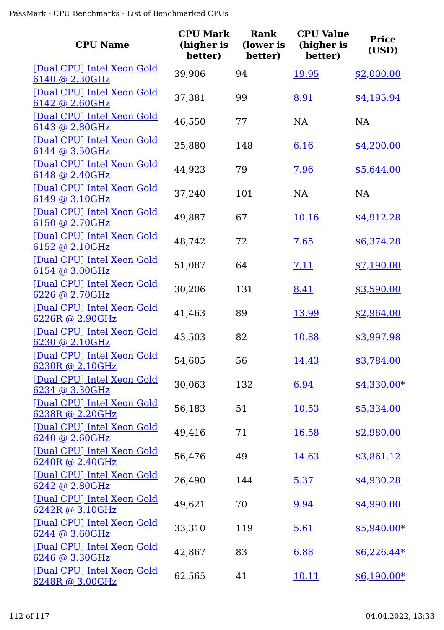| <b>CPU Name</b>                                      | <b>CPU Mark</b><br>(higher is<br>better) | Rank<br>(lower is<br>better) | <b>CPU Value</b><br>(higher is<br>better) | <b>Price</b><br>(USD) |
|------------------------------------------------------|------------------------------------------|------------------------------|-------------------------------------------|-----------------------|
| [Dual CPU] Intel Xeon Gold<br>6140 @ 2.30GHz         | 39,906                                   | 94                           | 19.95                                     | \$2,000.00            |
| [Dual CPU] Intel Xeon Gold<br>6142 @ 2.60GHz         | 37,381                                   | 99                           | 8.91                                      | \$4,195.94            |
| [Dual CPU] Intel Xeon Gold<br>6143 @ 2.80GHz         | 46,550                                   | 77                           | <b>NA</b>                                 | <b>NA</b>             |
| [Dual CPU] Intel Xeon Gold<br>6144 @ 3.50GHz         | 25,880                                   | 148                          | 6.16                                      | \$4,200.00            |
| [Dual CPU] Intel Xeon Gold<br>6148 @ 2.40GHz         | 44,923                                   | 79                           | 7.96                                      | \$5,644.00            |
| [Dual CPU] Intel Xeon Gold<br>6149 @ 3.10GHz         | 37,240                                   | 101                          | <b>NA</b>                                 | <b>NA</b>             |
| [Dual CPU] Intel Xeon Gold<br>6150 @ 2.70GHz         | 49,887                                   | 67                           | <u>10.16</u>                              | \$4,912.28            |
| [Dual CPU] Intel Xeon Gold<br>6152 @ 2.10GHz         | 48,742                                   | 72                           | 7.65                                      | \$6,374.28            |
| [Dual CPU] Intel Xeon Gold<br>6154 @ 3.00GHz         | 51,087                                   | 64                           | 7.11                                      | \$7,190.00            |
| [Dual CPU] Intel Xeon Gold<br>6226 @ 2.70GHz         | 30,206                                   | 131                          | 8.41                                      | \$3,590.00            |
| [Dual CPU] Intel Xeon Gold<br>6226R @ 2.90GHz        | 41,463                                   | 89                           | 13.99                                     | \$2,964.00            |
| [Dual CPU] Intel Xeon Gold<br>6230 @ 2.10GHz         | 43,503                                   | 82                           | 10.88                                     | \$3,997.98            |
| [Dual CPU] Intel Xeon Gold<br><u>6230R @ 2.10GHz</u> | 54,605                                   | 56                           | 14.43                                     | \$3,784.00            |
| [Dual CPU] Intel Xeon Gold<br>6234 @ 3.30GHz         | 30,063                                   | 132                          | 6.94                                      | $$4,330.00*$          |
| [Dual CPU] Intel Xeon Gold<br>6238R @ 2.20GHz        | 56,183                                   | 51                           | 10.53                                     | \$5,334.00            |
| [Dual CPU] Intel Xeon Gold<br>6240 @ 2.60GHz         | 49,416                                   | 71                           | 16.58                                     | \$2,980.00            |
| [Dual CPU] Intel Xeon Gold<br>6240R @ 2.40GHz        | 56,476                                   | 49                           | 14.63                                     | \$3,861.12            |
| [Dual CPU] Intel Xeon Gold<br>6242 @ 2.80GHz         | 26,490                                   | 144                          | 5.37                                      | \$4,930.28            |
| [Dual CPU] Intel Xeon Gold<br>6242R @ 3.10GHz        | 49,621                                   | 70                           | 9.94                                      | \$4,990.00            |
| [Dual CPU] Intel Xeon Gold<br>6244 @ 3.60GHz         | 33,310                                   | 119                          | 5.61                                      | $$5,940.00*$          |
| [Dual CPU] Intel Xeon Gold<br>6246 @ 3.30GHz         | 42,867                                   | 83                           | 6.88                                      | $$6,226.44*$          |
| [Dual CPU] Intel Xeon Gold<br>6248R @ 3.00GHz        | 62,565                                   | 41                           | 10.11                                     | $$6,190.00*$          |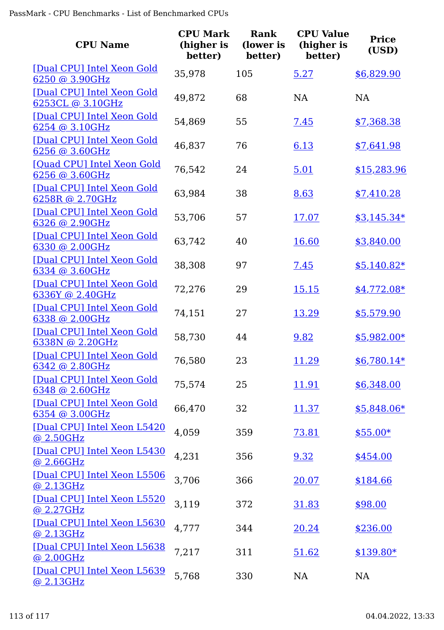| <b>CPU Name</b>                                 | <b>CPU Mark</b><br>(higher is<br>better) | Rank<br>(lower is<br>better) | <b>CPU Value</b><br>(higher is<br>better) | <b>Price</b><br>(USD) |
|-------------------------------------------------|------------------------------------------|------------------------------|-------------------------------------------|-----------------------|
| [Dual CPU] Intel Xeon Gold<br>6250 @ 3.90GHz    | 35,978                                   | 105                          | 5.27                                      | \$6,829.90            |
| [Dual CPU] Intel Xeon Gold<br>6253CL @ 3.10GHz  | 49,872                                   | 68                           | NA                                        | <b>NA</b>             |
| [Dual CPU] Intel Xeon Gold<br>$6254$ @ 3.10GHz  | 54,869                                   | 55                           | <u>7.45</u>                               | \$7,368.38            |
| [Dual CPU] Intel Xeon Gold<br>6256 @ 3.60GHz    | 46,837                                   | 76                           | 6.13                                      | \$7,641.98            |
| [Quad CPU] Intel Xeon Gold<br>6256 @ 3.60GHz    | 76,542                                   | 24                           | 5.01                                      | \$15,283.96           |
| [Dual CPU] Intel Xeon Gold<br>6258R @ 2.70GHz   | 63,984                                   | 38                           | 8.63                                      | \$7,410.28            |
| [Dual CPU] Intel Xeon Gold<br>6326 @ 2.90GHz    | 53,706                                   | 57                           | 17.07                                     | $$3,145.34*$          |
| [Dual CPU] Intel Xeon Gold<br>6330 @ 2.00GHz    | 63,742                                   | 40                           | 16.60                                     | \$3,840.00            |
| [Dual CPU] Intel Xeon Gold<br>$6334$ @ 3.60GHz  | 38,308                                   | 97                           | 7.45                                      | $$5,140.82*$          |
| [Dual CPU] Intel Xeon Gold<br>6336Y @ 2.40GHz   | 72,276                                   | 29                           | 15.15                                     | $$4,772.08*$          |
| [Dual CPU] Intel Xeon Gold<br>6338 @ 2.00GHz    | 74,151                                   | 27                           | 13.29                                     | \$5,579.90            |
| [Dual CPU] Intel Xeon Gold<br>6338N @ 2.20GHz   | 58,730                                   | 44                           | 9.82                                      | $$5,982.00*$          |
| [Dual CPU] Intel Xeon Gold<br>6342 @ 2.80GHz    | 76,580                                   | 23                           | <u> 11.29</u>                             | $$6,780.14*$          |
| [Dual CPU] Intel Xeon Gold<br>6348 @ 2.60GHz    | 75,574                                   | 25                           | 11.91                                     | \$6,348.00            |
| [Dual CPU] Intel Xeon Gold<br>6354 @ 3.00GHz    | 66,470                                   | 32                           | 11.37                                     | \$5,848.06*           |
| [Dual CPU] Intel Xeon L5420<br>@ 2.50GHz        | 4,059                                    | 359                          | 73.81                                     | $$55.00*$             |
| [Dual CPU] Intel Xeon L5430<br><u>@ 2.66GHz</u> | 4,231                                    | 356                          | 9.32                                      | \$454.00              |
| [Dual CPU] Intel Xeon L5506<br>@ 2.13GHz        | 3,706                                    | 366                          | 20.07                                     | \$184.66              |
| [Dual CPU] Intel Xeon L5520<br>@ 2.27GHz        | 3,119                                    | 372                          | 31.83                                     | \$98.00               |
| [Dual CPU] Intel Xeon L5630<br><u>@ 2.13GHz</u> | 4,777                                    | 344                          | 20.24                                     | \$236.00              |
| [Dual CPU] Intel Xeon L5638<br>@ 2.00GHz        | 7,217                                    | 311                          | 51.62                                     | $$139.80*$            |
| [Dual CPU] Intel Xeon L5639<br>@ 2.13GHz        | 5,768                                    | 330                          | NA                                        | NA                    |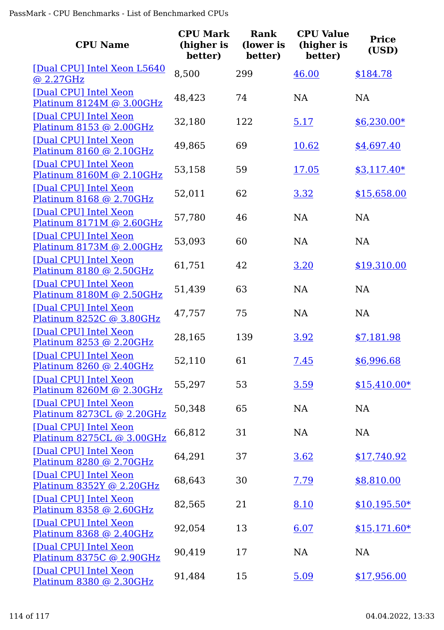| <b>CPU Name</b>                                         | <b>CPU Mark</b><br>(higher is<br>better) | <b>Rank</b><br>(lower is<br>better) | <b>CPU Value</b><br>(higher is<br>better) | <b>Price</b><br>(USD) |
|---------------------------------------------------------|------------------------------------------|-------------------------------------|-------------------------------------------|-----------------------|
| [Dual CPU] Intel Xeon L5640<br>@2.27GHz                 | 8,500                                    | 299                                 | 46.00                                     | \$184.78              |
| [Dual CPU] Intel Xeon<br>Platinum 8124M @ 3.00GHz       | 48,423                                   | 74                                  | NA                                        | <b>NA</b>             |
| [Dual CPU] Intel Xeon<br>Platinum 8153 @ 2.00GHz        | 32,180                                   | 122                                 | 5.17                                      | $$6,230.00*$          |
| [Dual CPU] Intel Xeon<br>Platinum 8160 @ 2.10GHz        | 49,865                                   | 69                                  | 10.62                                     | \$4,697.40            |
| [Dual CPU] Intel Xeon<br>Platinum 8160M @ 2.10GHz       | 53,158                                   | 59                                  | 17.05                                     | $$3,117.40*$          |
| [Dual CPU] Intel Xeon<br>Platinum 8168 @ 2.70GHz        | 52,011                                   | 62                                  | 3.32                                      | \$15,658.00           |
| [Dual CPU] Intel Xeon<br>Platinum 8171M @ 2.60GHz       | 57,780                                   | 46                                  | <b>NA</b>                                 | <b>NA</b>             |
| [Dual CPU] Intel Xeon<br>Platinum 8173M @ 2.00GHz       | 53,093                                   | 60                                  | <b>NA</b>                                 | <b>NA</b>             |
| [Dual CPU] Intel Xeon<br>Platinum 8180 @ 2.50GHz        | 61,751                                   | 42                                  | 3.20                                      | \$19,310.00           |
| [Dual CPU] Intel Xeon<br>Platinum 8180M @ 2.50GHz       | 51,439                                   | 63                                  | <b>NA</b>                                 | <b>NA</b>             |
| [Dual CPU] Intel Xeon<br>Platinum 8252C @ 3.80GHz       | 47,757                                   | 75                                  | <b>NA</b>                                 | <b>NA</b>             |
| [Dual CPU] Intel Xeon<br>Platinum 8253 @ 2.20GHz        | 28,165                                   | 139                                 | 3.92                                      | \$7,181.98            |
| [Dual CPU] Intel Xeon<br><u>Platinum 8260 @ 2.40GHz</u> | 52,110                                   | 61                                  | 7.45                                      | \$6,996.68            |
| [Dual CPU] Intel Xeon<br>Platinum 8260M @ 2.30GHz       | 55,297                                   | 53                                  | 3.59                                      | $$15,410.00*$         |
| [Dual CPU] Intel Xeon<br>Platinum 8273CL @ 2.20GHz      | 50,348                                   | 65                                  | NA                                        | NA                    |
| [Dual CPU] Intel Xeon<br>Platinum 8275CL @ 3.00GHz      | 66,812                                   | 31                                  | NA                                        | <b>NA</b>             |
| [Dual CPU] Intel Xeon<br>Platinum 8280 @ 2.70GHz        | 64,291                                   | 37                                  | 3.62                                      | \$17,740.92           |
| [Dual CPU] Intel Xeon<br>Platinum 8352Y @ 2.20GHz       | 68,643                                   | 30                                  | 7.79                                      | \$8,810.00            |
| [Dual CPU] Intel Xeon<br>Platinum 8358 @ 2.60GHz        | 82,565                                   | 21                                  | 8.10                                      | $$10,195.50*$         |
| [Dual CPU] Intel Xeon<br>Platinum 8368 @ 2.40GHz        | 92,054                                   | 13                                  | 6.07                                      | $$15,171.60*$         |
| [Dual CPU] Intel Xeon<br>Platinum 8375C @ 2.90GHz       | 90,419                                   | 17                                  | NA                                        | <b>NA</b>             |
| [Dual CPU] Intel Xeon<br>Platinum 8380 @ 2.30GHz        | 91,484                                   | 15                                  | 5.09                                      | \$17,956.00           |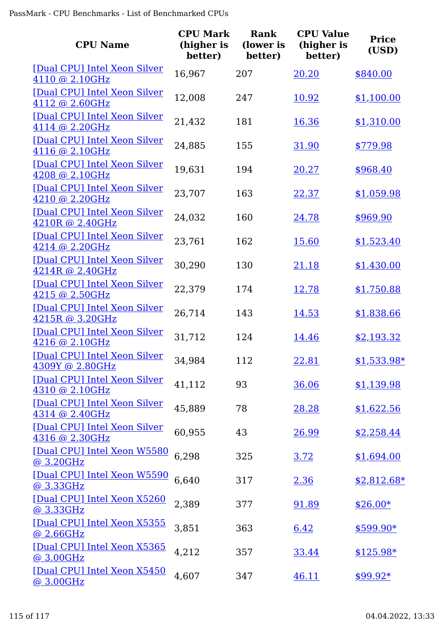| <b>CPU Name</b>                                 | <b>CPU Mark</b><br>(higher is<br>better) | <b>Rank</b><br>(lower is<br>better) | <b>CPU Value</b><br>(higher is<br>better) | <b>Price</b><br>(USD) |
|-------------------------------------------------|------------------------------------------|-------------------------------------|-------------------------------------------|-----------------------|
| [Dual CPU] Intel Xeon Silver<br>4110 @ 2.10GHz  | 16,967                                   | 207                                 | 20.20                                     | \$840.00              |
| [Dual CPU] Intel Xeon Silver<br>4112 @ 2.60GHz  | 12,008                                   | 247                                 | 10.92                                     | \$1,100.00            |
| [Dual CPU] Intel Xeon Silver<br>4114 @ 2.20GHz  | 21,432                                   | 181                                 | 16.36                                     | \$1,310.00            |
| [Dual CPU] Intel Xeon Silver<br>4116 @ 2.10GHz  | 24,885                                   | 155                                 | 31.90                                     | \$779.98              |
| [Dual CPU] Intel Xeon Silver<br>4208 @ 2.10GHz  | 19,631                                   | 194                                 | 20.27                                     | \$968.40              |
| [Dual CPU] Intel Xeon Silver<br>4210 @ 2.20GHz  | 23,707                                   | 163                                 | 22.37                                     | \$1,059.98            |
| [Dual CPU] Intel Xeon Silver<br>4210R @ 2.40GHz | 24,032                                   | 160                                 | 24.78                                     | \$969.90              |
| [Dual CPU] Intel Xeon Silver<br>4214 @ 2.20GHz  | 23,761                                   | 162                                 | 15.60                                     | \$1,523.40            |
| [Dual CPU] Intel Xeon Silver<br>4214R @ 2.40GHz | 30,290                                   | 130                                 | 21.18                                     | \$1,430.00            |
| [Dual CPU] Intel Xeon Silver<br>4215 @ 2.50GHz  | 22,379                                   | 174                                 | 12.78                                     | \$1,750.88            |
| [Dual CPU] Intel Xeon Silver<br>4215R @ 3.20GHz | 26,714                                   | 143                                 | 14.53                                     | \$1,838.66            |
| [Dual CPU] Intel Xeon Silver<br>4216 @ 2.10GHz  | 31,712                                   | 124                                 | 14.46                                     | \$2,193.32            |
| [Dual CPU] Intel Xeon Silver<br>4309Y @ 2.80GHz | 34,984                                   | 112                                 | <u>22.81</u>                              | $$1,533.98*$          |
| [Dual CPU] Intel Xeon Silver<br>4310 @ 2.10GHz  | 41,112                                   | 93                                  | 36.06                                     | \$1,139.98            |
| [Dual CPU] Intel Xeon Silver<br>4314 @ 2.40GHz  | 45,889                                   | 78                                  | 28.28                                     | \$1,622.56            |
| [Dual CPU] Intel Xeon Silver<br>4316 @ 2.30GHz  | 60,955                                   | 43                                  | 26.99                                     | \$2,258.44            |
| [Dual CPU] Intel Xeon W5580<br>@3.20GHz         | 6,298                                    | 325                                 | <u>3.72</u>                               | \$1,694.00            |
| [Dual CPU] Intel Xeon W5590<br>@ 3.33GHz        | 6,640                                    | 317                                 | 2.36                                      | $$2,812.68*$          |
| [Dual CPU] Intel Xeon X5260<br>@ 3.33GHz        | 2,389                                    | 377                                 | <u>91.89</u>                              | $$26.00*$             |
| [Dual CPU] Intel Xeon X5355<br>@2.66GHz         | 3,851                                    | 363                                 | 6.42                                      | $$599.90*$            |
| [Dual CPU] Intel Xeon X5365<br>@ 3.00GHz        | 4,212                                    | 357                                 | 33.44                                     | $$125.98*$            |
| [Dual CPU] Intel Xeon X5450<br>@ 3.00GHz        | 4,607                                    | 347                                 | 46.11                                     | $$99.92*$             |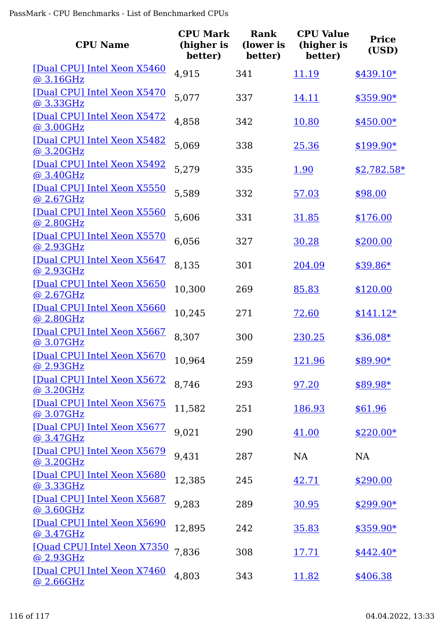| <b>CPU Name</b>                                 | <b>CPU Mark</b><br>(higher is<br>better) | <b>Rank</b><br>(lower is<br>better) | <b>CPU Value</b><br>(higher is<br>better) | <b>Price</b><br>(USD) |
|-------------------------------------------------|------------------------------------------|-------------------------------------|-------------------------------------------|-----------------------|
| [Dual CPU] Intel Xeon X5460<br>@ 3.16GHz        | 4,915                                    | 341                                 | 11.19                                     | $$439.10*$            |
| [Dual CPU] Intel Xeon X5470<br>@ 3.33GHz        | 5,077                                    | 337                                 | 14.11                                     | $$359.90*$            |
| [Dual CPU] Intel Xeon X5472<br>@3.00GHz         | 4,858                                    | 342                                 | 10.80                                     | $$450.00*$            |
| [Dual CPU] Intel Xeon X5482<br>@ 3.20GHz        | 5,069                                    | 338                                 | 25.36                                     | $$199.90*$            |
| [Dual CPU] Intel Xeon X5492<br>@ 3.40GHz        | 5,279                                    | 335                                 | 1.90                                      | $$2,782.58*$          |
| [Dual CPU] Intel Xeon X5550<br>@ 2.67GHz        | 5,589                                    | 332                                 | 57.03                                     | \$98.00               |
| [Dual CPU] Intel Xeon X5560<br>@ 2.80GHz        | 5,606                                    | 331                                 | 31.85                                     | \$176.00              |
| [Dual CPU] Intel Xeon X5570<br>@ 2.93GHz        | 6,056                                    | 327                                 | 30.28                                     | \$200.00              |
| [Dual CPU] Intel Xeon X5647<br>@ 2.93GHz        | 8,135                                    | 301                                 | 204.09                                    | $$39.86*$             |
| [Dual CPU] Intel Xeon X5650<br>@ 2.67GHz        | 10,300                                   | 269                                 | 85.83                                     | \$120.00              |
| [Dual CPU] Intel Xeon X5660<br>@ 2.80GHz        | 10,245                                   | 271                                 | 72.60                                     | $$141.12*$            |
| [Dual CPU] Intel Xeon X5667<br>@3.07GHz         | 8,307                                    | 300                                 | 230.25                                    | $$36.08*$             |
| [Dual CPU] Intel Xeon X5670<br><u>@ 2.93GHz</u> | 10,964                                   | 259                                 | 121.96                                    | \$89.90*              |
| [Dual CPU] Intel Xeon X5672<br>@ 3.20GHz        | 8,746                                    | 293                                 | 97.20                                     | \$89.98*              |
| [Dual CPU] Intel Xeon X5675<br>@ 3.07GHz        | 11,582                                   | 251                                 | 186.93                                    | \$61.96               |
| [Dual CPU] Intel Xeon X5677<br>@ 3.47GHz        | 9,021                                    | 290                                 | 41.00                                     | $$220.00*$            |
| [Dual CPU] Intel Xeon X5679<br>@ 3.20GHz        | 9,431                                    | 287                                 | <b>NA</b>                                 | NA                    |
| [Dual CPU] Intel Xeon X5680<br><u>@ 3.33GHz</u> | 12,385                                   | 245                                 | 42.71                                     | \$290.00              |
| [Dual CPU] Intel Xeon X5687<br>@ 3.60GHz        | 9,283                                    | 289                                 | 30.95                                     | $$299.90*$            |
| [Dual CPU] Intel Xeon X5690<br>@ 3.47GHz        | 12,895                                   | 242                                 | <u>35.83</u>                              | $$359.90*$            |
| [Quad CPU] Intel Xeon X7350<br>@ 2.93GHz        | 7,836                                    | 308                                 | <u>17.71</u>                              | $$442.40*$            |
| [Dual CPU] Intel Xeon X7460<br>@ 2.66GHz        | 4,803                                    | 343                                 | <u>11.82</u>                              | \$406.38              |